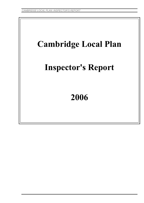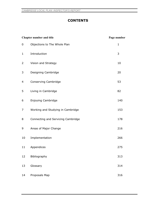# **CONTENTS**

| <b>Chapter number and title</b> |                                    | Page number  |
|---------------------------------|------------------------------------|--------------|
| 0                               | Objections to The Whole Plan       | $\mathbf{1}$ |
| $\mathbf{1}$                    | Introduction                       | 3            |
| 2                               | Vision and Strategy                | 10           |
| 3                               | Designing Cambridge                | 20           |
| 4                               | Conserving Cambridge               | 53           |
| 5                               | Living in Cambridge                | 82           |
| 6                               | Enjoying Cambridge                 | 140          |
| 7                               | Working and Studying in Cambridge  | 153          |
| 8                               | Connecting and Servicing Cambridge | 178          |
| 9                               | Areas of Major Change              | 216          |
| 10                              | Implementation                     | 266          |
| 11                              | Appendices                         | 275          |
| 12                              | Bibliography                       | 313          |
| 13                              | Glossary                           | 314          |
| 14                              | Proposals Map                      | 316          |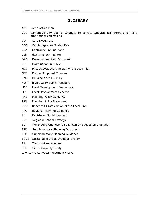# **GLOSSARY**

- AAP Area Action Plan
- CCC Cambridge City Council Changes to correct typographical errors and make other minor corrections
- CD Core Document
- CGB Cambridgeshire Guided Bus
- CPZ Controlled Parking Zone
- dph dwellings per hectare
- DPD Development Plan Document
- EIP Examination in Public
- FDD First Deposit Draft version of the Local Plan
- FPC Further Proposed Changes
- HNS Housing Needs Survey
- HQPT high quality public transport
- LDF Local Development Framework
- LDS Local Development Scheme
- PPG Planning Policy Guidance
- **PPS** Planning Policy Statement
- RDD Redeposit Draft version of the Local Plan
- RPG Regional Planning Guidance
- RSL Registered Social Landlord
- **RSS** Regional Spatial Strategy
- SC Pre-Inquiry Changes (also known as Suggested Changes)
- SPD Supplementary Planning Document
- SPG Supplementary Planning Guidance
- SUDS Sustainable Urban Drainage System
- TA Transport Assessment
- UCS Urban Capacity Study
- WWTW Waste Water Treatment Works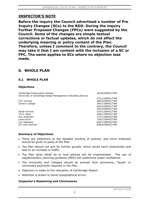# **INSPECTOR'S NOTE**

**Before the inquiry the Council advertised a number of Pre Inquiry Changes (SCs) to the RDD. During the inquiry Further Proposed Changes (FPCs) were suggested by the Council. Some of the changes are simple textual corrections or factual updates, which do not affect the underlying meaning or policy content of the Plan. Therefore, unless I comment to the contrary, the Council may take it that I am content with the inclusion of a SC or FPC. The same applies to SCs where no objection was made.**

# **0. WHOLE PLAN**

## **0.1 WHOLE PLAN**

## **Objections**

Cambridge Preservation Society University of Cambridge Estate Management & Building Service

P.M. Forman Christ's College

Sarah Forman J.K.H. Rees Sue Anderson Lorna Knox Ceri Galloway Cllr John Durrant 26/50/DEP01/TWP

 273/1/DEP01/TWP 280/2/DEP01/TWP 364/1/DEP01/TWP 364/2/DEP01/TWP 364/4/DEP01/TWP 579/1/DEP01/TWP 546/1/DEP02/TWP 737/1/DEP02/TWP 739/1/DEP02/TWP 805/1/DEP02/TWP 838/6/DEP02/TWP

## **Summary of Objections**

- There are objections to the detailed wording of policies, and more emphasis should be given to parts of the Plan.
- The Plan should not aim for further growth, which would harm biodiversity and lead to an increase in traffic.
- The Plan lacks detail as to how policies will be implemented. The use of supplementary planning guidance (SPG) will undermine public confidence.
- The University and Colleges should be exempt from provisions, "taxes" or commuted payments required in the Plan.
- Objection is made to the relocation of Cambridge Airport.
- Attention is drawn to some typographical errors.

## **Inspector's Reasoning and Conclusions**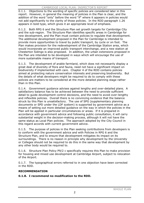### CAMBRIDGE LOCAL PLAN: INSPECTOR'S REPORT

0.1.1. Objections to the wording of specific policies are considered later in this report. However, in general the meaning of policies in the Plan is clear, and the addition of the word "only" before the word "if" where it appears in policies would not add significantly to the clarity of those policies. In the RDD paragraph 1.26 appears in bold type, which gives it an appropriate level of emphasis.

0.1.2. Both RPG 6 and the Structure Plan set growth targets for Cambridge City and the sub-region. The Structure Plan identifies specific areas in Cambridge for new development, and the Plan must contain policies to regulate that development. The additional development proposed in the Plan for Cambridge is intended to provide more opportunities to travel by public transport, by cycle or on foot. The Plan makes provision for the redevelopment of the Cambridge Station area, which would incorporate an improved public transport interchange, and a new station at Chesterton Sidings is also proposed. In addition, the urban extensions proposed in the Plan are intended to be developed in ways which will encourage the use of more sustainable means of transport.

0.1.3. The development of arable farmland, which does not necessarily display a great deal of diversity of flora and fauna, need not have a significant impact on biodiversity if implemented with care. Chapter 4 of the RDD contains policies aimed at protecting nature conservation interests and preserving biodiversity. But the details of what developers might be required to do to comply with these policies are matters to be considered at the more detailed planning stage rather than in this Plan.

0.1.4. Government guidance advises against lengthy and over-detailed plans. A satisfactory balance has to be achieved between the need to provide sufficient detail to guide development control decisions, and the need to avoid over-lengthy and inflexible policies. Overall there is no convincing evidence that the balance struck by this Plan is unsatisfactory. The use of SPG (supplementary planning documents or SPD under the LDF system) is supported by government advice as a means of setting out more detailed guidance on the way in which the policies in the Plan will be applied in particular circumstances or areas. If it is prepared in accordance with government advice and following public consultation, it will carry substantial weight in the decision-making process, although it will not have the same status as Local Plan policies. The approach adopted by the City Council in this regard accords with current government advice.

0.1.5. The purpose of policies in the Plan seeking contributions from developers is to conform with the government advice and with Policies in RPG 6 and the Structure Plan, and to ensure that development mitigates its impact on its surroundings. There is no reason in principle why development by the University or Colleges should not be required to do this in the same way that development by any other body would be required to.

0.1.6. Structure Plan Policy P9/2 c specifically requires this Plan to make provision for housing and mixed use development at Cambridge Airport, subject to relocation of the Airport.

0.1.7. The typographical errors referred to in one objection have been corrected in the RDD.

## **RECOMMENDATION**

**0.1.8. I recommend no modification to the RDD.**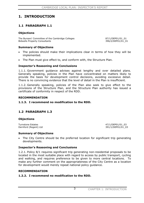# **1. INTRODUCTION**

## **1.1 PARAGRAPH 1.1**

## **Objections**

The Bursars' Committee of the Cambridge Colleges 687/1/DEP01/01\_01 Bidwells Property Consultants **396/2/DEP01/01\_01** 

## **Summary of Objections**

- The policies should make their implications clear in terms of how they will be implemented.
- The Plan must give effect to, and conform with, the Structure Plan.

## **Inspector's Reasoning and Conclusions**

1.1.1. Government guidance advises against lengthy and over detailed plans. Generally speaking, policies in the Plan have concentrated on matters likely to provide the basis for development control decisions, avoiding excessive detail. There is no convincing evidence that the level of detail in the Plan is insufficient.

1.1.2. Generally speaking, policies of the Plan also seek to give effect to the provisions of the Structure Plan, and the Structure Plan authority has issued a certificate of conformity in respect of the RDD.

### **RECOMMENDATION**

### **1.1.3. I recommend no modification to the RDD.**

## **1.2 PARAGRAPH 1.3**

### **Objections**

Turnstone Estates **47/1/DEP01/01\_03** Dernford (Regent) Ltd 391/1/DEP01/01\_03

## **Summary of Objections**

The City Centre should be the preferred location for significant trip generating developments.

## **Inspector's Reasoning and Conclusions**

1.2.1. Policy 8/1 requires significant trip generating non-residential proposals to be located in the most suitable place with regard to access by public transport, cycling and walking, and requires preference to be given to more central locations. To make any further comment on the appropriateness of the City Centre as a location for development would merely repeat national policy guidance.

### **RECOMMENDATION**

## **1.2.2. I recommend no modification to the RDD.**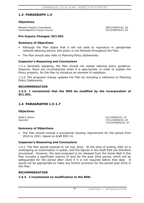## **1.3 PARAGRAPH 1.4**

## **Objections**

Bidwells Property Consultants **396/3/DEP01/01\_04** Cambridgeshire County Council 655/10/DEP02/01\_04

## **Pre-Inquiry Changes: SC1.001**

## **Summary of Objections**

- Although the Plan states that it will not seek to reproduce or paraphrase national planning advice, this policy is not followed throughout the Plan.
- The Plan should also refer to Planning Policy Statements.

## **Inspector's Reasoning and Conclusions**

1.3.1. Generally speaking, the Plan should not repeat national policy guidance. However, there are circumstances when it is appropriate, in order to explain the Policy properly, for the Plan to introduce an element of repetition.

1.3.2. The proposed change updates the Plan by including a reference to Planning Policy Statements.

### **RECOMMENDATION**

**1.3.3. I recommend that the RDD be modified by the incorporation of SC1.001.**

## **1.4 PARAGRAPHS 1.5-1.7**

## **Objections**

NIAB & Others 34/1/DEP02/01\_07 Stannifer 775/1/DEP02/01\_05 775/10/DEP02/01\_07

## **Summary of Objections**

The Plan should include a provisional housing requirement for the period from 2016 to 2021, based on draft RSS 14.

## **Inspector's Reasoning and Conclusions**

1.4.1. The Plan period extends to 1st July 2016. At the time of writing, RSS 14 is undergoing an examination in public, and the figures in the draft RSS are therefore provisional. However, the land proposed to be released from the Green Belt in this Plan includes a significant reserve of land for the post 2016 period, which will be safeguarded for the period after 2016 if it is not required before that date. It would not be appropriate to make any further provision for the period post-2016 in this Plan.

## **RECOMMENDATION**

## **1.4.2. I recommend no modification to the RDD.**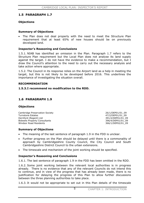## **1.5 PARAGRAPH 1.7**

## **Objections**

## **Summary of Objections**

• The Plan does not deal properly with the need to meet the Structure Plan requirement that at least 65% of new houses should be on previously developed land.

## **Inspector's Reasoning and Conclusions**

1.5.1. NIAB has identified an omission in the Plan. Paragraph 1.7 refers to the Structure Plan requirement but the Local Plan does not analyse its land supply against the target. I do not have the evidence to make a recommendation, but I draw the Council's attention to the need to carry out the necessary analysis and take action where appropriate.

1.5.2. The Council in its response relies on the Airport land as a help in meeting the target, but this is not likely to be developed before 2016. This underlines the importance of investigating the situation overall.

## **RECOMMENDATION**

## **1.5.3.I recommend no modification to the RDD.**

## **1.6 PARAGRAPH 1.9**

## **Objections**

Cambridge Preservation Society 26/1/DEP01/01\_09 Turnstone Estates 1999 12/2/DEP01/01\_09<br>
Dernford (Regent) Ltd 1999 12/2/DEP01/01\_09 Dernford (Regent) Ltd Bidwells Property Consultants<br>
Windsor Road Residents<br>
366/1/DEP02/01\_09

366/1/DEP02/01\_09

## **Summary of Objections**

- The meaning of the last sentence of paragraph 1.9 in the FDD is unclear.
- Further progress on the Plan should be delayed until there is a commonality of approach by Cambridgeshire County Council, the City Council and South Cambridgeshire District Council to the urban extensions.
- The timescale and mechanism of the joint working should be specified.

## **Inspector's Reasoning and Conclusions**

1.6.1. The last sentence of paragraph 1.9 in the FDD has been omitted in the RDD.

1.6.2. Some joint working between the relevant local authorities is in progress already. There is no evidence that any of the relevant Councils do not intend this to continue, and in view of the progress that has already been made, there is no justification for delaying the progress of this Plan to allow further discussions between the three planning authorities to take place.

1.6.3. It would not be appropriate to set out in this Plan details of the timescale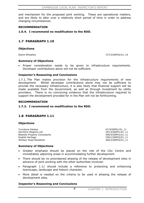and mechanism for the proposed joint working. These are operational matters, and are likely to alter over a relatively short period of time in order to address changing circumstances.

## **RECOMMENDATION**

### **1.6.4. I recommend no modification to the RDD.**

## **1.7 PARAGRAPH 1.10**

**Objections**

Elaine Wheatley **727/3/DEP02/01\_10** 

### **Summary of Objections**

Proper consideration needs to be given to infrastructure requirements. Developer contributions alone will not be sufficient.

## **Inspector's Reasoning and Conclusions**

1.7.1. The Plan makes provision for the infrastructure requirements of new development. Whilst developer contributions alone may not be sufficient to provide the necessary infrastructure, it is also likely that financial support will be made available from the Government, as well as through investment by utility providers. There is no convincing evidence that the infrastructure required to support the development provided for in the Plan will not be forthcoming.

### **RECOMMENDATION**

### **1.7.2. I recommend no modification to the RDD.**

## **1.8 PARAGRAPH 1.11**

### **Objections**

Turnstone Estates **47/3/DEP01/01\_11** Dernford (Regent) Ltd 391/3/DEP01/01\_11 Bidwells Property Consultants 396/5/DEP01/01 11 English Heritage 338/1/DEP02/01 11 Windsor Road Residents 366/2/DEP02/01\_11

## **Summary of Objections**

- x Greater emphasis should be placed on the role of the City Centre and immediately adjoining areas in accommodating further development.
- There should be no preordained phasing of the release of development sites in advance of joint working with the other authorities involved.
- Paragraph 1.11 should include a reference to protecting and enhancing townscape, landscape and historic character.
- More detail is needed on the criteria to be used in phasing the release of development sites.

## **Inspector's Reasoning and Conclusions**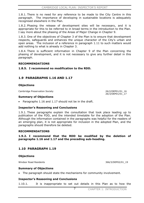1.8.1. There is no need for any reference to be made to the City Centre in this paragraph. The importance of developing in sustainable locations is adequately recognised elsewhere in the Plan.

1.8.2. Phasing the release of development sites will be necessary, and it is appropriate for this to be referred to in broad terms in the introduction to the Plan. I say more about the phasing of the Areas of Major Change in Chapter 9.

1.8.3. One of the objectives of Chapter 3 of the Plan is to ensure that development respects, safeguards and enhances the unique character of the City's urban and open areas. The inclusion of a reference in paragraph 1.11 to such matters would add nothing to what is already in Chapter 3.

1.8.4. There is sufficient information in Chapter 9 of the Plan concerning the phasing of development, and it is not necessary to give any further detail in this paragraph.

### **RECOMMENDATIONS**

**1.8.5. I recommend no modification to the RDD.** 

## **1.9 PARAGRAPHS 1.16 AND 1.17**

### **Objections**

Cambridge Preservation Society 26/2/DEP01/01\_16

26/3/DEP01/01\_17

### **Summary of Objections**

Paragraphs 1.16 and 1.17 should not be in the draft.

## **Inspector's Reasoning and Conclusions**

1.9.1. These paragraphs explain the consultation that took place leading up to publication of the FDD, and the intended timetable for the adoption of the Plan. Although the information contained in the paragraphs was helpful for the readers of an emerging plan, it is not appropriate for inclusion in the adopted Plan, and the paragraphs should therefore be deleted.

### **RECOMMENDATIONS**

**1.9.2. I recommend that the RDD be modified by the deletion of paragraphs 1.16 and 1.17 and the preceding sub-heading.** 

## **1.10 PARAGRAPH 1.19**

**Objections**

Windsor Road Residents 366/3/DEP02/01\_19

## **Summary of Objections**

• The paragraph should state the mechanisms for community involvement.

## **Inspector's Reasoning and Conclusions**

1.10.1. It is inappropriate to set out details in this Plan as to how the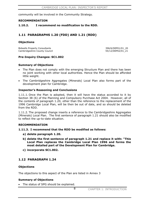community will be involved in the Community Strategy.

### **RECOMMENDATION**

**1.10.2. I recommend no modification to the RDD.** 

## **1.11 PARAGRAPHS 1.20 (FDD) AND 1.21 (RDD)**

## **Objections**

Bidwells Property Consultants 396/6/DEP01/01\_20 Cambridgeshire County Council 655/12/DEP02/01\_21

## **Pre-Inquiry Changes: SC1.002**

## **Summary of Objections**

- The Plan does not comply with the emerging Structure Plan and there has been no joint working with other local authorities. Hence the Plan should be afforded little weight.
- x The Cambridgeshire Aggregates (Minerals) Local Plan also forms part of the development plan for Cambridge.

## **Inspector's Reasoning and Conclusions**

1.11.1. Once the Plan is adopted, then it will have the status accorded to it by Section 38 (6) of the Planning and Compulsory Purchase Act 2004. However, all of the contents of paragraph 1.20, other than the reference to the replacement of the 1996 Cambridge Local Plan, will be then be out of date, and so should be deleted from the RDD.

1.11.2. The proposed change inserts a reference to the Cambridgeshire Aggregates (Minerals) Local Plan. The first sentence of paragraph 1.21 should also be modified to reflect the up-to-date situation.

## **RECOMMENDATION**

## **1.11.3. I recommend that the RDD be modified as follows:**

- **a) delete paragraph 1.20.**
- **b) delete the first sentence of paragraph 1.21 and replace it with: "This Local Plan replaces the Cambridge Local Plan 1996 and forms the most detailed part of the Development Plan for Cambridge.**
- **c) incorporate SC1.002.**

## **1.12 PARAGRAPH 1.24**

## **Objections**

The objections to this aspect of the Plan are listed in Annex 3

## **Summary of Objections**

The status of SPG should be explained.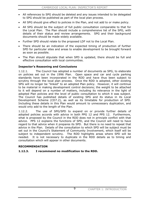- All references to SPG should be deleted and any issues intended to be delegated to SPG should be published as part of the local plan process.
- All SPG should give effect to policies in the Plan, and not add to or make policy.
- x All SPG should be the subject of full public consultation comparable to that for the Local Plan. The Plan should include a comprehensive list of the SPG, with details of their status and review arrangements. SPG and their background documents should be made widely available.
- Further SPD should relate to the proposed LDF not to the Local Plan.
- There should be an indication of the expected timing of production of further SPD for particular sites and areas to enable development to be brought forward as soon as possible.
- The Plan should stipulate that when SPD is updated, there should be full and effective consultation with local communities.

## **Inspector's Reasoning and Conclusions**

1.12.1. The Council has adopted a number of documents as SPG, to elaborate on policies set out in the 1996 Plan. Open space and car and cycle parking standards have been incorporated in the RDD and have thus been subject to scrutiny through the local plan process. Once the RDD is adopted, other existing SPG will no longer be "linked" to an adopted Plan policy. However, it will continue to be material in making development control decisions; the weight to be attached to it will depend on a number of matters, including its relevance in the light of adopted Plan policies and the level of public consultation to which it was subject. The Council has published details of existing SPG and its status in its Local Development Scheme (CD7.2), as well as its timetable for production of SPD. Including these details in this Plan would amount to unnecessary duplication, and would only add to the length of the Plan.

1.12.2. The use of SPG/SPD to expand on or provide further details of adopted policies accords with advice in both PPG 12 and PPS 12. Furthermore, what is proposed by the Council in the RDD does not in principle conflict with that advice. PPS 12 explains the functions of SPD, and the Council will need to have regard to that advice when it prepares its SPD. But there is no need to repeat that advice in the Plan. Details of the consultation to which SPD will be subject must be set out in the Council's Statement of Community Involvement, which itself will be subject to independent scrutiny. The RDD highlights areas where SPD will be needed. It is not necessary to duplicate in the RDD details as to timing and consultation which will appear in other documents.

## **RECOMMENDATION**

## **1.12.3. I recommend no modification to the RDD.**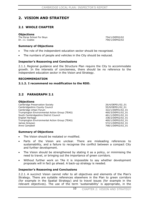# **2. VISION AND STRATEGY**

## **2.1 WHOLE CHAPTER**

### **Objections**

The Perse School For Boys 754/1/DEP02/02 Dr. J.I. Coates 790/1/DEP02/02

## **Summary of Objections**

- The role of the independent education sector should be recognised.
- The numbers of people and vehicles in the City should be reduced.

## **Inspector's Reasoning and Conclusions**

2.1.1. Regional guidance and the Structure Plan require the City to accommodate growth. In the interests of conciseness, there should be no reference to the independent education sector in the Vision and Strategy.

## **RECOMMENDATION**

## **2.1.2. I recommend no modification to the RDD.**

## **2.2 PARAGRAPH 2.1**

### **Objections**

Cambridge Preservation Society 26/4/DEP01/02\_01 Cambridgeshire County Council 55/9/DEP01/02\_01 Cambridge Urban Forum 322/1/DEP01/02\_01 Trumpington Environmental Action Group (TEAG) 460/3/DEP01/02\_01 South Cambridgeshire District Council 461/1/DEP01/02\_01 English Heritage 338/2/DEP02/02\_01 Trumpington Environmental Action Group (TEAG) 460/1/DEP02/02\_01 James Greyson 61 November 2012 12:00 12:00 12:00 12:00 12:00 12:00 12:00 12:00 12:00 12:00 12:00 12:00 12:00 1 Anne Campbell 2008/1/DEP02/02\_01

## **Summary of Objections**

- The Vision should be restated or modified.
- Parts of the Vision are unclear. There are misleading references to sustainability, and a failure to recognise the conflict between a compact City and further development.
- The Vision should be strengthened by stating it as a policy, or minimising the need to travel, or bringing out the importance of green corridors.
- Without further work on TAs it is impossible to say whether development proposals will in fact go ahead. A back-up strategy is needed.

## **Inspector's Reasoning and Conclusions**

2.2.1. A succinct Vision cannot refer to all objectives and elements of the Plan's Strategy. There are suitable references elsewhere in the Plan to green corridors (for example in the Spatial Strategy) and to travel issues (for example in the relevant objectives). The use of the term 'sustainability' is appropriate, in the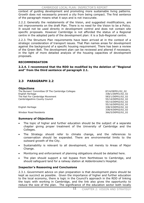context of guiding development and promoting more sustainable living patterns. Growth does not necessarily prevent a city from being compact. The first sentence of the paragraph means what it says and is not inaccurate.

2.2.2. Generally the restatements of the Vision, and suggested modifications, are not improvements on the draft Plan. There is no need for the Vision to be a Policy. It would not be used directly in development control and does not contain site specific proposals. However Cambridge is not afforded the status of a Regional centre in the adopted parts of the development plan: it is a Sub-Regional centre.

2.2.3. The Structure Plan requirements have been arrived at in the context of a strategic consideration of transport issues. That Plan names areas for development against the background of a specific housing requirement. There has been a review of the Green Belt. The development plan can be reviewed and altered if necessary, in the light of more detailed analysis of the housing capacities of development proposals.

## **RECOMMENDATION**

**2.2.4. I recommend that the RDD be modified by the deletion of "Regional and" from the third sentence of paragraph 2.1.** 

# **2.3 PARAGRAPH 2.2**

## **Objections**

The Bursars' Committee Of The Cambridge Colleges 87/4/DEP01/02\_02 English Heritage 338/1/DEP01/02\_02 The Rail For Cambridge Movement 683/1/DEP01/02\_02 Cambridgeshire County Council 655/14/DEP02/02\_02

 55/15/DEP02/02\_02 55/16/DEP02/02\_02 English Heritage 338/3/DEP02/02\_02 338/4/DEP02/02\_02

Windsor Road Residents 366/5/DEP02/02\_02

## **Summary of Objections**

- The topic of higher and further education should be the subject of a separate chapter giving proper treatment of the University of Cambridge and the Colleges.
- The Strategy should refer to climate change, and the references to conservation should be expanded. There are environmental limits to the outward growth of the City.
- Sustainability is relevant to all development, not merely to Areas of Major Change.
- Monitoring and enforcement of planning obligations should be detailed here.
- The plan should support a rail bypass from Northstowe to Cambridge, and should safeguard land for a railway station at Addenbrooke's Hospital.

## **Inspector's Reasoning and Conclusions**

2.3.1. Government advice on plan preparation is that development plans should be kept as succinct as possible. Given the importance of higher and further education to the local economy, there is logic in the Council's approach in the RDD of linking the topic with working in Cambridge, and the link also gives the opportunity to reduce the size of the plan. The significance of the education sector both locally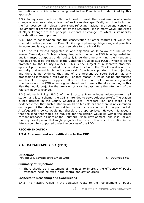and nationally, which is fully recognised in the Plan, is not undermined by this approach.

2.3.2. In my view the Local Plan will need to await the consideration of climate change at a more strategic level before it can deal specifically with the topic, but the Plan does contain relevant provisions reflecting national and regional concerns. The amount of growth has been set by the Structure Plan in many ways. The Areas of Major Change are the principal elements of change, to which sustainability considerations are important.

2.3.3. Nature conservation and the conservation of other features of value are covered in other parts of the Plan. Monitoring of planning obligations, and penalties for non-compliance, are not matters suitable for the Local Plan.

2.3.4. The rail bypass suggested in one objection would follow the line of the former Cambridge - St Ives railway line, which under the RDD is safeguarded for public transport purposes under policy 8/8. At the time of writing, the intention is that this should be the route of the Cambridge Guided Bus (CGB), which is being promoted by the County Council. This is the subject of a separate statutory approval process and is outside the remit of this Plan. The City Council is not the authority that would implement a proposal of the type supported in the objection, and there is no evidence that any of the relevant transport bodies has any proposals to introduce a rail bypass. For that reason, it would not be appropriate for this Plan to give it support. However, the route will remain safeguarded whether or not the CGB scheme goes ahead, and there is therefore nothing in this Plan that would prejudice the provision of a rail bypass, were the intentions of the relevant body to change.

2.3.5. Although Policy P8/10 of the Structure Plan includes Addenbrooke's rail station as a local scheme, the CGB is intended to serve Addenbrooke's. The station is not included in the County Council's Local Transport Plan, and there is no evidence either that such a station would be feasible or that there is any intention on the part of the relevant authorities to construct a station within the plan period. A safeguarding policy would not therefore be appropriate. However, it appears that the land that would be required for the station would lie within the green corridor proposed as part of the Southern Fringe development, and it is unlikely that any development that might prejudice the construction of such a station in the future would be supported under the policies of the RDD.

## **RECOMMENDATION**

## **2.3.6. I recommend no modification to the RDD.**

## **2.4 PARAGRAPH 2.3.1 (FDD)**

### **Objections**

Transport 2000 Cambridgeshire & West Suffolk 374/1/DEP01/02\_031

### **Summary of Objections**

There should be a statement of the need to improve the efficiency of public transport including taxis in the central and station areas.

### **Inspector's Reasoning and Conclusions**

2.4.1. The matters raised in the objection relate to the management of public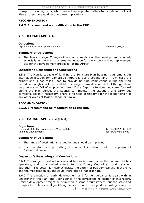transport, including taxis, which are not appropriate matters to include in the Local Plan as they have no direct land use implications.

## **RECOMMENDATION**

**2.4.2. I recommend no modification to the RDD.** 

## **2.5 PARAGRAPH 2.4**

### **Objections**

Taylor Woodrow Developments Limited 2/1/DEP02/02\_04

## **Summary of Objections**

The Areas of Major Change will not accommodate all the development required, especially as there is no alternative location for the Airport and no replacement site for the development proposed for the Airport.

## **Inspector's Reasoning and Conclusions**

2.5.1. The Plan is capable of fulfilling the Structure Plan housing requirement. An alternative location for Cambridge Airport is being sought, and in any case the Airport site is not relied upon to provide housing completions during the Plan period, although it will be available for longer term development. Although there may be a shortfall of employment land if the Airport site does not come forward during the Plan period, the Council can monitor the situation, and carry out corrective action if necessary. There is no need at this time for the identification of any other Areas of Major Change or similar.

## **RECOMMENDATION**

## **2.5.2. I recommend no modification to the RDD.**

## **2.6 PARAGRAPH 2.3.2 (FDD)**

## **Objections**

Transport 2000 Cambridgeshire & West Suffolk 374/18/DEP01/02\_032 Domaine Developments 435/2/DEP01/02\_032

## **Summary of Objections**

- The range of destinations served by bus should be improved.
- Insert a statement permitting development in advance of the approval of further guidance.

## **Inspector's Reasoning and Conclusions**

2.6.1. The range of destinations served by bus is a matter for the commercial bus operators, and to a limited extent, for the County Council as local transport authority. The Local Plan cannot dictate the extent of bus services within the city, and the modification sought would therefore be inappropriate.

2.6.2. The question of early development and further guidance is dealt with in Chapter 9 of the Plan, and I consider it in the corresponding section of this report. Limited development might be permitted in some circumstances, but the scale and complexity of Areas of Major Change is such that further guidance will generally be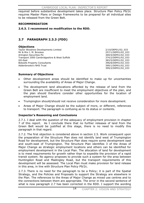CAMBRIDGE LOCAL PLAN: INSPECTOR'S REPORT

required before substantive development takes place. Structure Plan Policy P9/2c requires Master Plans or Design Frameworks to be prepared for all individual sites to be released from the Green Belt.

## **RECOMMENDATION**

**2.6.3. I recommend no modification to the RDD.** 

## **2.7 PARAGRAPH 2.3.3 (FDD)**

## **Objections**

Taylor Woodrow Developments Limited 2/10/DEP01/02\_033 Mr & Mrs J. M. Brookes 257/1/DEP01/02\_033 Arlington Securities Plc 369/4/DEP01/02\_033 Transport 2000 Cambridgeshire & West Suffolk 374/2/DEP01/02\_033 GO-East 383/5/DEP01/02\_033 Bidwells Property Consultants 396/8/DEP01/02\_033 Addenbrooke's NHS Trust 399/1/DEP01/02\_033

399/2/DEP01/02\_033

## **Summary of Objections**

- Other development areas should be identified to make up for uncertainties surrounding the availability of Areas of Major Change.
- The development land allocations afforded by the release of land from the Green Belt are insufficient to meet the employment objectives of the plan, and the plan should therefore consider other opportunities for the location of employment land.
- x Trumpington should/should not receive consideration for more development.
- Areas of Major Change should be the subject of more, or different, references to transport. The paragraph is confusing as to its status or contents.

## **Inspector's Reasoning and Conclusions**

2.7.1. I deal with the question of the adequacy of employment provision in chapter 7 of this report. As I conclude there that no further releases of land from the Green Belt would be justified at this stage, there is no need to modify this paragraph in that regard.

2.7.2. The first objection is considered above in section 2.5. Work consequent upon the preparation of the Structure Plan does not identify land west of Trumpington Road for development, but the Structure Plan does require some development east and south-east of Trumpington. The Structure Plan identifies 3 of the Areas of Major Change as strategic employment locations and others can be identified for employment development in the Local Plan. The allocation of land for development is to meet requirements for growth rather than to expedite the provision of a rapid transit system. No agency proposes to provide such a system for the area between Huntingdon Road and Madingley Road, but the transport requirements of this development will be assessed. The Local Plan must make provision for land release in this area, in line with Structure Plan Policy P9/2c.

2.7.3. There is no need for the paragraph to be a Policy; it is part of the Spatial Strategy, and the Policies and Proposals to support the Strategy are elsewhere in the Plan. The references to the Areas of Major Change as mixed use centres and to the connections between them are appropriate. The error in the second sentence of what is now paragraph 2.7 has been corrected in the RDD. I support the wording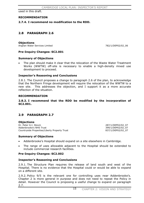used in this draft.

### **RECOMMENDATION**

### **2.7.4. I recommend no modification to the RDD.**

## **2.8 PARAGRAPH 2.6**

#### **Objections**

Anglian Water Services Limited 782/1/DEP02/02\_06

### **Pre-Inquiry Changes: SC2.001**

### **Summary of Objections**

The plan should make it clear that the relocation of the Waste Water Treatment Works (WWTW) off-site is necessary to enable a high-density mixed use development to proceed.

### **Inspector's Reasoning and Conclusions**

2.8.1. The Council proposes a change to paragraph 2.6 of the plan, to acknowledge that the Northern Fringe development will require the relocation of the WWTW to a new site. This addresses the objection, and I support it as a more accurate reflection of the situation.

#### **RECOMMENDATION**

**2.8.2. I recommend that the RDD be modified by the incorporation of SC2.001.**

## **2.9 PARAGRAPH 2.7**

**Objections**<br>Dr. Peter G.I. Stovin 287/1/DEP02/02\_07 Addenbrooke's NHS Trust 399/1/DEP02/02\_07 Countryside Properties/Liberty Property Trust 837/1/DEP02/02\_07

### **Summary of Objections**

- x Addenbrooke's Hospital should expand on a site elsewhere in Cambridge.
- The range of uses allowable adjacent to the Hospital should be extended to include commercial research facilities.

### **Pre-Inquiry Changes: SC2.002**

### **Inspector's Reasoning and Conclusions**

2.9.1. The Structure Plan requires the release of land south and west of the Hospital. There is no evidence that the Hospital could or would be able to expand on a different site.

2.9.2. Policy 9/5 is the relevant one for controlling uses near Addenbrooke's. Chapter 2 is more general in purpose and does not need to repeat the Policy in detail. However the Council is proposing a useful change to expand on paragraph 2.7.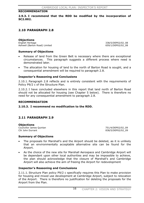### **RECOMMENDATION**

**2.9.3. I recommend that the RDD be modified by the incorporation of SC2.002.**

## **2.10 PARAGRAPH 2.8**

**Objections**<br>**English Heritage** Ashwell (Barton Road) Limited 659/1/DEP02/02\_08

English Heritage 338/5/DEP02/02\_08

### **Summary of Objections**

- Release of land from the Green Belt is necessary where there are exceptional circumstances. This paragraph suggests a different process where need is demonstrated later.
- The allocation for housing of land to the north of Barton Road is sought, and a consequential amendment will be required to paragraph 2.8.

### **Inspector's Reasoning and Conclusions**

2.10.1. Paragraph 2.8 reflects and is entirely consistent with the requirements of Policy P9/2 c of the Structure Plan.

2.10.2. I have concluded elsewhere in this report that land north of Barton Road should not be allocated for housing (see Chapter 5 below). There is therefore no need for any consequential amendment to paragraph 2.8.

### **RECOMMENDATION**

**2.10.3. I recommend no modification to the RDD.** 

## **2.11 PARAGRAPH 2.9**

**Objections** Councillor James Quinlan 2001 12:00 12:00 12:00 12:00 12:00 12:00 12:00 12:00 12:00 12:00 12:00 12:00 12:00 12:00 12:00 12:00 12:00 12:00 12:00 12:00 12:00 12:00 12:00 12:00 12:00 12:00 12:00 12:00 12:00 12:00 12:00 12:00

838/5/DEP02/02\_09

### **Summary of Objections**

- The proposals for Marshall's and the Airport should be deleted, as it is unlikely that an environmentally acceptable alternative site can be found for the Airport.
- As the choice of the new site for Marshall Aerospace and Cambridge Airport will be dependant upon other local authorities and may be impossible to achieve, the plan should acknowledge that the closure of Marshall's and Cambridge Airport will also achieve the aim of freeing the Airport for redevelopment

### **Inspector's Reasoning and Conclusions**

2.11.1. Structure Plan policy P9/2 c specifically requires this Plan to make provision for housing and mixed use development at Cambridge Airport, subject to relocation of the Airport. There is therefore no justification for deleting the proposals for the Airport from the Plan.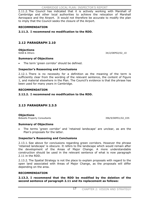2.11.2. The Council has indicated that it is actively working with Marshall of Cambridge and other local authorities to achieve the relocation of Marshall Aerospace and the Airport. It would not therefore be accurate to modify the plan to imply that the Council seeks the closure of the Airport.

## **RECOMMENDATION**

**2.11.3. I recommend no modification to the RDD.** 

## **2.12 PARAGRAPH 2.10**

**Objections**<br>NIAB & Others

34/2/DEP02/02\_10

## **Summary of Objections**

The term 'green corridor' should be defined.

## **Inspector's Reasoning and Conclusions**

2.12.1. There is no necessity for a definition as the meaning of the term is sufficiently clear from the wording of the relevant sentence, the content of Figure 1, and material elsewhere in the Plan. The Council's evidence is that the phrase has been used for many years in Cambridge.

## **RECOMMENDATION**

## **2.12.2. I recommend no modification to the RDD.**

## **2.13 PARAGRAPH 2.3.5**

## **Objections**

Bidwells Property Consultants 396/9/DEP01/02\_035

## **Summary of Objections**

The terms 'green corridor' and 'retained landscape' are unclear, as are the Plan's proposals for the latter.

## **Inspector's Reasoning and Conclusions**

2.13.1. See above for conclusions regarding green corridors. However the phrase 'retained landscape' is obscure. It refers to the landscape which would remain after the development of the Areas of Major Change. A more understandable construction should be used in the relevant sentence of what is now paragraph 2.11 in the RDD.

2.13.2. The Spatial Strategy is not the place to explain proposals with regard to the open land associated with Areas of Major Change, as the proposals will differ depending on the area.

## **RECOMMENDATION**

## **2.13.3. I recommend that the RDD be modified by the deletion of the second sentence of paragraph 2.11 and its replacement as follows:**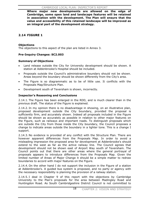**Where major new developments are allowed on the edge of Cambridge, some open land and landscape features will be retained in association with the development. The Plan will ensure that the value and accessibility of this retained landscape will be improved as an integral part of the development strategy.** 

## **2.14 FIGURE 1**

## **Objections**

The objections to this aspect of the plan are listed in Annex 3.

## **Pre-Inquiry Changes: SC2.003**

## **Summary of Objections**

- Land release outside the City for University development should be shown. A station at Addenbrooke's Hospital should be included.
- Proposals outside the Council's administrative boundary should not be shown. Areas beyond the boundary should be shown differently from the City's area.
- The Figure is so diagrammatic as to be of little use. It conflicts with the Proposals Map/Structure Plan.
- Development south of Teversham is shown, incorrectly.

## **Inspector's Reasoning and Conclusions**

2.14.1. The Figure has been enlarged in the RDD, and is much clearer than in the previous draft. The status of the Figure is explained.

2.14.2. In my opinion there is no disadvantage in showing, on an illustrative plan, proposed development outside the City boundary, provided the proposal is sufficiently firm, and accurately shown. Indeed all proposals included in the Figure should be shown as accurately as possible in relation to other major features on the Figure, such as railways and important roads. To distinguish proposals which are outside the City from those inside the City boundary, the Council proposes a change to indicate areas outside the boundary in a lighter tone. This is a change I support.

2.14.3. No evidence is provided of any conflict with the Structure Plan. There are however apparent differences from the Proposals Map. In order to avoid a misleading impression the proposed area for development at Addenbrooke's should extend to the west as far as the active railway line. The Council agrees that development should not be shown east of Airport Way south of Teversham. The Council points out that there are other areas where the general portrayal of proposals appears to introduce differences from the Proposals Map. Given the limited number of Areas of Major Change it should be a simple matter to redraw boundaries to accord with major features on the Figure.

2.14.4. On the other hand I do not support the inclusion in the Figure of a station at Addenbrooke's. A guided bus system is proposed, and no party or agency with the necessary responsibility is planning the provision of a railway station.

2.14.5. I deal in Chapter 9 of this report with the objections by Cambridge University to the Plan's proposals for the area between Madingley Road and Huntingdon Road. As South Cambridgeshire District Council is not committed to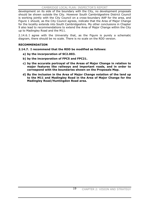development on its side of the boundary with the City, no development proposals should be shown outside the City. However South Cambridgeshire District Council is working jointly with the City Council on a cross-boundary AAP for the area, and Figure 1 should, as the City Council agrees, indicate that the Area of Major Change for the locality extends into South Cambridgeshire. My other conclusions in Chapter 9 also lead to recommendations to extend the Area of Major Change within the City up to Madingley Road and the M11.

2.14.6. I agree with the University that, as the Figure is purely a schematic diagram, there should be no scale. There is no scale on the RDD version.

## **RECOMMENDATION**

**2.14.7. I recommend that the RDD be modified as follows:** 

- **a) by the incorporation of SC2.003.**
- **b) by the incorporation of FPC5 and FPC21.**
- **c) by the accurate portrayal of the Areas of Major Change in relation to major features like railways and important roads, and in order to correspond with the boundaries shown on the Proposals Map.**
- **d) By the inclusion in the Area of Major Change notation of the land up to the M11 and Madingley Road in the Area of Major Change for the Madingley Road/Huntingdon Road area.**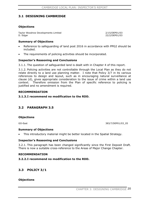## **3.1 DESIGNING CAMBRIDGE**

## **Objections**

Taylor Woodrow Developments Limited 2/15/DEP01/03 D. Edgar 22/2/DEP01/03

### **Summary of Objections**

- Reference to safeguarding of land post 2016 in accordance with PPG2 should be included.
- The requirements of policing activities should be incorporated.

## **Inspector's Reasoning and Conclusions**

3.1.1. The question of safeguarded land is dealt with in Chapter 4 of this report.

3.1.2. Policing activities are not controllable through the Local Plan as they do not relate directly to a land use planning matter. I note that Policy 3/7 in its various references to design and layout, such as in encouraging natural surveillance at clause (d), gives appropriate consideration to the issue of crime within a land use context. Therefore omission from the Plan of specific reference to policing is justified and no amendment is required.

### **RECOMMENDATION**

## **3.1.3.I recommend no modification to the RDD.**

## **3.2 PARAGRAPH 3.5**

### **Objections**

GO-East 383/7/DEP01/03\_05

### **Summary of Objections**

This introductory material might be better located in the Spatial Strategy.

### **Inspector's Reasoning and Conclusions**

3.2.1. This paragraph has been changed significantly since the First Deposit Draft. There is now a suitable cross-reference to the Areas of Major Change Chapter.

### **RECOMMENDATION**

## **3.2.2.I recommend no modification to the RDD.**

## **3.3 POLICY 3/1**

### **Objections**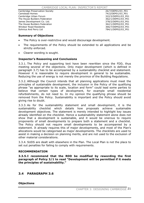#### CAMBRIDGE LOCAL PLAN: INSPECTOR'S REPORT

Cambridge Preservation Society 26/7/DEP01/03\_P01 Camstead Homes 74/2/DEP01/03\_P01 Cambridge Urban Forum The House Builders Federation 362/1/DEP01/03 P01 James Development Co. Ltd. 278/2/DEP01/03\_P01 The House Builders Federation 362/1/DEP02/03 P01 Windsor Road Residents 366/7/DEP02/03\_P01 Sohnius And Perry Ltd 784/1/DEP02/03\_P01

### **Summary of Objections**

- The Policy is over-restrictive and would discourage development.
- The requirements of the Policy should be extended to all applications and be strictly enforced.
- Clearer wording is sought.

## **Inspector's Reasoning and Conclusions**

3.3.1. The Policy and supporting text have been rewritten since the FDD, thus meeting several of the objections. Only major development (which is defined in paragraph 3.7) has to be accompanied by a sustainability checklist and statement. However it is reasonable to require development in general to be sustainable. Reducing the use of energy is not merely the province of the Building Regulations.

3.3.2. Although the Council intends that all planning applications must meet the principles of sustainable development, the inclusion in the Policy of the qualifying phrase "as appropriate to its scale, location and form" could lead some parties to believe that certain types of development, for example small residential refurbishments, do not need to. In my opinion the qualifying phrase should be removed from the Policy. Sustainability is important and the Policy should avoid giving rise to doubt.

3.3.3. As for the sustainability statement and small development, it is the sustainability checklist which details how proposals achieve sustainable development objectives. The statement is merely intended to highlight key issues already identified on the checklist. Hence a sustainability statement alone does not show that a development is sustainable, and it would be onerous to require proponents of small developments to prepare both a statement and a checklist. The Policy should not require small developments to be accompanied by a statement. It already requires this of major developments, and most of the Plan's allocations would be categorised as major developments. The checklists are used to assist in making a decision on planning merits, and are not used to the exclusion of other material considerations.

3.3.4. SUDS are dealt with elsewhere in the Plan. The Local Plan is not the place to set out penalties for failing to comply with requirements.

### **RECOMMENDATION**

**3.3.5.I recommend that the RDD be modified by rewording the first paragraph of Policy 3/1 to read "Development will be permitted if it meets the principles of sustainability."** 

## **3.4 PARAGRAPH 3.6**

**Objections**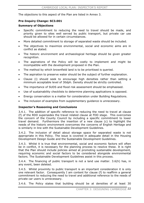The objections to this aspect of the Plan are listed in Annex 3.

## **Pre-Inquiry Change: SC3.001**

### **Summary of Objections**

- Specific commitment to reducing the need to travel should be made, and priority given to sites well served by public transport, but private car use should be allowed for in certain circumstances.
- More detailed commitment to storage of separated waste should be included.
- The objectives to maximize environmental, social and economic aims are in conflict as stated.
- The historic environment and archaeological heritage should be given greater recognition.
- The aspirations of the Policy will be costly to implement and might be incompatible with the development proposed in the Plan.
- The method by which brownfield land is to be prioritised is queried.
- The aspiration to preserve water should be the subject of further explanation.
- x Clause (i) should seek to encourage high densities rather than setting a minimum acceptable level of 30dph. Density should be strictly controlled.
- The importance of SUDS and flood risk assessment should be emphasised.
- Use of sustainability checklists to determine planning applications is opposed.
- x Energy conservation is a matter for consideration under Building Regulations.
- The inclusion of examples from supplementary guidance is unnecessary.

## **Inspector's Reasoning and Conclusions**

3.4.1. The addition of specific reference to reducing the need to travel at clause (f) of the RDD supersedes the travel related clause at FDD stage. This overcomes the concern of the County Council by including a specific commitment to lower travel demand. Furthermore the insertion of a new clause (c) to highlight the needs of the historic environment overcomes the concerns of English Heritage and is similarly in line with the Sustainable Development Guidelines.

3.4.2. The inclusion of detail about storage space for separated waste is not appropriate in this Policy. The issue is covered in adequate detail in the Housing Development Design Guide and the Sustainable Development Guidelines.

3.4.3. Whilst it is true that environmental, social and economic factors will often be in conflict, it is necessary for the planning process to resolve these. It is right that the Plan should include policies aimed at promoting sustainable development, requiring economic and social factors to be considered alongside environmental factors. The Sustainable Development Guidelines assist in this process.

3.4.4. The financing of public transport is not a land use matter. 3.6(h) has, in any event, been deleted.

3.4.5. Whilst proximity to public transport is an important consideration it is only one relevant factor. Consequently I am content for clause (f) to reaffirm a general commitment to reducing the need to travel and additional reference to the needs of private car users is unnecessary.

3.4.6. The Policy states that building should be at densities of at least 30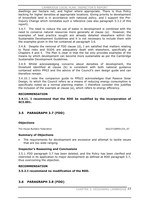dwellings per hectare net, and higher where appropriate. There is thus Policy backing for higher densities at appropriate locations. Giving priority to development of brownfield land is in accordance with national policy, and I support the Pre-Inquiry Change which reinstates such a reference (see also paragraph 5.3.2 of this report).

3.4.7. The need to reduce the use of water in development is combined with the need to conserve natural resources more generally at clause (a). However, the examples of best practice sought are already detailed elsewhere within the Sustainable Development Guidelines and it is not necessary to include them with the examples given in the list contained at paragraph 3.6.

3.4.8. Despite the removal of FDD clause (d), I am satisfied that matters relating to flood risks and SUDS are adequately dealt with elsewhere, specifically at Chapters 4 and 5. The Plan is clear in that the list only provides examples of the means by which development can become more sustainable as per the Cambridge Sustainable Development Guidelines.

3.4.9. Whilst acknowledging concerns about densities of development, the threshold identified at clause (b) is consistent with both national guidance contained within PPG3 and the advice of the Council's own design guide and can therefore remain.

3.4.10. I note the companion guide to PPS22 acknowledges that Passive Solar Design, to which the Council refers as a means of reducing energy consumption is specifically noted as a normal planning matter. I therefore consider this justifies the inclusion of the example at clause (a), which refers to energy efficiency.

### **RECOMMENDATION**

**3.4.11. I recommend that the RDD be modified by the incorporation of SC3.001.**

## **3.5 PARAGRAPH 3.7 (FDD)**

## **Objections**

The House Builders Federation 362/27/DEP01/03\_07

### **Summary of Objections**

The requirements for development are excessive and attempt to tackle issues that are too wide ranging.

## **Inspector's Reasoning and Conclusions**

3.5.1. FDD paragraph 3.7 has been deleted, and the Policy has been clarified and restricted in its application to major development as defined at RDD paragraph 3.7, thus overcoming the objection.

### **RECOMMENDATION**

## **3.5.2.I recommend no modification of the RDD.**

## **3.6 PARAGRAPH 3.8 (FDD)**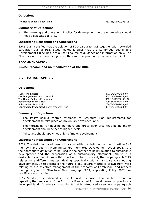### **Objections**

The House Builders Federation 362/28/DEP01/03\_08

### **Summary of Objections**

The meaning and operation of policy for development on the urban edge should not be delegated to SPG.

### **Inspector's Reasoning and Conclusions**

3.6.1. I am satisfied that the deletion of FDD paragraph 3.8 together with reworded paragraph 3.6 at RDD stage makes it clear that the Cambridge Sustainable Development Guidelines are a useful source of guidance and information only. The Plan does not therefore delegate matters more appropriately contained within it.

### **RECOMMENDATION**

### **3.6.2.I recommend no modification of the RDD.**

## **3.7 PARAGRAPH 3.7**

## **Objections**

Turnstone Estates 47/11/DEP02/03\_07 Cambridgeshire County Council 655/20/DEP02/03\_07 The House Builders Federation 362/15/DEP02/03\_07 Addenbrooke's NHS Trust 399/3/DEP02/03\_07 Sohnius And Perry Ltd 784/6/DEP02/03\_07 Countryside Properties/Liberty Property Trust 837/2/DEP02/03\_07

### **Summary of Objections**

- x The Policy should contain reference to Structure Plan requirements for development to take place on previously developed land.
- The thresholds for housing numbers and gross floor area that define major development should be set at higher levels.
- Policy 3/1 should apply not only to "major development".

### **Inspector's Reasoning and Conclusions**

3.7.1. The definition used here is in accord with the definition set out in Article 8 of the Town and Country Planning General Permitted Development Order 1995. It is the appropriate definition to be used in the context of policy relating to sustainable development and the preparation of a sustainability statement. Whilst it is desirable for all definitions within the Plan to be consistent, that in paragraph 7.15 relates to a different matter, dealing specifically with small-scale warehousing developments. In this context the figure 1,850 square metres is drawn from work relating to the selective management of the economy of Cambridge, and reflects the figure given in Structure Plan paragraph 9.54, supporting Policy P9/7. No modification is justified.

3.7.2. Similarly as indicated in the Council response, there is little value in repeating the provisions of the Structure Plan target for development on previously developed land. I note also that this target is introduced elsewhere in paragraph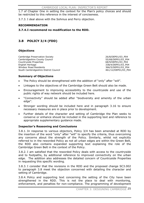1.7 of Chapter One in setting the context for the Plan's policy choices and should be restricted to this reference in the interest of conciseness.

3.7.3. I deal above with the Sohnius and Perry objection.

## **RECOMMENDATION**

## **3.7.4.I recommend no modification to the RDD.**

# **3.8 POLICY 3/4 (FDD)**

## **Objections**

Cambridge Preservation Society 26/8/DEP01/03 P04 Cambridgeshire County Council 65/68/DEP01/03\_P04 Countryside Properties **68/9/DEP01/03\_P04** English Heritage 338/4/DEP01/03 P04 Windsor Road Residents 366/5/DEP01/03\_P04 South Cambridgeshire District Council 461/12/DEP01/03\_P04

## **Summary of Objections**

- The Policy should be strengthened with the addition of "only" after "will".
- Linkages to the objectives of the Cambridge Green Belt should also be made.
- Encouragement to improving accessibility to the countryside and use of the public rights of way network should be included here.
- x "Connectivity" should be added after "biodiversity and amenity of the urban edge".
- Stronger wording should be included here and in paragraph 3.16 to ensure necessary measures are in place prior to development.
- Further details of the character and setting of Cambridge the Plan seeks to conserve or enhance should be included in the supporting text and reference to appropriate supplementary guidance made.

## **Inspector's Reasoning and Conclusions**

3.8.1. In response to various objectors, Policy 3/4 has been amended at RDD by the insertion of the word "only" after "will" to specify the criteria, thus overcoming any concerns about the strength of the Policy. Similarly, whilst not explicitly referred to in the reworded Policy as not all urban edges are within the Green Belt, the RDD also contains expanded supporting text explaining the role of the Cambridge Green Belt in the context of the Policy.

3.8.2. I am satisfied that the reworded Policy deals with access to the countryside and to footpaths, by additional reference to improved connectivity on the urban edge. The addition also addresses the detailed concern of Countryside Properties in requesting this specific wording.

3.8.3. I consider that the revisions in the RDD and the proposed change SC3.002 to paragraph 3.8 meet the objection concerned with detailing the character and setting of Cambridge.

3.8.4. Policy and supporting text concerning the setting of the City have been strengthened in the RDD. This is not the place to deal with monitoring, enforcement, and penalties for non-compliance. The programming of development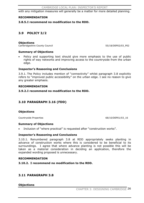with any mitigation measures will generally be a matter for more detailed planning.

### **RECOMMENDATION**

#### **3.8.5.I recommend no modification to the RDD.**

## **3.9 POLICY 3/2**

#### **Objections**

Cambridgeshire County Council 655/18/DEP02/03\_P02

#### **Summary of Objections**

Policy and supporting text should give more emphasis to the use of public rights of way networks and improving access to the countryside from the urban edge.

#### **Inspector's Reasoning and Conclusions**

3.9.1. The Policy includes mention of "connectivity" whilst paragraph 3.8 explicitly refers to "improved public accessibility" on the urban edge. I see no reason to give any greater emphasis.

### **RECOMMENDATION**

### **3.9.2.I recommend no modification to the RDD.**

## **3.10 PARAGRAPH 3.16 (FDD)**

### **Objections**

Countryside Properties **68/10/DEP01/03\_16** 

### **Summary of Objections**

Inclusion of "where practical" is requested after "construction works".

### **Inspector's Reasoning and Conclusions**

3.10.1. Renumbered paragraph 3.8 at RDD appropriately seeks planting in advance of construction works where this is considered to be beneficial to its surroundings. I agree that where advance planting is not possible this will be taken as a material consideration in deciding an application, therefore the expanded wording proposed is unnecessary.

#### **RECOMMENDATION**

**3.10.2. I recommend no modification to the RDD.** 

## **3.11 PARAGRAPH 3.8**

### **Objections**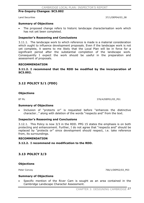## **Pre-Inquiry Changes: SC3.002**

Land Securities 37/1/DEP04/03\_08

### **Summary of Objections**

The proposed change refers to historic landscape characterisation work which has not yet been completed.

### **Inspector's Reasoning and Conclusions**

3.11.1. The landscape work to which reference is made is a material consideration which ought to influence development proposals. Even if the landscape work is not yet complete, it seems to me likely that the Local Plan will be in force for a significant period after the substantial completion of the landscape work. Consequently I expect the work should be useful in the preparation and assessment of proposals.

#### **RECOMMENDATION**

**3.11.2. I recommend that the RDD be modified by the incorporation of SC3.002.**

## **3.12 POLICY 5/1 (FDD)**

### **Objections**

BT Plc 376/4/DEP01/05\_P01

### **Summary of Objections**

x Inclusion of "protects or" is requested before "enhances the distinctive character…" along with deletion of the words "respects and" from the text.

### **Inspector's Reasoning and Conclusions**

3.12.1. This Policy is now 3/3 in the RDD. PPG 15 states the emphasis is on both protecting and enhancement. Further, I do not agree that "respects and" should be replaced by "protects or" since development should respect, i.e. take reference from, its surroundings.

### **RECOMMENDATION**

**3.12.2. I recommend no modification to the RDD.** 

## **3.13 POLICY 3/3**

### **Objections**

Peter Convey 266/1/DEP02/03\_P03

### **Summary of Objections**

Specific mention of the River Cam is sought as an area contained in the Cambridge Landscape Character Assessment.

CHAPTER 3: DESIGNING CAMBRIDGE 27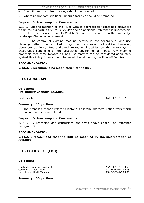- Commitment to control moorings should be included.
- x Where appropriate additional mooring facilities should be promoted.

### **Inspector's Reasoning and Conclusions**

3.13.1. Specific mention of the River Cam is appropriately contained elsewhere within the supporting text to Policy 3/9 and an additional reference is unnecessary here. The River is also a County Wildlife Site and is referred to in the Cambridge Landscape Character Assessment.

3.13.2. The control of existing mooring activity is not generally a land use planning matter to be controlled through the provisions of the Local Plan. However, elsewhere at Policy 3/9, additional recreational activity on the waterways is encouraged depending on the associated environmental impact. Any mooring proposals that come forward as land use matters can be considered adequately against this Policy. I recommend below additional mooring facilities off Fen Road.

#### **RECOMMENDATION**

### **3.13.3. I recommend no modification of the RDD.**

## **3.14 PARAGRAPH 3.9**

## **Objections Pre-Inquiry Changes: SC3.003**

Land Securities 37/2/DEP04/03\_09

### **Summary of Objections**

The proposed change refers to historic landscape characterisation work which has not yet been completed.

### **Inspector's Reasoning and Conclusions**

3.14.1. My reasoning and conclusions are given above under Plan reference paragraph 3.8.

#### **RECOMMENDATION**

**3.14.2. I recommend that the RDD be modified by the incorporation of SC3.003.**

## **3.15 POLICY 3/5 (FDD)**

### **Objections**

Cambridge Preservation Society 26/9/DEP01/03\_P05 Cambridge Urban Forum 322/4/DEP01/03 P05 Laing Homes North Thames 380/8/DEP01/03\_P05

### **Summary of Objections**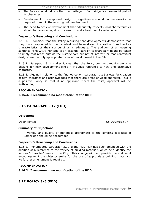- The Policy should indicate that the heritage of Cambridge is an essential part of its character.
- Development of exceptional design or significance should not necessarily be required to mimic the existing built environment.
- The need to achieve development that adequately respects local characteristics should be balanced against the need to make best use of available land.

## **Inspector's Reasoning and Conclusions**

3.15.1. I consider that the Policy requiring that developments demonstrate that they have responded to their context and have drawn inspiration from the key characteristics of their surroundings is adequate. The addition of an opening sentence "The City's heritage is an essential part of its character" might be taken to imply that areas outside the historic core are not of interest, or that contextual designs are the only appropriate forms of development in the City.

3.15.2. Paragraph 3.11 makes it clear that the Policy does not require pastiche designs for new development since it includes reference to new and distinctive character.

3.15.3. Again, in relation to the final objection, paragraph 3.11 allows for creation of new character and acknowledges that there are areas of weak character. This is a positive Policy so that if an applicant meets the tests, approval will be forthcoming.

### **RECOMMENDATION**

**3.15.4. I recommend no modification of the RDD.** 

## **3.16 PARAGRAPH 3.17 (FDD)**

## **Objections**

English Heritage 338/5/DEP01/03\_17

## **Summary of Objections**

x A variety and quality of materials appropriate to the differing localities in Cambridge should be encouraged.

## **Inspector's Reasoning and Conclusions**

3.16.1. Renumbered paragraph 3.10 of the RDD Plan has been amended with the addition of a reference to the variety of building materials which help identify the various "character" areas of the City. This change will help provide the additional encouragement the objector seeks for the use of appropriate building materials. No further amendment is required.

### **RECOMMENDATION**

## **3.16.2. I recommend no modification of the RDD.**

## **3.17 POLICY 3/6 (FDD)**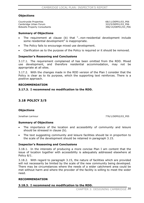## **Objections**

Countryside Properties **68/11/DEP01/03\_P06** Cambridge Urban Forum 322/5/DEP01/03\_P06 Bidwells Property Consultants 396/14/DEP01/03\_P06

### **Summary of Objections**

- The requirement at clause (b) that "...non-residential development include some residential development" is inappropriate.
- The Policy fails to encourage mixed use development.
- Clarification as to the purpose of the Policy is required or it should be removed.

## **Inspector's Reasoning and Conclusions**

3.17.1. The requirement complained of has been omitted from the RDD. Mixed use development, and therefore residential accommodation, may not be appropriate at all sites.

3.17.2. With the changes made in the RDD version of the Plan I consider that the Policy is clear as to its purpose, which the supporting text reinforces. There is a positive approach.

### **RECOMMENDATION**

### **3.17.3. I recommend no modification to the RDD.**

## **3.18 POLICY 3/5**

## **Objections**

Jonathan Larmour 776/1/DEP02/03\_P05

### **Summary of Objections**

- The importance of the location and accessibility of community and leisure should be stressed in clause (b).
- The text suggesting community and leisure facilities should be in proportion to the scale of the development should be retained in paragraph 3.15.

### **Inspector's Reasoning and Conclusions**

3.18.1. In the interests of producing a more concise Plan I am content that the issue of location together with accessibility is adequately addressed elsewhere at Policy 8/1.

3.18.2. With regard to paragraph 3.15, the nature of facilities which are provided will not necessarily be limited by the scale of the new community being developed. There may be circumstances where the needs of a wider catchment area could be met without harm and where the provider of the facility is willing to meet the wider need.

## **RECOMMENDATION**

## **3.18.3. I recommend no modification to the RDD.**

CHAPTER 3: DESIGNING CAMBRIDGE 30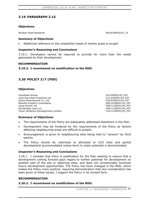## **3.19 PARAGRAPH 3.15**

### **Objections**

Windsor Road Residents 366/9/DEP02/03\_15

## **Summary of Objections**

Additional reference to the unsatisfied needs of nearby areas is sought.

## **Inspector's Reasoning and Conclusions**

3.19.1. Developers cannot be required to provide for more than the needs generated by their development.

### **RECOMMENDATION**

## **3.19.2. I recommend no modification to the RDD.**

## **3.20 POLICY 3/7 (FDD)**

## **Objections**

Camstead Homes 74/3/DEP01/03\_P07 Land Securities Properties Ltd 371/3/DEP01/03\_P07 James Development Co. Ltd. 378/3/DEP01/03\_P07 Bidwells Property Consultants 396/15/DEP01/03\_P07 Laing Homes Ltd **708/11/DEP01/03\_P07** Wrenbridge Land Ltd 709/11/DEP01/03\_P07 Taylor Woodrow Developments Limited  $710/11/DEP01/03\_PO7$ 

## **Summary of Objections**

- The requirements of the Policy are adequately addressed elsewhere in the Plan.
- Development may be hindered by the requirements of the Policy as factors affecting neighbouring areas are difficult to predict.
- x Encouragement is given to neighbouring sites being held to "ransom" by third parties.
- The Policy should be restricted to allocated or UCS sites and partial development accommodated unless harm to wider potential is demonstrated.

## **Inspector's Reasoning and Conclusions**

3.20.1. I consider that there is justification for the Plan seeking to ensure that a development coming forward pays regard to further potential for development on another part of the site or adjoining sites, and does not unreasonably foreclose future development opportunities. The Policy has been changed in the RDD, which makes the Policy more positive, requiring demonstration that due consideration has been given to these issues. I support the Policy in its revised form.

## **RECOMMENDATION**

## **3.20.2. I recommend no modification of the RDD.**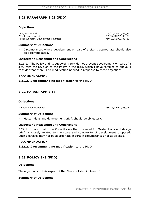## **3.21 PARAGRAPH 3.23 (FDD)**

### **Objections**

Laing Homes Ltd<br>
Wrenbridge Land Ltd<br>
23 709/12/DEP01/03\_23 Taylor Woodrow Developments Limited 710/12/DEP01/03\_23

**Summary of Objections** 

x Circumstances where development on part of a site is appropriate should also be accommodated.

### **Inspector's Reasoning and Conclusions**

3.21.1. The Policy and its supporting text do not prevent development on part of a site. With the revision to the Policy in the RDD, which I have referred to above, I consider that there is no modification needed in response to these objections.

#### **RECOMMENDATION**

### **3.21.2. I recommend no modification to the RDD.**

## **3.22 PARAGRAPH 3.16**

#### **Objections**

Windsor Road Residents 366/13/DEP02/03\_16

#### **Summary of Objections**

Master Plans and development briefs should be obligatory.

### **Inspector's Reasoning and Conclusions**

3.22.1. I concur with the Council view that the need for Master Plans and design briefs is closely related to the scale and complexity of development proposed. Such exercises may not be appropriate in certain circumstances nor at all sites.

#### **RECOMMENDATION**

**3.22.2. I recommend no modification to the RDD.** 

## **3.23 POLICY 3/8 (FDD)**

### **Objections**

The objections to this aspect of the Plan are listed in Annex 3.

### **Summary of Objections**

709/12/DEP01/03\_23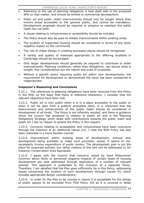- Reference to the use of planning obligations is best dealt with in the proposed SPG on that matter, and should be limited to commercial development.
- Public art and public realm improvements should only be sought where they involve areas accessible to the general public, and cannot be mandatory. Development proposals should be required to enhance or maintain the public realm but not both.
- x A clause relating to inclusiveness or accessibility should be included.
- The Policy should also be used to initiate improvements within existing areas.
- The location of supported housing should be considered in terms of any likely negative impact on the community.
- The role of Urban Design in creating successful places should be recognised.
- x A variety and quality of materials appropriate to the differing localities in Cambridge should be encouraged.
- x Only larger developments should generally be required to contribute to wider improvements. Planning conditions, rather than obligations, can secure what is sought. Key considerations are the nature and scale of proposals.
- Without a specific policy requiring public art within new developments, the requirement for development to demonstrate the issue has been considered is inappropriate.

## **Inspector's Reasoning and Conclusions**

3.23.1. The references to planning obligations have been removed from this Policy in the RDD on the basis that there is reference elsewhere. I consider that the relevant objections have been met.

3.23.2. Public art is only public when it is in a place accessible to the public or when it can be seen from a publicly accessible place. It is important that the improvement and enhancement of the public realm should be considered in development of all kinds. The Policy is not inflexibly worded, and there is guidance which the Council has produced in relation to public art and in the Planning Obligations Strategy which deals with contributions towards the public realm and public art I see no reason to amend the Policy in this respect.

3.23.3. Concerns relating to accessibility and inclusiveness have been overcome through the insertion of an additional clause (m). I note the RDD Policy has also been reworded in a more flexible manner.

3.23.4. Improvement within existing areas of development, without new development being available to make such provision, would, it seems to me, necessarily involve expenditure of public money. The development plan is not the place for corporate policies, but rather matters of this sort can be addressed in, for instance, Conservation Area Appraisals.

3.23.5. I agree with the Council that concerns raised by Save Midsummer Common about likely or perceived negative impacts of certain types of housing development are best addressed through application of a number of relevant policies. This approach is preferable to the inclusion of a separate Policy. Therefore, I am satisfied that the Plan goes sufficiently far in this Policy, addressing issues concerning the location of such development through clause (h) which includes appropriate design considerations.

3.23.6. In order for the Plan to be concise in nature it is acceptable for the design of public spaces to be excluded from FDD Policy 3/8 as it is covered in detail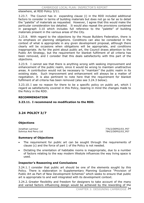elsewhere, at RDD Policy 3/11.

3.23.7. The Council has in expanding clause (i) in the RDD included additional factors to consider in terms of building materials but does not go so far as to detail the "palette" of materials as requested. However, I agree that this would make the particular consideration too detailed. It would also repeat the provisions contained in paragraph 3.10 which includes full reference to the "palette" of building materials present in the various areas of the City.

3.23.8. With regard to the objections by the House Builders Federation, there is no emphasis on planning obligations. Conditions can also be considered in the context of what is appropriate in any given development proposal, although there clearly will be occasions when obligations will be appropriate, and conditions inappropriate. As for the point about public art, the Council draws attention to the Public Art Strategy, but the requirement for blanket fulfilment of all criteria has been removed, and I consider that this deals satisfactorily with this part of the objections.

3.23.9. I cannot see that there is anything wrong with seeking improvement and enhancement of the public realm, since it would be wrong to maintain unattractive areas. A contribution would not be necessary to "maintain" the public realm in its existing state. Such improvement and enhancement will always be a matter of negotiation. It is also pertinent to note here that the requirement for blanket fulfilment of all criteria has been removed (also see 3.24.3 below).

3.23.10. I see no reason for there to be a specific policy on public art, which I regard as satisfactorily covered in this Policy, bearing in mind the changes made to the Policy in the RDD.

#### **RECOMMENDATION**

### **3.23.11. I recommend no modification to the RDD.**

## **3.24 POLICY 3/7**

### **Objections**

Jonathan Larmour 776/2/DEP02/03\_P07

Sohnius And Perry Ltd 784/2/DEP02/03\_P07

#### **Summary of Objections**

- The requirement for public art can be sought through the requirements of clause (c) and the force of part 1 of the Policy is not needed.
- Dictating the orientation of habitable rooms is inappropriate, due to a number of factors relating to the way modern lifestyle influences the way living space is used.

#### **Inspector's Reasoning and Conclusions**

3.24.1. I consider that public art should be one of the elements sought by this Policy. There is elaboration in Supplementary Planning Guidance "Provision of Public Art as Part of New Development Schemes" which seeks to ensure that public art is appropriate to and well integrated with its development context.

3.24.2. Greater flexibility and freedom for designers to take account of the many and varied factors influencing design would be achieved by the rewording of the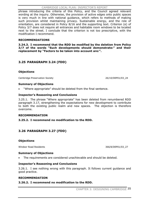phrase introducing the criteria of this Policy, and the Council agreed relevant wording at the inquiry. Otherwise, the provision of active edges onto public spaces is very much in line with national guidance, which refers to methods of making such provision whilst maintaining privacy. Sustainable energy, and the role of orientation, are considered in Policy 8/16 and the supporting text. Criterion (e) of Policy 3/7 does not require all entrances and habitable room windows to be located next to the street. I conclude that the criterion is not too prescriptive, with the modification I recommend.

### **RECOMMENDATIONS**

**3.24.3. I recommend that the RDD be modified by the deletion from Policy 3/7 of the words "Such developments should demonstrate:" and their replacement by "Factors to be taken into account are:".** 

## **3.25 PARAGRAPH 3.24 (FDD)**

### **Objections**

Cambridge Preservation Society 26/10/DEP01/03\_24

#### **Summary of Objections**

x "Where appropriate" should be deleted from the final sentence.

### **Inspector's Reasoning and Conclusions**

3.25.1. The phrase "Where appropriate" has been deleted from renumbered RDD paragraph 3.17, strengthening the expectations for new development to contribute to both the existing public realm and new spaces. The objection is therefore overcome.

#### **RECOMMENDATION**

#### **3.25.2. I recommend no modification to the RDD.**

### **3.26 PARAGRAPH 3.27 (FDD)**

#### **Objections**

Windsor Road Residents 366/8/DEP01/03 27

#### **Summary of Objections**

The requirements are considered unachievable and should be deleted.

#### **Inspector's Reasoning and Conclusions**

3.26.1. I see nothing wrong with this paragraph. It follows current guidance and good practice.

#### **RECOMMENDATION**

#### **3.26.2. I recommend no modification to the RDD.**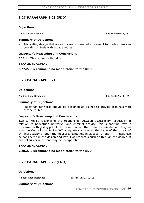## **3.27 PARAGRAPH 3.28 (FDD)**

### **Objections**

Windsor Road Residents 366/9/DEP01/03\_28

### **Summary of Objections**

x Advocating design that allows for well connected movement for pedestrians can provide criminals with escape routes.

### **Inspector's Reasoning and Conclusions**

3.27.1. This is dealt with below.

### **RECOMMENDATION**

**3.27.2. I recommend no modification to the RDD.** 

### **3.28 PARAGRAPH 3.21**

#### **Objections**

Windsor Road Residents 366/20/DEP02/03\_21

#### **Summary of Objections**

Pedestrian networks should be designed so as not to provide criminals with escape routes.

### **Inspector's Reasoning and Conclusions**

3.28.1. Whilst recognising the relationship between accessibility, especially in relation to pedestrian networks, and criminal activity, this supporting text is concerned with giving priority to travel modes other than the private car. I agree with the Council that Policy 3/7 adequately addresses the issue of the threat of criminal activity through the measures contained in clauses (d) and (h). These can be considered in the design and layout of proposals such as through the degree of natural surveillance that may be incorporated.

#### **RECOMMENDATION**

**3.28.2. I recommend no modification to the RDD.** 

## **3.29 PARAGRAPH 3.29 (FDD)**

#### **Objections**

Windsor Road Residents 366/10/DEP01/03\_29

#### **Summary of Objections**

CHAPTER 3: DESIGNING CAMBRIDGE 36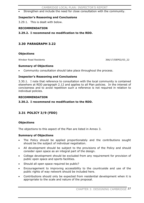Strengthen and include the need for close consultation with the community.

### **Inspector's Reasoning and Conclusions**

3.29.1. This is dealt with below.

### **RECOMMENDATION**

**3.29.2. I recommend no modification to the RDD.** 

## **3.30 PARAGRAPH 3.22**

### **Objections**

Windsor Road Residents 366/17/DEP02/03\_22

### **Summary of Objections**

Community consultation should take place throughout the process.

### **Inspector's Reasoning and Conclusions**

3.30.1. I note that reference to consultation with the local community is contained elsewhere at RDD paragraph 2.12 and applies to all Plan policies. In the interest of conciseness and to avoid repetition such a reference is not required in relation to individual policies.

### **RECOMMENDATION**

### **3.30.2. I recommend no modification to the RDD.**

## **3.31 POLICY 3/9 (FDD)**

### **Objections**

The objections to this aspect of the Plan are listed in Annex 3.

### **Summary of Objections**

- The Policy should be applied proportionately and the contributions sought should be the subject of individual negotiation.
- x All development should be subject to the provisions of the Policy and should consider open space as an integral part of the design.
- x College development should be excluded from any requirement for provision of public open space and sports facilities.
- Should all open space required be public?
- x Encouragement to improving accessibility to the countryside and use of the public rights of way network should be included here.
- Contributions should only be expected from residential development when it is appropriate to the scale and nature of the proposal.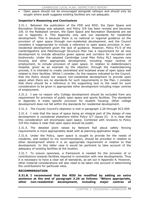x Open space should not be encouraged alongside railways and should only be sought where audit suggests existing facilities are not adequate.

### **Inspector's Reasoning and Conclusions**

3.31.1. Between the publication of the FDD and RDD, the Open Space and Recreation Strategy was adopted, and Policy 3/9 has been revised and becomes 3/8. In the Redeposit version, the Open Space and Recreation Standards are set out in Appendix A. This Appendix only sets out standards for residential development. This is because there is no national or regional guidance on the provision of open space through non-residential development, and the Council considers it inappropriate to include a reference to open space provision in nonresidential development given the lack of guidance. However, Policy P1/3 of the Cambridgeshire and Peterborough Structure Plan has a requirement for all new development to include attractive green spaces and corridors for recreation and biodiversity. Under the adopted Cambridge Local Plan Policy RL3 requires new housing and other appropriate development, including major centres of employment, to include provision of open space. In relation to Addenbrooke's Hospital, given as an example by the objector, through the masterplanning process, it is intended to create centralised and localised areas of open space well related to their facilities. Whilst I consider, for the reasons indicated by the Council, that the Policy should not require non-residential development to provide open space when there are no standards for such requirements in the Plan, I consider that there should be a reference in the supporting text to the need for such consideration to be given in appropriate other development including major centres of employment.

3.31.2. I see no reason why College development should be excluded from any requirement for provision of public open space and sports facilities. The standards in Appendix A make specific provision for student housing. Other college development does not fall within the standards for residential development.

3.31.3. The County Council's objection is met in paragraph 3.26 through SC3.009.

3.31.4. I note that the issue of space being an integral part of the design of new development is considered elsewhere within Policy 3/7 clause (f). It is clear that this consideration will encompass open space. Combined with revisions to Policy 3/9 this makes it clear that open space should be public.

3.31.5. The detailed point raised by Network Rail about safety fencing requirements is more appropriately dealt with at planning application stage.

3.31.6. Under the Policy, open space is sought to provide for the needs of residents, and subject to my recommendation, should be provided in relation to other development where it is an appropriate requirement in relation to that development. In this latter case it would be pertinent to take account of the adequacy of existing facilities at the location.

3.31.7. To ensure openness, a framework is needed for the provision of or contributions towards facilities required in connection with new developments. Thus it is necessary to have a clear set of standards, as set out in Appendix A. However, other material considerations will also need to be taken into account in determining the contributions for particular sites.

### **RECOMMENDATION**

**3.31.8. I recommend that the RDD be modified by adding an extra sentence at the end of paragraph 3.26 as follows: "Where appropriate, other non-residential development, including major centres of**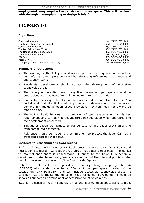**employment, may require the provision of open space. This will be dealt with through masterplanning or design briefs."** 

# **3.32 POLICY 3/8**

### **Objections**

Countryside Agency 14/1/DEP02/03\_P08 Cambridgeshire County Council 55/21/DEP02/03\_P08 Countryside Properties **68/1/DEP02/03\_P08** The Bell Educational Trust 83/2/DEP02/03 P08 The House Builders Federation<br>
Windsor Road Residents<br>
266/18/DEP02/03\_P08<br>
366/18/DEP02/03\_P08 GO-East 383/3/DEP02/03\_P08 Trumpington Meadows Land Company

366/18/DEP02/03\_P08 766/2/DEP02/03\_P08<br>798/9/DEP02/03\_P08

### **Summary of Objections**

- The wording of the Policy should also emphasise the requirement to include new informal open space provision by reinstating references to common land and country parks.
- x Residential development should support the development of accessible countryside areas.
- The variety of potential uses of significant areas of open space should be emphasised, such as use of formal pitches for informal recreation.
- Clarification is sought that the open space standards are fixed for the Plan period and that the Policy will apply only to development that generates demand for additional open space provision. Provision need not always be made on site.
- The Policy should be clear that provision of open space is not a 'blanket' requirement and can only be sought through negotiation when appropriate to the development concerned.
- Safeguards should be included to compensate for any under provision arising from commuted payments.
- x Reference should be made to a commitment to protect the River Cam as a threatened recreational asset.

### **Inspector's Reasoning and Conclusions**

3.32.1. I note the inclusion of a suitable cross reference to the Open Space and Recreation Standards. Consequently, I agree that specific reference in Policy 3/8 to informal open space is unnecessary. Changes to the Table 1, Appendix A definitions to refer to natural green spaces as part of the informal provision also help further meet the concerns of the Countryside Agency.

3.32.2. The Council has proposed a pre-inquiry change to paragraph 3.26 (SC3.009) which adds the sentence: "Some of the open space provided will be outside the City boundary, and will include accessible countryside areas." I consider that this meets the objection that residential development should be shown as supporting development of accessible countryside areas.

3.32.3. I consider that, in general, formal and informal open space serve to meet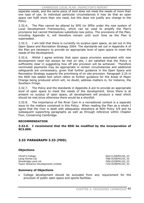separate needs, and the same piece of land does not meet the needs of more than one type of use. In individual particular circumstances it may be that an open space can fulfil more than one need, but this does not justify any change to the Policy.

3.32.4. The Plan cannot be altered by SPG (or SPDs under the new system of Local Development Frameworks), which can be used to amplify the Plan's provisions but cannot themselves substitute new policy. The provisions of the Plan, including Appendix A, will therefore remain until such time as the Plan is superseded.

3.32.5. I am told that there is currently no surplus open space, as set out in the Open Space and Recreation Strategy 2004. The standards set out in Appendix A of the Plan are necessary to provide an appropriate level of open space to meet the needs of the development.

3.32.6. Whilst I agree entirely that open space provision associated with new development need not always be met on site, I am satisfied that the Policy is sufficiently clear in suggesting how off site provision will be achieved. Therefore commuted payments may be appropriate in certain circumstances and additional safeguards are unnecessary, given that further guidance in the Open Space and Recreation Strategy supports the prioritising of on site provision. Paragraph 3.25 in the RDD has added text which refers to further guidance for the Areas of Major Change being produced which will, no doubt, address matters in, for instance, the Southern Fringe.

3.32.7. The Policy and the standards in Appendix A are to provide an appropriate level of open space to meet the needs of the development. Since there is at present no surplus of open space, all development will produce a need which should be met since otherwise there would be a shortfall.

3.32.8. The importance of the River Cam in a recreational context is a separate issue to the matters contained in this Policy. When reading the Plan as a whole I agree that the river is dealt with adequately elsewhere at RDD Policy 3/9 and its subsequent supporting paragraphs as well as through reference within Chapter Four, Conserving Cambridge.

### **RECOMMENDATION**

**3.32.9. I recommend that the RDD be modified by the incorporation of SC3.009.**

## **3.33 PARAGRAPH 3.33 (FDD)**

### **Objections**

Christ"s College 2364/11/DEP01/03\_33 Laing Homes Ltd 708/15/DEP01/03\_33 Wrenbridge Land Ltd 709/15/DEP01/03\_33 Taylor Woodrow Developments Limited  $710/15/DE$ PDEP01/03\_33

### **Summary of Objections**

College development should be excluded from any requirement for the provision of public open space and sports facilities.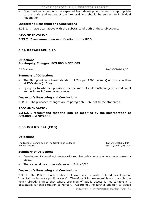Contributions should only be expected from development when it is appropriate to the scale and nature of the proposal and should be subject to individual negotiation.

### **Inspector's Reasoning and Conclusions**

3.33.1. I have dealt above with the substance of both of these objections.

### **RECOMMENDATION**

**3.33.2. I recommend no modification to the RDD.** 

## **3.34 PARAGRAPH 3.26**

### **Objections Pre-Inquiry Changes: SC3.008 & SC3.009**

E P Southern 540/1/DEP04/03\_26

### **Summary of Objections**

- The Plan provides a lower standard (1.2ha per 1000 persons) of provision than at FDD stage (1.6ha).
- Query as to whether provision for the ratio of children/teenagers is additional and includes informal open spaces.

### **Inspector's Reasoning and Conclusions**

3.34.1. The proposed changes are to paragraph 3.26, not to the standards.

### **RECOMMENDATION**

**3.34.2. I recommend that the RDD be modified by the incorporation of SC3.008 and SC3.009.** 

## **3.35 POLICY 5/4 (FDD)**

### **Objections**

The Bursars' Committee of The Cambridge Colleges 87/15/DEP01/05\_P04 English Nature 368/10/DEP01/05\_P04

### **Summary of Objections**

- Development should not necessarily require public access where none currently exists.
- There should be a cross reference to Policy 3/15

### **Inspector's Reasoning and Conclusions**

3.35.1. The Policy clearly states that waterside or water related development "maintain or improve public access". Therefore if improvement is not possible the Policy already implies that where provision of public access is not suitable it is acceptable for this situation to remain. Accordingly no further addition to clause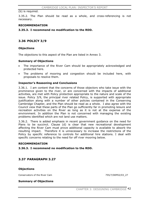(b) is required.

3.35.2. The Plan should be read as a whole, and cross-referencing is not necessary.

#### **RECOMMENDATION**

**3.35.3. I recommend no modification to the RDD.** 

## **3.36 POLICY 3/9**

### **Objections**

The objections to this aspect of the Plan are listed in Annex 3.

### **Summary of Objections**

- The importance of the River Cam should be appropriately acknowledged and protected here.
- The problems of mooring and congestion should be included here, with proposals to resolve them.

### **Inspector's Reasoning and Conclusions**

3.36.1. I am content that the concerns of those objectors who take issue with the prominence given to the river, or are concerned with the impacts of additional activities, are met with Policy protection appropriate to the nature and scale of the issue. Policy 3/9, the principal river related Policy, is supported with appropriate justification along with a number of other policies contained in the Conserving Cambridge Chapter, and the Plan should be read as a whole. I also agree with the Council view that these parts of the Plan go sufficiently far in promoting leisure and recreation activities on the River as long as it is not at the expense of the environment. In addition the Plan is not concerned with managing the existing problems identified which are not land use matters.

3.36.2. There is added emphasis in recent government guidance on the need for Plans to be succinct. Clause (d) is clear that new recreational development affecting the River Cam must prove additional capacity is available to absorb the resulting impact. Therefore it is unnecessary to increase the restrictions of the Policy by specific reference to controls for additional hire stations. I deal with specific concerns relating to the need for off river mooring below.

#### **RECOMMENDATION**

#### **3.36.3. I recommend no modification to the RDD.**

## **3.37 PARAGRAPH 3.27**

#### **Objections**

Conservators of the River Cam 755/7/DEP02/03\_27

#### **Summary of Objections**

CHAPTER 3: DESIGNING CAMBRIDGE 42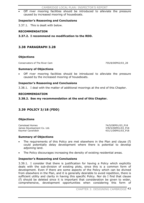Off river mooring facilities should be introduced to alleviate the pressure caused by increased mooring of houseboats.

### **Inspector's Reasoning and Conclusions**

3.37.1. This is dealt with below.

### **RECOMMENDATION**

**3.37.2. I recommend no modification to the RDD.** 

## **3.38 PARAGRAPH 3.28**

### **Objections**

Conservators of The River Cam  $755/8/DEP02/0328$ 

### **Summary of Objections**

Off river mooring facilities should be introduced to alleviate the pressure caused by the increased mooring of houseboats.

### **Inspector's Reasoning and Conclusions**

3.38.1. I deal with the matter of additional moorings at the end of this Chapter.

### **RECOMMENDATION**

### **3.38.2. See my recommendation at the end of this Chapter.**

## **3.39 POLICY 3/18 (FDD)**

### **Objections**

Camstead Homes 74/5/DEP01/03\_P18 James Development Co. Ltd. 378/5/DEP01/03\_P18 Keymer Cavendish **Accord 2012** 2013 12:00 12:00 13:00 1431/1/DEP01/03 P18

### **Summary of Objections**

- The requirements of this Policy are met elsewhere in the Plan and clause (f) could potentially delay development where there is potential to develop adjoining land.
- The Policy discourages increasing the density of existing residential areas.

### **Inspector's Reasoning and Conclusions**

3.39.1. I consider that there is justification for having a Policy which explicitly deals with the sub-division of existing plots, since this is a common form of development. Even if there are some aspects of the Policy which can be divined from elsewhere in the Plan, and it is generally desirable to avoid repetition, there is sufficient utility and clarity in having this specific Policy. Nor do I find that clause (f) should be deleted since it is important that consideration be given to wider, comprehensive, development opportunities when considering this form of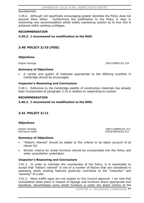#### development.

3.39.2. Although not specifically encouraging greater densities the Policy does not prevent them either. Furthermore the justification to the Policy is clear in welcoming new accommodation whilst wisely expressing caution as to how this is achieved within existing curtilages.

#### **RECOMMENDATION**

### **3.39.3. I recommend no modification to the RDD.**

## **3.40 POLICY 3/10 (FDD)**

#### **Objections**

English Heritage 338/7/DEP01/03 P10

#### **Summary of Objections**

A variety and quality of materials appropriate to the differing localities in Cambridge should be encouraged.

#### **Inspector's Reasoning and Conclusions**

3.40.1. Reference to the Cambridge palette of construction materials has already been incorporated at paragraph 3.10 in relation to responding to context.

#### **RECOMMENDATION**

#### **3.40.2. I recommend no modification to the RDD.**

### **3.41 POLICY 3/11**

#### **Objections**

English Heritage 338/11/DEP02/03 P11 Mrs Penny Heath 832/6/DEP02/03\_P11

#### **Summary of Objections**

- x "Historic interest" should be added to the criteria to be taken account of at clause (b).
- Stricter criteria for street furniture should be incorporated into the Policy and wider consultation undertaken.

#### **Inspector's Reasoning and Conclusions**

3.41.1. In order to maintain the conciseness of the Policy, it is reasonable to accept that "historic interest" is one of a number of factors that are considered in assessing which existing features positively contribute to the "character" and "amenity" of a site.

3.41.2. Many traffic signs are not subject to City Council approval. I am told that consultation takes place in respect of signage and furniture where appropriate and beneficial. Nevertheless some street furniture is under the direct control of the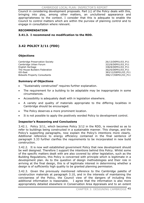Council in considering development proposals. Part (c) of the Policy deals with this, bringing into play, among other matters, an uncluttered appearance and appropriateness to the context. I consider that this is adequate to enable the Council to control matters which are within the purview of planning control and to engage in consultation where relevant.

#### **RECOMMENDATION**

### **3.41.3. I recommend no modification to the RDD.**

## **3.42 POLICY 3/11 (FDD)**

### **Objections**

Cambridge Preservation Society 26/13/DEP01/03\_P11<br>
Cambridge Urban Forum 2001 2012 22/8/DEP01/03\_P11 Cambridge Urban Forum English Heritage 2012 2020 12:00 12:00 2020 12:00 2020 138/8/DEP01/03\_P11 The House Builders Federation 362/6/DEP01/03 P11 GO-East 383/12/DEP01/03\_P11 Bidwells Property Consultants 396/17/DEP01/03 P11

### **Summary of Objections**

- x "Sustainably constructed" requires further explanation.
- The requirement for a building to be adaptable may be inappropriate in some circumstances.
- Accessibility is adequately dealt with in legislation elsewhere.
- x A variety and quality of materials appropriate to the differing localities in Cambridge should be encouraged.
- The Policy deserves a more prominent location.
- It is not possible to apply the positively worded Policy to development control.

### **Inspector's Reasoning and Conclusions**

3.42.1. Policy 3/11, which becomes Policy 3/12 in the RDD, is reworded so as to refer to buildings being constructed in a sustainable manner. This change, and the Policy's supporting paragraphs, now explain the Policy's intentions more clearly. Additional reference to energy efficiency contained in the final sentence of paragraph 3.33 further clarifies the requirements to be incorporated in new build construction.

3.42.2. It is now well established government Policy that new development should be well designed. Therefore I support the intentions behind this Policy. Whilst some of the specific matters dealt with are also covered by other legislation, such as the Building Regulations, this Policy is concerned with principle which is legitimate in a development plan. As to the question of design methodologies and their role in arriving at the final design, this is of legitimate interest in determining whether a design is of sufficiently high quality to be granted planning permission.

3.42.3. Given the previously mentioned reference to the Cambridge palette of construction materials at paragraph 3.10, and in the interests of maintaining the conciseness of the Policy, the Council view of the dangers of including this additional information is reasonable. I agree that the information is also more appropriately detailed elsewhere in Conservation Area Appraisals and to an extent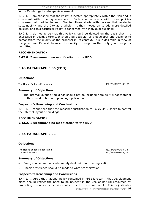### in the Cambridge Landscape Assessment.

3.42.4. I am satisfied that the Policy is located appropriately within the Plan and is consistent with ordering elsewhere. Each chapter starts with those policies concerned with wider issues. Chapter Three starts with policies that relate to sustainability and the City as a whole. It then moves on to add more detailed policies, and this particular Policy is concerned with individual buildings.

3.42.5. I do not agree that this Policy should be deleted on the basis that it is expressed in positive terms. It should be possible for a developer and designer to demonstrate the quality of the proposal in its context. This is desirable in view of the government's wish to raise the quality of design so that only good design is permitted.

### **RECOMMENDATION**

**3.42.6. I recommend no modification to the RDD.** 

## **3.43 PARAGRAPH 3.36 (FDD)**

### **Objections**

The House Builders Federation 362/29/DEP01/03\_36

### **Summary of Objections**

The internal layout of buildings should not be included here as it is not material to the consideration of a planning application.

### **Inspector's Reasoning and Conclusions**

3.43.1. I cannot see that the reasoned justification to Policy 3/12 seeks to control the internal layout of buildings.

#### **RECOMMENDATION**

### **3.43.2. I recommend no modification to the RDD.**

### **3.44 PARAGRAPH 3.33**

#### **Objections**

The House Builders Federation 362/3/DEP02/03\_33 The Wildlife Trust 382/3/DEP02/03\_33

### **Summary of Objections**

- Energy conservation is adequately dealt with in other legislation.
- Specific reference should be made to water conservation.

### **Inspector's Reasoning and Conclusions**

3.44.1. I agree that national policy contained in PPS1 is clear in that development plans should reflect the need to be prudent in the use of natural resources by promoting resources or activities which meet this requirement. This is justifiably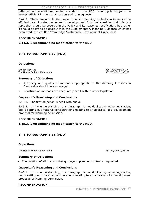reflected in the additional sentence added to the RDD, requiring buildings to be energy efficient in their construction and running costs.

3.44.2. There are only limited ways in which planning control can influence the efficient use of water resources in development. I do not consider that this is a topic that should be covered in the Policy and its reasoned justification, but rather it should be left to be dealt with in the Supplementary Planning Guidance which has been produced entitled 'Cambridge Sustainable Development Guidelines'.

#### **RECOMMENDATION**

### **3.44.3. I recommend no modification to the RDD.**

## **3.45 PARAGRAPH 3.37 (FDD)**

### **Objections**

English Heritage 338/9/DEP01/03\_37 The House Builders Federation 362/30/DEP01/03\_37

### **Summary of Objections**

- x A variety and quality of materials appropriate to the differing localities in Cambridge should be encouraged.
- Construction methods are adequately dealt with in other legislation.

### **Inspector's Reasoning and Conclusions**

3.45.1. The first objection is dealt with above.

3.45.2. In my understanding, this paragraph is not duplicating other legislation, but is setting out material considerations relating to an appraisal of a development proposal for planning permission.

#### **RECOMMENDATION**

#### **3.45.3. I recommend no modification to the RDD.**

## **3.46 PARAGRAPH 3.38 (FDD)**

#### **Objections**

The House Builders Federation 362/31/DEP01/03\_38

#### **Summary of Objections**

• The deletion of all matters that go beyond planning control is requested.

#### **Inspector's Reasoning and Conclusions**

3.46.1. In my understanding, this paragraph is not duplicating other legislation, but is setting out material considerations relating to an appraisal of a development proposal for Planning permission.

#### **RECOMMENDATION**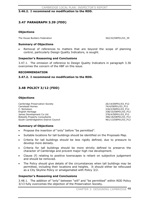### **3.46.2. I recommend no modification to the RDD.**

## **3.47 PARAGRAPH 3.39 (FDD)**

### **Objections**

The House Builders Federation 362/32/DEP01/03\_39

### **Summary of Objections**

x Removal of references to matters that are beyond the scope of planning control, particularly Design Quality Indicators, is sought.

#### **Inspector's Reasoning and Conclusions**

3.47.1. The omission of reference to Design Quality Indicators in paragraph 3.36 overcomes the concern of the HBF on this issue.

#### **RECOMMENDATION**

### **3.47.2. I recommend no modification to the RDD.**

## **3.48 POLICY 3/12 (FDD)**

### **Objections**

Cambridge Preservation Society 26/14/DEP01/03\_P12 Camstead Homes 74/4/DEP01/03\_P12 English Heritage 338/10/DEP01/03\_P12 James Development Co Ltd. 378/4/DEP01/03\_P12 Bidwells Property Consultants 396/18/DEP01/03 P12 South Cambridgeshire District Council 461/13/DEP01/03\_P12

318/2/DEP01/03\_P12

#### **Summary of Objections**

- Propose the insertion of "only" before "be permitted".
- Suitable locations for tall buildings should be identified on the Proposals Map.
- Criteria for tall buildings should be less rigidly defined, due to pressure to develop more densely.
- Criteria for tall buildings should be more strictly defined to preserve the character of Cambridge and prevent major high rise development.
- Clause (f) relating to positive townscapes is reliant on subjective judgement and should be removed.
- The Policy should give details of the circumstances when tall buildings may be permitted, including their locations and heights. It should either be refocused as a City Skyline Policy or amalgamated with Policy 3/2.

### **Inspector's Reasoning and Conclusions**

3.48.1. The addition of "only" between "will" and "be permitted" within RDD Policy 3/13 fully overcomes the objection of the Preservation Society.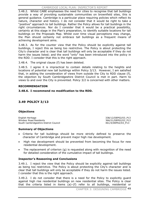3.48.2. Whilst CABE emphasises the need for cities to recognise that tall buildings provide a way of providing sustainable communities on brownfield sites, this is general guidance. Cambridge is a particular place requiring policies which reflect its nature, character and history. I do not consider that it would be right to take a "positive" approach to tall buildings. Rather the Policy allows for tall buildings in the right circumstances. Nor do I consider that it would be a practical possibility, certainly at this stage in the Plan's preparation, to identify suitable locations for tall buildings on the Proposals Map. Whilst over time visual perceptions may change, the Plan should certainly not embrace tall buildings as a frequent means of achieving development aims.

3.48.3. As for the counter view that the Policy should be explicitly against tall buildings, I reject this as being too restrictive. The Policy is about protecting the City's character and is clear that tall buildings will only be acceptable if they do not harm the issues listed; and the word "only" has been introduced into the policy in the RDD. I consider that this is the right approach.

3.48.4. The original clause (f) has been deleted.

3.48.5. I agree it is impractical to contain details relating to the heights and locations of potential new tall buildings within Policy 3/13. However, I am satisfied that, in adding the consideration of views from outside the City to RDD clause (f), the objection by South Cambridgeshire District Council is met in part. Harm to views to and over the City is prevented. Policy 3/2 is concerned with other matters.

### **RECOMMENDATION**

### **3.48.6. I recommend no modification to the RDD.**

## **3.49 POLICY 3/13**

### **Objections**

English Heritage 338/12/DEP02/03\_P13 Windsor Road Residents 366/21/DEP02/03\_P13 South Cambridgeshire District Council 461/4/DEP02/03\_P13

### **Summary of Objections**

- Criteria for tall buildings should be more strictly defined to preserve the character of Cambridge and prevent major high rise development.
- High rise development should be prevented from becoming the focus for new residential development.
- The replacement of criterion  $(g)$  is requested along with recognition of the need for detailed consideration of the cumulative impact of tall buildings.

### **Inspector's Reasoning and Conclusions**

3.49.1. I reject the view that the Policy should be explicitly against tall buildings as being too restrictive. The Policy is about protecting the City's character and is clear that tall buildings will only be acceptable if they do not harm the issues listed. I consider that this is the right approach.

3.49.2. I do not consider that there is a need for the Policy to explicitly guard against high rise residential buildings on new residential sites. The Policy is clear that the criteria listed in items (a)–(f) refer to all buildings, residential or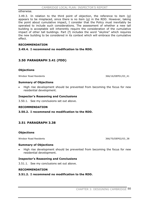#### otherwise.

3.49.3. In relation to the third point of objection, the reference to item (g) appears to be misplaced, since there is no item (g) in the RDD. However, taking the point about cumulative impact, I consider that the Policy must inevitably be operated to include such considerations. The assessment of whether a new tall building is acceptable will inherently require the consideration of the cumulative impact of other tall buildings. Part (f) includes the word "skyline" which requires the new building to be considered in its context which will embrace the cumulative effect.

### **RECOMMENDATION**

**3.49.4. I recommend no modification to the RDD.** 

## **3.50 PARAGRAPH 3.41 (FDD)**

### **Objections**

Windsor Road Residents 366/16/DEP01/03\_41

#### **Summary of Objections**

High rise development should be prevented from becoming the focus for new residential development.

### **Inspector's Reasoning and Conclusions**

3.50.1. See my conclusions set out above.

### **RECOMMENDATION**

### **3.50.2. I recommend no modification to the RDD.**

### **3.51 PARAGRAPH 3.38**

#### **Objections**

Windsor Road Residents 366/70/DEP02/03\_38

### **Summary of Objections**

High rise development should be prevented from becoming the focus for new residential development.

### **Inspector's Reasoning and Conclusions**

3.51.1. See my conclusions set out above.

#### **RECOMMENDATION**

### **3.51.2. I recommend no modification to the RDD.**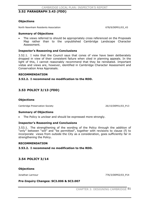## **3.52 PARAGRAPH 3.43 (FDD)**

### **Objections**

North Newnham Residents Association 678/9/DEP01/03\_43

#### **Summary of Objections**

The views referred to should be appropriately cross referenced on the Proposals Map rather than to the unpublished Cambridge Landscape Character Assessment.

### **Inspector's Reasoning and Conclusions**

3.52.1. I note that the Council says that cones of view have been deliberately dropped in view of their consistent failure when cited in planning appeals. In the light of this, I cannot reasonably recommend that they be reinstated. Important vistas and views are, however, identified in Cambridge Character Assessment and Conservation Area Appraisals.

#### **RECOMMENDATION**

#### **3.52.2. I recommend no modification to the RDD.**

## **3.53 POLICY 3/13 (FDD)**

#### **Objections**

Cambridge Preservation Society 26/15/DEP01/03\_P13

#### **Summary of Objections**

The Policy is unclear and should be expressed more strongly.

#### **Inspector's Reasoning and Conclusions**

3.53.1. The strengthening of the wording of the Policy through the addition of "only" between "will" and "be permitted", together with revisions to clause (f) to incorporate views from outside the City as a consideration, goes sufficiently far in strengthening the Policy.

#### **RECOMMENDATION**

#### **3.53.2. I recommend no modification to the RDD.**

### **3.54 POLICY 3/14**

#### **Objections**

Jonathan Larmour 776/3/DEP02/03\_P14

### **Pre-Inquiry Changes: SC3.006 & SC3.007**

CHAPTER 3: DESIGNING CAMBRIDGE 51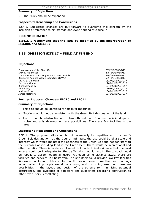#### **Summary of Objections**

The Policy should be expanded.

#### **Inspector's Reasoning and Conclusions**

3.54.1. Suggested changes are put forward to overcome this concern by the inclusion of reference to bin storage and cycle parking at clause (c).

#### **RECOMMENDATION**

**3.54.2. I recommend that the RDD be modified by the incorporation of SC3.006 and SC3.007.** 

## **3.55 OMISSION SITE 17 – FIELD AT FEN END**

#### **Objections**

Conservators of the River Cam 755/6/DEP02/O17 Shirley Fieldhouse 278/6/DEP03/O17 Transport 2000 Cambridgeshire & West Suffolk 374/6/DEP03/O17 Residents Against Village Extinction (RAVE) 561/8/DEP03/O17 Dr. N. S. Galbraith 1127/1/DEP03/O17 Dr. Irene Gomez 1209/1/DEP03/O17 Richard Moseley 1241/1/DEP03/O17 John Kerry 1304/1/DEP03/O17 Andrew Brown 2008 and 2008 and 2008 and 2008 and 2008 and 2008 and 2008 and 2008 and 2008 and 2008 and 2008 and 2008 and 2008 and 2008 and 2008 and 2008 and 2008 and 2008 and 2008 and 2008 and 2008 and 2008 and 2008 and 20 James Matthews 1370/1/DEP03/O17

### **Further Proposed Changes: FPC10 and FPC11**

#### **Summary of Objections**

- This site should be identified for off-river moorings.
- x Moorings would not be consistent with the Green Belt designation of the land.
- There would be obstruction of the towpath and river. Road access is inadequate. Noise and ugly development are possibilities. There are few facilities in the area.

#### **Inspector's Reasoning and Conclusions**

3.55.1. The proposed allocation is not necessarily incompatible with the land"s Green Belt designation: as the Council intimates, the use could be of a scale and intensity which would maintain the openness of the Green Belt and not conflict with the purposes of including land in the Green Belt. There would be recreational and other benefits. There is evidence of need, but no technical evidence that the road access would be inadequate for the traffic which would result. The towpath could be rebuilt to accommodate all users. Although some distance away, there are facilities and services in Chesterton. The site itself could provide low-key facilities like water points and rubbish collection. It does not seem to me that boat moorings as a matter of principle would be a noisy and disturbing use, but there are possibilities in the layout and design of the scheme for minimising potential disturbance. The evidence of objectors and supporters regarding obstruction to other river users is conflicting.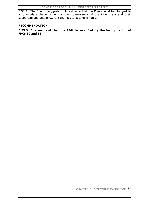3.55.2. The Council suggests in its evidence that the Plan should be changed to accommodate the objection by the Conservators of the River Cam and their supporters and puts forward 2 changes to accomplish this.

#### **RECOMMENDATION**

**3.55.3. I recommend that the RDD be modified by the incorporation of FPCs 10 and 11.**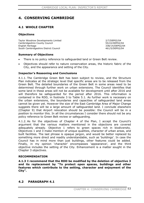# **4. CONSERVING CAMBRIDGE**

## **4.1 WHOLE CHAPTER**

### **Objections**

Taylor Woodrow Developments Limited 2/7/DEP02/04 Cambridgeshire County Council 55/22/DEP02/04 English Heritage 338/14/DEP02/04 South Cambridgeshire District Council 461/5/DEP02/04

**Summary of Objections** 

- There is no policy reference to safeguarded land or Green Belt review.
- Objectives should refer to nature conservation areas, the historic fabric of the City, and the appearance and setting of the City.

### **Inspector's Reasoning and Conclusions**

4.1.1. The Cambridge Green Belt has been subject to review, and the Structure Plan indicates at the strategic level that specific areas are to be released from the Green Belt. The detailed boundaries of the Green Belt in some areas need to be determined through further work on urban extensions. The Council identifies that some land in these areas will not be available for development until after 2016 and will therefore be safeguarded for the period after 2016. This information is contained in the RDD, in footnote 3 to Table 5.1. As further work is necessary on the urban extensions, the boundaries and capacities of safeguarded land areas cannot be given yet. However the size of the East Cambridge Area of Major Change suggests there will be a large amount of safeguarded land. I conclude elsewhere (Chapter 9) that Airport relocation should be possible: the Council will be in a position to monitor this. In all the circumstances I consider there should not be any policy reference to Green Belt review or safeguarding.

4.1.2. As for the objectives of Chapter 4 of the Plan, I accept the Council's argument that the various matters mentioned in the objections are covered adequately already. Objective 1 refers to green spaces rich in biodiversity. Objectives 1 and 3 make mention of unique qualities, character of urban areas, and built facilities. The last phrase is opaque jargon, and would be better replaced by something more direct and readily understandable, such as 'buildings'. In case the Council has in mind more than just buildings, other features could be added. Finally, in my opinion 'character' encompasses 'appearance', and the third objective includes the setting of the City. Enhancement is a matter sought in the Chapter 3 objectives.

### **RECOMMENDATION**

**4.1.3 I recommend that the RDD be modified by the deletion of objective 3 and its replacement by "To protect open spaces, buildings and other features which contribute to the setting, character and enjoyment of the City".**

### **4.2 PARAGRAPH 4.1**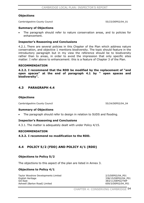#### **Objections**

Cambridgeshire County Council 65/23/DEP02/04\_01

#### **Summary of Objections**

The paragraph should refer to nature conservation areas, and to policies for enhancement.

#### **Inspector's Reasoning and Conclusions**

4.2.1. There are several policies in this Chapter of the Plan which address nature conservation, and objective 1 mentions biodiversity. The topic should feature in the introductory paragraph but in my view the reference should be to biodiversity rather than to areas, in order to avoid the impression that only specific sites matter. I refer above to enhancement: this is a feature of Chapter 3 of the Plan.

#### **RECOMMENDATION**

**4.2.2. I recommend that the RDD be modified by the replacement of "and open spaces" at the end of paragraph 4.1 by " open spaces and biodiversity".**

### **4.3 PARAGRAPH 4.4**

#### **Objections**

Cambridgeshire County Council 65/24/DEP02/04\_04

#### **Summary of Objections**

The paragraph should refer to design in relation to SUDS and flooding.

#### **Inspector's Reasoning and Conclusions**

4.3.1. The matter is adequately dealt with under Policy 4/15.

#### **RECOMMENDATION**

**4.3.2. I recommend no modification to the RDD.** 

### **4.4 POLICY 5/2 (FDD) AND POLICY 4/1 (RDD)**

#### **Objections to Policy 5/2**

The objections to this aspect of the plan are listed in Annex 3.

#### **Objections to Policy 4/1**

Taylor Woodrow Developments Limited 2/3/DEP02/04 P01 English Heritage 338/15/DEP02/04\_P01<br>
GO-Fast 383/11/DEP02/TWP Ashwell (Barton Road) Limited 659/3/DEP02/04 P01

383/11/DEP02/TWP

CHAPTER 4: CONSERVING CAMBRIDGE 54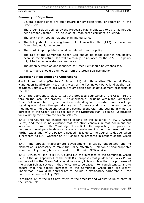### **Summary of Objections**

- Several specific sites are put forward for omission from, or retention in, the Green Belt.
- The Green Belt as defined by the Proposals Map is objected to as it has not yet been properly tested. The inclusion of urban green corridors is queried.
- The policy only repeats national planning guidance.
- The Policy should be strengthened. An Area Action Plan (AAP) for the entire Green Belt would be helpful.
- The word "inappropriate" should be deleted from the policy.
- The role of the Cambridge Green Belt should be made clear in the policy, because the Structure Plan will eventually be replaced by the RSS. The policy might be better as a stand-alone policy.
- The amenity value of land identified as Green Belt should be emphasised.
- Rail corridors should be removed from the Green Belt designation.

### **Inspector's Reasoning and Conclusions**

4.4.1. I deal below (Chapters 5, 9, and 11) with those sites (Netherhall Farm, Huntingdon Road/Histon Road, land west of the Technology Park, land at the rear of Queen Edith's Way et al.) which are omission sites or development proposals of the Plan.

4.4.2. The appropriate place to test the proposed boundaries of the Green Belt is through the Local Plan process. The approach of including within the Cambridge Green Belt a number of green corridors extending into the urban area is a longstanding one. Given the special character of these corridors and the contribution they make to the unique character and setting of the City, and bearing in mind the purposes of the Green Belt as set out in the Structure Plan, I see no justification for excluding them from the Green Belt now.

4.4.3. The Council has chosen not to expand on the guidance in PPG 2 "Green Belts", and there is no evidence that the strict controls in that document are inadequate to protect the Cambridge Green Belt. The supporting text places the burden on developers to demonstrate why development should be permitted. No further explanation of the Policy is needed. It is up to the Council to decide, when it prepares its LDS, whether an AAP should be prepared in respect of the Green Belt.

4.4.4. The phrase "inappropriate development" is widely understood and no elaboration is necessary to make the Policy effective. Deletion of "inappropriate" from the policy would, however, lead to conflict with PPG2 advice.

4.4.5. Structure Plan Policy P9/2a sets out the purposes of the Cambridge Green Belt. Although Appendix E of the draft RSS proposes that guidance in Policy P9/2a on uses within the Green Belt should be saved, it is not clear that the purposes of the Green Belt as set out in that Policy are to be saved. For completeness, and to ensure that the special purposes of the Cambridge Green Belt are clearly understood, it would be appropriate to include in explanatory paragraph 4.5 the purposes set out in Policy P9/2a.

Paragraph 4.5 of the RDD now refers to the amenity and wildlife value of parts of the Green Belt.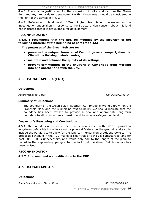4.4.6. There is no justification for the exclusion of rail corridors from the Green Belt, and any proposals for development within those areas would be considered in the light of the advice in PPG 2.

4.4.7. Reference to land west of Trumpington Road is not necessary as the investigation undertaken in response to the Structure Plan concern about this land has indicated that it is not suitable for development.

### **RECOMMENDATION**

**4.4.8. I recommend that the RDD be modified by the insertion of the following material at the beginning of paragraph 4.5:** 

**The purposes of the Green Belt are to:** 

- x **preserve the unique character of Cambridge as a compact, dynamic City with a thriving historic centre;**
- x **maintain and enhance the quality of its setting;**
- **• prevent communities in the environs of Cambridge from merging into one another and with the City.**

## **4.5 PARAGRAPH 5.4 (FDD)**

### **Objections**

Addenbrooke's NHS Trust 399/14/DEP01/05\_04

#### **Summary of Objections**

The boundary of the Green Belt in southern Cambridge is wrongly drawn on the Proposals Map, and the supporting text to policy 5/2 should indicate that the boundary has been revised to provide a new and appropriate long-term boundary to allow for urban expansion and to include safeguarded land.

### **Inspector's Reasoning and Conclusions**

4.5.1. The boundary of the Green Belt has been amended in the RDD to provide a long-term defensible boundary along a physical feature on the ground, and also to include the Forvie site to allow for the long-term expansion of Addenbrooke's. The proposals schedule in the RDD makes it clear that Site 9.10 is safeguarded land for post 2016. It is unnecessary, and would only add to the length of the plan, to record in the explanatory paragraphs the fact that the Green Belt boundary has been revised.

#### **RECOMMENDATION**

**4.5.2. I recommend no modification to the RDD.** 

## **4.6 PARAGRAPH 4.5**

### **Objections**

South Cambridgeshire District Council 461/6/DEP02/04\_05

CHAPTER 4: CONSERVING CAMBRIDGE 56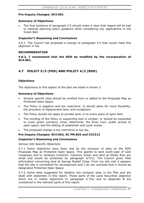### **Pre-Inquiry Changes: SC4.001**

### **Summary of Objections**

The final sentence of paragraph 4.5 should make it clear that regard will be had to national planning policy guidance when considering *any* applications in the Green Belt.

### **Inspector's Reasoning and Conclusions**

4.6.1. The Council has proposed a change to paragraph 4.5 that would meet this objection in full.

### **RECOMMENDATION**

**4.6.2. I recommend that the RDD be modified by the incorporation of SC4.001.**

## **4.7 POLICY 5/3 (FDD) AND POLICY 4/2 (RDD)**

### **Objections**

The objections to this aspect of the plan are listed in Annex 3.

### **Summary of Objections**

- Several specific sites should be omitted from or added to the Proposals Map as Protected Open Space.
- The Policy is negative and too restrictive. It should allow for more flexibility, the provision of replacement land, and exceptions.
- The Policy should not apply to private land, or to every piece of open land.
- The wording of the Policy or supporting text is unclear, or should be expanded to cover green corridors, trees, allotments, the River Cam, public access to open space, and the setting of pedestrian and cycle routes.
- The proposed change is too restrictive or too lax.

### **Pre-Inquiry Changes: SC4.002, SC PM.003 and CCC313**

### **Inspector's Reasoning and Conclusions**

#### *Various Site Specific Objections*

4.7.1. Some objections have been met by the inclusion of sites on the RDD Proposals Map as Protected Open Space. This applies to land south-east of Cam Causeway and to Donkeys Common. Cannons Green and land at Shelly Row are small and would be protected by paragraph 4/7(c). The Council gives little information concerning land at George Nuttall Close. From my site visit it appears that the site is committed for development and I do not conclude that it should be designated Protected Open Space.

4.7.2. Some sites suggested for deletion are omission sites in the Plan and are dealt with elsewhere in this report. Those parts of the Land Securities objection which are in reality objections to paragraph 4.7(b) and to Appendix B are considered in the relevant parts of this report.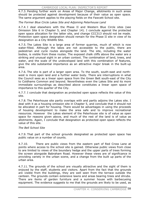4.7.3. Pending further work on Areas of Major Change, allotments in such areas should be protected against development because of their value as open space. The same argument applies to the playing fields on the Fawcett School site.

*The Former Blue Circle Lakes Site and Adjoining Peterhouse Land* 

4.7.4. I deal elsewhere with the Phase II and Western Blue Circle sites (see Omission Site 6 in Chapter 5, and Chapter 14). I conclude against the protected open space allocation for the latter site, and change CCC313 should not be made. Protection open space designation should remain for the Phase II site in view of its designation as a City Wildlife Site.

4.7.5. The Lakes Site is a large area of former quarries, much of which is now water-filled. Although the lakes are not accessible to the public, there are pedestrian and cycle routes alongside the land. The site, including the water bodies, is visible from these routes. The exposed chalk cliffs above the water are a striking and unusual sight in an urban context. The combination of land, trees, and water, and the scale of the undeveloped land with this combination of features, give the site substantial importance as an attractive major break in the built-up area.

4.7.6. The site is part of a larger open area. To the south, south-east and northwest is more open land and a further water body. There are interruptions in what the Council sees as a linear open space from the Green Belt south-east of the City to Coldhams Common and beyond. Nevertheless even the Lakes Site and its more immediate surroundings as described above constitutes a linear open space of importance to this quarter of the City.

4.7.7. I conclude that designation as protected open space reflects the value of this site.

4.7.8. The Peterhouse site partly overlaps with and partly adjoins the Lakes site. I deal with it as a housing omission site in Chapter 5, and conclude that it should not be allocated in part for housing. There would be advantages in using the proceeds of housing development to make the area safe and to improve recreational resources. However the Lakes element of the Peterhouse site is of value as open space for reasons given above, and much of the rest of the land is of value as allotments. Again, I conclude that designation as protected open space reflects the value of this site.

#### *The Bell School Site*

4.7.9. That part of the school grounds designated as protected open space has public value on a number of counts.

4.7.10. There are public views from the eastern part of Red Cross Lane at points where access to the school site is gained. Otherwise public views from close to are limited to views of the boundary hedge and the upper parts of trees forming the screen alongside Babraham Road. However these views are of significance in providing variety in the urban scene, and a change from the built up parts of the urban area.

4.7.11. The grounds of the school are visually attractive and the sight of them is enjoyed by the staff, students and visitors. Apart from the fact that the grounds are visible from the buildings, they are well seen from the terrace outside the canteen. The grounds contain extensive lawns and areas bearing trees and shrubs. There are items of garden furniture and a summer house with barbecueing equipment. The evidence suggests to me that the grounds are likely to be used, as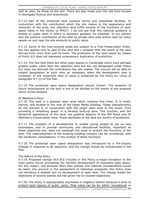well as seen, by those on the site. There are also views over the site from houses in Stansgate Avenue and Greenlands.

4.7.12. Part of the protected land contains tennis and basketball facilities. In conjunction with the contribution which the site makes to the appearance and character of the area, the objection land fulfils several of the functions of open space listed in the Annex to PPG17. I do not see that this national guidance is limited to public land; it refers to domestic gardens, for example. In my opinion also the positive contribution of the land as private land used and/or seen by many people on and near the site amounts to public value.

4.7.13. Some of the tree-covered areas are subject to a Tree Preservation Order, but this applies only to part of the land and I consider that the worth of the land derives from more than just its trees. The protection of the open space by means of Policy 4/2 does not represent unnecessary duplication of protection.

4.7.14. The fact that there are other open spaces in Cambridge which have perhaps greater public value than the objection land but are not designated under Policy 4/2 does not diminish the contribution the site makes. The Council will be able to extend designation to such sites as necessary when the development plan is reviewed. In the meantime land of value is protected by the Policy by virtue of paragraph 4.7 (c) of the Plan.

4.7.15. The protected open space designation should remain. The question of future development on the land is one to be decided on the merits of any proposal which comes forward.

#### *St Matthew's Piece*

4.7.16. This land is a grassed open area which contains fine trees. It is small, narrow, and located to the rear of the Dawe Media building. These characteristics do not prevent it, in conjunction with the larger open area to the south, from providing a 'breathing space' in a densely built-up area. This function, and the attractive appearance of the land, are positive aspects of the Mill Road and St Matthew's Conservation Area. These attributes of the land are worthy of protection.

4.7.17. The prospect of a development to enable young people to set up new businesses, and to provide community and educational facilities, important as these objectives are, does not outweigh the need to protect the functions of the land. The redevelopment of the existing building complex can be considered, with the necessary consultations, in the context of these functions.

4.7.18. The protected open space designation was introduced by a Pre-Inquiry Change in response to an objection, and the change should be incorporated in the Plan.

#### *The Nature of the Policy*

4.7.19. Proposed change SC4.002 includes in the Policy a major exception to the main policy thrust preventing the harmful development of important open space. For this reason, and because other Plan policies and material considerations would be taken into account in the assessment of individual proposals, this Policy does not introduce a blanket ban on development of open land. The change meets the objections of several parties but has given rise to counter-objections.

4.7.20. The Policy is appropriately expressed in negative fashion because it aims to protect open spaces of public value. That value can be for either recreational or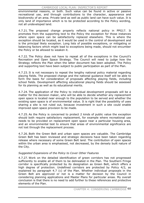environmental reasons, or both. Such value can be found in active or passive recreational use, and through contributions to the character, appearance and biodiversity of an area. Private land as well as public land can have such value. It is only land of importance which is to be protected according to the Policy wording, not all undeveloped land.

4.7.21. The proposed change properly reflects national policy in PPG17. It promotes from the supporting text to the Policy the exception for those instances where open space can be satisfactorily replaced elsewhere. This is where the exception should be located, as it would be used in the control of development and is the principal likely exception. Long lists of possible exceptions, or mitigating or balancing factors which might lead to exceptions being made, should not encumber the Policy or be allowed to weaken it.

4.7.22. The Policy does not have to repeat all of the exceptions in the Council's Recreation and Open Space Strategy. The Council will need to judge how the Strategy reflects the Plan when the latter document has been adopted. The Policy and supporting text have been subject to public participation as part of the Plan.

4.7.23. It is not necessary to repeat the lengthy national policy material regarding playing fields. The proposed change and the national guidance itself will be able to form the basis for consideration of proposals affecting playing fields, including school fields. Development affecting educational playing fields should be assessed for its planning as well as its educational merits.

4.7.24. The application of the Policy to individual development proposals will be a matter for the decision maker, who will be able to decide whether any replacement open space is located near enough to the population to be served and whether the existing open space is of environmental value. It is right that the possibility of uses sharing a site is not ruled out, because investment in such a site could enable improved open space provision to be made.

4.7.25. As the Policy is concerned to protect 2 kinds of public value the exception should both require satisfactory replacement, for example where recreational use needs to be provided on replacement open space near a particular housing area, and an environmental test to ensure that areas of environmental significance are not lost through the replacement process.

4.7.26. Both the Green Belt and urban open spaces are valuable. The Cambridge Green Belt has been reviewed and strategic decisions have been taken regarding release where necessary of some Green Belt land. The contribution of open spaces within the urban area is emphasised, not decreased, by the densely built nature of the City.

### *Suggested Expansions of the Policy to Cover Other Features*

4.7.27. Work on the detailed identification of green corridors has not progressed sufficiently to enable all of them to be delineated in the Plan. The Southern Fringe corridor is specifically protected by its designation as Green Belt, which offers a high degree of protection. Undefined corridors are protected by Policy 4/2, as explained by paragraph 4.7 (c) of the Plan. Whether individual proposals in the Green Belt are approved or not is a matter for decision by the Council in considering planning applications and Master Plans for particular areas. My overall conclusion is that there is no need to add further to these references and protective elements of the Plan.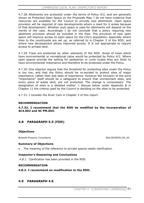4.7.28. Allotments are protected under the terms of Policy 4/2, and are generally shown as Protected Open Space on the Proposals Map. I do not have evidence that resources are available for the Council to provide new allotments. Open space provision will be required of new developments where a need for it arises because of that development. Whether such space is used for allotments will depend on the merits of the case. Accordingly I do not conclude that a policy requiring new allotment provision should be included in the Plan. The provision of new open space will improve access to open space for the City's population, especially where links to the countryside are set up, as referred to in Chapter 3 of the RDD, and where new development allows improved access. It is not appropriate to require access to private land.

4.7.29. Trees are protected by other elements of the RDD. Areas of trees which have environmental or recreational value would be protected by Policy 4/2. Where open spaces provide the setting for pedestrian or cycle routes they are likely to have environmental importance and therefore to be protected under the Policy.

4.7.30. One objector argues that the threshold for protecting sites under the Policy is too low, and that the Policy should be re-worded to protect sites of major importance, rather than just sites of importance. However the inclusion of the word "importance" itself should be a safeguard to ensure that unimportant sites, and every piece of waste land, are not protected. The change is unnecessary. The designation of sites is a detailed matter. I discuss below under Appendix B in Chapter 11 the criteria used by the Council in deciding on the sites to be protected.

4.7.31. I consider the River Cam in Chapter 3 of this report.

#### **RECOMMENDATION**

**4.7.32. I recommend that the RDD be modified by the incorporation of SC4.002 and SC PM.003.** 

## **4.8 PARAGRAPH 5.5 (FDD)**

#### **Objections**

Bidwells Property Consultants 396/38/DEP01/05\_05

### **Summary of Objections**

The meaning of the reference to private spaces needs clarification.

### **Inspector's Reasoning and Conclusions**

4.8.1. Clarification has been provided in the RDD.

#### **RECOMMENDATION**

**4.8.2. I recommend no modification to the RDD.** 

### **4.9 PARAGRAPH 4.6**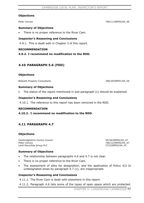### **Objections**

### **Summary of Objections**

There is no proper reference to the River Cam.

### **Inspector's Reasoning and Conclusions**

4.9.1. This is dealt with in Chapter 3 of this report.

### **RECOMMENDATION**

**4.9.2. I recommend no modification to the RDD.** 

## **4.10 PARAGRAPH 5.6 (FDD)**

### **Objections**

Bidwells Property Consultants 396/39/DEP01/05\_06

### **Summary of Objections**

The status of the report mentioned in sub-paragraph  $(c)$  should be explained.

### **Inspector's Reasoning and Conclusions**

4.10.1. The reference to this report has been removed in the RDD.

### **RECOMMENDATION**

### **4.10.2. I recommend no modification to the RDD.**

## **4.11 PARAGRAPH 4.7**

### **Objections**

Cambridgeshire County Council 655/26/DEP02/04\_07 Peter Convey 266/12/DEP02/04\_07 Land Securities Group PLC and Securities Group PLC

#### **Summary of Objections**

- $\bullet$  The relationship between paragraphs 4.6 and 4.7 is not clear.
- There is no proper reference to the River Cam.
- The assessment of sites for designation, and the application of Policy 4/2 to undesignated areas by paragraph 4.7 (c), are inappropriate.

### **Inspector's Reasoning and Conclusions**

4.11.1. The River Cam is dealt with elsewhere in this report.

4.11.2. Paragraph 4.6 lists some of the types of open space which are protected.

#### Peter Convey 266/11/DEP02/04\_06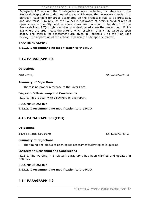Paragraph 4.7 sets out the 3 categories of area protected, by reference to the Proposals Map and to undesignated areas which meet the necessary criteria. It is perfectly reasonable for areas designated on the Proposals Map to be protected, and vice-versa. Similarly, as the Council is not aware of every individual area of open space in the City, and as some areas are too small to be shown on the Proposals Map, 4.7(c) rightly applies to undesignated areas the protection of Policy 4/2 where the area meets the criteria which establish that it has value as open space. The criteria for assessment are given in Appendix B to the Plan (see below). The application of the criteria is basically a site specific matter.

### **RECOMMENDATION**

**4.11.3. I recommend no modification to the RDD.** 

## **4.12 PARAGRAPH 4.8**

### **Objections**

Peter Convey 266/13/DEP02/04\_08

### **Summary of Objections**

There is no proper reference to the River Cam.

### **Inspector's Reasoning and Conclusions**

4.12.1. This is dealt with elsewhere in this report.

#### **RECOMMENDATION**

**4.12.2. I recommend no modification to the RDD.** 

## **4.13 PARAGRAPH 5.8 (FDD)**

### **Objections**

Bidwells Property Consultants 396/40/DEP01/05\_08

#### **Summary of Objections**

The timing and status of open space assessments/strategies is queried.

### **Inspector's Reasoning and Conclusions**

4.13.1. The wording in 2 relevant paragraphs has been clarified and updated in the RDD.

#### **RECOMMENDATION**

**4.13.2. I recommend no modification to the RDD.** 

### **4.14 PARAGRAPH 4.9**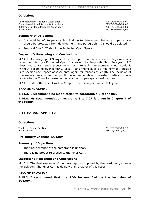### **Objections**

North Newnham Residents Association 678/1/DEP02/04 09 Clerk Maxwell Road Residents Association 795/6/DEP02/04\_09 Bulstrode Gardens Residents Association 796/1/DEP02/04\_09 Penny Heath 832/8/DEP02/04\_09

#### **Summary of Objections**

- It should be left to paragraph 4.7 alone to determine whether an open space should be protected from development, and paragraph 4.9 should be deleted.
- Proposal Site 7.07 should be Protected Open Space.

### **Inspector's Reasoning and Conclusions**

4.14.1. As paragraph 4.9 says, the Open Space and Recreation Strategy assesses sites identified (as Protected Open Space) on the Proposals Map. Paragraph 4.7 does not contain such assessments, or criteria for assessment – nor could it without becoming over-lengthy. Local Plans themselves do not normally include site specific open space assessments, again for reasons of length. The inclusion of the assessments in another public document enables interested parties to have access to the Council's reasoning in relation to open space designations.

4.14.2. Site 7.07 is dealt with in Chapter 7 of this report, under Policy 7/6.

#### **RECOMMENDATION**

### **4.14.3. I recommend no modification to paragraph 4.9 of the RDD.**

### **4.14.4. My recommendation regarding Site 7.07 is given in Chapter 7 of the report.**

### **4.15 PARAGRAPH 4.10**

#### **Objections**

The Perse School For Boys 754/6/DEP02/04\_10

766/14/DEP02/04\_10

### **Pre-Inquiry Changes: SC4.004**

#### **Summary of Objections**

- The final sentence of the paragraph is unclear.
- There is no proper reference to the River Cam.

#### **Inspector's Reasoning and Conclusions**

4.15.1. The final sentence of the paragraph is proposed by the pre-inquiry change for deletion. The River Cam is dealt with in Chapter of this report.

#### **RECOMMENDATION**

**4.15.2. I recommend that the RDD be modified by the inclusion of SC4.004.**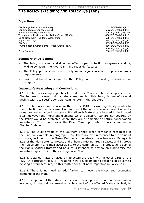# **4.16 POLICY 3/16 (FDD) AND POLICY 4/3 (RDD)**

### **Objections**

Cambridge Preservation Society 26/18/DEP01/03\_P16 Cambridgeshire County Council 55/25/DEP01/03\_P16 Bidwells Property Consultants **396/20/DEP01/03\_P16** Trumpington Environmental Action Group (TEAG) 460/9/DEP01/03\_P16 North Newnham Residents Association 678/8/DEP01/03\_P16 English Heritage 338/16/DEP02/04 P03 GO-East 383/4/DEP02/04\_P03 Trumpington Environmental Action Group (TEAG) 460/8/DEP02/04\_P03

 460/33/DEP02/04\_P03 Peter Convey **266/5/DEP02/04\_P03** 

### **Summary of Objections**

- The Policy is unclear and does not offer proper protection for green corridors, wildlife corridors, the River Cam, and roadside features.
- The Policy protects features of only minor significance and imposes onerous requirements.
- x Various detailed additions to the Policy and reasoned justification are suggested.

### **Inspector's Reasoning and Conclusions**

4.16.1. The Policy is appropriately located in the Chapter. The earlier parts of the Chapter are concerned with strategic matters but this Policy is one of several dealing with site specific controls, coming later in the Chapter.

4.16.2. The Policy has been re-written in the RDD. Its wording clearly relates to the protection and enhancement of features of the landscape which are of amenity or nature conservation importance. Not all such features are located in designated sites. However the important elements which objectors fear are not covered by the Policy would be protected where they are of amenity or nature conservation importance. This would cover the River Cam, upon which I also comment in Chapter 3 above.

4.16.3. The wildlife value of the Southern Fringe green corridor is recognised in the Plan, for example in paragraph 9.24. There are also references to the value of corridors, included in the Green Belt, which penetrate the urban area. Paragraph 2.11 of the Plan seeks to protect and enhance existing green spaces, and improve their biodiversity and their accessibility to the community. This objective is part of the Plan's Spatial Strategy and as such is intended to bestow on biodiversity the importance given to it in the existing Local Plan.

4.16.4. Detailed matters raised by objectors are dealt with in other parts of the RDD. In particular Policy 3/4 requires new development to respond positively to existing historic features, so this matter does not need repetition in Policy 4/3.

4.16.5. There is no need to add further to these references and protective elements of the Plan.

4.16.6. Mitigation of the adverse effects of a development on nature conservation interests, through reinstatement or replacement of the affected feature, is likely to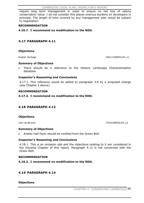require long term management in order to ensure no net loss of nature conservation value. I do not consider this places onerous burdens on developers in principle. The length of time covered by any management plan would be subject to negotiation.

### **RECOMMENDATION**

**4.16.7. I recommend no modification to the RDD.** 

## **4.17 PARAGRAPH 4.11**

### **Objections**

English Heritage 338/17/DEP02/04 11

### **Summary of Objections**

x There should be a reference to the Historic Landscape Characterisation database.

### **Inspector's Reasoning and Conclusions**

4.17.1. This reference would be added to paragraph 3.8 by a proposed change (see Chapter 3 above).

### **RECOMMENDATION**

**4.17.2. I recommend no modification to the RDD.** 

## **4.18 PARAGRAPH 4.12**

### **Objections**

John de Bruyne 770/4/DEP02/04\_12

#### **Summary of Objections**

Anstey Hall Farm should be omitted from the Green Belt.

#### **Inspector's Reasoning and Conclusions**

4.18.1. This is an omission site and the objections relating to it are considered in the Housing Chapter of this report. Paragraph 4.12 is not concerned with the Green Belt.

#### **RECOMMENDATION**

**4.18.2. I recommend no modification to the RDD.** 

### **4.19 PARAGRAPH 4.14**

#### **Objections**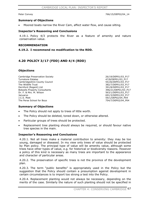Peter Convey 266/15/DEP02/04 14

#### **Summary of Objections**

Moored boats narrow the River Cam, affect water flow, and cause silting.

#### **Inspector's Reasoning and Conclusions**

4.19.1. Policy 4/3 protects the River as a feature of amenity and nature conservation value.

#### **RECOMMENDATION**

**4.19.2. I recommend no modification to the RDD.** 

## **4.20 POLICY 3/17 (FDD) AND 4/4 (RDD)**

#### **Objections**

Cambridge Preservation Society 26/19/DEP01/03\_P17 Turnstone Estates 1999 12 and 1999 12 and 1999 12 and 1999 12 and 1999 12 and 1999 12 and 1999 12 and 1999 12 Cambridgeshire County Council 55/26/DEP01/03\_P17 The Wildlife Trust 382/7/DEP01/03\_P17 Dernford (Regent) Ltd 391/8/DEP01/03\_P17 Bidwells Property Consultants 396/21/DEP01/03 P17 Dr. F. & Mrs. M. Wilson 563/1/DEP01/03\_P17 Januarys 691/3/DEP01/03\_P17 J.C.S. Mott 59/1/DEP02/04\_P04 The Perse School for Boys

#### **Summary of Objections**

- The Policy should not apply to trees of little worth.
- The Policy should be deleted, toned down, or otherwise altered.
- Particular groups of trees should be protected.
- x Replacement tree planting should always be required, or should favour native tree species in the main.

#### **Inspector's Reasoning and Conclusions**

4.20.1. Not all trees make a material contribution to amenity: they may be too young, damaged or diseased. In my view only trees of value should be protected by Plan policy. The principal type of value will be amenity value, although some trees have other types of value, e.g. for historical or biodiversity reasons. However a policy of this kind is necessary as many trees are important to the appearance and character of particular areas.

4.20.2. The preservation of specific trees is not the province of the development plan.

4.20.3. The term "public benefits" is appropriately used in the Policy but the suggestion that the Policy should contain a presumption against development in certain circumstances is to import too strong a test into the Policy.

4.20.4. Replacement planting would not always be necessary, depending on the merits of the case. Similarly the nature of such planting should not be specified in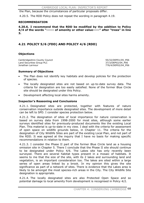the Plan, because the circumstances of particular proposals differ.

4.20.5. The RDD Policy does not repeat the wording in paragraph 4.19.

#### **RECOMMENDATION**

**4.20.6. I recommend that the RDD be modified by the addition to Policy 4/4 of the words "------ of amenity or other value-----" after "trees" in line 3.**

## **4.21 POLICY 5/6 (FDD) AND POLICY 4/6 (RDD)**

### **Objections**

Cambridgeshire County Council 65/32/DEP01/05 P06 Land Securities Group PLC 37/3/DEP02/04 P06 Jonathan Larmour 1999 and 1999 and 1999 and 1999 and 1999 and 1999 and 1999 and 1999 and 1999 and 1999 and 199

### **Summary of Objections**

- The Plan does not identify key habitats and develop policies for the protection of species.
- The locally designated sites are not based on up-to-date survey data. The criteria for designation are too easily satisfied. None of the former Blue Circle site should be designated under this Policy.
- Development affecting local sites harms amenity.

### **Inspector's Reasoning and Conclusions**

4.21.1. Designated sites are protected, together with features of nature conservation importance outside designated sites. The development of more detail can be left to SPD. I consider species protection below.

4.21.2. The designation of sites of local importance for nature conservation is based on survey data from 1998-2000 for most sites, although some earlier surveys identified sites for previously-produced documents like the existing Local Plan. This material is up-to-date in my view. I deal with the criteria for assessment of open space on wildlife grounds below, in Chapter 11. The criteria for the designation of City Wildlife Sites are part of the existing Local Plan, and not part of the RDD. It was agreed at the inquiry that I have no basis for making specific recommendations in relation to them.

4.21.3. I consider the Phase II part of the former Blue Circle land as a housing omission site in Chapter 5. There I conclude that the Phase II site should continue to be designated under Policy 4/6. The Lakes site has only recently been surveyed. There are several habitat types present in a mosaic of habitats. It seems to me that the size of the site, with its 2 lakes and surrounding land and vegetation, is an important consideration too. The lakes are sited within a large series of open areas linked by a brook. In my opinion this gives the site significance as part of a network of sites. There is evidence that the Lakes area is likely to be amongst the most species-rich areas in the City. The City Wildlife Site designation is appropriate.

4.21.4. The locally designated sites are also Protected Open Space and so potential damage to local amenity from development is recognised in Policy 4/2.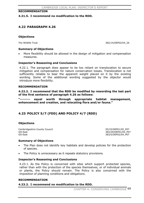#### **RECOMMENDATION**

**4.21.5. I recommend no modification to the RDD.** 

# **4.22 PARAGRAPH 4.26**

## **Objections**

The Wildlife Trust 382/14/DEP02/04 26

## **Summary of Objections**

More flexibility should be allowed in the design of mitigation and compensation measures.

## **Inspector's Reasoning and Conclusions**

4.22.1. The paragraph does appear to be too reliant on translocation to secure mitigation and compensation for nature conservation losses. Translocation is not sufficiently reliable to bear the apparent weight placed on it by the existing wording. Some of the additional wording suggested by the objector would introduce more flexibility.

## **RECOMMENDATION**

**4.22.2. I recommend that the RDD be modified by rewording the last part of the first sentence of paragraph 4.26 as follows:** 

**"-------- equal worth through appropriate habitat management, enhancement and creation, and relocating flora and/or fauna."** 

# **4.23 POLICY 5/7 (FDD) AND POLICY 4/7 (RDD)**

#### **Objections**

Cambridgeshire County Council 600 and the county Council 55/33/DEP01/05 P07 GO-East 383/29/DEP01/05\_P07 GO-East 383/5/DEP02/04\_P07

#### **Summary of Objections**

- The Plan does not identify key habitats and develop policies for the protection of species.
- The Policy is unnecessary as it repeats statutory provisions.

#### **Inspector's Reasoning and Conclusions**

4.23.1. As the Policy is concerned with sites which support protected species, rather than with the protection of the species themselves, or of individual animals or plants, the Policy should remain. The Policy is also concerned with the imposition of planning conditions and obligations.

#### **RECOMMENDATION**

#### **4.23.2. I recommend no modification to the RDD.**

CHAPTER 4: CONSERVING CAMBRIDGE 69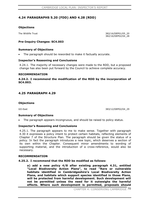# **4.24 PARAGRAPHS 5.20 (FDD) AND 4.28 (RDD)**

## **Objections**

The Wildlife Trust 382/16/DEP01/05\_20 382/16/DEP02/04\_28

## **Pre-Inquiry Changes: SC4.003**

#### **Summary of Objections**

The paragraph should be reworded to make it factually accurate.

#### **Inspector's Reasoning and Conclusions**

4.24.1. The majority of necessary changes were made to the RDD, but a proposed change has also been put forward by the Council to achieve complete accuracy.

#### **RECOMMENDATION**

**4.24.2. I recommend the modification of the RDD by the incorporation of SC4.003.**

## **4.25 PARAGRAPH 4.29**

#### **Objections**

GO-East 383/12/DEP02/04\_29

#### **Summary of Objections**

The paragraph appears incongruous, and should be raised to policy status.

#### **Inspector's Reasoning and Conclusions**

4.25.1. The paragraph appears to me to make sense. Together with paragraph 4.30 it expresses a policy intent to protect certain habitats, reflecting elements of Chapter 7 of the Structure Plan. The paragraph should be given the status of a policy. In fact the paragraph introduces a new topic, which deserves a section of its own within the Chapter. Consequent minor amendments to wording of supporting material, and the introduction of a cross-reference, would also be necessary.

#### **RECOMMENDATION**

#### **4.25.2. I recommend that the RDD be modified as follows:**

**a) add a new policy 4/8 after existing paragraph 4.31, entitled "Local Biodiversity Action Plans", to read "Rare or vulnerable habitats identified in Cambridgeshire's Local Biodiversity Action Plans, and habitats which support species identified in those Plans, will be protected from harmful development. Such development will not be permitted unless the need for it outweighs the harmful effects. Where such development is permitted, proposals should**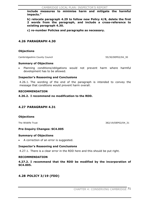**include measures to minimise harm and mitigate the harmful impacts."**

**b) relocate paragraph 4.29 to follow new Policy 4/8, delete the first 2 words from the paragraph, and include a cross-reference to existing paragraph 4.30.** 

**c) re-number Policies and paragraphs as necessary.** 

# **4.26 PARAGRAPH 4.30**

## **Objections**

Cambridgeshire County Council 65/30/DEP02/04 30

#### **Summary of Objections**

Planning conditions/obligations would not prevent harm where harmful development has to be allowed.

#### **Inspector's Reasoning and Conclusions**

4.26.1. The wording of the end of the paragraph is intended to convey the message that conditions would prevent harm overall.

#### **RECOMMENDATION**

## **4.26.2. I recommend no modification to the RDD.**

# **4.27 PARAGRAPH 4.31**

#### **Objections**

The Wildlife Trust 382/19/DEP02/04 31

#### **Pre-Inquiry Changes: SC4.005**

#### **Summary of Objections**

• A correction of an error is suggested.

#### **Inspector's Reasoning and Conclusions**

4.27.1. There is a clear error in the RDD here and this should be put right.

#### **RECOMMENDATION**

**4.27.2. I recommend that the RDD be modified by the incorporation of SC4.005.**

# **4.28 POLICY 3/19 (FDD)**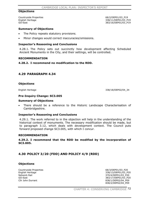#### **Objections**

Countryside Properties **68/2/DEP01/03\_P19** 

English Heritage 338/11/DEP01/03\_P19<br>
GO-East 383/16/DEP01/03 P19 383/16/DEP01/03 P19

#### **Summary of Objections**

- The Policy repeats statutory provisions.
- Minor changes would correct inaccuracies/omissions.

## **Inspector's Reasoning and Conclusions**

4.28.1. The Policy sets out succinctly how development affecting Scheduled Ancient Monuments in the City, and their settings, will be controlled.

#### **RECOMMENDATION**

## **4.28.2. I recommend no modification to the RDD.**

# **4.29 PARAGRAPH 4.34**

## **Objections**

English Heritage 338/18/DEP02/04 34

#### **Pre-Inquiry Change: SC3.005**

#### **Summary of Objections**

There should be a reference to the Historic Landscape Characterisation of Cambridgeshire.

#### **Inspector's Reasoning and Conclusions**

4.29.1. The work referred to in the objection will help in the understanding of the historical context of monuments. The necessary modification should be made, but to paragraph 3.12, which deals with development context. The Council puts forward proposed change SC3.005, with which I concur.

#### **RECOMMENDATION**

**4.29.2. I recommend that the RDD be modified by the incorporation of SC3.005.**

# **4.30 POLICY 3/20 (FDD) AND POLICY 4/9 (RDD)**

#### **Objections**

Countryside Properties 68/3/DEP01/03\_P20 Network Rail 370/4/DEP01/03\_P20 Cllr John Durrant 838/1/DEP02/04\_P09

English Heritage 338/13/DEP01/03\_P20 GO-East 383/17/DEP01/03\_P20 838/2/DEP02/04\_P09

CHAPTER 4: CONSERVING CAMBRIDGE 72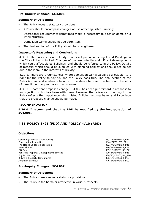## **Pre-Inquiry Changes: SC4.006**

## **Summary of Objections**

- The Policy repeats statutory provisions.
- x A Policy should encompass changes of use affecting Listed Buildings.
- x Operational requirements sometimes make it necessary to alter or demolish a listed structure.
- Demolition works should not be permitted.
- The final section of the Policy should be strengthened.

## **Inspector's Reasoning and Conclusions**

4.30.1. The Policy sets out clearly how development affecting Listed Buildings in the City will be controlled. Changes of use are potentially significant developments which could affect Listed Buildings, and should be referred to in the Policy. Details of material which should be supplied with planning applications should not be set out in the Plan, in the interests of brevity.

4.30.2. There are circumstances where demolition works would be allowable. It is right for the Policy to say so, and the Policy does this. The final section of the Policy is clear and enables a balance to be struck between the harm and benefits of demolition in appropriate circumstances.

4.30.3. I note that proposed change SC4.006 has been put forward in response to an objection which has been withdrawn. However the reference to setting in the Policy reflects the importance which Listed Building settings have, and I conclude that the proposed change should be made.

#### **RECOMMENDATION**

**4.30.4. I recommend that the RDD be modified by the incorporation of SC4.006.**

# **4.31 POLICY 3/21 (FDD) AND POLICY 4/10 (RDD)**

## **Objections**

Cambridge Preservation Society 26/20/DEP01/03\_P21 Countryside Properties **68/4/DEP01/03\_P21** The House Builders Federation 362/7/DEP01/03\_P21 Network Rail 370/5/DEP01/03\_P21 GO-East 383/18/DEP01/03\_P21 Ventress Property Developments Limited 690/3/DEP01/03\_P21 English Heritage 338/20/DEP02/04 P10 Bidwells Property Consultants<br>1996/1/DEP02/04\_P10 396/1/DEP02/04\_P10<br>276/5/DEP02/04\_P10

776/5/DEP02/04 P10

## **Pre-Inquiry Changes: SC4.007**

#### **Summary of Objections**

- The Policy merely repeats statutory provisions.
- The Policy is too harsh or restrictive in various respects.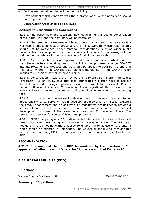- Further matters should be included in the Policy.
- Development which contrasts with the character of a Conservation Area should not be permitted.
- Conservation Areas should be reviewed.

#### **Inspector's Reasoning and Conclusions**

4.31.1. The Policy sets out succinctly how development affecting Conservation Areas in the City, and their settings, will be controlled.

4.31.2. The retention of features which contribute to character or appearance is a worthwhile objective in such areas and the Policy wording which requires this should not be weakened. Other material considerations, such as wider public benefits from development, or the necessary locations for accesses, will be weighed in the balance in the consideration of individual proposals.

4.31.3. As it is the character or appearance of a Conservation Area which matters, both these factors should appear in the Policy, as proposed change SC4.007 intends. However the proposed change should be applied to both parts a and b of the Policy, where in the RDD character alone is mentioned. In the RDD the Policy applies to extensions as well as new buildings.

4.31.4. Conservation Areas are a key part of Cambridge's historic importance. Paragraph 4.18 of PPG15 says that local authorities will often need to ask for detailed plans and drawings of proposed new development. In my view the Policy's bar on outline applications in Conservation Areas is justified. Its inclusion in the Policy is likely to be more useful to applicants than its relocation to supporting text.

4.31.5. It is not always necessary for development to preserve the character or appearance of a Conservation Area: development may also, or instead, enhance the area. Enhancement can be achieved by imaginative designs which provide a successful contrast with their context, and this can be seen in the historical development of some of the areas which are now Conservation Areas. The reference to "successful contrast" is not inappropriate.

4.31.6. PPG15, at paragraph 2.9, indicates that plans should set out authorities' broad criteria for designating and reviewing Conservation Areas. The RDD does not do this. I do not have the evidence to enable me to advise on the criteria which should be adopted in Cambridge. The Council might like to consider this matter when preparing DPDs. The review of particular areas is not a matter for the RDD.

#### **RECOMMENDATION**

**4.31.7. I recommend that the RDD be modified by the insertion of "or appearance" after the word "character" in parts a and b of Policy 4/10.** 

# **4.32 PARAGRAPH 3.72 (FDD)**

#### **Objections**

Ventress Property Developments Limited 690/1/DEP01/03\_72

#### **Summary of Objections**

CHAPTER 4: CONSERVING CAMBRIDGE 74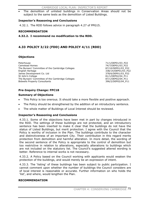The demolition of unlisted buildings in Conservation Areas should not be subject to the same tests as the demolition of Listed Buildings.

## **Inspector's Reasoning and Conclusions**

4.32.1. The RDD follows advice in paragraph 4.27 of PPG15.

## **RECOMMENDATION**

**4.32.2. I recommend no modification to the RDD.** 

# **4.33 POLICY 3/22 (FDD) AND POLICY 4/11 (RDD)**

# **Objections**

Peterhouse 71/1/DEP01/03\_P22 Camstead Homes 74/7/DEP01/03\_P22 The Bursars' Committee of the Cambridge Colleges and the Sample Bourge 87/10/DEP01/03 P22 English Heritage 338/14/DEP01/03\_P22 James Development Co. Ltd 378/6/DEP01/03\_P22 St John's College 81/1/DEP02/04\_P11<br>The Bursars' Committee of the Cambridge Colleges 81/1/DEP02/04 P11 The Bursars' Committee of the Cambridge Colleges Bidwells Property Consultants **396/2/DEP02/04** P11

# **Pre-Inquiry Change: FPC18**

## **Summary of Objections**

- This Policy is too onerous. It should take a more flexible and positive approach.
- The Policy should be strengthened by the addition of an introductory sentence.
- The whole matter of Buildings of Local Interest should be reviewed.

## **Inspector's Reasoning and Conclusions**

4.33.1. Some of the objections have been met in part by changes introduced in the RDD. The settings of these buildings are not protected, and an introductory sentence has been inserted to make it clear that the buildings do not have the status of Listed Buildings, but merit protection. I agree with the Council that the Policy is worthy of inclusion in the Plan. The buildings contribute to the character and distinctiveness of an important City. Their contribution in this regard merits protection from demolition and harmful alteration. In more detail, the wording of the second sentence of the Policy is appropriate to the control of demolition but too restrictive in relation to alterations, especially alterations to buildings which are not included on the statutory list. The Council's suggested altered wording is better. Reference to internal works is not necessary.

4.33.2. A Policy based on the Council working with applicants would weaken the protection of the buildings, and would merely be an expression of intent.

4.33.3. The 'listing' of these buildings has been subject to public participation. I cannot comment upon whether the number of buildings the Council considers are of local interest is reasonable or accurate. Further information on who holds the 'list', and where, would lengthen the Plan.

## **RECOMMENDATION**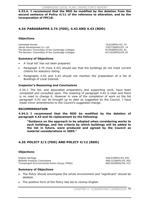**4.33.4. I recommend that the RDD be modified by the deletion from the second sentence of Policy 4/11 of the reference to alteration, and by the incorporation of FPC18.** 

# **4.34 PARAGRAPHS 3.74 (FDD), 4.42 AND 4.43 (RDD)**

#### **Objections**

Camstead Homes 74/6/DEP01/03\_74 James Development Co. Ltd 378/7/DEP01/03\_74 The Bursars' Committee of the Cambridge Colleges and the State 87/9/DEP02/04 42 The Bursars' Committee of the Cambridge Colleges 87/10/DEP02/04\_43

## **Summary of Objections**

- x A 'local list' has not been prepared.
- Paragraph 3.74 (now 4.42) should say that the buildings do not meet current criteria for statutory listing.
- Paragraphs 4.42 and 4.43 should not mention the preparation of a list of Buildings of Local Interest.

#### **Inspector's Reasoning and Conclusions**

4.34.1. The list, and associated preparatory and supporting work, have been completed and consulted upon. The meaning of paragraph 4.42 is clear and there is no need to change it. However in view of the completion of work on the list paragraph 4.43 can be brought up to date as suggested by the Council. I have made minor amendments to the Council's suggested change.

#### **RECOMMENDATION**

**4.34.2. I recommend that the RDD be modified by the deletion of paragraph 4.43 and its replacement by the following:** 

**"Guidance on the approach to be adopted when considering works to such buildings, and the criteria by which buildings will be added to the list in future, were produced and agreed by the Council as material considerations in 2005."** 

# **4.35 POLICY 3/2 (FDD) AND POLICY 4/12 (RDD)**

#### **Objections**

English Heritage 338/3/DEP01/03\_P02 Bidwells Property Consultants 396/12/DEP01/03\_P02 Trumpington Environmental Action Group (TEAG) 460/34/DEP02/04\_P12

#### **Summary of Objections**

- The Policy should encompass the whole environment and "significant" should be deleted.
- The positive form of the Policy has led to clumsy English.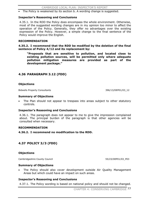The Policy is weakened by its section b. A wording change is suggested.

## **Inspector's Reasoning and Conclusions**

4.35.1. In the RDD the Policy does encompass the whole environment. Otherwise, most of the suggested wording changes are in my opinion too minor to affect the operation of the Policy. Generally, they offer no advantages over the existing expression of the Policy. However, a simple change to the final sentence of the Policy would improve the English.

#### **RECOMMENDATION**

**4.35.2. I recommend that the RDD be modified by the deletion of the final sentence of Policy 4/12 and its replacement by:** 

**"Proposals that are sensitive to pollution, and located close to existing pollution sources, will be permitted only where adequate pollution mitigation measures are provided as part of the development package."** 

# **4.36 PARAGRAPH 3.12 (FDD)**

## **Objections**

Bidwells Property Consultants **396/13/DEP01/03\_12** 

#### **Summary of Objections**

The Plan should not appear to trespass into areas subject to other statutory controls.

#### **Inspector's Reasoning and Conclusions**

4.36.1. The paragraph does not appear to me to give the impression complained about. The principal burden of the paragraph is that other agencies will be consulted when necessary.

#### **RECOMMENDATION**

#### **4.36.2. I recommend no modification to the RDD.**

# **4.37 POLICY 3/3 (FDD)**

#### **Objections**

Cambridgeshire County Council 55/23/DEP01/03\_P03

#### **Summary of Objections**

The Policy should also cover development outside Air Quality Management Areas but which could have an impact on such areas.

## **Inspector's Reasoning and Conclusions**

4.37.1. The Policy wording is based on national policy and should not be changed.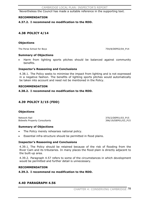Nevertheless the Council has made a suitable reference in the supporting text.

#### **RECOMMENDATION**

## **4.37.2. I recommend no modification to the RDD.**

# **4.38 POLICY 4/14**

## **Objections**

The Perse School for Boys 754/8/DEP02/04\_P14

#### **Summary of Objections**

Harm from lighting sports pitches should be balanced against community benefits.

#### **Inspector's Reasoning and Conclusions**

4.38.1. The Policy seeks to minimise the impact from lighting and is not expressed in a negative fashion. The benefits of lighting sports pitches would automatically be taken into account and need not be mentioned in the Policy.

#### **RECOMMENDATION**

## **4.38.2. I recommend no modification to the RDD.**

# **4.39 POLICY 3/15 (FDD)**

## **Objections**

Network Rail 370/2/DEP01/03\_P15<br>Bidwells Property Consultants and the set of the set of the set of the set of the set of the set of the set of Bidwells Property Consultants

## **Summary of Objections**

- The Policy merely rehearses national policy.
- Essential infra-structure should be permitted in flood plains.

## **Inspector's Reasoning and Conclusions**

4.39.1. The Policy should be retained because of the risk of flooding from the River Cam and its tributaries. In many places the flood plain is directly adjacent to the built-up area.

4.39.2. Paragraph 4.57 refers to some of the circumstances in which development would be permitted and further detail is unnecessary.

#### **RECOMMENDATION**

**4.39.3. I recommend no modification to the RDD.** 

## **4.40 PARAGRAPH 4.56**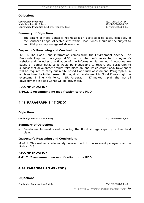## **Objections**

Countryside Properties 68/3/DEP02/04\_56 Addenbrooke's NHS Trust 399/4/DEP02/04\_56 Countryside Properties & Liberty Property Trust 837/3/DEP02/04\_56

#### **Summary of Objections**

The extent of Flood Zones is not reliable on a site specific basis, especially in the Southern Fringe. Allocated sites within Flood Zones should not be subject to an initial presumption against development.

## **Inspector's Reasoning and Conclusions**

4.40.1. The Flood Zone information comes from the Environment Agency. The Proposals Map and paragraph 4.56 both contain references to the Agency's website and no other qualification of the information is needed. Allocations are based on earlier data, so it would be inadvisable to reword the paragraph to suggest that development might take place on land which could flood. Developers will be required to carry out a site based Flood Risk Assessment. Paragraph 4.56 explains how the initial presumption against development in Flood Zones might be overcome, in line with Policy 4.15. Paragraph 4.57 makes it plain that not all development in Flood Zones will be prevented.

#### **RECOMMENDATION**

**4.40.2. I recommend no modification to the RDD.** 

# **4.41 PARAGRAPH 3.47 (FDD)**

## **Objections**

Cambridge Preservation Society 26/16/DEP01/03 47

#### **Summary of Objections**

Developments must avoid reducing the flood storage capacity of the flood plain.

#### **Inspector's Reasoning and Conclusions**

4.41.1. This matter is adequately covered both in the relevant paragraph and in Policy 4/15.

#### **RECOMMENDATION**

**4.41.2. I recommend no modification to the RDD.** 

# **4.42 PARAGRAPH 3.49 (FDD)**

#### **Objections**

Cambridge Preservation Society 26/17/DEP01/03\_49

CHAPTER 4: CONSERVING CAMBRIDGE 79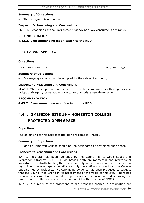## **Summary of Objections**

The paragraph is redundant.

## **Inspector's Reasoning and Conclusions**

4.42.1. Recognition of the Environment Agency as a key consultee is desirable.

#### **RECOMMENDATION**

**4.42.2. I recommend no modification to the RDD.** 

# **4.43 PARAGRAPH 4.62**

## **Objections**

The Bell Educational Trust 83/3/DEP02/04\_62

## **Summary of Objections**

Drainage systems should be adopted by the relevant authority.

## **Inspector's Reasoning and Conclusions**

4.43.1. The development plan cannot force water companies or other agencies to adopt drainage systems put in place to accommodate new developments.

## **RECOMMENDATION**

**4.43.2. I recommend no modification to the RDD.** 

# **4.44. OMISSION SITE 19 – HOMERTON COLLEGE,**

# **PROTECTED OPEN SPACE**

## **Objections**

The objections to this aspect of the plan are listed in Annex 3.

#### **Summary of Objections**

• Land at Homerton College should not be designated as protected open space.

## **Inspector's Reasoning and Conclusions**

4.44.1. This site has been identified by the Council in its Open Space and Recreation Strategy (CD 5.4.1) as having both environmental and recreational importance. Notwithstanding that there are only limited public views of the site, in my opinion the open space benefits not only the staff and students at the College but also nearby residents. No convincing evidence has been produced to suggest that the Council was wrong in its assessment of the value of this site. There has been no assessment of the need for open space in this location, and removing the protection from the site would therefore conflict with the aims of PPG17.

4.44.2. A number of the objections to the proposed change in designation are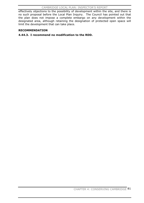#### CAMBRIDGE LOCAL PLAN: INSPECTOR'S REPORT

effectively objections to the possibility of development within the site, and there is no such proposal before the Local Plan Inquiry. The Council has pointed out that the plan does not impose a complete embargo on any development within the designated area, although retaining the designation of protected open space will limit the development that can take place.

## **RECOMMENDATION**

## **4.44.3. I recommend no modification to the RDD.**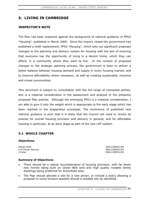# **5. LIVING IN CAMBRIDGE**

# **INSPECTOR'S NOTE**

The Plan has been prepared against the background of national guidance in PPG3 "Housing", published in March 2000. Since the Inquiry closed the government has published a draft replacement, PPS3 "Housing", which sets out significant proposed changes to the planning and delivery system for housing with the aim of ensuring that everyone has the opportunity of living in a decent home, which they can afford, in a community where they want to live. In the context of proposed changes to the strategic planning process, the government is keen to deliver a better balance between housing demand and supply in every housing market, and to improve affordability where necessary, as well as creating sustainable, inclusive and mixed communities.

This document is subject to consultation with the full range of interested parties, and is a material consideration in the assessment and analysis of the presently proposed Plan policies. Although the emerging PPS3 is a material consideration, I am able to give it only the weight which is appropriate to the early stage which has been reached in the preparation processes. The imminence of published new national guidance is such that it is likely that the Council will need to review its policies for overall housing provision and delivery in general, and for affordable housing in particular, at an early stage as part of the new LDF system.

# **5.1 WHOLE CHAPTER**

## **Objections**

Adrian Kent 330/1/DEP01/04<br>
H M Prison Service 385/1/DEP01/04 J Fuller 558/1/DEP01/04

385/1/DEP01/04

## **Summary of Objections**

- There should be a radical reconsideration of housing provision, with far fewer new homes being built on Green Belt land and high quality liveable family dwellings being preferred for brownfield sites.
- The Plan should allocate a site for a new prison, or include a policy allowing a proposal to come forward speedily should a suitable site be identified.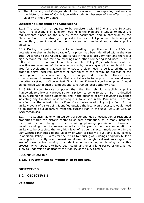The University and Colleges should be prevented from replacing residents in the historic centre of Cambridge with students, because of the effect on the viability of the City Centre.

## **Inspector's Reasoning and Conclusions**

5.1.1. The Local Plan is required to be consistent with RPG 6 and the Structure Plan. The allocations of land for housing in the Plan are intended to meet the requirements placed on the City by these documents, and in particular by the Structure Plan. If the strategy proposed in the first bullet point were to be adopted in the Plan, then it would not be consistent with regional and strategic policy guidance.

5.1.2. During the period of consultation leading to publication of the RDD, no potential site that might be suitable for a prison has been identified within the Plan area. According to the Council, land values in the area are very high and there is a high demand for land for new dwellings and other competing land uses. This is reflected in the requirements of Structure Plan Policy P9/7, which aims at the selective management of the local economy by reserving employment land in the area for development that can demonstrate a clear need to be located there, in order to serve local requirements or contribute to the continuing success of the Sub-Region as a centre of high technology and research. Under these circumstances, it seems unlikely that a suitable site for a prison that would meet the criteria set out in Circular 3/98 "Planning for Future Prison Development" could be identified within such a compact and constrained local authority area.

5.1.3. HM Prison Service proposes that the Plan should establish a policy framework to allow any proposals for a prison to come forward. But no detailed policy wording has been suggested, and in the absence of any convincing evidence indicating any likelihood of identifying a suitable site in the Plan area, I am not satisfied that the inclusion in the Plan of a criteria-based policy is justified. In the unlikely event of a site being identified outside the local Plan process, it would need to be treated as a departure from the current Plan in the usual way, as Circular 3/98 recognises.

5.1.4. The Council has only limited control over changes of occupation of residential properties within the historic centre to student occupation, as in many instances there will be no change of use requiring planning permission. However, notwithstanding that for several months of the year student accommodation is unlikely to be occupied, the very high level of residential accommodation within the City Centre contributes to the viability of what is clearly a busy and lively centre. In addition, Policy 5/3 aims for the return to housing of buildings originally built as housing but currently in a non-residential use. Although local residents regret the loss of town centre housing to student accommodation, in planning terms this process, which appears to have been continuing over a long period of time, is not likely to undermine significantly the viability of the City Centre.

## **RECOMMENDATION**

## **5.1.5. I recommend no modification to the RDD.**

## **OBJECTIVES**

## **5.2 OBJECTIVE 1**

#### **Objections**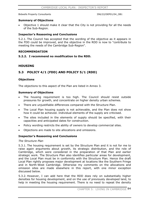Bidwells Property Consultants 1996/22/DEP01/04 OB1

## **Summary of Objections**

Objective 1 should make it clear that the City is not providing for all the needs of the Sub-Region.

## **Inspector's Reasoning and Conclusions**

5.2.1. The Council has accepted that the wording of the objective as it appears in the FDD could be improved, and the objective in the RDD is now to "contribute to meeting the needs of the Cambridge Sub-Region".

## **RECOMMENDATION**

## **5.2.2. I recommend no modification to the RDD.**

## **HOUSING**

# **5.3 POLICY 4/1 (FDD) AND POLICY 5/1 (RDD)**

## **Objections**

The objections to this aspect of the Plan are listed in Annex 3.

#### **Summary of Objections**

- The housing requirement is too high. The Council should resist outside pressures for growth, and concentrate on higher density urban schemes.
- There are unjustifiable differences compared with the Structure Plan.
- The Local Plan housing supply is not achievable, and the Plan does not show how it could be achieved. Individual elements of the supply are criticised.
- The sites included in the elements of supply should be specified, with their capacities and anticipated dates for construction.
- Policy wording restricts the ability of owners to develop commercial sites.
- Objections are made to site allocations and omissions.

## **Inspector's Reasoning and Conclusions**

#### *The Structure Plan*

5.3.1. The housing requirement is set by the Structure Plan and it is not for me to raise again arguments about growth, its strategic distribution, and the role of Cambridge, which were considered in the preparation of that Plan and earlier strategic work. The Structure Plan also identifies particular areas for development, and the Local Plan must be in conformity with the Structure Plan. Hence the draft Local Plan rightly proposes major development at locations like the Southern Fringe and in North-West Cambridge. Otherwise my comments on the allocations and omission sites are made elsewhere in this report, with one minor exception discussed below.

5.3.2. However, I can add here that the RDD does rely on substantially higher densities for housing development, and on the use of previously developed land, to help in meeting the housing requirement. There is no need to repeat the density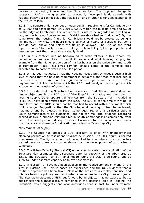policies of national guidance and the Structure Plan. The proposed change to paragraph 3.6(b), giving priority to previously developed land, accords with national policy but cannot delay the release of land in urban extensions identified in the Structure Plan.

5.3.3. The Structure Plan sets out a house building requirement for Cambridge City of 12,500 additional homes 1999-2016, 6,500 within the built-up area and 6,000 on the edge of Cambridge. The requirement is not to be regarded as a ceiling or cap, as the housing figures for each District are described as "indicative". By the same token the housing figure for Cambridge should not be treated as being a minimum. In my view the figure should be met as nearly as possible, but some latitude both above and below the figure is allowed. The use of the word "approximately" to qualify the new dwelling totals in Policy 5/1 is appropriate, and does not suggest that the totals are rigidly fixed.

5.3.4. In this context, and as background to what follows in this report, my recommendations are likely to result in some additional housing supply, for example from the higher proportion of market houses on the University land south of Huntingdon Road. This gives comfort, should some of the complex sites allocated fail to come forward in the Plan period.

5.3.5. It has been suggested that the Housing Needs Survey reveals such a high level of need that the housing requirement is actually higher than that included in the RDD. It seems to me that this argument seeks to go behind the Structure Plan requirement, but it is the latter which the RDD must meet, and not a figure which is based on the inclusion of other data.

5.3.6. I consider that the Structure Plan reference to "additional homes" does not render objectionable the RDD use of "dwellings" in calculating and describing its housing supply. Other apparent differences from the Structure Plan, included in Policy 4/1, have been omitted from the RDD. The RSS is, at the time of writing, in draft form and the RDD should not be modified to accord with a document which could change. Suggestions that the Sub-Regional housing context be reviewed, that more land be released in South Cambridgeshire, or that particular sites in South Cambridgeshire be supported, are not for me. The evidence regarding alleged delays in bringing forward sites in South Cambridgeshire comes only from part of the development industry. It does not allow me to reach reliable conclusions that this is a sound reason for allocating more land in Cambridge City.

## *The Elements of Supply*

5.3.7. The Council has applied a 10% discount to sites with unimplemented planning permission or resolutions to grant permission. The 10% figure is derived from research. The figure should not be applied to sites where construction has started because there is strong evidence that the development of such sites is completed.

5.3.8. The Urban Capacity Study (UCS) undertaken to assist the examination of the Structure Plan estimates the discounted potential capacity of the urban area as 3,671. The Structure Plan EIP Panel Report found the UCS to be sound, and as likely to under-estimate capacity as to over-estimate it.

5.3.9. A discount of 50% has been applied to the redevelopment of many of the sites in existing use. This is based on experience and the UCS suggests that a cautious approach has been taken. Most of the sites are in employment use, and this has been the primary source of urban completions in the City in recent years. The alternative discount of 65% put forward by an objector has no statistical basis, but reflects the highest discount contained in the discount Table in 'Tapping The Potential', which suggests that local authorities tend in fact to under-estimate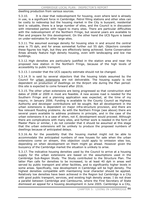dwelling production from various sources.

5.3.10. It is clear that redevelopment for housing, even where land is already in use, is a significant force in Cambridge. Petrol filling stations and other sites can be costly to redevelop but the housing market in the City is buoyant, residential land is valuable, there is a large number of sites, and the Council is in discussion with interested parties with regard to many sites. There are particular difficulties with the redevelopment of the Northern Fringe, but several years are available to Plan and prepare for this development. On the other hand the UCS figure is based on under-estimates for other large sites.

5.3.11. The assumed average density for housing sites in and around the central area is 75 dph, and for areas somewhat further out 55 dph. Objectors consider these figures too high, but they are effectively being achieved. Some Conservation Areas already feature high density housing, even with landscaping and low rise buildings.

5.3.12. High densities are particularly justified in the station area and near the proposed new station in the Northern Fringe, because of the high levels of accessibility to public transport.

5.3.13. I consider that the UCS capacity estimate should not be changed.

5.3.14. It is said by several objectors that the housing totals assumed by the Council for urban extensions are not deliverable. The housing supply is not dependent on production of dwellings on the Airport site during the Plan period: this site is expected to come forward after 2016.

5.3.15. The other urban extensions are being progressed so that construction start dates of 2008 or 2009 in most are feasible. A new access road is needed for the Southern Fringe and a planning application was expected, at the time of my inquiry, in January 2006. Funding is available to the County Council as Highway Authority and developer contributions will be sought. Not all development in the urban extensions is dependent on major infra-structure provision, and there are few relevant flooding problems. As with the Northern Fringe (see above) there are several years available to address problems in principle, and in the case of the urban extensions it is a case of when, not if, development would proceed. Although there are complications with many sites, and further work is needed in the form of Master Plans or similar, I do not consider that it should be assumed at this stage that the urban extensions will be unlikely to produce the proposed numbers of dwellings because of anticipated delays.

5.3.16. As for the possibility that the housing market might not be able to accommodate the anticipated numbers of new houses for sale when the urban extensions come on stream, this objection could apply to omission sites too, depending on when development on them might go ahead. However given the buoyancy of the Cambridge market the situation is unlikely to arise.

5.3.17. The indicative housing densities used by the Council to arrive at a housing supply for the urban extensions are based on the assumptions used in the Cambridge Sub-Region Study. The Study contributed to the Structure Plan. The latter Plan calls for densities to be increased, to at least 40 dph in areas well served by public transport and other facilities, and to significantly higher levels in some areas. Specifically, new development in Cambridge will be high density. The highest densities compatible with maintaining local character should be applied. Relatively low densities have been achieved in the Region but Cambridge is a City with good public transport, services, and existing high density areas. I do not draw a parallel between Cambridge and Cambourne, where the First Secretary of State dismissed an appeal for a housing development in June 2005. Cambridge is a City,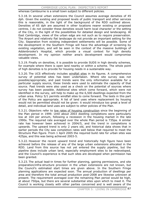whereas Cambourne is a small town subject to different policies.

5.3.18. In several urban extensions the Council assumes average densities of 45 dph. Given the existing and proposed levels of public transport and other services this is reasonable, in the light of the background of the RDD outlined above. Densities of 65 dph are assumed in other locations nearer existing or proposed centres. I do not consider these densities would harm local character or the setting of the City, in the light of the possibilities for detailed design and landscaping. At East Cambridge, views of the urban edge are not such as to require preservation. The Airport and relatively flat landscape do not provide an important setting for the City. Separation from existing independent settlements will be possible. Some of the development in the Southern Fringe will have the advantage of screening by existing vegetation, and will be seen in the context of the massive buildings of Addenbrooke's Hospital, which provide a visual context for high density development. In my opinion neither area's development would compromise valuable views.

5.3.19. Finally on densities, it is possible to provide SUDS in high density schemes, for example where there is open land nearby or within a scheme. The whole point of high densities is to provide for housing needs in a sustainable way.

5.3.20. The UCS effectively includes windfall sites in its figures. A comprehensive survey of potential sites has been undertaken. Where site survey was not possible/appropriate, and past trends were the only information available for a particular supply source, these trends were used to estimate the capacity of that source. Past trends were also used as a check on the potential of sources where survey has been possible. Additional sites which come forward, which were not identified in the survey, will help to make up the 6,500 dwellings expected from the urban area. Policy 5/1 permits windfall sites to come forward. The tests in this part of the Policy are appropriate. A list of land uses where replacement by housing would not be permitted should not be given: it would introduce too great a level of detail, and individual land uses are subject to other policies of the Plan.

5.3.21. Objectors refer to low rates of housing construction since the beginning of the Plan period in 1999. Until about 2003 dwelling completions were particularly low at 164 per annum, following a recession in the housing market in the late 1990s. The required rate averaged over the whole Plan period is 735pa. A similar rate has however been achieved in 2004/5, and the trend in completions is upwards. The upward trend is only 2 years old, and historical data shows that in earlier periods the City saw completion rates well below that required to meet the Structure Plan figure. From 1 April 2005 the required build rate for urban sites was 425pa, and this was being achieved 2003-5.

5.3.22. However the recent upward trend and historically high figure have been achieved before the release of any of the large urban extensions allocated in the RDD. Land from this source has not yet entered the supply pipeline, but the pipeline does include urban land, especially employment sites to be redeveloped, and the Council's experience is that such sites are developed when permission has been granted.

5.3.23. The actual lead-in times for further planning, gaining permissions, and site preparation/infra-structure provision in the urban extensions are not known, but the Council's estimated start times are given above. In the Southern Fringe planning applications are expected soon. The annual production of dwellings per area and therefore the total annual production post-2008 are likewise unknown at present. The requirement averaged over the remaining Plan period would be high, at about 750pa, but there are several substantial sites upon which to meet it. The Council is working closely with other parties concerned and is well aware of the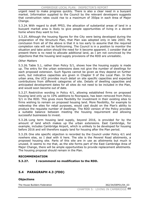urgent need to make progress quickly. There is also a clear need in a buoyant market. Information supplied to the Council by the relevant developers suggests that construction rates could rise to a maximum of 350pa in each Area of Major Change.

5.3.24. With regard to draft PPS3, the allocation of substantial areas of land in a buoyant market area is likely to give people opportunities of living in a decent home where they want to live.

5.3.25. Although the housing figures for the City were being developed during the preparation of the Structure Plan, that Plan was adopted only in late 2003. My conclusion from all of the above is that it is too early to assume that the required completion rate will not be forthcoming. The Council is in a position to monitor the situation and take action should the need for it become apparent. I consider that at present there is no need to allocate additional land, as I am not convinced by the objections that the housing land supply provisions of the RDD are unrealistic.

## *Other Matters*

5.3.26. Table 5.1, rather than Policy 5/1, shows how the housing supply is made up. The entry for the urban extensions does not give the number of dwellings for each proposed extension. Such figures cannot be given as they depend on further work, but indicative capacities are given in Chapter 9 of the Local Plan. In the urban area, the UCS provides much detail on site specific capacities and expected contributions from different categories of site. Details of dwelling capacities and anticipated development dates for all sites do not need to be included in the Plan, and would soon become out of date.

5.3.27. Restrictive wording in Policy 4/1, allowing established firms on proposed housing land only up to 10% additions to floorspace, has been removed from Policy 5/1 in the RDD. This gives more flexibility for investment in their existing sites to firms wishing to remain on proposed housing land. More flexibility, for example to redevelop the sites for retail purposes, would cast doubt on the Plan's ability to produce the requisite number of dwellings. The RDD version of the Policy provides a suitable balance between meeting the housing requirement and allowing successful businesses to invest.

5.3.28. Long term housing land supply, beyond 2016, is provided for by the amount of land which makes up the urban extensions. East Cambridge, for example, includes Cambridge Airport, which is unlikely to be developed for housing before 2016 and will therefore supply land for housing after the Plan period.

5.3.29. One site specific objection is recorded by the Council under Policy 4/1 and nowhere else, so I deal with it here. The site is the Peverel Road allotments, a proposed housing site. Parts of this site are in use as allotments but much is unused. It seems to me that, as the site forms part of the East Cambridge Area of Major Change, there will be ample opportunities to provide replacement allotments. The housing proposal should remain in the Plan.

## **RECOMMENDATION**

**5.3.27. I recommend no modification to the RDD.** 

# **5.4 PARAGRAPH 4.3 (FDD)**

## **Objections**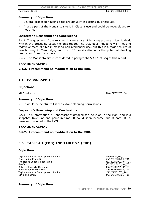Monsanto UK Ltd 392/9/DEP01/04\_03

#### **Summary of Objections**

- Several proposed housing sites are actually in existing business use.
- x A large part of the Monsanto site is in Class B use and could be redeveloped for housing.

## **Inspector's Reasoning and Conclusions**

5.4.1. The question of the existing business use of housing proposal sites is dealt with in the preceding section of this report. The UCS does indeed rely on housing redevelopment of sites in existing non-residential use, but this is a major source of new housing in Cambridge, and the UCS heavily discounts the potential dwelling production from this source.

5.4.2. The Monsanto site is considered in paragraphs 5.40.1 et seq of this report.

#### **RECOMMENDATION**

## **5.4.3. I recommend no modification to the RDD.**

# **5.5 PARAGRAPH 5.4**

#### **Objections**

NIAB and others 34/6/DEP02/05\_04

#### **Summary of Objections**

It would be helpful to list the extant planning permissions.

#### **Inspector's Reasoning and Conclusions**

5.5.1. This information is unnecessarily detailed for inclusion in the Plan, and is a snapshot taken at one point in time. It could soon become out of date. It is, however, included in the UCS.

#### **RECOMMENDATION**

#### **5.5.2. I recommend no modification to the RDD.**

# **5.6 TABLE 4.1 (FDD) AND TABLE 5.1 (RDD)**

#### **Objections**

Taylor Woodrow Developments Limited 2/1/DEP01/04\_T01 Countryside Properties **68/12/DEP01/04** T01 The House Builders Federation 362/33/DEP01/04 T01 GO-East 383/20/DEP01/04 T01 Bidwells Property Consultants **396/24/DEP01/04\_T01** Addenbrooke's NHS Trust 399/4/DEP01/04\_T01 Taylor Woodrow Developments Limited 2/12/DEP02/05 T01 NIAB and others 34/10/DEP02/05 T01

## **Summary of Objections**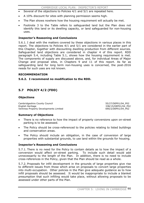- Several of the objections to Policies 4/1 and 5/1 are repeated here.
- A 10% discount for sites with planning permission seems high.
- The Plan shows nowhere how the housing requirement will actually be met.
- Footnote 3 to the Table refers to safeguarded land but the Plan does not identify this land or its dwelling capacity, or land safeguarded for non-housing uses.

## **Inspector's Reasoning and Conclusions**

5.6.1. I deal with the matters covered by these objections in various places in this report. The objections to Policies 4/1 and 5/1 are considered in the earlier part of this Chapter, together with discounting dwelling production from different sources. Safeguarded land objections are considered in chapter 4 of this report. RDD paragraph 5.4, including Table 5.1, shows how the housing requirement is met. The components of supply are discussed above, and, for individual Areas of Major Change and proposal sites, in Chapters 9 and 11 of this report. As far as safeguarding land for long term non-housing uses is concerned, the post-2016 needs for such uses are not known.

## **RECOMMENDATION**

## **5.6.2. I recommend no modification to the RDD.**

# **5.7 POLICY 4/2 (FDD)**

## **Objections**

Cambridgeshire County Council 600 and the county Council 55/27/DEP01/04 P02 English Heritage 338/15/DEP01/04\_P02 Ventress Property Developments Limited 690/2/DEP01/04 P02

## **Summary of Objections**

- There is no reference to how the impact of property conversions upon on-street parking is to be assessed.
- The Policy should be cross-referenced to the policies relating to listed buildings and conservation areas.
- The Policy should include an obligation, in the case of conversion of large properties with substantial grounds, to use land within the grounds for housing.

## **Inspector's Reasoning and Conclusions**

5.7.1. There is no need for the Policy to contain details as to how the impact of a conversion would affect on-street parking. To include such detail would add unnecessarily to the length of the Plan. In addition, there is no need to include cross-references in the Policy, given that the Plan should be read as a whole.

5.7.2. Proposals for infill development in the grounds of large properties give rise to different issues from those which arise on proposals to convert large properties into multi-occupation. Other policies in the Plan give adequate guidance as to how infill proposals should be assessed. It would be inappropriate to include a blanket presumption that such infilling would take place, without allowing proposals to be assessed under other parts of the Plan.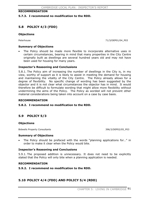## **RECOMMENDATION**

#### **5.7.3. I recommend no modification to the RDD.**

# **5.8 POLICY 4/3 (FDD)**

#### **Objections**

Peterhouse 71/3/DEP01/04\_P03

#### **Summary of Objections**

The Policy should be made more flexible to incorporate alternative uses in certain circumstances, bearing in mind that many properties in the City Centre originally built as dwellings are several hundred years old and may not have been used for housing for many years.

## **Inspector's Reasoning and Conclusions**

5.8.1. The Policy aim of increasing the number of dwellings in the City is, in my view, worthy of support as it is likely to assist in meeting the demand for housing and maintaining the vitality of the City Centre. The Policy already allows for a degree of flexibility. No specific change of wording has been suggested by the objector and it is not clear what circumstances the objector has in mind. It would therefore be difficult to formulate wording that might allow more flexibility without undermining the aims of the Policy. The Policy as worded will not prevent other material considerations being taken into account on a case by case basis.

#### **RECOMMENDATION**

#### **5.8.2. I recommend no modification to the RDD.**

# **5.9 POLICY 5/3**

#### **Objections**

Bidwells Property Consultants **396/3/DEP02/05\_P03** 

#### **Summary of Objections**

The Policy should be prefaced with the words "planning applications for..." in order to make it clear when the Policy would bite.

#### **Inspector's Reasoning and Conclusions**

5.9.1. The proposed addition is unnecessary. It does not need to be explicitly stated that the Policy will only bite when a planning application is needed.

#### **RECOMMENDATION**

#### **5.9.2. I recommend no modification to the RDD.**

# **5.10 POLICY 4/4 (FDD) AND POLICY 5/4 (RDD)**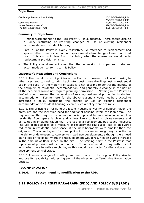#### **Objections**

Cambridge Preservation Society 26/22/DEP01/04\_P04

Camstead Homes 74/9/DEP01/04\_P04 James Development Co. Ltd<br>
The Bell Educational Trust<br>
378/9/DEP02/05 P04 The Bell Educational Trust

26/33/DEP01/04\_P04

#### **Summary of Objections**

- A minor word change to the FDD Policy 4/4 is suggested. There should also be a Policy restricting or resisting changes of use of existing residential accommodation to student housing.
- Part (e) of the Policy is overly restrictive. A reference to replacement bed spaces rather than residential floor space would allow change of use to a mixed use. It is also not clear from the Policy what the alternative would be to replacement provision on site.
- The Policy should make it clear that the conversion of properties to student accommodation conforms to this Policy.

## **Inspector's Reasoning and Conclusions**

5.10.1. The overall thrust of policies of the Plan is to prevent the loss of housing to other uses, and to seek to bring back into housing use dwellings lost to residential use in the past. In the majority of cases it is not possible to control the identity of the occupiers of residential accommodation, and generally a change in the nature of the occupiers would not require planning permission. Nothing in the Policy as drafted would prevent the conversion of existing residential properties to student accommodation. Furthermore, for the above reasons it would not be practical to introduce a policy restricting the change of use of existing residential accommodation to student housing, even if such a policy were desirable.

5.10.2. The principle of resisting the loss of housing is worthy of support, given the pressures and the identified need for additional housing within the Plan area. The requirement that any lost accommodation is replaced by an equivalent amount in residential floor space is clear and is less likely to lead to disagreements and difficulties in implementation than the use of a replacement bed space measure. The use of bed spaces as a measure of replacement could also lead to an overall reduction in residential floor space, if the new bedrooms were smaller than the originals. The advantages of a clear policy in my view outweigh any reduction in the ability of developers to convert to mixed use development, although there need be no loss of flexibility where the redevelopment would result in an overall increase in the amount of floor space on the site. The starting point in the Policy is that replacement provision will be made on site. There is no need for any further detail as to what the alternative might be, as this would be a matter for discussion at the development control stage.

5.10.3. A minor change of wording has been made to the original Policy 4/4 to improve its readability, addressing part of the objection by Cambridge Preservation Society.

#### **RECOMMENDATION**

**5.10.4. I recommend no modification to the RDD.** 

# **5.11 POLICY 4/5 FIRST PARAGRAPH (FDD) AND POLICY 5/5 (RDD)**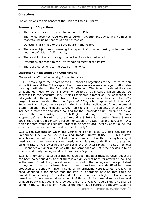## **Objections**

The objections to this aspect of the Plan are listed in Annex 3.

## **Summary of Objections**

- There is insufficient evidence to support the Policy.
- The Policy does not have regard to current government advice in a number of respects, including that of site size threshold.
- Objections are made to the 50% figure in the Policy.
- There are objections concerning the types of affordable housing to be provided and the definition of affordability.
- The viability of what is sought under the Policy is questioned.
- Objections are made to the key worker element of the Policy.
- There are objections to the detail of the Policy.

## **Inspector's Reasoning and Conclusions**

#### *The need for affordable housing in the Plan area*

5.11.1. According to the report of the EIP panel on objections to the Structure Plan all participants at the EIP accepted that there was a severe shortage of affordable housing, particularly in the Cambridge Sub-Region. The Panel considered the scale of identified need to be a matter of strategic significance which should be addressed in the Structure Plan. It also considered a target of 30% or more to be fully justified, although in the absence of a firm basis on which to amend the 30% target it recommended that the figure of 30%, which appeared in the draft Structure Plan, should be reviewed in the light of the publication of the outcome of a Sub-Regional housing needs survey. In the event, the adopted Structure Plan included a target for affordable housing for the Cambridge Sub-Region of 40% or more of the new housing in the Sub-Region. Although the Structure Plan was adopted before publication of the Cambridge Sub-Region Housing Needs Survey 2003, that report did contain a recommendation for a Sub-Regional target of 40%, which it noted would still require targets to be set at local level by each Council "to address the specific scale of local need and supply".

5.11.2. The evidence on which the Council relies for Policy 5/5 also includes the Cambridge City Council 2002 Housing Needs Survey (CD5.2.2). This survey indicates an annual need for 734 affordable homes to clear the existing backlog of need and to meet newly arising need, which is almost identical to the target building rate of 735 dwellings a year set in the Structure Plan. The Sub-Regional HNS identifies a higher annual shortfall for Cambridge of 969 if the backlog is to be cleared and newly arising need addressed over 5 years.

5.11.3. A number of detailed criticisms have been made of these surveys, but there has been no serious dispute that there is a high level of need for affordable housing in the area. In addition, no evidence to contradict the findings of these published surveys or to support a lower level of need than they have identified has been produced to the Inquiry. Even if some of the criticisms were justified, the level of need identified is far higher than the level of affordable housing that could be provided under Policy 5/5 as drafted. It therefore seems highly unlikely that a reworking of the surveys taking account of those criticisms would reduce the level of need below what could be provided under the Policy. Overall the evidence all points in the same direction. None of the information before the Inquiry leads me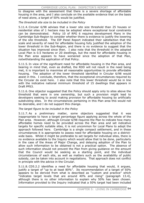to disagree with the assessment that there is a severe shortage of affordable housing in the area, and I also conclude on the available evidence that on the basis of need alone, a target of 50% would be justified.

*The threshold site size to be included in the Policy* 

5.11.4. Circular 6/98 advises that a lower site size threshold than 25 houses or residential sites of 1 hectare may be adopted where exceptional local constraints can be demonstrated. Policy 10 of RPG 6 requires development Plans in the Cambridge Sub-Region to consider whether there is evidence to justify the lowering of the site threshold. The EIP Panel Report indicated their satisfaction that the scale and severity of need for affordable housing fully justified the adoption of the lower threshold in the Sub-Region, and there is no evidence to suggest that the situation has improved since then. I also note that the threshold in the adopted Local Plan is 0.5 hectares or 20 dwellings, but the need for affordable housing in the Plan area appears to have worsened since the adoption of that Plan, notwithstanding the application of that Policy.

5.11.5. In view of the significant need for affordable housing in the Plan area, and bearing in mind that, even as drafted, the RDD will not result in the need being met, it is important to maximise all reasonable opportunities to provide affordable housing. The adoption of the lower threshold identified in Circular 6/98 would assist in this. I conclude, therefore, that the exceptional circumstances required by the Circular do exist here. I also note that this lower threshold would be in line with the indicative national minimum threshold of 15 dwellings that appears in Draft PPS3.

5.11.6. One objector suggested that the Policy should apply only to sites above the threshold that were in one ownership, but such a provision might lead to developers seeking to avoid making provision for affordable housing by artificially subdividing sites. In the circumstances pertaining in this Plan area this would not be desirable, and I do not support this change.

## *The target figure to be included in the Policy*

5.11.7. As a preliminary matter, some objectors suggested that it was inappropriate to have a target percentage figure applying across the whole of the Plan area. However, although Circular 6/98 requires the Plan to indicate how many affordable homes need to be provided across the Plan area and set indicative targets for specific suitable sites, it is not uncommon for Local Plans to adopt the approach followed here. Cambridge is a single compact settlement, and in these circumstances it is appropriate to assess need for affordable housing on a districtwide basis. Whilst it might be preferable to set targets for individual sites, there is no evidence available to the Inquiry which would allow that to be done, particularly in the case of the Areas of Major Change, and delaying adoption of the Plan to allow such information to be obtained is not a practical option. The absence of such information should not prevent the Plan from giving guidance on the amount that the Council would be seeking as a starting point, and the individual circumstances of each site, as well as matters such as the availability of public subsidy, can be taken into account in negotiations. That approach does not conflict in principle with the advice in the Circular.

5.11.8. CD5.2.2 identifies a need for affordable housing that would, it argues, justify a target of "up to at least 80%". Its recommendation of a target of 50% appears to be derived from what is described as "custom and practice" which "indicates target levels that are around 40% and rising" (paragraph 13.4), although there is no other information to explain why 50% has been chosen. Information provided to the Inquiry indicated that a 50% target had been included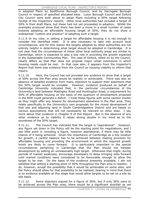#### CAMBRIDGE LOCAL PLAN: INSPECTOR'S REPORT

in adopted Plans by Spelthorne Borough Council, and by Harrogate Borough Council in respect of specified allocated sites. Luton Borough Council and Oxford City Council were both about to adopt Plans including a 50% target following receipt of the Inspectors' reports. Other local authorities had included a target of 50% in their draft Plans, but these had not yet proceeded to adoption. Whilst the examples produced show that there has been a move in a small number of cases towards adopting an affordable housing target of 50%, they do not show a widespread "custom and practice" of adopting such a target.

5.11.9. In my view, in setting a target for affordable housing it is not enough to consider the identified need. It is also necessary to take into account local circumstances, and for this reason the targets adopted by other authorities are not entirely helpful in determining what target should be adopted in Cambridge. It is not clear that the circumstances of these other local authority areas are similar to Cambridge, which is expected to play a key role in providing the growth expected in the Sustainable Communities Plan. The case of Oxford, relied on by the Council, clearly differs as that Plan does not propose major urban extensions in which housing needs could be met. In that case also, it appears from the Inspector's Report that there was evidence from the Council on housing viability to inform that inquiry.

5.11.10. Here, the Council has not provided any evidence to show that a target of 50% across the Plan area would be realistic or achievable. There was also an absence of detailed evidence from many objectors to support their assertions that the 50% target would be unviable. However, evidence produced on behalf of Cambridge University indicated that, in the particular circumstances of the University's land between Madingley Road and Huntingdon Road, a requirement for 50% of affordable housing on the basis of the quantum of development proposed in the RDD could generate a deficit. I treat these figures with some caution insofar as they might offer any lessons for development elsewhere in the Plan area. They relate specifically to the University's own proposals for the mixed development of that site and adjoining land in South Cambridgeshire District and are based on various assumptions that will not necessarily be relevant on other sites. I say more about that evidence in Chapter 9 of this Report. But in the absence of any other evidence as to viability it raises strong doubts in my mind as to the soundness of the 50% target.

5.11.11. The Council has indicated that the target is "aspirational". However, any figure set down in the Policy will be the starting point for negotiations, and I see little point in including a figure, however aspirational, if there may be little chance of it being achieved. Given the importance of Cambridge as a key location for growth, a careful balance has to be achieved between making provision for affordable housing and providing the environment in which the required growth levels are likely to come forward. It is particularly important in the special circumstances pertaining in Cambridge that the Plan should not hamper development by setting an unreasonably high target. Otherwise that might, during periods of market weakness, encourage developers to delay bringing sites forward until market conditions were considered to be favourable enough to allow the target to be met. On the basis of the evidence presently available, I am not satisfied that setting a starting point of 50% throughout the Plan area is realistic. I do, however, accept the possibility that it would be achievable on some sites, and the Policy should allow for that possibility to be realised, bearing in mind that there is no evidence available at this stage that would allow targets to be set on a site by site basis.

5.11.12. Some objectors argued for a figure of 30%, but if only 30% were to be achieved across the Plan area, there would be a significant shortfall as set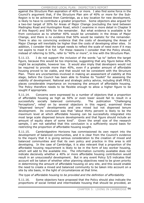against the Structure Plan aspiration of 40% or more. I also find some force in the Council's argument that, if the Structure Plan aim of 40% or more for the Sub-Region is to be achieved then Cambridge, as a key location for new development, is likely to have to contribute a greater proportion. Some objectors also argued for a two-tier target of 30% for Areas of Major Change (excluding the land between Madingley Road and Huntingdon Road, which I examine in more detail in Chapter 9 of this Report) and 50% for the remainder. But what evidence is available is far from conclusive as to whether 40% would be unrealistic in the Areas of Major Change, and there is no evidence that 50% would be realistic for the remainder. There is also no convincing evidence that the costs of developing the Areas of Major Change will inevitably be higher than the costs of developing other sites. In addition, I consider that the target needs to reflect the scale of need even if it may not aspire to meet it in full. For these reasons I consider that the Policy should, instead of referring to 50%, refer to "40% or more", in line with the Structure Plan.

5.11.13. I do not support the inclusion of the words "up to" before the target figure, because this would be too imprecise, suggesting that any figure below 40% might be acceptable, however low. It would also imply that developers would not be required to provide more than 40%, even if a greater amount of affordable housing proved to be viable, and that would not be consistent with the Structure Plan. There are uncertainties involved in making an assessment of viability at this stage, before the Council has been able to finalise its "toolkit" for assessing the viability of development. National and strategic policy advice, including draft PPS3, places considerable importance on increasing the amount of affordable housing. The Policy therefore needs to be flexible enough to allow a higher figure to be sought if appropriate.

5.11.14. Concerns were expressed by a number of objectors that a proportion of affordable housing as high as 50% or even lower would fail to result in a successfully socially balanced community. The publication "Challenging Perceptions", relied on by several objectors in this regard, examined three "dispersed tenure" developments and one mixed but not dispersed tenure development. Its conclusion was that "about thirty percent is likely to be the maximum level at which affordable housing can be successfully integrated into most large scale dispersed tenure developments and that figure should include an amount of equity share of some kind". Given the small size of the research sample, I am not satisfied that this conclusion is a sufficiently sound basis for restricting the proportion of affordable housing sought.

5.11.15. Cambridgeshire Horizons has commissioned its own report into the development of balanced communities, and it is clear from the Council's evidence to the inquiry that it is giving serious consideration to the creation of mixed and balanced communities and that its own policy and practice in this area is still developing. In the case of Cambridge, it is also relevant that a proportion of the affordable housing requirement is likely to be in the form of key worker housing, which will add to the available mix. The information currently available does not indicate decisively whether a 40% or more affordable housing contribution would result in an unsuccessful development. But in any event Policy 5/5 indicates that account will be taken of whether other planning objectives need to be given priority in determining the amount of affordable housing on any site, and this would enable the need to create a mixed and balanced community to be taken into account on a site by site basis, in the light of circumstances at that time.

*The type of affordable housing to be provided and the definition of affordability* 

5.11.16. Some objectors have proposed that the Policy should also indicate the proportions of social rented and intermediate housing that should be provided, an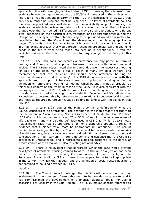approach in line with emerging advice in draft PPS3. However, there is insufficient evidence before the inquiry to support the 50/50 split proposed in these objections. The Council has not sought to carry into the RDD the conclusions of CD5.2.2 that only social rented housing can meet housing need. The types of affordable housing that can be provided may well depend on the availability of public finance, the evidence on which is unclear and which is in any event a matter that is likely to change over the Plan period. Different splits may also be appropriate on different sites, depending on their particular circumstances, and at different times during the Plan period. The type of affordable housing to be provided would be a matter for negotiation between the Council and the developer at the planning application stage. To specify in the Plan what types of housing would be sought would result in an inflexible approach that would prevent changing circumstances and changing needs in the future from being taken into account in negotiations. Given the available evidence, there is no firm basis for any change to the Policy in this regard.

5.11.17. The Plan does not express a preference for any particular form of tenure, and I support that approach because it accords with current national advice. The EIP Panel report noted that in Cambridge even the lowest cost housing for sale on the open market is out of reach of many low paid workers, and recommended that the Structure Plan should define affordable housing as "discounted low cost market housing". The RDD definition is consistent with this approach, and I support it because there is no point in including within the definition of "affordable housing" something which patently is not affordable, as this would undermine the whole purpose of the Policy. It is also consistent with the emerging advice in draft PPS 3, which makes it clear that the government does not consider low-cost market housing to be affordable. Because the RDD defines what it considers to be affordable by reference to the relationship between local incomes and rents as required by Circular 6/98, I also find no conflict with the advice in that Circular.

5.11.18. Circular 6/98 requires the Plan to contain a definition of what the Council considers to be affordable. The definition in the Plan broadly accords with the definition in "Local Housing Needs Assessment: A Guide to Good Practice" (CD1.46), which recommends using 25 - 30% of net income as a measure of affordable rent, and it is also the definition used in CD5.2.2. Whilst CD1.46 notes that a higher ratio *may* be appropriate for home ownership options, there is no evidence that a higher ratio *would* be appropriate in Cambridge. The use of median incomes is justified by the Council because it better represents the salaries of middle earners, in an area where income distribution is skewed due to the local concentration of high earners. There is no convincing evidence that the Council's approach is unreasonable, and it represents a flexible response to the particular circumstances of the area whilst also reflecting national advice.

5.11.19. There is no evidence that paragraph 5.9 of the RDD would prevent new types of affordable housing coming forward. Although an objection has been made to the reference to Housing Corporation-controlled rent levels, and to Registered Social Landlords (RSLs), these do not appear to me to be inappropriate in the context in which they appear, and the definition of social rented housing is not confined to housing provided by RSLs.

## *Viability*

5.11.20. The Council has acknowledged that viability will be taken into account in determining the numbers of affordable units to be provided on any site, and it has commissioned the development of a financial appraisal toolkit for use in assessing site viability in the Sub-Region. The Policy makes specific reference to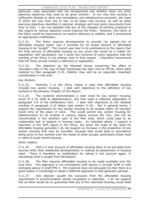#### CAMBRIDGE LOCAL PLAN: INSPECTOR'S REPORT

particular costs associated with the development and whether there are other planning objectives that need to be given priority. In my view this wording is sufficiently flexible to allow site remediation and infrastructure provision, the costs of which will vary from site to site, to be taken into account, as well as other planning objectives identified in national, strategic and local policy documents from time to time. I am not satisfied that any of the changes of wording proposed in this regard by various objectors would improve the Policy. However, the clarity of the Policy would be improved by an explicit reference to viability, and I recommend an appropriate modification.

5.11.21. The Policy requires developments to provide "an agreed mix of affordable housing types" and it provides for its target amount of affordable housing to be "sought". The Council was clear in its submissions to the inquiry that the final amount of affordable housing on any given site would be a matter for negotiation with developers, but I share the concerns of some objectors that the wording of the Policy is not entirely clear in that respect. I therefore recommend that the Policy should contain a reference to negotiation.

5.11.22. The objection by the Marshall Group concerning the effect of relocation costs in the case of East Cambridge has been met by FPC39, which adds material to Plan paragraph 9.19. Viability may well be an especially important consideration in this area.

## *Key Workers*

5.11.23. Footnote 3 to the Policy makes it clear that affordable housing includes key worker housing. I deal with objections to the definition of key workers in the Glossary Chapter of this Report.

5.11.24. The evidence demonstrates a clear need for key worker housing, much of it for staff at Addenbrooke's, and that need is reflected adequately in paragraph 5.8 of the exPlanatory text. I deal with objections to the detailed wording of paragraph 5.10 below (see section 5.14). But in general terms, I support the requirement for key worker housing to be located within 30 minutes' travel time of the place of work. This would permit key worker housing for Addenbrooke's to be located in various places around the City, and not be concentrated in the southern part of the Plan area, which could lead to an undesirable lack of balance in housing types. As indicated above, I support a reduction in the 50% figure in the Policy, but given the scale of the need for affordable housing generally I do not support an increase in the proportion of key worker housing that may be provided, because that would lead to precedence being given to key workers over the needs of other groups, particularly those most in need of social rented housing.

## *Other matters*

5.11.25. CD5.2.2 took account of affordable housing likely to be provided from sources other than residential developments, in making its assessment of housing need. There is therefore no justification for taking it into account again, in calculating what is sought from developers.

5.11.26. The Plan requires affordable housing to be made available over the long term. This approach is not inconsistent with advice in Circular 6/98 or with emerging advice in draft PPS 3. The evidence does not persuade me that there is a good reason in Cambridge to adopt a different approach to that generally advised.

5.11.27. One objector sought the exclusion from the affordable housing requirement of accommodation whose occupation is restricted. I do not support this as there would be no guarantee that any of the restricted housing would itself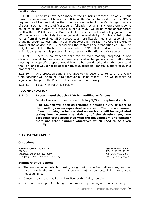be affordable.

5.11.28. Criticisms have been made of the Council's proposed use of SPD, but those documents are not before me. It is for the Council to decide whether SPD is required, and I agree that, in the circumstances pertaining in Cambridge, matters of detail, such as the use of "cascade" or fallback mechanisms where there is some doubt as to the extent of available public subsidy, would be more appropriately dealt with in SPD than in the Plan itself. Furthermore, national policy guidance on affordable housing is likely to change, and the availability of public subsidy also varies from time to time. SPD represents a more flexible means of responding to changing circumstances, and its use is supported by PPS12. The Council is clearly aware of the advice in PPS12 concerning the contents and preparation of SPD. The weight that will be attached to the contents of SPD will depend on the extent to which it complies, and is prepared in accordance, with national policy advice.

5.11.29. There is no evidence that the off-river mooring proposed in one objection would be sufficiently financially viable to generate any affordable housing. Any specific proposal would have to be considered under other policies of the Plan, and it would not be appropriate to suggest any general support for such a proposal here.

5.11.30. One objection sought a change to the second sentence of the Policy from "account will be taken.." to "account must be taken". This would make no significant change to the Policy and is therefore unnecessary.

5.11.31. I deal with Policy 5/6 below.

#### **RECOMMENDATION**

#### **5.11.31. I recommend that the RDD be modified as follows:**

**Delete the second sentence of Policy 5/5 and replace it with:** 

**"The Council will seek as affordable housing 40% or more of the dwellings or an equivalent site area. The precise amount of such housing to be provided on each site will be negotiated taking into account the viability of the development, any particular costs associated with the development and whether there are other planning objectives which need to be given priority."**

# **5.12 PARAGRAPH 5.8**

#### **Objections**

Berkeley Partnership Homes 339/2/DEP02/05\_08 GO-East 383/13/DEP02/05\_08 Conservators of the River Cam 755/9/DEP02/05\_08 Trumpington Meadows Land Company 798/12/DEP02/05\_08

## **Summary of Objections**

- The amount of affordable housing sought will come from all sources, and not just through the mechanism of section 106 agreements linked to private housebuilding.
- Concerns over the viability and realism of this Policy remain.
- Off-river mooring in Cambridge would assist in providing affordable housing.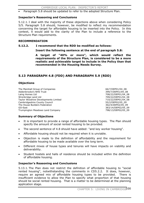Paragraph 5.8 should be updated to refer to the adopted Structure Plan.

## **Inspector's Reasoning and Conclusions**

5.12.1. I deal with the majority of these objections above when considering Policy 5/5. Paragraph 5.8 should, however, be modified to reflect my recommendation concerning the target for affordable housing to be inserted into the Policy. In this context, it would add to the clarity of the Plan to include a reference to the Structure Plan requirements.

## **RECOMMENDATION**

#### **5.12.2. I recommend that the RDD be modified as follows:**

## **Insert the following sentence at the end of paragraph 5.8:**

**A target of "40% or more", which would reflect the requirements of the Structure Plan, is considered to be a more realistic and achievable target to include in the Policy than that recommended in the Housing Needs Survey.** 

# **5.13 PARAGRAPH 4.8 (FDD) AND PARAGRAPH 5.9 (RDD)**

## **Objections**

The Marshall Group of Companies 66/7/DEP01/04\_08 Addenbrooke's NHS Trust 399/7/DEP01/04\_08 Laing Homes Ltd 708/22/DEP01/04\_08 Wrenbridge Land Ltd<br>Taylor Woodrow Developments Limited Taylor 2007/22/DEP01/04\_08 Taylor Woodrow Developments Limited Cambridgeshire County Council 55/2/DEP02/05\_09 The House Builders Federation 362/4/DEP02/05\_09 GO-East 383/14/DEP02/05\_09 Trumpington Meadows Land Company 1988 13/0EP02/05\_09

## **Summary of Objections**

- It is important to provide a range of affordable housing types. The Plan should specify the amount of social rented housing to be provided.
- The second sentence of 4.8 should have added: "and key worker housing".
- Affordable housing should not be required when it is unviable.
- Objection is made to the definition of affordability and the requirement for affordable housing to be made available over the long term.
- Different mixes of house types and tenures will have impacts on viability and deliverability.
- Student hostels and halls of residence should be included within the definition of affordable housing.

## **Inspector's Reasoning and Conclusions**

5.13.1. The Plan does not restrict the definition of affordable housing to "social rented housing", notwithstanding the comments in CD5.2.2. It does, however, require an agreed mix of affordable housing types to be provided. There is insufficient evidence to allow the Plan to specify what proportion of that housing should be social rented housing. That is a matter to be determined at the planning application stage.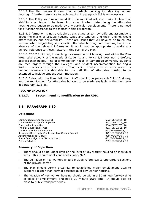5.13.2. The Plan makes it clear that affordable housing includes key worker housing. A further reference to such housing in paragraph 5.9 is unnecessary.

5.13.3. The Policy as I recommend it to be modified will also make it clear that viability is an issue to be taken into account when determining the affordable housing contribution to be made by any particular development. There is no need for a further reference to the matter in this paragraph.

5.13.4. Information is not available at this stage as to how different assumptions about the mix of affordable housing types and tenures, and their funding, would affect viability and deliverability. These are issues that will have to be taken into account when negotiating site specific affordable housing contributions, but in the absence of the relevant information it would not be appropriate to make any general reference to these matters in this part of the Plan.

5.13.5. CD5.2.2 did not, in reaching its assessment of housing need within the Plan area, take account of the needs of students, and Policy 5/5 does not, therefore, address their needs. The accommodation needs of Cambridge University students are met largely through the Colleges, and student accommodation for Anglia Ruskin University is provided for in Chapter 7. Under these circumstances it is neither necessary nor desirable for the definition of affordable housing to be extended to include student accommodation.

5.13.6. I deal with the Plan definition of affordability in paragraph 5.11.16 et seq, and the requirement for affordable housing to be made available in the long term in paragraph 5.11.26.

## **RECOMMENDATION**

## **5.13.7. I recommend no modification to the RDD.**

# **5.14 PARAGRAPH 5.10**

## **Objections**

| Cambridgeshire County Council                       |
|-----------------------------------------------------|
| The Marshall Group of Companies                     |
| Countryside Properties                              |
| The Bell Educational Trust                          |
| The House Builders Federation                       |
| Resources Directorate Cambridgeshire County Council |
| Addenbrooke's NHS Trust                             |
| South Cambridgeshire District Council               |
| Patrick Schicker                                    |

55/3/DEP02/05\_10 66/1/DEP02/05\_10 68/6/DEP02/05\_10 83/7/DEP02/05\_10 362/5/DEP02/05\_10 879/1/DEP02/05\_10 399/7/DEP02/05\_10 461/7/DEP02/05\_10 735/1/DEP02/05\_10

## **Summary of Objections**

- There should be no upper limit on the level of key worker housing on individual sites. This requirement contradicts Policy 9/7.
- The definition of key workers should include references to appropriate sections of the private sector.
- The Plan should permit proximity to established major employment sites to support a higher than normal percentage of key worker housing.
- x The location of key worker housing should be within a 30 minute *journey* time of place of employment, and not a 30 minute *drive* time. It should also be close to public transport nodes.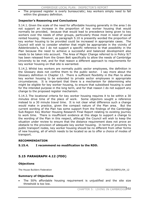The proposed register is overly bureaucratic; key workers simply need to fall within the glossary definition.

## **Inspector's Reasoning and Conclusions**

5.14.1. Given the scale of the need for affordable housing generally in the area I do not support an increase in the proportion of key worker housing that would normally be provided, because that would lead to precedence being given to key workers over the needs of other groups, particularly those most in need of social rented housing. However, as paragraph 5.10 is presently worded the proportion of key worker housing to be provided could be increased in appropriate cases. The Council will wish to consider whether that might be appropriate in the vicinity of Addenbrooke's, but I do not support a specific reference to that possibility in the Plan because the need to achieve a successful and balanced development also needs to be taken into account. The Area of Major Change referred to in Policy 9/7 has been released from the Green Belt specifically to allow the needs of Cambridge University to be met, and for that reason a different approach to requirements for key worker housing on that site is warranted.

5.14.2. Whilst key workers are normally public sector employees, the definition in the Glossary does not confine them to the public sector. I say more about the Glossary definition in Chapter 13. There is sufficient flexibility in the Plan to allow key worker housing to be extended to private sector employees in appropriate circumstances. It is important that there is a mechanism for determining who might be eligible for key worker housing, to ensure that subsidised housing is used for the intended purpose in the long term, and for that reason I do not support any change to the proposed register mechanism.

5.14.3. The locational criteria for key worker housing requires it to be within a 30 minutes drive time of the place of work. Some objectors sought a reference instead to a 30 minute travel time. It is not clear what difference such a change would make in practice, given the compact nature of the Plan area. But the current wording of the Plan has some support from the findings of the Cambridge Sub-Region Key Worker Housing Research Final Report relating to existing journey to work time. There is insufficient evidence at this stage to support a change to the wording of the Plan in this respect, although the Council will wish to keep the situation under review to ensure that the distance requirement does not prove an obstacle to the provision of adequate key worker housing. In terms of proximity to public transport nodes, key worker housing should be no different from other forms of new housing, all of which needs to be located so as to offer a choice of modes of transport.

#### **RECOMMENDATION**

## **5.15.4. I recommend no modification to the RDD.**

# **5.15 PARAGRAPH 4.12 (FDD)**

## **Objections**

The House Builders Federation 362/35/DEP01/04 12

## **Summary of Objections**

The 50% affordable housing requirement is unjustified and the site size threshold is too low.

CHAPTER 5: LIVING IN CAMBRIDGE102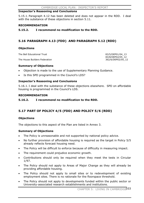## **Inspector's Reasoning and Conclusions**

5.15.1. Paragraph 4.12 has been deleted and does not appear in the RDD. I deal with the substance of these objections in section 5.11.

#### **RECOMMENDATION**

## **5.15.2. I recommend no modification to the RDD.**

# **5.16 PARAGRAPH 4.13 (FDD) AND PARAGRAPH 5.12 (RDD)**

## **Objections**

The Bell Educational Trust 63/5/DEP01/04 13

The House Builders Federation

83/8/DEP02/05\_12<br>362/6/DEP02/05\_12

## **Summary of Objections**

- Objection is made to the use of Supplementary Planning Guidance.
- Is this SPD programmed in the Council's LDS?

## **Inspector's Reasoning and Conclusions**

5.16.1. I deal with the substance of these objections elsewhere. SPD on affordable housing is programmed in the Council's LDS.

## **RECOMMENDATION**

## **5.16.2. I recommend no modification to the RDD.**

# **5.17 PART OF POLICY 4/5 (FDD) AND POLICY 5/6 (RDD)**

## **Objections**

The objections to this aspect of the Plan are listed in Annex 3.

#### **Summary of Objections**

- The Policy is unreasonable and not supported by national policy advice.
- No further provision of affordable housing is required as the target in Policy 5/5 already reflects forecast housing need.
- The Policy will be difficult to enforce because of difficulty in measuring impact.
- The requirement could prejudice economic growth.
- Contributions should only be required when they meet the tests in Circular 1/97.
- The Policy should not apply to Areas of Major Change as they will already be providing affordable housing.
- The Policy should not apply to small sites or to redevelopment of existing employment sites. There is no rationale for the floorspace threshold.
- The Policy should not apply to developments funded within the public sector or University-associated research establishments and institutions.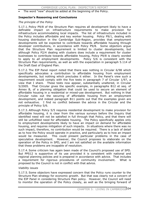## The word "new" should be added at the beginning of the Policy.

## **Inspector's Reasoning and Conclusions**

#### *The principle of the Policy*

5.17.1. Policy P9/8 of the Structure Plan requires all development likely to have a definable impact on infrastructure requirements to make provision for infrastructure accommodating local impacts. The list of infrastructure included in the Policy includes affordable and key worker housing. Policy P9/1, dealing with housing distribution in the Cambridge Sub-Region, provides that employment developments will be expected to contribute towards affordable housing through developer contributions, in accordance with Policy P9/8. Some objectors argue that the Structure Plan requirement is limited to cluster developments, but although Policy P2/4 dealing with clusters does include a requirement for cluster businesses to contribute towards affordable housing, Policy P9/8 is clearly worded to apply to *all* employment developments. Policy 5/6 is consistent with the Structure Plan requirements, as well as with the expectation in paragraph 5.114 of the Draft East of England Plan.

5.17.2. The EIP Panel report noted that there was nothing in Circular 6/98 which specifically advocates a contribution to affordable housing from employment developments, but nothing which precludes it either. In the Panel's view such a requirement would comply with the five tests in paragraph 7 of Circular 1/97, a view that I share. These tests now appear, substantially unaltered, in Circular 5/2005. That Circular gives the specific example, in paragraphs B12 et seq. of Annex B, of a planning obligation that could be used to secure an element of affordable housing in a residential or mixed-use development. But nothing in that Circular rules out the securing of affordable housing from an employment development, and indeed paragraph B11 points out that the examples given are not exhaustive. I find no conflict between the advice in the Circular and the principle of Policy 5/6.

5.17.3. Although Policy 5/5 requires residential development to make provision for affordable housing, it is clear from the various surveys before the Inquiry that identified need will not be satisfied in full through that Policy, and that there will still be unfulfilled need for affordable housing. The Policy specifically applies only to employment developments likely to have an impact on demand for affordable housing, and requires mitigation of such impacts. In situations where there was no such impact, therefore, no contribution would be required. There is a lack of detail as to how the Policy would operate in practice, and particularly as to how an impact would be measured. This could present particular problems in the case of speculative development. However, the Council proposes to elaborate on the operation of the Policy in SPD, and I am not satisfied on the available information that these problems are incapable of resolution.

5.17.4. Some criticism has again been made of the Council's proposed use of SPD. But PPS12 is supportive of its use provided it is consistent with national and regional planning policies and is prepared in accordance with advice. That includes a requirement for rigorous procedures of community involvement. What is proposed by the Council is not in conflict with that advice.

#### *Viability issues*

5.17.5. Some objectors have expressed concern that the Policy runs counter to the Structure Plan strategy for economic growth. But that was clearly not a concern of the EIP Panel in considering Structure Plan policy. However, the Council will need to monitor the operation of the Policy closely, as well as the bringing forward of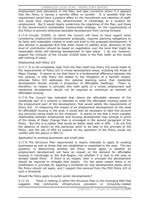#### CAMBRIDGE LOCAL PLAN: INSPECTOR'S REPORT

employment land allocations in the Plan, and take corrective action if it appears that the Policy is having a harmful effect on growth. It is possible that the requirement would have a positive effect on the recruitment and retention of staff, and would thus improve the attractiveness of Cambridge as a location for employment. But it would clearly undermine the objectives of the Plan, and those of the Government's Sustainable Communities strategy, for the requirements of this Policy to prevent otherwise desirable development from coming forward.

5.17.6. Circular 5/2005, to which the Council will have to have regard when considering employment development proposals, requires planning obligations to be fairly and reasonably related in scale and kind to the proposed development. It also advises in paragraph B10 that when issues of viability arise, decisions on the level of contribution should be based on negotiation over the level that might be reasonable whilst still allowing development to take place. I do not, however, support the inclusion of the Circular 5/2005 tests in the Plan itself, as this would add nothing of value.

#### *Relationship with Policy 5/5*

5.17.7. It is not completely clear from the Plan itself how Policy 5/6 would relate to the requirements of Policy 5/5 in mixed development areas, including the Areas of Major Change. It seems to me that there is a fundamental difference between the two policies, in that Policy 5/6 relates to the mitigation of a harmful impact, whereas Policy 5/5 addresses the national planning policy that residential development should include a proportion of affordable dwellings. There is, therefore, no reason in principle why both parts of a mixed employment and residential development should not be required to contribute an element of affordable housing.

5.17.8. The Council has indicated that where the affordable element of the residential part of a scheme is intended to meet the affordable housing needs of the employment part of the development, that would satisfy the requirements of Policy 5/6. In measuring the impact of an employment development on the need for affordable housing in the area, it would also be necessary to take into account any provision being made by the employer. It seems to me that a more complex relationship between employment and housing development may emerge in some of the Areas of Major Change than is envisaged in the second paragraph of the Policy. But this is a matter that would be better dealt with in SPD. I do not find the absence of clarity on this particular point to be fatal to the principle of the Policy, and the use of SPD to expand on the operation of the Policy would not conflict with the advice in PPS 12.

#### *Application to existing businesses and small sites*

5.17.9. The Structure Plan requirement is clearly intended to apply to existing businesses as well as those that are established or expanded in the area. The key question, in determining whether the Policy should apply, is whether an employment development will have an impact on the demand for affordable housing in Cambridge or the Sub-Region, not whether it is new to the area or already based there. If there is an impact, then in principle the development should be required to mitigate that impact. For the same reason there is no justification in principle for applying a threshold for new development below which the Policy should not apply, and I support the removal from the FDD Policy 4/5 of such a threshold.

#### *Should the Policy apply to public sector developments?*

5.17.10. There is nothing in either the Structure Plan or the emerging RSS that suggests that community infrastructure providers or University-related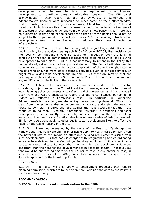CAMBRIDGE LOCAL PLAN: INSPECTOR'S REPORT

development should be exempted from the requirement for employment development to contribute towards affordable housing. The EIP panel acknowledged in their report that both the University of Cambridge and Addenbrooke's Hospital were proposing to meet some of their affordable/key worker housing needs from large-scale releases of land from the Green Belt, and noted that in both cases this would represent a contribution towards the overall infrastructure requirement under the terms of what is now Policy P9/8. There was no suggestion in that part of the report that either of these bodies should not be subject to the requirement. Nor do I read Policy P9/8 as excluding infrastructure developments from the requirement to address their own impacts on infrastructure.

5.17.11. The Council will need to have regard, in negotiating contributions from public bodies, to the advice in paragraph B10 of Circular 5/2005, that decisions on the level of contributions should be based on negotiation over the level of contribution that can be demonstrated is reasonable to be made whilst still allowing development to take place. But it is not necessary to repeat in the Policy this matter already set out in a national policy statement. The Council will also need to have regard to the extent to which a strict application of the Policy might result in the diverting of funds from other desirable activities, such as clinical services, or might make a desirable development unviable. But these are matters that are more appropriately addressed in SPD than in the Policy. I do not therefore support any modification to the Policy in these respects.

5.17.12. I have taken account of the comments made by the Inspector considering objections into the Oxford Local Plan. However, one of the functions of local planning policy documents is to reflect local circumstances, and it is not at all clear from the Oxford Inspector's report that the circumstances pertaining in Oxford are reflected in Cambridge's case. In particular, in Cambridge Addenbrooke's is the chief generator of key worker housing demand. Whilst it is clear from the evidence that Addenbrooke's is already addressing the need to house its own staff, I agree with the Council that it is essential that the Trust continues to do that. Similarly, Cambridge University is proposing additional developments, either directly or indirectly, and it is important that any resulting impacts on the need locally for affordable housing are capable of being addressed. Similar considerations apply to other public sector development likely to affect the need for affordable housing in the area.

5.17.13. I am not persuaded by the views of the Board of Cambridgeshire Horizons that this Policy should not in principle apply to health care services, given the potential size of the impact on affordable housing requirements arising from such developments. As that body is charged with programming and co-ordinating infrastructure delivery in the Cambridge Sub-Region, it can, if it wishes in any particular case, indicate its view that the need for the development is more important than the need for the development to mitigate its impact. That is a view that would be entirely legitimate for the Council to take in any particular case, in view of the advice in Circular 5/2005, but it does not undermine the need for the Policy to apply across the board in principle.

#### *Other matters*

5.17.14. The Policy will only apply to employment proposals that require planning permission, which are by definition new. Adding that word to the Policy is therefore unnecessary.

#### **RECOMMENDATION**

#### **5.17.15. I recommend no modification to the RDD.**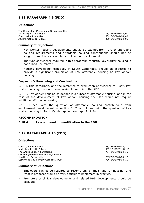# **5.18 PARAGRAPH 4.9 (FDD)**

#### **Objections**

The Chancellor, Masters and Scholars of the University of Cambridge 33/13/DEP01/04\_09 Countryside Properties **68/16/DEP01/04\_09** Addenbrooke's NHS Trust 399/8/DEP01/04\_09

#### **Summary of Objections**

- x Key worker housing developments should be exempt from further affordable housing requirements and affordable housing contributions should not be sought from University related employment development.
- The type of evidence required in this paragraph to justify key worker housing is not a land use matter.
- Housing developers, especially in South Cambridge, should be expected to provide a significant proportion of new affordable housing as key worker housing.

#### **Inspector's Reasoning and Conclusions**

5.18.1. This paragraph, and the reference to production of evidence to justify key worker housing, have not been carried forward into the RDD.

5.18.2. Key worker housing as defined is a subset of affordable housing, and in the case of the development of key worker housing the Plan would not require additional affordable housing.

5.18.3. I deal with the question of affordable housing contributions from employment development in section 5.17, and I deal with the question of key worker housing in South Cambridge in paragraph 5.11.24.

#### **RECOMMENDATION**

#### **5.18.4. I recommend no modification to the RDD.**

### **5.19 PARAGRAPH 4.10 (FDD)**

#### **Objections**

Countryside Properties **68/17/DEP01/04** 10 Addenbrooke's NHS Trust 399/10/DEP01/04\_10 The Anglia Support Partnership 704/2/DEP01/04 10 Cambridgeshire & Peterborough Mental Healthcare Partnership 705/2/DEP01/04\_10 Cambridge City Primary Care NHS Trust 706/2/DEP01/04 10

#### **Summary of Objections**

- Employers cannot be required to reserve any of their land for housing, and what is proposed would be very difficult to implement in practice.
- x Promoters of clinical developments and related R&D developments should be excluded.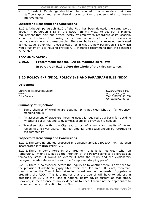NHS trusts in Cambridge should not be required to accommodate their own staff on surplus land rather than disposing of it on the open market to finance improvements.

### **Inspector's Reasoning and Conclusions**

5.19.1. Although paragraph 4.10 of the FDD has been deleted, the same words appear in paragraph 5.13 of the RDD. In my view, to set out a blanket requirement that any land owned locally by employers, regardless of its location, should be developed for housing for their own workers before such provision can be made elsewhere, is unreasonable. There might be circumstances not envisaged at this stage, other than those allowed for in what is now paragraph 5.13, which would justify off-site housing provision. I therefore recommend that the sentence be deleted.

#### **RECOMMENDATION**

# **5.19.2. I recommend that the RDD be modified as follows: In paragraph 5.13 delete the whole of the third sentence.**

# **5.20 POLICY 4/7 (FDD), POLICY 5/8 AND PARAGRAPH 5.15 (RDD)**

### **Objections**

Cambridge Preservation Society 26/23/DEP01/04\_P07<br>
GO-East 283/10/DEP02/05 GO-East 383/10/DEP02/05

766/10/DEP02/05 P08 766/16/DEP02/05\_15

#### **Summary of Objections**

- Some changes of wording are sought. It is not clear what an "emergency" stopping site is.
- An assessment of travellers' housing needs is required as a basis for deciding whether a policy relating to gypsy/travellers' site provision is needed.
- Travellers' sites within the City lead to loss of amenity and quality of life for residents and river users. The lost amenity and space should be returned to the community.

#### **Inspector's Reasoning and Conclusions**

5.20.1. The wording change proposed in objection 26/23/DEP01/04\_P07 has been incorporated into RDD Policy 5/8.

5.20.2. There is some force in the argument that it is not clear what an "emergency" might be, but as the intention of the Policy seems to be directed at temporary stops, it would be clearer if both the Policy and the explanatory paragraph made reference instead to a "temporary stopping place".

5.20.3. There is no evidence before the Inquiry as to whether there is any need for the provision of additional gypsy sites within the Plan area. It is not, therefore, clear whether the Council has taken into consideration the needs of gypsies in preparing the RDD. This is a matter that the Council will have to address in preparing its LDF, in the light of national policy advice current at that stage. However, in the absence of any evidence as to need it would not be appropriate to recommend any modification to this Plan.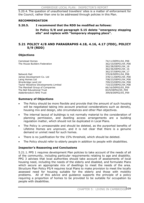5.20.4. The question of unauthorised travellers' sites is a matter of enforcement for the Council, rather than one to be addressed through policies in this Plan.

#### **RECOMMENDATION**

**5.20.5. I recommend that the RDD be modified as follows:** 

**In Policy 5/8 and paragraph 5.15 delete "emergency stopping site" and replace with "temporary stopping place".**

## **5.21 POLICY 4/8 AND PARAGRAPHS 4.18, 4.16, 4.17 (FDD), POLICY 5/9 (RDD)**

### **Objections**

Camstead Homes 74/11/DEP01/04\_P08 The House Builders Federation 362/10/DEP01/04 P08

Network Rail 370/8/DEP01/04\_P08 James Development Co. Ltd 378/11/DEP01/04\_P08 Laing Homes Ltd **2008/23/DEP01/04\_P08** Wrenbridge Land Ltd 709/23/DEP01/04\_P08 Taylor Woodrow Developments Limited 710/23/DEP01/04\_P08 The Marshall Group of Companies 66/16/DEP02/05 P09 The Bell Educational Trust 83/9/DEP02/05 P09 Addenbrooke's NHS Trust 399/8/DEP02/05\_P09

 362/38/DEP01/04\_18 362/36/DEP01/04\_16 362/37/DEP01/04\_17

### **Summary of Objections**

- The Policy should be more flexible and provide that the amount of such housing will be negotiated taking into account practical considerations such as density, housing mix and design, site circumstances and other Plan objectives.
- The internal layout of buildings is not normally material to the consideration of planning permission, and dwelling access arrangements are a building regulation matter, which should not be duplicated in Local Plans.
- The Policy is unreasonable and should be deleted, as the purported benefits of Lifetime Homes are unproven, and it is not clear that there is a genuine demand or unmet need for such homes.
- There is no justification for the 15% threshold, which should be deleted.
- The Policy should refer to elderly people in addition to people with disabilities.

### **Inspector's Reasoning and Conclusions**

5.21.1. PPS 1 requires development Plan policies to take account of the needs of all of the community, including particular requirements relating to age and disability. PPG 3 advises that local authorities should take account of assessments of local housing need, including the needs of the elderly and disabled, and formulate Plans which secure an appropriate mix of dwellings to meet the needs of the area. Structure Plan Policy P5/4 requires local Plans to make provision to meet the locally assessed need for housing suitable for the elderly and those with mobility problems. All of this advice and guidance supports the principle of a policy requiring a proportion of homes to be provided to be suitable for occupation by people with disabilities.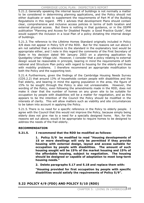#### CAMBRIDGE LOCAL PLAN: INSPECTOR'S REPORT

5.21.2. Generally speaking the internal layout of buildings is not normally a matter to be considered in determining planning applications, and the Policy should not either duplicate or seek to supplement the requirements of Part M of the Building Regulations in this regard. PPS 1 advises that development Plans should contain clear, comprehensive and inclusive access policies in terms of both location and external physical access. But there is nothing in that guidance, or in the ODPM publication "Planning and Access for Disabled People: a Good Practice Guide", that would support the inclusion in a local Plan of a policy dictating the internal design of buildings.

5.21.3. The reference to the Lifetime Homes Standard originally included in Policy 4/8 does not appear in Policy 5/9 of the RDD. But for the reasons set out above I am not satisfied that a reference to the standard in the explanatory text would be appropriate either, and I note in this regard the comments of the First Secretary of State in his decision dated 9th January 2003 on a planning application by Quedgeley Urban Village Ltd. However, I consider that a policy relating to external design would be reasonable in principle, bearing in mind the requirements of both national and Structure Plan policy with regard to housing for the elderly and those with mobility problems. I therefore recommend an appropriate modification to both the Policy and the supporting text.

5.21.4. Furthermore, given the findings of the Cambridge Housing Needs Survey (CD5.2.2) that around 13% of households contain people with disabilities and the frail elderly, and bearing in mind the ageing population in the area, the figure of 15% to be sought through the Policy is also not unreasonable. However, the wording of the Policy, even following the amendments made in the RDD, does not make it clear that the number of homes on any given site to be suitable for occupation by people with disabilities will be a matter for negotiation, and as this appears to be the intention of the Council the Policy should be modified in the interests of clarity. This will allow matters such as viability and site circumstances to be taken into account in applying the Policy.

5.21.5. There is no need for a specific reference in the Policy to elderly people. Iagree with the Council that this would not improve the Policy, because simply being elderly does not give rise to a need for a specially designed home. Nor, for the reasons set out above, would it be appropriate to require homes to be designed to address the needs of the frail elderly.

#### **RECOMMENDATION**

#### **5.21.5. I recommend that the RDD be modified as follows:**

**1. Policy 5/9 be modified to read "Housing developments of 15 or more dwellings will only be permitted if they provide housing with external design, layout and access suitable for occupation by people with disabilities. The amount of such housing sought will be 15% of the market housing and 15% of the affordable housing, subject to negotiation. The housing should be designed or capable of adaptation to meet long-term housing needs."** 

**2. Delete paragraphs 5.17 and 5.18 and replace them with:** 

**"Housing provided for first occupation by people with specific disabilities would satisfy the requirements of Policy 5/9".** 

### **5.22 POLICY 4/9 (FDD) AND POLICY 5/10 (RDD)**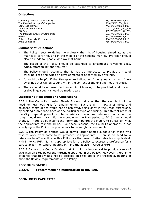### **Objections**

Cambridge Preservation Society<br>
The Marshall Group of Companies<br>
26/25/DEP01/04\_P09 The Marshall Group of Companies Camstead Homes<br>
James Development Co. Ltd<br>
378/12/DEP01/04 P09 James Development Co. Ltd GO-East 383/23/DEP01/04\_P09 The Marshall Group of Companies 66/17/DEP02/05\_P10 GO-East 383/7/DEP02/05\_P10 Bidwells Property Consultants 396/6/DEP02/05\_P10 Anne Campbell 768/3/DEP02/05\_P10

### **Summary of Objections**

- The Policy needs to define more clearly the mix of housing aimed at, as the main lack is for housing in the middle of the housing market. Provision should also be made for people who work at home.
- The scope of the Policy should be extended to encompass "dwelling sizes, types, affordability and tenures".
- The Policy should recognise that it may be impractical to provide a mix of dwelling sizes and types on developments of as few as 15 dwellings.
- It would be helpful if the Plan gave an indication of the types and sizes of new dwellings that will be sought within the context of the existing housing stock.
- There should be no lower limit for a mix of housing to be provided, and the mix of dwellings sought should be made clearer.

### **Inspector's Reasoning and Conclusions**

5.22.1. The Council's Housing Needs Survey indicates that the vast bulk of the need for new housing is for smaller units. But the aim in PPG 3 of mixed and balanced communities would not be achieved, particularly in the urban extensions, by seeking a preponderance of one particular type of housing. In different areas of the City, depending on local characteristics, the appropriate mix that should be sought could well vary. Furthermore, over the Plan period to 2016, needs could change. There is also insufficient information before the inquiry to be certain what the appropriate mix should be. For these reasons, the Council's approach in not specifying in the Policy the precise mix to be sought is reasonable.

5.22.2. The Policy as drafted would permit larger homes suitable for those who wish to work from home to be provided, if appropriate. There is no need for a reference to affordability in this Policy, as the issue of affordable housing is dealt with in Policy 5/5. Nor is it appropriate for the Policy to express a preference for a particular form of tenure, bearing in mind the advice in Circular 6/98.

5.22.3. I share the Council's view that it could be impractical to provide a mix of dwellings on sites below the threshold specified in the Policy. However, there is no evidence that this would not be possible on sites above the threshold, bearing in mind the flexible requirements of the Policy.

#### **RECOMMENDATION**

#### **5.22.4. I recommend no modification to the RDD.**

### **COMMUNITY FACILITIES**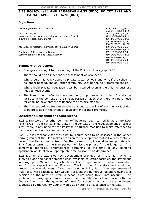### **5.23 POLICY 4/11 AND PARAGRAPH 4.27 (FDD); POLICY 5/11 AND PARAGRAPHS 5.21 - 5.26 (RDD)**

#### **Objections**

Cambridgeshire County Council 55/6/DEP02/05\_26

Dr. G. E. Rogers 337/17/DEP01/04\_27 Resources Directorate, Cambridgeshire County Council 379/1/DEP01/04 P11 Bidwells Property Consultants **396/4/DEP02/05** P11

Resources Directorate, Cambridgeshire County Council 379/2/DEP02/05\_26

Cambridge Citizens Advice Bureau 802/1/DEP02/05 24 Cambridgeshire Fire and Rescue Service 810/1/DEP02/05\_P11

 55/29/DEP01/04\_P11 396/7/DEP02/05\_22 396/31/DEP01/04\_P11 379/3/DEP02/05\_P11 810/3/DEP02/05\_21 810/4/DEP02/05\_24 810/5/DEP02/05\_25

#### **Summary of Objections**

- Changes are sought to the wording of the Policy and paragraph 5.26.
- There should be an independent assessment of local need.
- Why should this Policy apply to private sector schools and why, if the school is no longer needed, should "other community use" be the next preferred choice?
- Why should private education sites be retained even if there is no business need to keep them?
- The Plan should refer to the community importance of modern fire station facilities in the context of the site at Parkside, given that there will be a need for enabling development to finance the new fire station.
- The Citizens Advice Bureau should be added to the list of community facilities to be protected in the event of development of their premises.

#### **Inspector's Reasoning and Conclusions**

5.23.1. The words "or other community" have not been carried forward into RDD Policy 5/11. I am not satisfied that, in the context of the redevelopment of school sites, there is any need for the Policy to be further modified to make reference to the relocation of other community uses.

5.23.2. It is reasonable for the Policy to require need to be assessed in the longer term, given that the Plan makes provision for development that is likely to continue beyond the Plan's time horizon. For that reason, too, it would be inappropriate to limit "longer term" to the Plan period. Whilst the phrase "in the longer term" is somewhat imprecise, circumstances pertaining at the time of any planning application would allow an appropriate time horizon to be determined.

5.23.3. Given the extensive new development provided for in the Plan, which is likely to place additional demands upon available education facilities, the statement in paragraph 5.26 concerning schools surplus to requirements is not unreasonable, and I do not support any modification. The inclusion of this statement would not prevent the redevelopment of a school site under Policy 5/11 if the requirements of that Policy were satisfied. Nor would it prevent the numerous factors relevant to a decision on the need to retain a school from being taken into account. The explanatory paragraphs make it clear that the City Council will liaise with the County Council on the question of need for school sites, and the amendment suggested by the County Council would add nothing of substance to the text.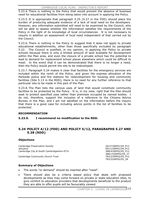5.23.4. There is nothing in the Policy that would prevent the absence of business need for educational facilities from being taken into account in applying the Policy.

5.23.5. It is appropriate that paragraph 5.25 (4.27 in the FDD) should place the burden of producing adequate evidence of a lack of local need on the developers. However, any information submitted will need to be examined by the Council, who will be able to assess whether the information satisfies the requirements of the Policy in the light of its knowledge of local circumstances. It is not necessary to require in addition an assessment of local need independent of that carried out by the Council.

5.23.6. There is nothing in the Policy to suggest that it does not apply to private educational establishments, other than those specifically excluded by paragraph 5.22. The Council is justified, in my opinion, in applying the Policy to private schools because there is only a limited amount of land available for development within the Plan area, and even the closure of a private school has the potential to lead to demand for replacement school places elsewhere which could be difficult to meet. In the event that it can be demonstrated that there is no longer a need, then the Policy would permit the site to be redeveloped.

5.23.7. Paragraph 5.24 makes it clear that facilities for the emergency services are included within the remit of the Policy, and given the express allocation of the Parkside police and fire stations for redevelopment for housing and community facilities (Site 5.13 in the RDD), there is no need for any further reference to that particular site to be made in this part of the Plan.

5.23.8. The Plan lists the various uses of land that would constitute community facilities to be protected by the Policy. It is, in my view, right that the Plan should seek to protect specified uses rather than premises occupied by named bodies. Ido not, therefore, support the inclusion of a reference to the Citizens Advice Bureau in the Plan, and I am not satisfied on the information before the inquiry that there is a good case for including advice points in the list of facilities to be protected.

### **RECOMMENDATION**

#### **5.23.9. I recommend no modification to the RDD.**

### **5.24 POLICY 4/12 (FDD) AND POLICY 5/12, PARAGRAPHS 5.27 AND 5.28 (RDD)**

#### **Objections**

Cambridge Preservation Society 26/27/DEP01/04\_P12 Januarys 691/1/DEP01/04\_P12 Cambridge City & South Cambridgeshire PCTs 388/4/DEP02/05 P12

Cambridge Community Church Trust 783/2/DEP02/05\_P12

 388/13/DEP02/05\_27 783/3/DEP02/05\_28

#### **Summary of Objections**

- The words "or demand" should be inserted after "need".
- There should also be a criteria based policy that deals with proposed developments as they may come forward on private or state education sites, to give comfort to education providers that developments beneficial to the product they are able to offer pupils will be favourably viewed.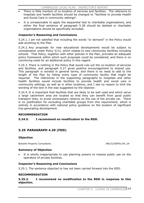- There is little mention of co-location of services and facilities. The reference to hospitals and health facilities should be changed to "facilities to provide Health and Social Care in community settings".
- It is unreasonable to apply the sequential test to charitable organisations, and either the final sentence of paragraph 5.28 should be deleted or charitable organisations should be specifically excluded.

### **Inspector's Reasoning and Conclusions**

5.24.1. I am not satisfied that including the words "or demand" in the Policy would add anything to the Plan.

5.24.2. Any proposals for new educational developments would be subject to consideration under Policy 5/12, which relates to new community facilities including schools. That Policy, together with other policies in the Plan, provides an adequate policy framework within which such proposals could be considered, and there is no convincing need for an additional policy in this regard.

5.24.3. There is nothing in the Policy that would rule out the co-location of services and facilities, and paragraph 5.27 gives positive encouragement to shared use. This paragraph is worded in general terms, and there is no need to add to the length of the Plan by listing every type of community facility that might be required. The references in the supporting paragraphs to hospitals and other health facilities would include facilities to provide health and social care in community settings, as well as in other locations, and I see no reason to limit the wording of the text in the way suggested by the objector.

5.24.4. It is important that facilities that are likely to be well used and which serve a large catchment area are located so that they can benefit from good public transport links, to avoid unnecessary reliance on the use of the private car. There is no justification for excluding charitable groups from this requirement, which is entirely in accordance with national policy guidance on the location of significant trip-generating development.

#### **RECOMMENDATION**

#### **5.24.5. I recommend no modification to the RDD.**

### **5.25 PARAGRAPH 4.29 (FDD)**

#### **Objection**

Bidwells Property Consultants 396/32/DEP01/04\_29

#### **Summary of Objection**

It is wholly inappropriate to use planning powers to impose public use on the operators of private facilities.

#### **Inspector's Reasoning and Conclusions**

5.25.1. The sentence objected to has not been carried forward into the RDD.

#### **RECOMMENDATION**

#### **5.25.2. I recommend no modification to the RDD in response to this objection.**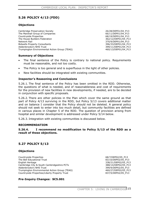# **5.26 POLICY 4/13 (FDD)**

### **Objections**

Cambridge Preservation Society The Marshall Group of Companies Countryside Properties The House Builders Federation Network Rail Bidwells Property Consultants Addenbrooke's NHS Trust Trumpington Environmental Action Group (TEAG)

 26/28/DEP01/04\_P13 66/11/DEP01/04\_P13 68/19/DEP01/04\_P13 362/12/DEP01/04\_P13 370/9/DEP01/04\_P13 396/33/DEP01/04\_P13 399/11/DEP01/04\_P13 460/13/DEP01/04\_P13

#### **Summary of Objections**

- The final sentence of the Policy is contrary to national policy. Requirements must be reasonable, and not too costly.
- The Policy is too general and is superfluous in the light of other policies.
- New facilities should be integrated with existing communities.

#### **Inspector's Reasoning and Conclusions**

5.26.1. The final sentence of the Policy has been omitted in the RDD. Otherwise, the questions of what is needed, and of reasonableness and cost of requirements for the provision of new facilities in new developments, if needed, are to be decided in conjunction with specific proposals.

5.26.2. There are other policies in the Plan which cover the same ground as that part of Policy 4/13 surviving in the RDD, but Policy 5/13 covers additional matter and on balance I consider that the Policy should not be deleted. A general policy should not seek to enter into too much detail, but community facilities are defined in various places in Chapter 5 of the RDD. The question of provision arising from hospital and similar development is addressed under Policy 5/14 below.

5.26.3. Integration with existing communities is discussed below.

#### **RECOMMENDATION**

#### **5.26.4. I recommend no modification to Policy 5/13 of the RDD as a result of these objections.**

### **5.27 POLICY 5/13**

#### **Objections**

Countryside Properties The Bell Educational Trust English Heritage Cambridge City & South Cambridgeshire PCTs Addenbrooke's NHS Trust Trumpington Environmental Action Group (TEAG) Countryside Properties/Liberty Property Trust

 68/7/DEP02/05\_P13 83/10/DEP02/05\_P13 338/21/DEP02/05\_P13 388/14/DEP02/05\_P13 399/9/DEP02/05\_P13 460/27/DEP02/05\_P13 837/5/DEP02/05\_P13

#### **Pre-Inquiry Changes: SC5.001**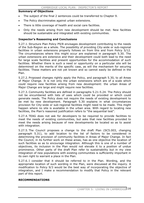#### **Summary of Objections**

- The subject of the final 2 sentences could be transferred to Chapter 9.
- The Policy discriminates against urban extensions.
- There is little coverage of health and social care facilities.
- Only the needs arising from new development should be met. New facilities should be sustainable and integrated with existing communities.

#### **Inspector's Reasoning and Conclusions**

5.27.1. Structure Plan Policy P9/8 envisages development contributing to the needs of the Sub-Region as a whole. The possibility of providing City-wide or sub-regional facilities in urban extensions properly follows on from this and from Policy 5/12. The circumstances where this might occur are explained in paragraph 5.30. The urban extensions are extensive and their development could both lead to the need for large scale facilities and present opportunities for the accommodation of such facilities. Whether there is such a need or opportunity on a particular site will be determined on the merits of the specific case, as will the mechanism for securing facilities. These matters are not yet known and so cannot easily be defined in the Plan.

5.27.2. Proposed changes rightly apply the Policy, and paragraph 5.30, to all Areas of Major Change. It is not only the urban extensions which are of a scale which could require new facilities arising from new development: the urban Areas of Major Change are large and might require new facilities.

5.27.3. Community facilities are defined in paragraphs 5.21-5.24. The Policy should not be encumbered with lists of uses which could be provided or which could generate needs. The Policy does not require the needs of existing development to be met by new development. Paragraph 5.30 explains in what circumstances provision for City-wide or sub-regional facilities might need to be made. This might happen where no site is available in the urban area. With regard to locating new facilities, the Plan's reasoned justification refers to "the sequential test".

5.27.4. TEAG does not ask for developers to be required to provide facilities to meet the needs of existing communities, but asks that new facilities provided to meet the needs arising because of new developments be located so as to assist with integration.

5.27.5. The Council proposes a change to the draft Plan (SC5.003, changing paragraph 5.31), to add location to the list of factors to be considered in determining the provision of community facilities in Areas of Major Change. In fact the Council, in its further work on these areas, has as one objective the location of such facilities so as to encourage integration. Although this is one of a number of objectives, its inclusion in the Plan would not elevate it to a position of undue prominence. Other parts of the draft Plan refer to sustainability but in my view integration of new populations with existing communities is sufficiently important in its own right to warrant a place in the Plan.

5.27.6. I consider that it should be referred to in the Plan. Wording, and the appropriate location of such wording in the Plan, were discussed at the inquiry. A modification to Policy 9/3 would be the best way of incorporating the objective of integration, and I make a recommendation to modify that Policy in the relevant part of this report.

#### **RECOMMENDATIONS**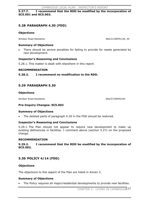**5.27.7. I recommend that the RDD be modified by the incorporation of SC5.001 and SC5.003.** 

### **5.28 PARAGRAPH 4.30 (FDD)**

#### **Objections**

Windsor Road Residents 366/21/DEP01/04\_30

#### **Summary of Objections**

There should be severe penalties for failing to provide for needs generated by new development.

#### **Inspector's Reasoning and Conclusions**

5.28.1. This matter is dealt with elsewhere in this report.

#### **RECOMMENDATION**

**5.28.2. I recommend no modification to the RDD.** 

### **5.29 PARAGRAPH 5.30**

#### **Objections**

Windsor Road Residents 366/57/DEP02/05

#### **Pre-Inquiry Changes: SC5.002**

#### **Summary of Objections**

The deleted parts of paragraph 4.30 in the FDD should be restored.

#### **Inspector's Reasoning and Conclusions**

5.29.1. The Plan should not appear to require new development to make up existing deficiencies in facilities. I comment above (section 5.27) on the proposed change.

#### **RECOMMENDATION**

**5.29.2. I recommend that the RDD be modified by the incorporation of SC5.002.**

### **5.30 POLICY 4/14 (FDD)**

#### **Objections**

The objections to this aspect of the Plan are listed in Annex 3.

#### **Summary of Objections**

The Policy requires all major/residential developments to provide new facilities.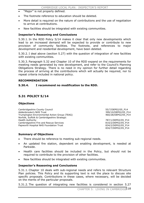- "Major" is not properly defined.
- The footnote reference to education should be deleted.
- More detail is required on the nature of contributions and the use of negotiation to arrive at contributions.
- New facilities should be integrated with existing communities.

#### **Inspector's Reasoning and Conclusions**

5.30.1. In the RDD Policy 5/14 makes it clear that only new developments which lead to an increased demand will be expected to provide or contribute to new provision of community facilities. The footnote, and references to major development and residential development, have been deleted.

5.30.2. I deal above (section 5.27) with the question of integration of new facilities with existing communities.

5.30.3. Paragraph 5.32 and Chapter 10 of the RDD expand on the requirements for meeting needs generated by new development, and refer to the Council's Planning Obligations Strategy. There is no need in my opinion for further detail regarding the process of arriving at the contributions which will actually be required, nor to repeat criteria included in national policy.

#### **RECOMMENDATION**

#### **5.30.4. I recommend no modification to the RDD.**

### **5.31 POLICY 5/14**

#### **Objections**

Cambridgeshire County Council 65/7/DEP02/05 P14 Addenbrooke's NHS Trust 399/10/DEP02/05\_P14 Trumpington Environmental Action Group (TEAG) 460/28/DEP02/05\_P14 Norfolk, Suffolk & Cambridgeshire Strategic Health Authority 787/1/DEP02/05\_P14 Cambridgeshire Fire and Rescue Services 810/2/DEP02/05\_P14 Papworth Hospital NHS Foundation Trust 834/2/DEP02/05\_P14

834/7/DEP02/05\_P14

#### **Summary of Objections**

- There should be reference to meeting sub-regional needs.
- An updated fire station, dependent on enabling development, is needed at Parkside.
- Health care facilities should be included in the Policy, but should not be required to contribute to the provision of other facilities.
- New facilities should be integrated with existing communities.

#### **Inspector's Reasoning and Conclusions**

5.31.1. Chapter 10 deals with sub-regional needs and refers to relevant Structure Plan policies. This Policy and its supporting text is not the place to discuss site specific proposals. Contributions in these cases, where necessary, will be decided on the merits of the particular proposals.

5.31.2. The question of integrating new facilities is considered in section 5.27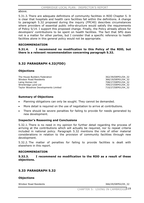#### above.

5.31.3. There are adequate definitions of community facilities in RDD Chapter 5. It is clear that hospitals and health care facilities fall within the definitions. A change to paragraph 5.32 proposed during the inquiry (FPC40) describes circumstances where providers of essential public infra-structure would satisfy the requirements of Policy 5/14. I support this proposed change. Finally, the Policy already allows for developers' contributions to be spent on health facilities. The fact that SPG does not is a matter for other parties, but I consider that a specific reference to health facilities alone in this general policy would not be appropriate.

#### **RECOMMENDATION**

**5.31.4. I recommend no modification to this Policy of the RDD, but there is a relevant recommendation concerning paragraph 5.32.** 

### **5.32 PARAGRAPH 4.32(FDD)**

#### **Objections**

The House Builders Federation 362/39/DEP01/04\_32 Windsor Road Residents 366/19/DEP01/04 32 Laing Homes Ltd 708/27/DEP01/04\_32 Wrenbridge Land Ltd 709/27/DEP01/04\_32 Taylor Woodrow Developments Limited  $710/27/DEF01/04$  32

#### **Summary of Objections**

- Planning obligations can only be sought. They cannot be demanded.
- More detail is required on the use of negotiation to arrive at contributions.
- There should be severe penalties for failing to provide for needs generated by new development.

#### **Inspector's Reasoning and Conclusions**

5.32.1. There is no need in my opinion for further detail regarding the process of arriving at the contributions which will actually be required, nor to repeat criteria included in national policy. Paragraph 5.32 mentions the role of other material considerations in relation to the provision of community facilities through new development.

5.32.2. The matter of penalties for failing to provide facilities is dealt with elsewhere in this report.

#### **RECOMMENDATION**

**5.32.3. I recommend no modification to the RDD as a result of these objections.**

### **5.33 PARAGRAPH 5.32**

#### **Objections**

Windsor Road Residents 30 and 366/29/DEP02/05 32

CHAPTER 5: LIVING IN CAMBRIDGE 19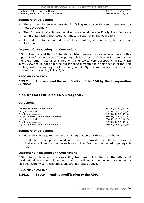Cambridge Citizens Advice Bureau 802/2/DEP02/05 32 Cambridgeshire Fire and Rescue Service 810/7/DEP02/05 32

#### **Summary of Objections**

- There should be severe penalties for failing to provide for needs generated by new development.
- x The Citizens Advice Bureau Advice Hub should be specifically identified as a community facility that could be funded through planning obligations.
- An updated fire station, dependent on enabling development, is needed at Parkside.

#### **Inspector's Reasoning and Conclusions**

5.33.1. The first and third of the above objections are considered elsewhere in this report. The final sentence of the paragraph is correct and clear in its reference to the role of other material considerations. The Advice Hub is a specific facility which in my view should not be picked out for special treatment in this section of the Plan dealing with community facilities in general. My recommendation reflects my conclusions concerning Policy 5/14.

#### **RECOMMENDATION**

#### **5.33.2. I recommend the modification of the RDD by the incorporation of FPC40.**

### **5.34 PARAGRAPH 4.33 AND 4.34 (FDD)**

#### **Objections**

The House Builders Federation 362/40/DEP01/04 33 Laing Homes Ltd 708/48/DEP01/04\_33 Wrenbridge Land Ltd 709/48/DEP01/04\_33 Taylor Woodrow Developments Limited  $710/48/DEP01/04\_33$ Laing Homes Ltd **2008** 2008 2012 12:00 12:00 2012 12:00 2012 12:00 2012 12:00 2012 12:00 2012 12:00 2012 12:00 20 Wrenbridge Land Ltd 709/49/DEP01/04\_34 Taylor Woodrow Developments Limited 710/49/DEP01/04\_34

#### **Summary of Objections**

- More detail is required on the use of negotiation to arrive at contributions.
- x Residential developers should not have to provide contributions towards childcare facilities such as nurseries and other features mentioned in paragraph 4.33.

#### **Inspector's Reasoning and Conclusions**

5.34.1. Policy 5/14 and its supporting text are not limited to the effects of residential development alone, and childcare facilities are an element of community facilities. Otherwise, these objections are addressed above.

#### **RECOMMENDATION**

#### **5.34.2. I recommend no modification to the RDD.**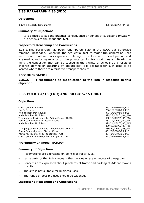CAMBRIDGE LOCAL PLAN: INSPECTOR'S REPORT

### **5.35 PARAGRAPH 4.36 (FDD)**

#### **Objections**

Bidwells Property Consultants 396/35/DEP01/04\_36

#### **Summary of Objections**

It is difficult to see the practical consequence or benefit of subjecting privatelyrun schools to the sequential test.

#### **Inspector's Reasoning and Conclusions**

5.35.1. This paragraph has been renumbered 5.29 in the RDD, but otherwise remains unchanged. Applying the sequential test to major trip generating uses accords with national policy guidance relating to the location of development, and is aimed at reducing reliance on the private car for transport means. Bearing in mind the congestion that can be caused in the vicinity of schools as a result of children arriving or departing by private car, it is desirable for such uses to be located where there are alternative transport choices.

#### **RECOMMENDATION**

**5.35.2. I recommend no modification to the RDD in response to this objection.**

# **5.36 POLICY 4/16 (FDD) AND POLICY 5/15 (RDD)**

#### **Objections**

Countryside Properties **68/20/DEP01/04\_P16** Mr. E. F. Holden 266/1/DEP01/04 P16 Medical Research Council 373/5/DEP01/04\_P16 Addenbrooke's NHS Trust 399/12/DEP01/04 P16 Trumpington Environmental Action Group (TEAG) 460/15/DEP01/04\_P16 South Cambridgeshire District Council 461/11/DEP01/04\_P16 Addenbrooke's NHS Trust 399/11/DEP02/05\_P15

Trumpington Environmental Action Group (TEAG) 460/29/DEP02/05\_P15 South Cambridgeshire District Council and the control of the 461/8/DEP02/05 P15 Papworth Hospital NHS Foundation Trust 834/3/DEP02/05 P15 Countryside Properties/Liberty Property Trust 837/6/DEP02/05\_P15

# **Pre-Inquiry Changes: SC5.004**

#### **Summary of Objections**

- Reservations are expressed on point c of Policy 4/16.
- Large parts of the Policy repeat other policies or are unnecessarily negative.
- x Concerns are expressed about problems of traffic and parking at Addenbrooke's Hospital.
- The site is not suitable for business uses.
- The range of possible uses should be widened.

#### **Inspector's Reasoning and Conclusions**

CHAPTER 5: LIVING IN CAMBRIDGE<sup>121</sup>

399/12/DEP02/05\_P15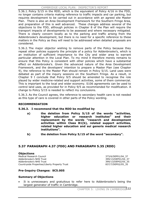5.36.1. Policy 5/15 in the RDD, which is the equivalent of Policy 4/16 in the FDD, no longer contains criteria making reference to traffic impacts and car parking, but requires development to be carried out in accordance with an agreed site Master Plan. There is also an Area Development Framework for the Southern Fringe Area, and preparation of this is well advanced. These changes address several of the objections to the FDD, although policies in Chapter 8 of the Plan will require the transport impacts of developments to be assessed and where necessary mitigated. There is clearly concern locally as to the parking and traffic arising from the Addenbrooke's development, but there is no need for a specific reference to these matters in the Policy as they will need to be addressed when detailed proposals are considered.

5.36.2. The major objector wishing to remove parts of the Policy because they repeat other policies supports the principle of a policy for Addenbrooke's, which is an institution of sufficient importance to the City and wider area to warrant particular attention in the Local Plan. To my mind it therefore merely remains to ensure that this Policy is consistent with other policies which have a substantial effect on Addenbrooke's. Given the advanced nature of the Area Development Framework, and the developers' intention to prepare a Master Plan (see Chapter 9), the reference to the Master Plan should remain in Policy 5/15. Land uses were debated as part of the inquiry sessions on the Southern Fringe. As a result, in Chapter 9 I conclude that Policy 9/5 should be amended to recognise the role played by wider medicine-related and support activities, some of them commercial. This is important to the local and wider economy. S106 agreements can be used to control land uses, as provided for in Policy 9/5 as recommended for modification. A change to Policy 5/15 is needed to reflect my conclusions.

5.36.3. As the Council agrees, the reference to secondary health care is not needed as this type of care is covered in other parts of the Policy wording.

#### **RECOMMENDATION**

#### **5.36.3. I recommend that the RDD be modified by**

- **a) the deletion from Policy 5/15 of the words "activities, higher education or research institutes" and their replacement by the words "research and development activities within Class B1(b), related support activities, related higher education and sui generis medical research institutions".**
- **b) the deletion from Policy 5/15 of the word "secondary".**

### **5.37 PARAGRAPH 4.37 (FDD) AND PARAGRAPH 5.35 (RDD)**

#### **Objections**

Medical Research Council 373/6/DEP01/04 37 Addenbrooke's NHS Trust 399/13/DEP01/04\_37 Addenbrooke's NHS Trust 399/13/DEP02/05\_35 Countryside Properties/Liberty Property Trust 837/7/DEP02/05\_35

### **Pre-Inquiry Changes: SC5.005**

#### **Summary of Objections**

It is unnecessary and gratuitous to refer here to Addenbrooke's being the largest generator of traffic in Cambridge.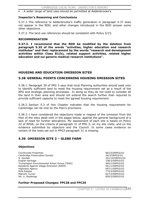A wider range of land uses should be permitted at Addenbrooke's.

#### **Inspector's Reasoning and Conclusions**

5.37.1. The reference to Addenbrooke's traffic generation in paragraph 4.37 does not appear in the RDD, and other changes introduced in the RDD answer some other objections.

5.37.2. The land use references should be consistent with Policy 5/15.

#### **RECOMMENDATION**

**5.37.3. I recommend that the RDD be modified by the deletion from paragraph 5.35 of the words "activities, higher education and research institutes" and their replacement by the words "research and development activities within Class B1(b), related support activities, related higher education and sui generis medical research institutions".** 

### **HOUSING AND EDUCATION OMISSION SITES**

### **5.38 GENERAL POINTS CONCERNING HOUSING OMISSION SITES**

5.38.1. Paragraph 30 of PPG 3 says that local Planning authorities should seek only to identify sufficient land to meet the housing requirement set as a result of the RPG and strategic planning processes. In doing so they do not need to consider all the land in their area and should not extend the search further than required to provide sufficient capacity to meet the agreed housing requirement.

5.38.2. Section 5.3 of this Chapter indicates that the housing requirement for Cambridge can be met by the Plan's provisions.

5.38.3. I have considered the objections made in respect of the omission from the Plan of the sites dealt with in the pages below, against the general background of a lack of need for further allocations. My assessment of each site is based on Policy 22 of RPG6; on the criteria of paragraph 31 of PPG 3; on my site visits; and on the evidence submitted by objectors and the Council. In some cases evidence on certain of the tests set out in PPG3 paragraph 31 is missing.

### **5.39 OMISSION SITE 2 – GLEBE FARM**

#### **Objections**

Countryside Properties 68/23/DEP02/O2 Cambridge Preservation Society 26/3/DEP03/O2 D. Kendall 291/10/DEP03/O2 English Heritage 338/2/DEP03/O2 Trumpington Environmental Action Group (TEAG) 460/1/DEP03/O2 Residents Against Village Extinction (RAVE) 561/1/DEP03/O2 Highways Agency 697/1/DEP03/O2 RLW Estates 774/2/DEP03/O2 Malcolm Turner 827/2/DEP03/O2 Ms. U. Stubbings 859/2/DEP03/O2

#### **Further Proposed Changes: FPC28 and FPC29**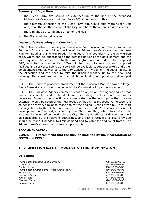### **Summary of Objections**

- The Glebe Farm site should be extended up to the line of the proposed Addenbrooke's access road, and Policy 9/5 should refer to this.
- The southern extension of the Glebe Farm site would take more Green Belt land, spoil the southern edge of the City, and harm the amenities of residents.
- There might be a cumulative effect on the M11.
- The City would be grid-locked.

#### **Inspector's Reasoning and Conclusions**

5.39.1. The southern boundary of the Glebe Farm allocation (Site 9.14) in the Southern Fringe should follow the line of the Addenbrooke's access road between Hauxton Road and Shelford Road. This gives a firm boundary to the new urban edge, which can be landscaped as the detailed nature of the development and the area requires. The site is close to the Trumpington Park and Ride, to the proposed CGB, and to the community of Trumpington, with its existing and proposed facilities and services. Public transport will be available to Addenbrooke's and other employment sites, as well as to the City Centre. In my opinion the sustainability of the allocation and the need to take the urban boundary up to the new road outweigh the consideration that the additional land is not previously developed land.

5.39.2. The Council's proposed amendment of the Proposals Map to show the larger Glebe Farm site is sufficient response to the Countryside Properties objection.

5.39.3. The Highways Agency comment is not an objection: the Agency agrees that any effects would need to be dealt with, including developer contributions as necessary. Some of the objections are predicated on the assumption that the site extension would be south of the new road, but that is not proposed. Otherwise, the objections are very similar to those against the original Glebe Farm site. I deal with the objections to the Glebe Farm site in Chapters 9 and 11. The overall scale of development in Cambridge is set by the Structure Plan, which has taken into account the levels of congestion in the City. The traffic effects of development will be considered by the relevant authorities, and both strategic and local provision should be made if needed, to limit demand and to cater for additional traffic. The Addenbrooke's access road is an example of this.

#### **RECOMMENDATION**

**5.39.4. I recommend that the RDD be modified by the incorporation of FPC28 and FPC29.** 

### **5.40 OMISSION SITE 3 – MONSANTO SITE, TRUMPINGTON**

#### **Objections**

Trumpington Meadows Land Company 798/30/DEP02/O3 D. Kendall 291/9/DEP03/O3 English Heritage 338/1/DEP03/O3 Trumpington Environmental Action Group (TEAG) 460/2/DEP03/O3 Mr. J. Fuller 558/1/DEP03/O3 Highways Agency 697/2/DEP03/O3 RLW Estates **774/3/DEP03/O3** Elizabeth Turner 826/1/DEP03/O3 Malcolm Turner 827/1/DEP03/O3

CHAPTER 5: LIVING IN CAMBRIDGE<sup>124</sup>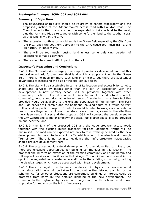### **Pre-Inquiry Changes: SCPM.002 and SCPS.004**

#### **Summary of Objections**

- The boundaries of this site should be re-drawn to reflect topography and the proposed junction of the Addenbrooke's access road with Hauxton Road. The Council accepts that the site should be expanded to take in land to the west, plus the Park and Ride site together with some further land to the south, insofar as that land is within the City.
- The extension southwards would erode the Green Belt separating the City from the M11, spoil the southern approach to the City, cause too much traffic, and be harmful in other ways.
- There will be too much housing land unless some balancing deletion of allocations is made elsewhere.
- There could be some traffic impact on the M11.

#### **Inspector's Reasoning and Conclusions**

5.40.1. The Monsanto site is largely made up of previously developed land but this proposal would add further greenfield land which is at present within the Green Belt. There is no need for more such land in principle, but there are substantial advantages to increasing the size of the site, set out below.

5.40.2. The site will be sustainable in terms of its location and accessibility to jobs, shops and services by modes other than the car. In association with the development, a new primary school will be provided, together with other community facilities. The development aims to meet the day-to-day retail, community, leisure and alternative travel needs of residents on site. New facilities provided would be available to the existing population of Trumpington. The Park and Ride service will remain and the additional housing south of it would be very well served by public transport. Residents would be able to walk, cycle or catch a bus to the village centre. A Waitrose store is also nearby, closer to the site than the village centre. Buses and the proposed CGB will connect the development to the City Centre and to major employment sites. Public open space is to be provided on and near the land.

5.40.3. In the light of the proposed CGB and the Addenbrooke's access road, together with the existing public transport facilities, additional traffic will be minimised. The road can be expected not only to take traffic generated by the new development, but also to intercept traffic which would otherwise travel through Trumpington. There is no technical evidence that infra-structure inadequacies should prevent development here.

5.40.4. The proposal would extend development further along Hauxton Road, but there are excellent opportunities for building communities in this location. The proposal should form an extension of the existing community of Trumpington, and will support services and facilities in that village. The additional land should in my opinion be regarded as a sustainable addition to the existing community, lacking the disadvantages which can be associated with linear development.

5.40.5. There is, again, no technical evidence of physical or environmental constraints. M11 noise will be taken into account in the detailed planning of the scheme. As far as other objections are concerned, buildings of interest could be protected from harm by the detailed planning of the new development. The comment by the Highways Agency is not an objection, but the scheme would have to provide for impacts on the M11, if necessary.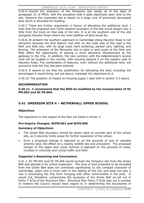5.40.6. Overall the extension of the Monsanto site meets all of the tests of paragraph 31 of PPG3, with the exception that it adds significant open land to the site. However the expanded site is based on a large core of previously developed land which is allocated for building.

5.40.7. There are further arguments in favour of allocating the additional land. I note that the proposed new north-western boundary of the site would depart only a little from the track on that side of the site. It is at the southern end of the site alongside Hauxton Road where the main addition of land would be.

5.40.8. At present the southern approach to Cambridge along Hauxton Road is not attractive because the first feature met with on the west side of the road is the Park and Ride site, with its large scale hard surfacing, parked cars, lighting, and fencing. The extension of the Monsanto site to take in land south of the Park and Ride offers the opportunity of placing a more attractive development at the gateway to the City. In addition, the new junction with the Addenbrooke's access road will be located in the vicinity, with housing beyond it on the eastern side of Hauxton Road. The combination of features, even without the additional land, will announce that the City has been entered.

5.40.9. It seems to me that the justification for allocating the land, including the advantages it would bring, set out above, outweigh the objections to it.

5.40.10. The question of impact on housing supply I deal with in section 5.3 above.

### **RECOMMENDATION**

**5.40.11. I recommend that the RDD be modified by the incorporation of SC PM.002 and SC PS.004.** 

# **5.41 OMISSION SITE 4 – NETHERHALL UPPER SCHOOL**

### **Objections**

The objections to this aspect of the Plan are listed in Annex 3.

#### **Pre-Inquiry Changes: SCPM.001 and SCPS.006**

#### **Summary of Objections**

- The Green Belt boundary should be drawn back to exclude part of the school site, as it severely limits scope for further expansion of the school.
- Such a proposed change is objected to on the grounds of loss of valuable amenity land, the effect on a nearby wildlife site and precedent. The proposed merger of the Upper and Lower Schools is opposed on the grounds of noise, increase in vehicular and cyclist traffic and litter.

### **Inspector's Reasoning and Conclusions**

5.41.1. SC PM.001 and SC PS.006 would exclude the Omission site from the Green Belt and allocate it for school expansion. The area of land proposed to be excluded from the Green Belt does not contribute significantly to the compact character of Cambridge, plays only a minor part in the setting of the City and does not play a role in preventing the City from merging with other communities in the area. It would not, therefore, compromise the purposes of the Green Belt as set out in Policy P 9/2a of the Structure Plan. Structure Plan Policy P 9/2b sets out a number of matters the Council should have regard to in determining the boundaries of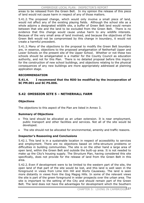areas to be released from the Green Belt. In my opinion the release of this piece of land would not cause harm in respect of any of those matters.

5.41.2. The proposed change, which would only involve a small piece of land, would not affect any of the existing playing fields. Although the school site as a whole adjoins a designated wildlife site, a buffer of Green Belt land would remain between that site and the land to be excluded from the Green Belt. There is no evidence that this change would cause undue harm to any wildlife interests. Because of the very small area of land involved, and because the objectives of the Green Belt would not be compromised by this change in boundary, it would not create a harmful precedent.

5.41.3. Many of the objections to the proposal to modify the Green Belt boundary are, in essence, objections to the proposed amalgamation of Netherhall Upper and Lower Schools on the present site of the Upper School. Whether or not these two schools should be amalgamated is a matter for the County Council as education authority, and not for this Plan. There is no detailed proposal before this inquiry for the construction of new school buildings, and objections relating to the physical consequences of any new buildings are more appropriately addressed at planning application stage.

### **RECOMMENDATION**

**5.41.4. I recommend that the RDD be modified by the incorporation of SC PM.001 and SC PS.006.** 

### **5.42 OMISSION SITE 5 – NETHERHALL FARM**

### **Objections**

The objections to this aspect of the Plan are listed in Annex 3.

#### **Summary of Objections**

- x This land should be allocated as an urban extension. It is near employment, public transport and other facilities and services. Not all of the site would be developed.
- The site should not be allocated for environmental, amenity and traffic reasons.

#### **Inspector's Reasoning and Conclusions**

5.42.1. This land is in a sustainable location in respect of accessibility to services and employment. There are no objections based on infra-structure problems or difficulties in building communities. The site is on the other hand a large area of open land, within the Green Belt and outside the built-up area. It is not needed to make up the City's housing supply. The Structure Plan, having considered this site specifically, does not provide for the release of land from the Green Belt in this area.

5.42.2. Even if development were to be limited to the western part of the site, the open land of that part of the site would be lost, and this land is well seen in the foreground in views from Lime Kiln Hill and Worts Causeway. The land is seen more distantly in views from the Gog Magog Hills. In some of the relevant views the site is part of the green foreground in wider prospects over the urban area. The site is important to the setting of the City and should remain part of the Green Belt. The land does not have the advantages for development which the Southern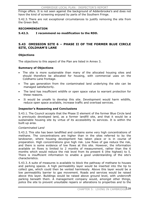Fringe offers. It is not seen against the background of Addenbrooke's and does not have the kind of screening enjoyed by parts of the Southern Fringe.

5.42.3. There are not exceptional circumstances to justify removing the site from the Green Belt.

#### **RECOMMENDATION**

**5.42.3. I recommend no modification to the RDD.** 

### **5.43 OMISSION SITE 6 – PHASE II OF THE FORMER BLUE CIRCLE SITE, COLDHAM'S LANE**

#### **Objections**

The objections to this aspect of the Plan are listed in Annex 3.

#### **Summary of Objections**

- The site is more sustainable than many of the allocated housing sites and should therefore be allocated for housing, with commercial uses on the Coldhams Lane frontage.
- The gas generation from the contaminated land underlying the site can be managed satisfactorily.
- The land has insufficient wildlife or open space value to warrant protection for these reasons.
- It would be unsafe to develop this site. Development would harm wildlife, reduce open space available, increase traffic and overload services.

#### **Inspector's Reasoning and Conclusions**

5.43.1. The Council accepts that the Phase II element of the former Blue Circle land is previously developed land, as a former landfill site, and that it would be a sustainable housing site by virtue of its accessibility to services. It is within the built-up area.

#### *Contaminated Land*

5.43.2. This site has been landfilled and contains some very high concentrations of methane. The concentrations are higher than in the sites referred to by the landowner, where housing development has taken place or is in course of preparation. High concentrations give high risk. Low flows of gas reduce the risk, and there is some evidence of low flows at this site. However, the information available on flows is limited to 2 months of measurement, rather than the 6 months which would reduce the risk level from its present 6 (the highest) to 5. There is insufficient information to enable a good understanding of the site's characteristics.

5.43.3. A suite of measures is available to block the pathway of methane to houses and parking spaces. A high permeability layer would be inserted into the tip to collect gas, which could then be vented harmlessly. Above this layer would be a low permeability barrier to gas movement. Roads and services would be raised above this layer. Buildings would be raised above ground level, with undercroft parking beneath them. A management company would, amongst other things, police the site to prevent unsuitable repairs or alterations to properties and to the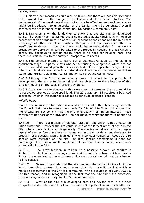parking areas.

5.43.4. Many other measures could also be taken, but there are possible scenarios which would lead to the danger of explosion and the risk of fatalities. The management of the development may not always be effective, and enclosed spaces might be introduced into undercrofts, or the barrier might be penetrated even if garden areas are intended to be communal. No barrier is completely safe.

5.43.5. The onus is on the landowner to show that the site can be developed safely. The owner has not carried out a quantitative audit, which is in my opinion necessary at this stage because of the high concentrations of gas and the imperfect knowledge of other site characteristics. Without a full risk assessment there is insufficient evidence to show that there would be no residual risk. In my view a precautionary approach should be taken to the proposal: housing is a use which is particularly sensitive to contamination, there is no need for housing here, and there is a residual risk to the safety of prospective residents.

5.43.6. The objector intends to carry out a quantitative audit at the planning application stage. No party knows whether a housing development, which has not yet been detailed, would pass the necessary tests at the application stage. On the other hand land contamination is a material consideration at the development Plan stage, and PPS23 is clear that contamination can preclude certain uses.

5.43.7. Although the Environment Agency does not object to the principle of development, there is a fundamental land use objection to the allocation of this land for housing on the basis of present evidence.

5.43.8. A decision not to allocate in this case does not threaten the national drive to redevelop previously developed land. PPS 23 paragraph 16 requires a balanced approach, which in this instance leads me to conclude against allocation.

#### *Wildlife Value*

5.43.9. Recent survey information is available for the site. The objector agrees with the Council that the site meets the criteria for City Wildlife Sites, but argues that the criteria are set so low that the site is effectively of limited interest. These criteria are not part of the RDD and I do not make recommendations in relation to them.

5.43.10. There is a mosaic of habitats, although one which is not unusual on urban wasteland. However the site contains one of the largest areas of scrub in the City, where there is little scrub generally. The species found are common, again typical of species found in these situations and in urban gardens, but there are 19 breeding bird species, with a high density of individual territories. About 30 bird species were recorded on the site. The bird species assemblage is good for Cambridge. There is a small population of common lizards, which occur only sporadically in the City.

5.43.11. The site's function in relation to a possible network of habitats is limited by the built-up surroundings on most sides and the railway which separates it from the open land to the south-west. However the railway will not be a barrier to bird species.

5.43.12. Overall I conclude that the site has importance for biodiversity in the local, Cambridge, context. It appears to me that this is a valid level at which to make an assessment as the City is a community with a population of over 100,000. For this reason, and in recognition of the fact that the site fulfils the necessary criteria, designation as a City Wildlife Site is appropriate.

5.43.13. West of the site is a developed area and beyond that is a further completed landfill site owned by Land Securities Group Plc. This former landfill site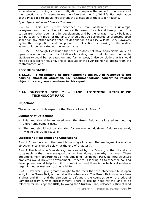is capable of providing sufficient mitigation to replace the value for biodiversity of the objection site. It seems to me therefore that the City Wildlife Site designation of the Phase II site should not prevent the allocation of the site for housing.

#### *Open Space Value and Overall Conclusion*

5.43.14. This site is best described as urban wasteland. It is unkempt, overgrown and unattractive, with substantial areas of scrub and bare ground. It is cut off from other open land by development and by the railway: nearby buildings can be seen from much of the land. It should not be designated as protected open space for any other reason than its designation as a City Wildlife Site. However, again, the designation need not prevent an allocation for housing as the wildlife value could be recreated on the western site.

5.43.15. Although I conclude that the site does not have appreciable value as open space, other than its biodiversity value, and that its contribution to biodiversity could be recreated on land further west, I also conclude that it should not be allocated for housing. This is because of the over-riding risk arising from the contaminated land.

### **RECOMMENDATION**

**5.43.16. I recommend no modification to the RDD in response to the housing allocation objection. My recommendations concerning related objections are given elsewhere in this report.** 

### **5.44 OMISSION SITE 7 – LAND ADJOINING PETERHOUSE TECHNOLOGY PARK**

### **Objections**

The objections to this aspect of the Plan are listed in Annex 3.

### **Summary of Objections**

- This land should be removed from the Green Belt and allocated for housing and/or employment uses.
- The land should not be allocated for environmental, Green Belt, recreational, wildlife and traffic reasons.

#### **Inspector's Reasoning and Conclusions**

5.44.1. I deal here with the possible housing allocation. The employment allocation objection is considered below, at the end of Chapter 7.

5.44.2. The landowner's evidence, unanswered by the Council, is that the site is sustainable in that there are good bus services along the nearby main road. There are employment opportunities on the adjoining Technology Park. No infra-structure problems would prevent development. Evidence is lacking as to whether housing development would help to build communities, and there is no technical evidence regarding other matters such as wildlife.

5.44.3. However I give greater weight to the facts that the objection site is open land, in the Green Belt, and outside the urban area. The Green Belt boundary here is clear and firm, and the site acts to safeguard the countryside on the edge of Cambridge from further encroachment. There is also no need for the land to be released for housing: the RDD, following the Structure Plan, releases sufficient land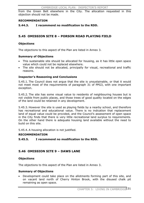from the Green Belt elsewhere in the City. The allocation requested in this objection should not be made.

#### **RECOMMENDATION**

**5.44.3. I recommend no modification to the RDD.** 

### **5.45 OMISSION SITE 8 – PORSON ROAD PLAYING FIELD**

#### **Objections**

The objections to this aspect of the Plan are listed in Annex 3.

#### **Summary of Objections**

- This sustainable site should be allocated for housing, as it has little open space value which could not be replaced elsewhere.
- The site should not be allocated, principally for visual, recreational and traffic reasons.

#### **Inspector's Reasoning and Conclusions**

5.45.1. The Council does not argue that the site is unsustainable, or that it would not meet most of the requirements of paragraph 31 of PPG3, with one important exception.

5.45.2. The site has some visual value to residents of neighbouring houses but is not visible from public places, and those trees of good quality located on the edges of the land could be retained in any development.

5.45.3. However the site is used as playing fields by a nearby school, and therefore has recreational and educational value. There is no indication that replacement land of equal value could be provided, and the Council's assessment of open space in the City finds that there is very little recreational land surplus to requirements. On the other hand there is adequate housing land available without the need to build on this site.

5.45.4. A housing allocation is not justified.

#### **RECOMMENDATION**

#### **5.45.5. I recommend no modification to the RDD.**

#### **5.46 OMISSION SITE 9 – DAWS LANE**

#### **Objections**

The objections to this aspect of the Plan are listed in Annex 3.

#### **Summary of Objections**

Development could take place on the allotments forming part of this site, and on vacant land north of Cherry Hinton Brook, with the disused chalk pit remaining as open space.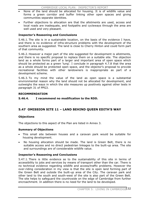- None of the land should be allocated for housing. It is of wildlife value and forms a green corridor and buffer linking other open spaces and giving communities separate identities.
- Further objections to allocation are that the allotments are used, access and local roads are inadequate, and footpaths and cycleways through the area are well used and very pleasant.

### **Inspector's Reasoning and Conclusions**

5.46.1. The site is in a sustainable location, on the basis of the evidence I have, and there is no evidence of infra-structure problems with the development of the southern area as suggested. The land is close to Cherry Hinton and could form part of that community.

5.46.2. However a major part of the site suggested for development is allotments, and there is no specific proposal to replace them on a suitable site. The objection land as a whole forms part of a larger and important area of open space which should be protected as a green 'lung'. I conclude in paragraph 4.7.8 that the area as a whole should be protected open space, and the objector's proposal to provide recreational facilities with other landowners is inappropriate as part of a development scheme.

5.46.3. To my mind the value of the land as open space is a substantial environmental reason why the land should not be allocated for development, and outweighs the ways in which the site measures up positively against other tests in paragraph 31 of PPG3.

### **RECOMMENDATION**

### **5.46.4. I recommend no modification to the RDD.**

# **5.47 OMISSION SITE 11 – LAND BEHIND QUEEN EDITH'S WAY**

### **Objections**

The objections to this aspect of the Plan are listed in Annex 3.

### **Summary of Objections**

- This small site between houses and a caravan park would be suitable for housing development.
- No housing allocation should be made. The land is Green Belt, there is no suitable access and no direct pedestrian linkages to the built-up area. The site and surroundings are of considerable wildlife value.

### **Inspector's Reasoning and Conclusions**

5.47.1. There is little evidence as to the sustainability of this site in terms of accessibility to jobs and services by means of transport other than the car. There is no technical evidence regarding wildlife and access/traffic problems. However the over-riding consideration in my view is that the site is open land forming part of the Green Belt and outside the built-up area of the City. The caravan park and other land to the south and south-west of the site is also part of the Green Belt. The site helps to safeguard the countryside on the edge of Cambridge from further encroachment. In addition there is no need for the land to be developed.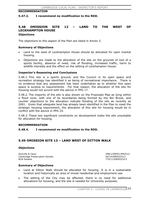#### **RECOMMENDATION**

#### **5.47.2. I recommend no modification to the RDD.**

### **5.48 OMISSION SITE 12 – LAND TO THE WEST OF LECKHAMPTON HOUSE Objections**

The objections to this aspect of the Plan are listed in Annex 3.

#### **Summary of Objections**

- Land to the west of Leckhampton House should be allocated for open market housing.
- x Objections are made to the allocation of the site on the grounds of loss of a sports facility, absence of need, risk of flooding, increased traffic, harm to wildlife interests and the effect on the setting of Leckhampton House.

#### **Inspector's Reasoning and Conclusions**

5.48.1. This site is a sports ground, and the Council in its open space and recreation strategy has identified it as being of recreational importance. There is no evidence that any assessment has been undertaken as to whether this open space is surplus to requirements. For that reason, the allocation of the site for housing would not accord with the advice in PPG 17.

5.48.2. The majority of the site is also shown on the Proposals Map as lying within a flood zone, with one of its boundaries being formed by the Bin Brook, and counter objections to the allocation indicate flooding of the site as recently as 2001. Given that adequate land has already been identified in the Plan to meet the strategic housing requirement, the allocation of this site for housing would be in conflict with the advice in PPG 25.

5.48.3. These two significant constraints on development make the site unsuitable for allocation for housing.

#### **RECOMMENDATION**

#### **5.48.4. I recommend no modification to the RDD.**

### **5.49 OMISSION SITE 13 – LAND WEST OF DITTON WALK**

#### **Objections**

Gonville & Caius 398/1/DEP01/PM/O13 Cambridge Preservation Society 26/14/DEP03/O13 RLW Estates 774/11/DEP03/O13

#### **Summary of Objections**

- Land at Ditton Walk should be allocated for housing. It is in a sustainable location and historically an area of mixed residential and employment use.
- The setting of the City may be affected, there is no need for additional allocations for housing, and the site is needed for University purposes.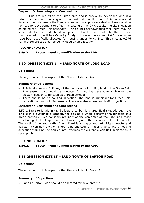#### **Inspector's Reasoning and Conclusions**

5.49.1. This site lies within the urban area and is previously developed land in a mixed use area with housing on the opposite side of the road. It is not allocated for any other purpose in the Plan, and subject to appropriate design there would be no need for development to affect the setting of the City, despite the site's location adjoining the Green Belt boundary. The Council acknowledges that there may be some potential for residential development in this location, and notes that the site was included in the Urban Capacity Study. However, only sites of 0.5 ha or more have been specifically allocated for housing under Policy 5/1. This site, at 0.276 ha, is therefore too small to be included as an allocation.

#### **RECOMMENDATION**

#### **5.49.2. I recommend no modification to the RDD.**

### **5.50 OMISSION SITE 14 – LAND NORTH OF LONG ROAD**

#### **Objections**

The objections to this aspect of the Plan are listed in Annex 3.

#### **Summary of Objections**

- This land does not fulfil any of the purposes of including land in the Green Belt. The eastern part could be allocated for housing development, leaving the western section to function as a green corridor.
- There should be no housing allocation. The land is important for Green Belt, recreational, and wildlife reasons. There are also access and traffic objections.

#### **Inspector's Reasoning and Conclusions**

5.50.1. The site is within the built-up area but is a greenfield site. Although the land is in a sustainable location, the site as a whole performs the function of a green corridor. Such corridors are part of the character of the City, and those penetrating the built-up area, as in this case, are often included in the Green Belt. The width of the land north of Long Road is an important part of its character and assists its corridor function. There is no shortage of housing land, and a housing allocation would not be appropriate, whereas the current Green Belt designation is appropriate.

#### **RECOMMENDATION**

#### **5.50.2. I recommend no modification to the RDD.**

### **5.51 OMISSION SITE 15 – LAND NORTH OF BARTON ROAD**

#### **Objections**

The objections to this aspect of the Plan are listed in Annex 3.

#### **Summary of Objections**

• Land at Barton Road should be allocated for development.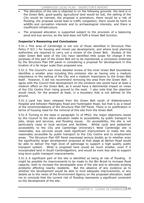- The allocation of the site is objected to on the following grounds: the land is in the Green Belt, good-quality agricultural land would be lost, the setting of the City would be harmed, the proposal is premature, there would be a risk of flooding, the proposal would lead to traffic congestion, there would be harm to wildlife and recreation interests and to archaeological interests, and there is insufficient infrastructure.
- The proposed allocation is supported subject to the provision of a balancing pond and bus service, as the land does not fulfil a Green Belt function.

### **Inspector's Reasoning and Conclusions**

5.51.1. This area of Cambridge is not one of those identified in Structure Plan Policy P 9/2 c for housing and mixed use development, and where local planning authorities are required to carry out a review of the Green Belt. Studies of the wider Green Belt west of the City have identified little scope for change if the purposes of this part of the Green Belt are to be maintained, a conclusion endorsed by the Structure Plan EIP panel in considering a proposal for development in this location of a far larger scale than proposed now.

5.51.2. The Council's own more detailed review of the inner Green Belt boundaries identifies a smaller area including this omission site as having only a medium importance to the setting of the City and a medium importance to the Green Belt itself. However, it did not recommend removing the area from the Green Belt. Iagree with the Council that development on the omission site would have at least a medium effect on the Green Belt, as it would have a detrimental impact on views of the City Centre from rising ground to the west. I also note that the objection would result, for the present at least, in a boundary that is not defined on the ground.

5.51.3. Land has been released from the Green Belt south of Addenbrooke's Hospital and between Madingley Road and Huntingdon Road, but that is as a result of the recommendations of the Structure Plan EIP Panel. There is no justification in terms of housing need for the removal of this site from the Green Belt.

5.51.4. Turning to the tests in paragraph 31 of PPG3, the major objections raised by the Council to the site's allocation relate to accessibility by public transport to jobs, shops and services, and flooding issues. On accessibility, the site is not particularly close to local services and facilities. Whilst cycle and pedestrian accessibility to the City and Cambridge University's West Cambridge site is reasonable, bus services would need significant improvement to make the site reasonably accessible by public transport to the City Centre and to employment areas. The Structure Plan EIP Panel expressed serious doubts as to whether even the significantly larger development proposed at that stage at Barton Road would be able to deliver the high level of patronage to support a high quality public transport system. What is proposed here would be much smaller, even if it incorporated land in South Cambridgeshire, and would be even less able to support long-term public transport improvements.

5.51.5. A significant part of the site is identified as being at risk of flooding. It might be possible for improvements to be made to the Bin Brook to increase flood capacity, both to increase the developable area of the site and to alleviate existing problems affecting nearby residents. But the absence of any evidence as to whether the development would be able to fund adequate improvements, or any details as to the views of the Environment Agency on the proposed allocation, leads me to conclude that the current risk of flooding represents a significant constraint on the development of the site.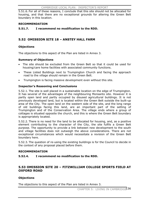5.51.6. For all of these reasons, I conclude that this site should not be allocated for housing, and that there are no exceptional grounds for altering the Green Belt boundary in this location.

#### **RECOMMENDATION**

### **5.51.7. I recommend no modification to the RDD.**

### **5.52 OMISSION SITE 18 – ANSTEY HALL FARM**

#### **Objections**

The objections to this aspect of the Plan are listed in Annex 3.

#### **Summary of Objections**

- The site should be excluded from the Green Belt so that it could be used for housing/care home facilities with associated community functions.
- x These Listed Buildings next to Trumpington Church and facing the approach road to the village should remain in the Green Belt.
- Trumpington is facing massive development even without this site.

### **Inspector's Reasoning and Conclusions**

5.52.1. The site is well placed in a sustainable location on the edge of Trumpington. It has several of the advantages of the neighbouring Monsanto site. However it is partly open land and partly occupied by disused agricultural buildings. It is not previously developed land, but is located within the Green Belt outside the built-up area of the City. The open land on the western side of the site, and the long range of old buildings facing this land, are an important part of the setting of Trumpington and of the Conservation Area. The village ends where a group of cottages is situated opposite the church, and this is where the Green Belt boundary is appropriately located.

5.52.2. There is no need for the land to be allocated for housing, and, as a positive element contributing to the character of the City, the site fulfils a Green Belt purpose. The opportunity to provide a link between new development to the south and village facilities does not outweigh the above considerations. There are not exceptional circumstances which would necessitate a revision of the Green Belt boundary here.

5.52.3. The question of re-using the existing buildings is for the Council to decide in the context of any proposal placed before them.

#### **RECOMMENDATION**

**5.52.4. I recommend no modification to the RDD.** 

### **5.53 OMISSION SITE 20 – FITZWILLIAM COLLEGE SPORTS FIELD AT OXFORD ROAD**

#### **Objections**

The objections to this aspect of the Plan are listed in Annex 3.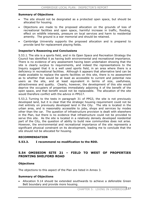#### **Summary of Objections**

- The site should not be designated as a protected open space, but should be allocated for housing.
- Objections are made to the proposed allocation on the grounds of loss of recreational facilities and open space, harmful increase in traffic, flooding, effect on wildlife interests, pressure on local services and harm to residential amenity. The ground is a war memorial and should be retained.
- Cambridge University supports the proposed allocation and is prepared to provide land for replacement playing fields.

#### **Inspector's Reasoning and Conclusions**

5.53.1. The site is a sports field, and in its Open Space and Recreation Strategy the Council has identified it as having both environmental and recreational importance. There is no evidence of any assessment having been undertaken showing that the site is clearly surplus to requirements, and indeed the representations to the Inquiry suggest that it is a well used sports field, in an area where there is a deficiency in recreational facilities. Although it appears that alternative land can be made available to replace the sports facilities on this site, there is no assessment as to whether that would be at least as accessible to current and potential new users as the site, and at least equivalent in terms of size, usefulness, attractiveness and quality. Clearly, however, the development of this site would deprive the occupiers of properties immediately adjoining it of the benefit of the open space, and that benefit would not be replaceable. The allocation of the site would therefore conflict with the advice in PPG17.

5.53.2. Turning to the tests in paragraph 31 of PPG3, the site is not previously developed land, but it is clear that the strategic housing requirement could not be met entirely on previously developed land in the City. The site is located in the urban area, and is reasonably accessible to jobs, shops and services by modes other than the car. The question of infrastructure provision is dealt with elsewhere in the Plan, but there is no evidence that infrastructure could not be provided to serve this site. As the site is located in a relatively densely developed residential part of the City, the question of ability to build new communities does not arise. However, the environmental and recreational importance of the site represents a significant physical constraint on its development, leading me to conclude that the site should not be allocated for housing.

#### **RECOMMENDATION**

#### **5.53.3. I recommend no modification to the RDD.**

### **5.54 OMISSION SITE 21 – FIELD TO WEST OF PROPERTIES FRONTING SHELFORD ROAD**

#### **Objections**

The objections to this aspect of the Plan are listed in Annex 3.

#### **Summary of Objections**

x Allocation 9.14 should be extended southwards to achieve a defensible Green Belt boundary and provide more housing.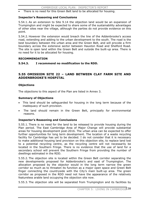There is no need for this Green Belt land to be allocated for housing.

#### **Inspector's Reasoning and Conclusions**

5.54.1. As an extension to Site 9.14 the objection land would be an expansion of Trumpington and might be expected to share some of the sustainability advantages of other sites near the village, although the parties do not provide evidence on this point.

5.54.2. However the extension would breach the line of the Addenbrooke's access road, extending and adding to the urban development to the south. The road is the best boundary between the urban area and the Green Belt, and will provide a firm boundary across the extensive sector between Hauxton Road and Shelford Road. The site is open land within the Green Belt and outside the built-up area. There is no need for it to be allocated for housing.

#### **RECOMMENDATION**

### **5.54.3. I recommend no modification to the RDD.**

### **5.55 OMISSION SITE 22 – LAND BETWEEN CLAY FARM SITE AND ADDENBROOKE'S HOSPITAL**

#### **Objections**

The objections to this aspect of the Plan are listed in Annex 3.

#### **Summary of Objections**

- This land should be safeguarded for housing in the long term because of the inadequacy of such provision.
- The land should remain in the Green Belt, principally for environmental reasons.

### **Inspector's Reasoning and Conclusions**

5.55.1. There is no need for the land to be released to provide housing during the Plan period. The East Cambridge Area of Major Change will provide substantial areas for housing development post-2016. The urban area can be expected to offer further opportunities for long term development. The location of a waste recycling facility for Cambridge has yet to be decided. I do not consider that it is necessary to make additional housing land provision on this objection site, to replace land lost to a potential recycling centre, as the recycling centre will not necessarily be located in the Southern Fringe. There is no evidence that the use of land for a secondary school will prevent the Southern Fringe from providing the number of dwellings estimated in the RDD.

5.55.2. The objection site is located within the Green Belt corridor separating the new developments proposed for Addenbrooke's and east of Trumpington. The allocation proposed by the objector would in the long term narrow the green corridor so much as to threaten its function as a major open space and Green Belt finger connecting the countryside with the City's main built-up area. The green corridor as proposed in the RDD need not have the appearance of the relatively featureless arable land occupying the objection site now.

5.55.3. The objection site will be separated from Trumpington and its facilities by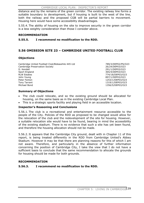distance and by the remains of the green corridor. The existing railway line forms a suitable boundary to development, but if housing is built to the west of the line, both the railway and the proposed CGB will be partial barriers to movement. Housing here would have some accessibility disadvantages.

5.55.4. The ability of housing on the site to improve security in the green corridor is a less weighty consideration than those I consider above.

### **RECOMMENDATION**

### **5.55.5. I recommend no modification to the RDD.**

# **5.56 OMISSION SITE 23 – CAMBRIDGE UNITED FOOTBALL CLUB**

### **Objections**

Cambridge United Football Club/Bideawhile 445 Ltd 789/3/DEP02/PS/O23 Cambridge Preservation Society 26/24/DEP03/O23 D. Kendall 291/1/DEP03/O23 Sport England 365/4/DEP03/O23 RLW Estates 774/18/DEP03/O23 John Young 897/1/DEP03/O23 Peter Fenton 2008 1253/1/DEP03/O23 Tony Tarrant 1319/1/DEP03/O23 Michael Bond 1356/5/DEP03/O23

### **Summary of Objections**

- The club could relocate, and so the existing ground should be allocated for housing, on the same basis as in the existing Cambridge Local Plan.
- This is a strategic sports facility and playing field in an accessible location.

### **Inspector's Reasoning and Conclusions**

5.56.1. The club is a recreational and entertainment resource accessible to the people of the City. Policies of the RDD as proposed to be changed would allow for the relocation of the club and the redevelopment of the site for housing. However, a suitable relocation site would have to be found, bearing in mind the accessibility of the existing stadium. There is no evidence that such a site has yet been found, and therefore the housing allocation should not be made.

5.56.2. It appears that the Cambridge City ground, dealt with in Chapter 11 of this report, is being treated differently in the RDD from Cambridge United's Abbey Stadium. However it may be that there are planning reasons for this of which I am not aware. Therefore, and particularly in the absence of further information concerning the position of Cambridge City, I take the view that I do not have a sufficient basis to conclude that the same recommendation to allocate the grounds for housing should be made for both grounds.

#### **RECOMMENDATION**

### **5.56.3. I recommend no modification to the RDD.**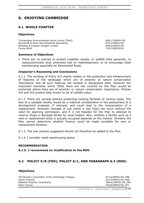# **6. ENJOYING CAMBRIDGE**

### **6.1 WHOLE CHAPTER**

#### **Objections**

Trumpington Environmental Action Group (TEAG) 460/17/DEP01/05 Brunswick & North Kite Residents Association 676/1/DEP01/05 Whiteley & Creasey (Anglia) Limited 699/2/DEP01/05 Teresa Brett 729/1/DEP02/06

#### **Summary of Objections**

• There are no policies to protect roadside verges, or wildlife sites generally, to replace/promote local amenities lost on redevelopment, or to encourage retail warehousing especially on Newmarket Road.

#### **Inspector's Reasoning and Conclusions**

6.1.1. The wording of Policy 4/3 clearly relates to the protection and enhancement of features of the landscape which are of amenity or nature conservation importance. Not all such features are located in designated sites. However the important elements which TEAG fears are not covered by the Plan would be protected where they are of amenity or nature conservation importance. Policies 4/5 and 4/6 protect sites known to be of wildlife value.

6.1.2. There are several policies protecting existing facilities of various types. The loss of a valuable facility would be a material consideration in the assessment of a development proposal, if relevant, and could lead to the incorporation of a replacement. However changes of use within a Use Class can occur without the need for planning permission, and it is not feasible for the Plan to attempt to reserve shops in Burleigh Street for local traders. Also, whether a facility such as a new or replacement shop is actually occupied depends on the market. Similarly the Plan cannot determine whether finance could be made available for new or replacement facilities.

6.1.3. The new policies suggested should not therefore be added to the Plan.

6.1.4. I consider retail warehousing below.

#### **RECOMMENDATION**

**6.1.5. I recommend no modification to the RDD.** 

### **6.2 POLICY 5/8 (FDD), POLICY 6/1, AND PARAGRAPH 6.3 (RDD)**

#### **Objections**

The Bursars' Committee of the Cambridge Colleges 687/16/DEP01/05 P08 Green Property 337/3/DEP01/05\_P08 Bidwells Property Consultants **396/41/DEP01/05\_P08** Peter Convey 266/6/DEP02/06\_P01

CHAPTER 6: ENJOYING CAMBRIDGE<sup>140</sup>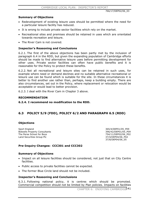766/17/DEP02/06\_03

#### **Summary of Objections**

- Redevelopment of existing leisure uses should be permitted where the need for a particular leisure facility has reduced.
- It is wrong to include private sector facilities which rely on the market.
- Recreational sites and premises should be retained in uses which are orientated towards recreation and leisure.
- $\bullet$  The River Cam is not covered.

#### **Inspector's Reasoning and Conclusions**

6.2.1. The first of the above objections has been partly met by the inclusion of paragraph 6.4 in the RDD, but given the expanding population of Cambridge efforts should be made to find alternative leisure uses before permitting development for other uses. Private sector facilities can often have public benefits and it is reasonable for the Policy to protect these benefits.

6.2.2. Not all recreational and leisure sites can be retained in such uses, for example where need or demand declines and no suitable alternative recreational or leisure use can be found which is suitable for the site. In these circumstances it is better to find another use rather than, perhaps, keep a building empty. There are also circumstances, set out in the Policy, where replacement or relocation would be acceptable or would lead to better provision.

6.2.3. I deal with the River Cam in Chapter 3 above.

#### **RECOMMENDATION**

**6.2.4. I recommend no modification to the RDD.** 

# **6.3 POLICY 5/9 (FDD), POLICY 6/2 AND PARAGRAPH 6.5 (RDD)**

#### **Objections**

Sport England<br>Bidwells Property Consultants and Social State of the Society of the Society of the Society of the Society of<br>396/42/DEP01/05\_P09 Bidwells Property Consultants The Perse School for Boys<br>
Land Securities Group Plc<br>
27/4/DEP04/06\_P02 Land Securities Group Plc

37/8/DEP04/06\_05

## **Pre-Inquiry Changes: CCC301 and CCC302**

#### **Summary of Objections**

- Impact on all leisure facilities should be considered, not just that on City Centre facilities.
- Public access to private facilities cannot be expected.
- The former Blue Circle land should not be included.

#### **Inspector's Reasoning and Conclusions**

6.3.1. Following national policy, it is centres which should be promoted. Commercial competition should not be limited by Plan policies. Impacts on facilities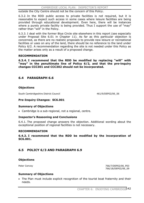CAMBRIDGE LOCAL PLAN: INSPECTOR'S REPORT

outside the City Centre should not be the concern of this Policy.

6.3.2. In the RDD public access to private facilities is not required, but it is reasonable to expect such access in some cases where leisure facilities are being provided through educational development. Even here, there will be instances where a purely private facility is being provided. Thus I support the use of "may" rather than "will" in the Policy.

6.3.3. I deal with the former Blue Circle site elsewhere in this report (see especially under Proposal Site 6.01 in Chapter 11). As far as this particular objection is concerned, as there are no realistic proposals to provide new leisure or recreational facilities or uses on any of the land, there should be no reference to the land under Policy 6/2. A recommendation regarding the site is not needed under this Policy as the matter arises only as a result of a proposed change.

#### **RECOMMENDATION**

**6.3.4. I recommend that the RDD be modified by replacing "will" with "may" in the penultimate line of Policy 6/2, and that the pre-inquiry changes CCC301 and CCC302 should not be incorporated.** 

## **6.4 PARAGRAPH 6.6**

## **Objections**

South Cambridgeshire District Council 461/9/DEP02/06\_06

#### **Pre-Inquiry Changes: SC6.001**

#### **Summary of Objections**

• Cambridge is a sub-regional, not a regional, centre.

## **Inspector's Reasoning and Conclusions**

6.4.1. The proposed change answers the objection. Additional wording about the exceptional position of regional facilities is not necessary.

#### **RECOMMENDATION**

**6.4.2. I recommend that the RDD be modified by the incorporation of SC6.001.**

## **6.5 POLICY 6/3 AND PARAGRAPH 6.9**

## **Objections**

Peter Convey **266/7/DEP02/06\_P03** 766/18/DEP02/06\_09

#### **Summary of Objections**

• The Plan must include explicit recognition of the tourist boat fraternity and their needs.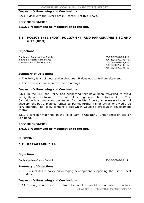#### **Inspector's Reasoning and Conclusions**

6.5.1. I deal with the River Cam in Chapter 3 of this report.

#### **RECOMMENDATION**

#### **6.5.2. I recommend no modification to the RDD.**

## **6.6 POLICY 5/11 (FDD), POLICY 6/4, AND PARAGRAPHS 6.12 AND 6.13 (RDD)**

#### **Objections**

Cambridge Preservation Society<br>
Bidwells Property Consultants<br>
26/29/DEP01/05\_P11 Bidwells Property Consultants Conservators of the River Cam **755/1/DEP02/06** P04

 755/10/DEP02/06\_12 755/11/DEP02/06\_13

#### **Summary of Objections**

- The Policy is ambiguous and aspirational. It does not control development.
- There is a need for more off-river moorings.

#### **Inspector's Reasoning and Conclusions**

6.6.1. In the RDD the Policy and supporting text have been reworded to avoid ambiguity and to focus on the cultural heritage and interpretation of the City. Cambridge is an important destination for tourists. A policy is necessary to control development but a blanket refusal to permit further visitor attractions would be very onerous. The Policy contains a test which would be effective in development control.

6.6.2. I consider moorings on the River Cam in Chapter 3, under omission site 17 Fen Road.

#### **RECOMMENDATION**

## **6.6.3. I recommend no modification to the RDD.**

#### **SHOPPING**

## **6.7 PARAGRAPH 6.14**

#### **Objections**

Cambridgeshire County Council 65/32/DEP02/06 14

#### **Summary of Objections**

• RSS14 includes a policy encouraging development supporting the use of local produce.

#### **Inspector's Reasoning and Conclusions**

6.7.1. The objection refers to a draft document. It would be premature to include

CHAPTER 6: ENJOYING CAMBRIDGE<sup>143</sup>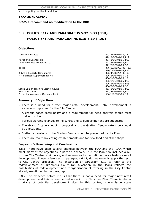such a policy in the Local Plan.

#### **RECOMMENDATION**

#### **6.7.2. I recommend no modification to the RDD.**

# **6.8 POLICY 5/12 AND PARAGRAPHS 5.32-5.33 (FDD) POLICY 6/5 AND PARAGRAPHS 6.15-6.19 (RDD)**

#### **Objections**

Marks and Spencer Plc 367/3/DEP01/05\_P12<br>
Land Securities Properties Ltd 371/6/DEP01/05 P12 Land Securities Properties Ltd

Bidwells Property Consultants<br>
WM Morrison Supermarkets Plc 88 and 2008 12 and 396/44/DEP01/05 32 WM Morrison Supermarkets Plc

Turnstone Estates 47/13/DEP01/05\_32 47/12/DEP01/05\_P12 371/8/DEP01/05\_33 BT Plc 376/12/DEP01/05\_P12 376/1/DEP02/06\_P05 406/1/DEP02/06\_17 406/1/DEP01/05\_P12 406/2/DEP02/06\_P05 406/7/DEP01/05\_33

South Cambridgeshire District Council 461/8/DEP01/05\_P12 Miss G. M. Owst 537/4/DEP01/05\_P12 Prudential Assurance Company Limited 696/1/DEP02/06 19

## **Summary of Objections**

- There is a need for further major retail development. Retail development is especially important for the City Centre.
- A criteria-based retail policy and a requirement for need analysis should form part of the Plan.
- Various wording changes to Policy 6/5 and to supporting text are suggested.
- The Grand Arcade shopping proposal and the Grafton Centre extension should be allocations.
- Further extensions to the Grafton Centre would be prevented by the Plan.
- There are too many eating establishments and too few food and other shops.

## **Inspector's Reasoning and Conclusions**

6.8.1. There have been several changes between the FDD and the RDD, which meet many of the objections in part or in whole. Thus the Plan now includes a rewritten City Centre retail policy, and references to the national policy tests for retail development. These references, in paragraph 6.17, do not wrongly apply the tests to City Centre proposals. The expansion of paragraph 6.19 to refer to the redevelopment of Bradwells Court (an allocation in the Plan) reflects the possibilities of redevelopment and reorganisation of retailing in the City Centre already mentioned in the paragraph.

6.8.2. The evidence before me is that there is not a need for major new retail development, and this is commented upon in the Structure Plan. There is also a shortage of potential development sites in this centre, where large scale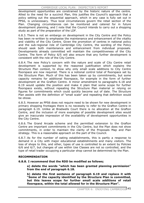development opportunities are constrained by the historic nature of the centre. Allied to the need for a succinct Plan, this justifies the Council's approach that a policy setting out the sequential approach, which in any case is fully set out in PPS6, is unnecessary. Thus local circumstances govern the retail section of the Plan. Changing circumstances can be monitored and catered for in future development planning, and I note that the Council intends to carry out a shopping study as part of the preparation of the LDF.

6.8.3. There is not an embargo on development in the City Centre and the Policy has been re-written to emphasise the maintenance and enhancement of the vitality and viability of the City Centre. Given the promotion of centres in national policy and the sub-regional role of Cambridge City Centre, the wording of the Policy should seek both maintenance and enhancement from individual proposals. Developments already committed will maintain the competitiveness of the City Centre. The form of Policy 6/5 will also ensure that any further development is consistent with the role of the City Centre.

6.8.4. The new Policy's concern with the nature and scale of City Centre retail development is supported by the reasoned justification which explains the Structure Plan context, to show why only small scale additions to City Centre floorspace are now required. There is a notional control total of floorspace set by the Structure Plan. Much of this has been taken up by commitments, but some capacity remains for additional floorspace, for example in the form of further development at the Grafton Centre. A minor amendment to paragraphs 6.18 and 6.19 would update the position and make it plain that some scope for further floorspace exists, without repeating the Structure Plan material or relying on figures for commitments which could quickly become out of date. The Structure Plan assists with the definition of "small scale" and repeating that definition would be otiose.

6.8.5. However as PPS6 does not require need to be shown for new development in primary shopping frontages there is no necessity to refer to the Grafton Centre in paragraph 6.19. Unlike at Bradwells Court there is no allocation at the Grafton Centre, and the inclusion of more examples of possible development sites would give an inaccurate impression of the availability of development opportunities in the City Centre.

6.8.6. The Grand Arcade scheme and the permitted extension to the Grafton Centre are important commitments in the City Centre, but the Plan does not show commitments, in order to maintain the clarity of the Proposals Map and Plan strategy. This is a reasonable approach on the part of the Council.

6.8.7. As for the number of eating establishments, this is partly a response to demand in a City with major educational establishments and many visitors. The loss of shops to this, and other, types of use is controlled to an extent by Policies 6/6 and 6/7, but changes of use within Use Classes are not so controlled, and the type of retail trader occupying a particular shop cannot be determined by the Plan.

## **RECOMMENDATION**

**6.8.8. I recommend that the RDD be modified as follows;** 

**a) delete the words "which has been granted planning permission" from the end of paragraph 6.18.** 

**b) delete the first sentence of paragraph 6.19 and replace it with "Some of the capacity identified by the Structure Plan is committed, but this leaves scope for further small scale additions of retail floorspace, within the total allowed for in the Structure Plan".**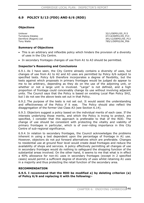# **6.9 POLICY 5/13 (FDD) AND 6/6 (RDD)**

#### **Objections**

Unilever 32/1/DEP01/05\_P13<br>Turnstone Estates 47/14/DEP01/05\_P13 Tony Waite 785/1/DEP02/06 P06

47/14/DEP01/05 P13 Dernford (Regent) Ltd 391/12/DEP01/05\_P13

#### **Summary of Objections**

- This is an arbitrary and inflexible policy which hinders the provision of a diversity of uses in the City Centre.
- In secondary frontages changes of use from A1 to A3 should be permitted.

#### **Inspector's Reasoning and Conclusions**

6.9.1. As I have seen, the City Centre already contains a diversity of uses, but changes of use from A1 to A2 and A3 uses are permitted by Policy 6/6 subject to specified tests. Policy 6/6 therefore incorporates a degree of flexibility, but the tests against which proposals in primary frontages would be judged do appear to me to be arbitrary, depending as they do on the use of the adjoining unit, or whether or not a large unit is involved. "Large" is not defined, and a high proportion of frontage could conceivably change its use without involving adjacent units. The Council says that the Policy is based on existing Local Plan Policy SH2, but I do not see the above tests set out in that Policy.

6.9.2. The purpose of the tests is not set out. It would assist the understanding and effectiveness of the Policy if it was. The Policy should also reflect the disaggregation of the former Use Class A3 (see Section 6.14).

6.9.3. Objectors suggest a policy based on the individual merits of each case. If the interests underlying those merits, and which the Policy is trying to protect, are specified, I consider that this approach is preferable to that of the RDD. The change of use should be consistent with protecting the vitality and viability of primary frontages in particular, which is of over-riding importance in this City Centre of sub-regional significance.

6.9.4. In relation to secondary frontages, the Council acknowledges the problems inherent in using a test dependent upon the percentage of frontage in A1 use. However, objectors do not put forward alternatives which are preferable. Changes to residential use at ground floor level would create dead frontages and reduce the availability of shops and services. A policy effectively permitting all changes of use in secondary frontages would do nothing to safeguard the shopping function of the substantial areas involved. On the other hand, it seems to me that what is in effect a 40% allowance for non-A1 uses in secondary frontages (except in 2 specified cases) would permit a sufficient degree of diversity of uses whilst retaining A1 uses in a majority and thus protecting the retail function of the secondary area.

#### **RECOMMENDATION**

**6.9.5. I recommend that the RDD be modified a) by deleting criterion (a) of Policy 6/6 and replacing it with the following:-**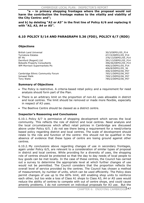**"a – in primary shopping frontages where the proposal would not harm the contribution the frontage makes to the vitality and viability of the City Centre: and";** 

**and b) by deleting "A2 or A3" in the first line of Policy 6/6 and replacing it with "A2, A3, A4 or A5".** 

## **6.10 POLICY 5/14 AND PARAGRAPH 5.36 (FDD), POLICY 6/7 (RDD)**

## **Objections**

British Land Universal 2008 and 2008 and 2008 and 30/3/DEP01/05\_P14 30/3/DEP01/05\_P14 30/3/DEP01/05\_P14 30/3/DEP01/05 P14 Turnstone Estates 47/15/DEP01/05\_P14<br>BT Plc 47/15/DEP01/05\_P14 Dernford (Regent) Ltd 391/13/DEP01/05\_P14 Bidwells Property Consultants 396/46/DEP01/05 P14 WM Morrison Supermarkets Plc 406/2/DEP01/05\_P14

376/13/DEP01/05\_P14 406/8/DEP01/05\_36 406/3/DEP02/06\_P07

Cambridge Ethnic Community Forum 765/1/DEP02/06\_P07 Ismaeel Malik 769/1/DEP02/06\_P07 Tony Waite 785/2/DEP02/06\_P07

## **Summary of Objections**

- The Policy is restrictive. A criteria-based retail policy and a requirement for need analysis should form part of the Plan.
- There is an arbitrary limit on the proportion of non-A1 uses allowable in district and local centres. The limit should be removed or made more flexible, especially in respect of A3 uses.
- The Beehive Centre should be classed as a district centre.

## **Inspector's Reasoning and Conclusions**

6.10.1. Policy 6/7 is permissive of shopping development which serves the local community. This reflects the role of district and local centres. Need analysis and the local circumstances which affect retail policies in Cambridge are discussed above under Policy 6/5. I do not see there being a requirement for a need/criteria based policy regarding district and local centres. The scale of development should relate to the role and function of the centre: this should not be qualified in the absence of evidence that these types of centre are losing ground against other centres.

6.10.2. My conclusions above regarding changes of use in secondary frontages, again under Policy 6/5, are relevant to a consideration of similar types of proposal in district and local centres. While providing for a diversity of uses, the shopping role of centres should be protected so that the day to day needs of local people to buy goods can be met locally. In the case of these centres, the Council has carried out a survey to determine the appropriate level at which further changes of use would not be permitted. The Council considers that the proportion reflects the overall level of service provided by the centres. The Council has chosen a method of measurement, by number of units, which can be used efficiently. The Policy does permit changes of use up to the 60% limit, still enabling shop units to reinforce each other, but too wide a loss of Class A1 shops to Class A3, A4 or A5 uses would reduce the ability of centres to compete with out of centre shops, and could cause amenity problems. I do not comment on individual proposals for A3 use. But the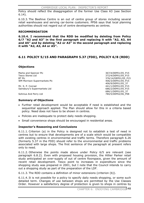Policy should reflect the disaggregation of the former Use Class A3 (see Section 6.14).

6.10.3. The Beehive Centre is an out of centre group of stores including several retail warehouses and serving car-borne customers. PPS6 says that local planning authorities should not regard out of centre developments as centres.

## **RECOMMENDATION**

**6.10.4. I recommend that the RDD be modified by deleting from Policy 6/7 "A2 and A3" in the first paragraph and replacing it with "A2, A3, A4 and A5" and by deleting "A2 or A3" in the second paragraph and replacing it with "A2, A3, A4 or A5".** 

# **6.11 POLICY 5/15 AND PARAGRAPH 5.37 (FDD), POLICY 6/8 (RDD)**

## **Objections**

Marks and Spencer Plc 367/4/DEP01/05\_P15 Tesco Stores Ltd<br>BT Plc 372/4/DEP01/05\_P15 WM Morrison Supermarkets Plc 406/3/DEP01/05\_P15

Mr. S. P. Conrad 11/1/DEP01/05\_P15<br>
Sainsbury's Supermarkets Ltd 686/2/DEP01/05 P15 Sainsbury's Supermarkets Ltd

## **Summary of Objections**

- Further retail development would be acceptable if need is established and the sequential approach applied. The Plan should allow for this in a criteria based policy. Need does not have to be shown in centres.
- Policies are inadequate to protect daily needs shopping.
- Small convenience shops should be encouraged in residential areas.

## **Inspector's Reasoning and Conclusions**

6.11.1. Criterion (a) in the Policy is designed not to establish a test of need in centres but to ensure that developments are of a scale which would be compatible with existing centres in environmental and traffic terms. Therefore paragraph 6.26 (formerly 5.37 in the FDD) should refer to the environmental and traffic problems associated with large shops. The first sentence of the paragraph at present refers only to need.

6.11.2. Otherwise the points made above under Policy 6/5 are relevant (see paragraph 6.8.2). Even with proposed housing provision, the Hillier Parker retail study anticipated an over-supply of out of centre floorspace, given the amount of recent retail development. Tesco point to increases in expenditure since the shopping study was prepared in 2001, but I note that the Council intends to carry out a shopping study as part of the preparation of the LDF.

6.11.3. The RDD contains a definition of minor extensions (criterion (b)).

6.11.4. It is not possible for a policy to specify daily needs shopping, or some such detailed term. Changes of use between shops are permitted by the Use Classes Order. However a satisfactory degree of protection is given to shops in centres by

376/14/DEP01/05 P15 406/9/DEP01/05\_37 686/1/DEP01/05\_37 Sohnius And Perry Ltd **784/5/DEP02/06\_P08**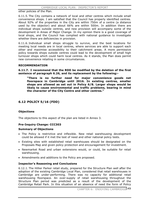other policies of the Plan.

6.11.5. The City contains a network of local and other centres which include small convenience shops. I am satisfied that the Council has properly identified centres. About 92% of the properties in the City are within 750m of a centre (a distance used by the objector) and about 66% are within 500m. In addition there are individual shops outside centres, and new provision will accompany some of the development in Areas of Major Change. In my opinion there is a good coverage of local shops, and the Council has complied with national guidance to investigate whether there are deficiencies in provision.

6.11.6. Individual small shops struggle to survive, and the best locations for meeting local needs are in local centres, where services are able to support each other and maximise accessibility to their catchment areas. A more permissive policy towards shops outside centres could lead to the development of small high turnover shops which could harm local centres. As it stands, the Plan does permit new convenience retailing in some circumstances.

## **RECOMMENDATION**

**6.11.7. I recommend that the RDD be modified by the deletion of the first sentence of paragraph 6.26, and its replacement by the following:-** 

**"There is no further need for major convenience goods net floorspace in Cambridge until 2016. In existing centres, smaller shops are allowed as set out in Policy 6/8. Larger shops would be likely to cause environmental and traffic problems, bearing in mind the character of the City Centre and other centres."** 

# **6.12 POLICY 5/16 (FDD)**

## **Objections**

The objections to this aspect of the plan are listed in Annex 3.

## **Pre-Inquiry Change: CCC303**

## **Summary of Objections**

- The Policy is restrictive and inflexible. New retail warehousing development could be allowed if it met the test of need and other national policy tests.
- Existing sites with established retail warehouses should be designated on the Proposals Map and given policy protection and encouragement for investment.
- Newmarket Road and urban extensions would, or could, be suitable for retail warehousing.
- Amendments and additions to the Policy are proposed.

## **Inspector's Reasoning and Conclusions**

6.12.1. The Hillier Parker retail study, prepared for the Structure Plan well after the adoption of the existing Cambridge Local Plan, considered that retail warehouses in Cambridge are under-performing. There was no capacity for additional retail warehousing floorspace. An over-supply of retail warehousing throughout the Structure Plan period was predicted as a result of the development of the Cambridge Retail Park. In this situation of an absence of need the form of Policy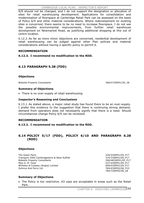#### CAMBRIDGE LOCAL PLAN: INSPECTOR'S REPORT

6/9 should not be changed, and I do not support the designation or allocation of sites for retail warehousing development. Applications for consolidation and modernisation of floorspace at Cambridge Retail Park can be assessed on the basis of Policy 6/9 and other material considerations. Where redevelopment on existing sites is concerned, there seems to be no need to increase floorspace. I do not see the possible environmental improvements, from further retail warehouse development on Newmarket Road, as justifying additional shopping at this out of centre location.

6.12.2. As far as more minor objections are concerned, residential development of retail warehousing can be judged against other Plan policies and material considerations without having a specific policy to permit it.

#### **RECOMMENDATION**

## **6.12.3. I recommend no modification to the RDD.**

# **6.13 PARAGRAPH 5.38 (FDD)**

#### **Objections**

Bidwells Property Consultants 396/47/DEP01/05 38

#### **Summary of Objections**

• There is no over-supply of retail warehousing.

#### **Inspector's Reasoning and Conclusions**

6.13.1. As stated above, a major retail study has found there to be an over-supply. I prefer this evidence to the suggestion that there is continuing strong demand: demand from operators does not necessarily signify that there is a need. Should circumstances change Policy 6/9 can be reviewed.

## **RECOMMENDATION**

**6.13.2. I recommend no modification to the RDD.** 

## **6.14 POLICY 5/17 (FDD), POLICY 6/10 AND PARAGRAPH 6.28 (RDD)**

## **Objections**

The Green Party 229/3/DEP01/05\_P17 Transport 2000 Cambridgeshire & West Suffolk 374/7/DEP01/05\_P17 Bidwells Property Consultants 396/48/DEP01/05\_P17 Miss G. M. Owst 2008 2009 12:00 12:00 13:00 13:00 13:00 13:00 14:00 14:00 14:00 14:00 14:00 14:00 14:00 14:00 14:00 14:00 14:00 14:00 14:00 14:00 14:00 14:00 14:00 14:00 14:00 14:00 14:00 14:00 14:00 14:00 14:00 14:00 14:0 Whiteley & Creasey (Anglia) Limited 699/4/DEP01/05\_P17 Sohnius And Perry Ltd 784/4/DEP02/06\_P10

784/7/DEP02/06\_28

## **Summary of Objections**

x The Policy is too restrictive. A3 uses are acceptable in areas such as the Retail Park.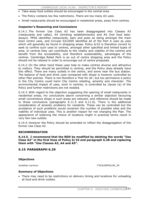- Take-away food outlets should be encouraged in the central area.
- The Policy contains too few restrictions. There are too many A3 uses.
- Small restaurants should be encouraged in residential areas, away from centres.

## **Inspector's Reasoning and Conclusions**

6.14.1. The former Use Class A3 has been disaggregated into Classes A3 (restaurants and cafes), A4 (drinking establishments) and A5 (hot food takeaways). PPS6 identifies restaurants, bars and pubs as being amongst the main town centre uses, and Circular 03/2005 identifies all of the Part A uses as uses which will generally be found in shopping areas. Policy 6/10 is therefore correct to seek to confine such uses to centres, amongst other specified and limited types of area. In centres they can contribute to the vitality and viability of the centres and benefit from the accessibility, and therefore sustainability, advantages of the centres. Cambridge Retail Park is an out of centre shopping area and the Policy should not be relaxed in order to encourage out of centre proposals.

6.14.2. On the other hand these uses help to make centres diverse and attractive to visitors. They should be permitted in centres, and the Policy does already have this effect. There are many outlets in the centre, and some near the bus station. The balance of food and drink uses compared with shops is however controlled by other Plan policies. There is not therefore a 'free for all', but too permissive a policy in the City Centre could harm City Centre retailing, amenity and character. The environmental impact of uses, even in centres, is controlled by clause (a) of the Policy and further restrictions are not needed.

6.14.3. With regard to the objection suggesting the opening of small restaurants in residential areas, my conclusions above concerning a similar objection favouring small convenience shops in such areas are relevant, and reference should be made to those conclusions (paragraphs 6.11.5 and 6.11.6). There is the additional consideration of amenity problems for residents. These can be controlled but the avoidance of such problems would constrain the number of possible sites and the viability of individual uses. This is another reason for not changing the Plan. The appearance of widening the choice of locations might in practical terms result in very few new outlets.

6.14.4. However the Policy should be amended to reflect the disaggregation of the former Use Class A3.

#### **RECOMMENDATION**

**6.14.5. I recommend that the RDD be modified by deleting the words "Use Class A3" in the first lines of Policy 6/10 and paragraph 6.28 and replacing them with "Use Classes A3, A4 and A5".** 

## **6.15 PARAGRAPH 6.29**

#### **Objections**

Jonathan Larmour 776/6/DEP02/06 29

#### **Summary of Objections**

• There may need to be restrictions on delivery timing and locations for unloading at food and drink outlets.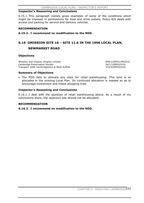#### **Inspector's Reasoning and Conclusions**

6.15.1. This paragraph merely gives examples of some of the conditions which might be imposed in permissions for food and drink outlets. Policy 8/9 deals with access and parking for service and delivery vehicles.

#### **RECOMMENDATION**

**6.15.2. I recommend no modification to the RDD.** 

## **6.16 OMISSION SITE 16 – SITE 11.6 IN THE 1996 LOCAL PLAN,**

## **NEWMARKET ROAD**

#### **Objections**

Whiteley and Creasey (Anglia) Limited<br>
Cambridge Preservation Society<br>
26/17/DEP03/016 Cambridge Preservation Society Transport 2000 Cambridgeshire & West Suffolk 374/5/DEP03/O16

#### **Summary of Objections**

• The RDD fails to allocate any sites for retail warehousing. This land is so allocated in the existing Local Plan. Its continued allocation is needed so as to encourage investment and linked shopping trips.

#### **Inspector's Reasoning and Conclusions**

6.16.1. I deal with the question of retail warehousing above. As a result of my conclusions there, the objection site should not be allocated.

#### **RECOMMENDATION**

**6.16.2. I recommend no modification to the RDD.**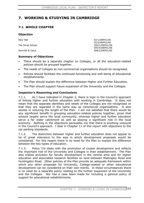# **7. WORKING & STUDYING IN CAMBRIDGE**

# **7.1 WHOLE CHAPTER**

#### **Objection**

| 42/1/DEP01/06                    |
|----------------------------------|
| 42/2/DEP01/06<br>395/1/DEP01/06  |
| 395/4/DEP01/06<br>398/2/DEP01/06 |
|                                  |

## **Summary of Objections**

- There should be a separate chapter on Colleges, or all the education-related policies should be grouped together.
- The needs of Colleges as non-commercial organisations should be recognised.
- Policies should facilitate the continued functioning and well-being of educational establishments.
- The Plan should explain the difference between Higher and Further Education.
- The Plan should support future expansion of the University and the Colleges.

## **Inspector's Reasoning and Conclusions**

7.1.1. As I have indicated in Chapter 2, there is logic in the Council's approach of linking higher and further education with working in Cambridge. It does not mean that the separate identities and needs of the Colleges are not recognised or that they are regarded in the same way as commercial organisations. It also assists in reducing the length of the Plan. I am not satisfied that there would be any significant benefit in grouping education-related policies together, given that schools largely serve the local community, whereas higher and further education serve a far wider catchment as well as playing a significant role in the local economy. Nothing in the objections persuades me that there is anything unsound in the Council's approach. I deal in Chapter 11 of this report with objections to the car parking standards.

7.1.2. The distinction between higher and further education does not appear to be of great relevance to the way in which development proposals would be considered. For this reason there is no need for the Plan to explain the difference between the two types of education.

7.1.3. Policy 7/4 deals with the promotion of cluster development and reflects the important role of the University and Colleges in their establishment. The Plan also makes provision for faculty development in the central area and for higher education and associated research facilities on land between Madingley Road and Huntingdon Road. Other policies of the Plan provide an adequate framework within which any other proposals for University, College-related or other educational development can be considered on their own merits. In these circumstances there is no need for a separate policy relating to the further expansion of the University and the Colleges. Nor has a case been made for including a general policy of support for educational establishments.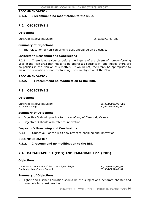#### **RECOMMENDATION**

#### **7.1.4. I recommend no modification to the RDD.**

# **7.2 OBJECTIVE 1**

#### **Objections**

Cambridge Preservation Society 26/31/DEP01/06\_OBS

#### **Summary of Objections**

The relocation of non-conforming uses should be an objective.

## **Inspector's Reasoning and Conclusions**

7.2.1. There is no evidence before the inquiry of a problem of non-conforming uses in the Plan area that needs to be addressed specifically, and indeed there are no policies in the Plan on this matter. It would not, therefore, be appropriate to make the relocation of non-conforming uses an objective of the Plan.

#### **RECOMMENDATION**

## **7.2.2. I recommend no modification to the RDD.**

# **7.3 OBJECTIVE 3**

#### **Objections**

Cambridge Preservation Society 26/30/DEP01/06\_0B3<br>
St John's College 26/30/DEP01/06\_0B3

81/9/DEP01/06\_OB3

## **Summary of Objections**

- x Objective 3 should provide for the *enabling* of Cambridge's role.
- Objective 3 should also refer to innovation.

## **Inspector's Reasoning and Conclusions**

7.3.1. Objective 3 of the RDD now refers to enabling and innovation.

## **RECOMMENDATION**

**7.3.2. I recommend no modification to the RDD.** 

# **7.4 PARAGRAPH 6.1 (FDD) AND PARAGRAPH 7.1 (RDD)**

## **Objections**

The Bursars' Committee of the Cambridge Colleges 87/18/DEP01/06\_01 Cambridgeshire County Council 655/33/DEP02/07\_01

## **Summary of Objections**

Higher and Further Education should be the subject of a separate chapter and more detailed consideration.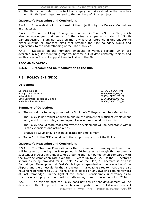The Plan should refer to the fact that employment sites straddle the boundary with South Cambridgeshire, and to the numbers of high-tech jobs.

## **Inspector's Reasoning and Conclusions**

7.4.1. I have dealt with the thrust of the objection by the Bursars' Committee in Chapter 2.

7.4.2. The Areas of Major Change are dealt with in Chapter 9 of the Plan, which also acknowledges that some of the sites are partly situated in South Cambridgeshire. I am not satisfied that any further reference in this Chapter to either existing or proposed sites that straddle the City boundary would add significantly to the understanding of the Plan's policies.

7.4.3. Statistics on the numbers employed in various sectors, which are available in regular monitoring reports, become out-of-date relatively rapidly, and for this reason I do not support their inclusion in the Plan.

#### **RECOMMENDATION**

## **7.4.4. I recommend no modification to the RDD.**

# **7.5 POLICY 6/1 (FDD)**

## **Objections**

St John's College 81/6/DEP01/06\_P01<br>Arlington Securities Plc 81/6/DEP01/06\_P01 Network Rail 370/34/DEP01/06\_P01 Land Securities Properties Limited 371/7/DEP01/06\_P01 Addenbrooke's NHS Trust 399/15/DEP01/06\_P01

369/1/DEP01/06 P01

## **Summary of Objections**

- The omission site being promoted by St. John's College should be referred to.
- The Policy is not robust enough to ensure the delivery of sufficient employment land, and further strategic employment allocations should be identified.
- The Policy should state that employment development will be acceptable within urban extensions and action areas.
- Bradwell's Court should not be allocated for employment.
- Table 6.1 in the FDD should be in the supporting text, not the Policy.

## **Inspector's Reasoning and Conclusions**

7.5.1. The Structure Plan estimates that the amount of employment land that will be taken up during the Plan period is 56 hectares, although this assumes a substantial increase in annual take-up during the Plan period when compared with the average completion rate over the 10 years up to 2002. Of the 56 hectares shown as being provided for in Table 7.2 of the Plan, 10 hectares is at East Cambridge. Development at East Cambridge is dependent on the relocation of the Airport, and the timescale for that is unclear. In allocating sites to meet the area's housing requirement to 2016, no reliance is placed on any dwelling coming forward at East Cambridge. In the light of this, there is considerable uncertainty as to whether any employment land will be forthcoming from this location before 2016.

7.5.2. The criticism that the Policy does not ensure that development will be delivered in the Plan period therefore has some justification. But it is not practical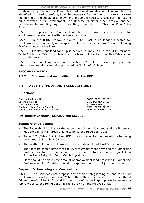to delay adoption of the Plan whilst additional suitable employment land is identified. Instead, therefore, it will be necessary for the Council to carry out close monitoring of the supply of employment land and if necessary consider the need to bring forward in its Development Plan Documents either other sites or another mechanism for meeting any likely shortfall, as required by Structure Plan Policy P1/4.

7.5.3. The policies in Chapter 9 of the RDD make specific provision for employment development within urban extensions.

7.5.4. In the RDD, Bradwell's Court (Site 6.02) is no longer allocated for employment development, and a specific reference to the Bradwell's Court Planning Brief is included in the Plan.

7.5.5. Employment land take up is set out in Table 7.1 in the RDD, formerly Table 6.1 in the FDD. It is clear from the layout of the Plan that this Table is not part of the Policy.

7.5.6. In view of my conclusion in Section 7.29 below, it is not appropriate to refer to the omission site being promoted by St. John's College.

## **RECOMMENDATION**

## **7.5.7. I recommend no modification to the RDD.**

# **7.6 TABLE 6.2 (FDD) AND TABLE 7.2 (RDD)**

## **Objections**

Countryside Properties and the countryside Properties and the countryside Properties and the country of  $68/13/DEP01/06$  T02 St John's College 81/8/DEP01/06\_T02<br>Turnstone Estates 81/8/DEP02/07 T02 Cambridgeshire County Council 1998 1998 1999 155/34/DEP02/07\_T02<br>South Cambridgeshire District Council 1999 1999 1999 1999 1999 1999 South Cambridgeshire District Council

47/2/DEP02/07\_T02

## **Pre-Inquiry Changes: SC7.007 and CCC305**

## **Summary of Objections**

- The Table should indicate safeguarded land for employment, and the Proposals Map should identify areas of land to be safeguarded post-2016.
- Table 6.2 (Table 7.2 in the RDD) should refer to the omission site being promoted by St. John's College.
- The Northern Fringe employment allocation should be at least 5 hectares.
- The footnote should state that the level of employment provision for Cambridge East is uncertain. There should be a reference to the proposed joint Area Action Plan (AAP) with South Cambridgeshire.
- More should be said on the amount of employment land proposed in Cambridge East as a whole. Provision should be expressed in terms of jobs not land area.

## **Inspector's Reasoning and Conclusions**

7.6.1. The Plan does not propose any specific safeguarding of land for future employment development post-2016 other than the land to the south of Addenbrooke's (Site 9.10), and it would therefore be inappropriate to make any reference to safeguarding either in Table 7.2 or on the Proposals Map.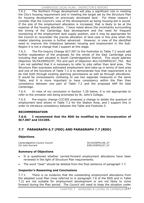7.6.2. The Northern Fringe development will play a significant role in meeting the City's housing requirement and in meeting the target set by the Structure Plan for housing development on previously developed land. For these reasons I consider that the Council's view of the development as being housing-led is sound. If the size of the employment allocation is increased, that is likely to be at the expense of the housing allocation. I have noted above the uncertainty surrounding the timing of the Cambridge East development and the need for frequent monitoring of the employment land supply position, and it may be appropriate for the Council to reconsider the precise allocation of land uses in this area when the master planning process is further advanced. However, in view of the identified need to improve the imbalance between housing and employment in the Sub-Region it is not a change that I support at this stage.

7.6.3. The Pre-Inquiry Change SC7.007 to the footnotes to Table 7.2 would add further explanation of the proposals for the whole of the East Cambridge area including that part situated in South Cambridgeshire District. This would address Objection 55/34/DEP02/07\_T02 and part of Objection 461/10/DEP02/07\_T02. But I am not satisfied that it is necessary to refer to jobs rather than land area. The Structure Plan expresses estimated employment land take-up in terms of land area and one of the functions of Table 7.2 is to demonstrate how that requirement is to be met both through existing planning permissions as well as through allocations. It would be unnecessarily confusing to use two separate measures in the same Table, and it is more important to have consistency within the Plan than consistency between one part of Table 7.2 and the proposed AAP for East Cambridge.

7.6.4. In view of my conclusion in Section 7.29 below, it is not appropriate to refer to the omission site being promoted by St. John's College.

7.6.5. Pre-inquiry change CCC305 proposes a change to delete the quantum of employment land shown in Table 7.2 for the Station Area, and I support this in order to introduce consistency between the Table and Footnote 5.

## **RECOMMENDATION**

**7.6.6. I recommend that the RDD be modified by the incorporation of SC7.007 and CCC305.** 

# **7.7 PARAGRAPH 6.7 (FDD) AND PARAGRAPH 7.7 (RDD)**

## **Objections**

Cambridgeshire County Council 55/35/DEP01/06\_07 Cllr John Durrant 838/3/DEP02/07\_07

## **Summary of Objections**

- It is questioned whether carried-forward employment allocations have been reviewed in the light of Structure Plan requirements.
- The word "clear" should be deleted from the final sentence of paragraph 7.7.

## **Inspector's Reasoning and Conclusions**

7.7.1. There is no evidence that the outstanding employment allocations from the adopted Local Plan (now referred to in paragraph 7.8 of the RDD and in Table 7.2) are not suitable for employment development or are not likely to come forward during the Plan period. The Council will need to keep the situation under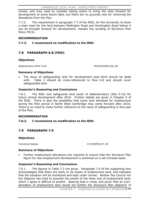CAMBRIDGE LOCAL PLAN: INSPECTOR'S REPORT

review, and may need to consider taking action to bring the sites forward for development at some future date, but there are no grounds now for removing the allocations from the Plan.

7.7.2. The requirement in paragraph 7.7 of the RDD, for the University to show a clear need for the land between Madingley Road and Huntingdon Road before it can be brought forward for development, repeats the wording of Structure Plan Policy P9/2c.

## **RECOMMENDATION**

## **7.7.3. I recommend no modification to the RDD.**

# **7.8 PARAGRAPH 6.8 (FDD)**

## **Objections**

Addenbrooke's NHS Trust 399/20/DEP01/06\_08

## **Summary of Objections**

The issue of safeguarding land for development post-2016 should be dealt with. Table 2 should be cross-referenced to Para 6.8 and should cover safeguarded land.

## **Inspector's Reasoning and Conclusions**

7.8.1. The RDD now safeguards land south of Addenbrooke's (Site 9.10) for future clinical development after 2016. Further details are given in Chapter 9 of the RDD. There is also the possibility that some land allocated for employment during the Plan period in North West Cambridge may come forward after 2016. There is no need to make further reference to the issue of safeguarding in this part of the Plan.

## **RECOMMENDATION**

## **7.8.2. I recommend no modification to the RDD.**

# **7.9 PARAGRAPH 7.9**

## **Objections**

Turnstone Estates 47/3/DEP02/07\_09

## **Summary of Objections**

Further employment allocations are required to ensure that the Structure Plan figure for new employment development is achieved on a net increase basis.

## **Inspector's Reasoning and Conclusions**

7.9.1. The figures in Table 7.2 are gross. Paragraph 7.9 of the supporting text acknowledges that there are likely to be losses of employment land, and indicates that the situation will be monitored and kept under review. Neither the Council nor the Objector has tried to quantify the extent of the likely loss of employment land, which I agree is difficult to predict. Bearing that in mind, and given that an overallocation of employment land would not further the Structure Plan objective of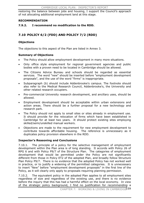restoring the balance between jobs and housing, I support the Council's approach of not allocating additional employment land at this stage.

## **RECOMMENDATION**

## **7.9.2. I recommend no modification to the RDD.**

# **7.10 POLICY 6/2 (FDD) AND POLICY 7/2 (RDD)**

## **Objections**

The objections to this aspect of the Plan are listed in Annex 3.

## **Summary of Objections**

- The Policy should allow employment development in many more situations.
- Only office style employment for regional government agencies and public bodies with a proven need to be located in Cambridge should be allowed.
- x The Citizens Advice Bureau and schools should be regarded as essential services. The word "new" should be inserted before "employment development proposals", and the use of the word "firms" is inappropriate.
- Subparagraph (b) should include Addenbrooke's campus. The footnote should also refer to the Medical Research Council, Addenbrooke's, the University and other related research occupiers.
- Pre-commercial University research development, and ancillary uses, should be allowed.
- Employment development should be acceptable within urban extensions and action areas. There should be a further proposal for a new technology and research park.
- The Policy should not apply to small sites or sites already in employment use. It should provide for the relocation of firms which have been established in Cambridge for at least two years. It should protect existing sites employing skilled/semi/unskilled manual workers.
- Objections are made to the requirement for new employment development to contribute towards affordable housing. The reference is unnecessary as it duplicates policy provision elsewhere in the RDD.

## **Inspector's Reasoning and Conclusions**

7.10.1. The principle of a policy for the selective management of employment development within the Plan area is of long standing. It accords with Policy 26 of RPG 6 and with Policy P9/7 of the Structure Plan. The categories of employment development that would be permitted under the Policy are not significantly different from those in Policy ET2 of the adopted Plan, and broadly follow Structure Plan Policy P9/7. There is no evidence that the adopted Policy has not worked well in practice, or to justify a widening of the permitted categories. It is unnecessary to insert "New" before "employment development proposals" in the first line of the Policy, as it will clearly only apply to proposals requiring planning permission.

7.10.2. The equivalent policy in the adopted Plan applies to all employment sites regardless of size and regardless of the existing use, and there is no evidence before the inquiry that this has had a harmful effect on the local economy. In view of the strategic policy background, I find no justification for recommending a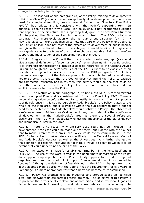change to the Policy in this regard.

7.10.3. The last part of sub-paragraph (a) of the Policy, relating to developments within Use Class B1(a), which would exceptionally allow development with a proven need for a regional function, goes somewhat further than Structure Plan Policy  $P9/7(c)$ , but reflects and is consistent with that Policy's supporting text. principle, I see no reason why a Local Plan policy should not incorporate guidance that appears in the Structure Plan supporting text, given the Local Plan's function of interpreting the Structure Plan in the local context. The RDD contains in paragraph 7.14 more explanation on the last part of sub-paragraph (a). In my view this gives sufficient guidance as to how that part of the Policy might operate. The Structure Plan does not restrict the exception to government or public bodies, and given the exceptional nature of the category, it would be difficult to give any more guidance as to the types of uses that might be acceptable. I do not therefore support any modification of the supporting text in this regard.

7.10.4. I agree with the Council that the footnote to sub-paragraph (a) should give a general definition of "essential service" rather than naming specific bodies. It is therefore unnecessary to include a specific reference to the Citizens Advice Bureau, although the Council's view is that the CAB is likely to be classified as an essential sub-regional service in any event. In the RDD paragraph 7.13 clarifies that sub-paragraph (d) of the Policy applies to further and higher educational uses, not to schools. It is clear that the Council does not intend the Policy to exclude pre-commercial research, and in my view this activity would be one that could be permitted under the terms of the Policy. There is therefore no need to include an explicit reference to this in the Policy.

7.10.5. The restriction in sub-paragraph (b) to Use Class B1(b) is carried forward from the adopted Plan, and is consistent with Structure Plan Policy P9/7. There is no convincing evidence before the inquiry to justify its removal. I do not support a specific reference in this sub-paragraph to Addenbrooke's; the Policy relates to the whole of the Plan area, but it is implicit within the sub-paragraph that a special need to be located close to Addenbrooke's would satisfy the Policy. The absence of a reference here to Addenbrooke's does not in any way undermine the significance of development in the Addenbrooke's area, as there are several references elsewhere in the RDD which adequately reflect the importance of the biotechnology and biomedical cluster in this area.

7.10.6. There is no reason why ancillary uses could not be included in a development if the case could be made out for them, but I agree with the Council that to make reference to them in the Policy would overly complicate it. In the RDD, Footnote 5 now makes reference specifically to the Medical Research Council and Addenbrooke's Hospital, as well as the Universities. Any further changes to the definition of research institutes in Footnote 5 would be likely to widen it to an extent that could undermine the aims of the Policy.

7.10.7. An exception is made for established firms, both in the Policy itself and in Policy 5/1. The use of the word "firms" in the penultimate paragraph of the Policy does appear inappropriate as the Policy clearly applies to a wider range of organisations than that word might imply. I recommend that it is changed to "bodies". Although the definition of "established" in the RDD is changed from that in the adopted Plan, I agree with the Council that the requirement for five years in Cambridge is a more appropriate test that a body has become truly established.

7.10.8. Policy 7/3 protects existing industrial and storage space on identified sites, and elsewhere unless certain criteria are met. The objective of this Policy is to preserve the diversity of employment opportunities, and in my view it goes as far as is reasonable in seeking to maintain some balance in the economy. To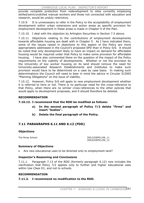provide complete protection from redevelopment to sites currently employing skilled/semi/unskilled manual workers and those not connected with education and research, would be unduly restrictive.

7.10.9. It is unnecessary to refer in the Policy to the acceptability of employment development within urban extensions and action areas as specific provision for employment development in these areas is made in Chapter 9 of the Plan.

7.10.10. I deal with the objection by Arlington Securities in Section 7.5 above.

7.10.11. Objections relating to the contributions of employment developments towards affordable housing are dealt with in Chapter 5. As I have indicated there, some of the issues raised in objections to this aspect of the Policy are more appropriately addressed in the Council's proposed SPD than in Policy 5/6. It should be noted that only development likely to have an impact on demand for affordable housing would be required under that Policy to make some provision for affordable housing. I have also commented there on the question of the impact of the Policy requirements on the viability of developments. Whether or not the provision by the University of key worker housing on its land should remove the need for University-associated Research Establishments and Institutes to make such provision would have to be determined on a case by case basis. In making such determinations the Council will need to bear in mind the advice in Circular 5/2005 "Planning Obligations" on the issue of viability.

7.10.12. However, Policy 5/6 will apply to new employment development whether it is referred to here or not. There is no particular need for the cross-reference to that Policy, when there are no similar cross-references to the other policies that would apply to development proposals, and it should therefore be deleted.

## **RECOMMENDATION**

#### **7.10.13. I recommend that the RDD be modified as follows:**

- **a) In the second paragraph of Policy 7/2 delete "firms" and insert "bodies".**
- **b) Delete the final paragraph of the Policy.**

# **7.11 PARAGRAPHS 6.11 AND 6.12 (FDD)**

#### **Objections**

The Perse School 295/3/DEP01/06 11 395/6/DEP01/06\_12

## **Summary of Objections**

• Are new educational uses to be directed only to employment land?

## **Inspector's Reasoning and Conclusions**

7.11.1. Paragraph 7.13 of the RDD (formerly paragraph 6.12) now includes the clarification that Policy 7/2 applies only to further and higher educational uses within Use Class D1, and not to schools.

#### **RECOMMENDATION**

## **7.11.2. I recommend no modification to the RDD.**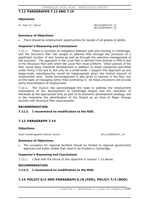## **7.12 PARAGRAPHS 7.12 AND 7.15**

## **Objections**

Dr. Peter G.I. Stovin 287/6/DEP02/07\_12

287/2/DEP02/07\_15

#### **Summary of Objections**

There should be employment opportunities for people of all grades of ability.

#### **Inspector's Reasoning and Conclusions**

7.12.1. There is currently an imbalance between jobs and housing in Cambridge, and the Structure Plan has sought to address that through the provision of a significant number of new homes as well as through the selective management of the economy. The approach in the Local Plan is derived from policies in RPG 6 and in the Structure Plan with which the Local Plan must conform. Other policies of the Plan would allow industrial development in addition to those categories permitted under Policy 7/2a and b, but only on a small-scale. I support this approach as any larger-scale manufacturing would be inappropriate given the limited amount of employment land. Some encouragement is also given to tourism in the Plan, but on the basis of managing rather than promoting it. All these provisions will provide some diversification of employment.

7.12.2. The Council has acknowledged the need to address the employment implications of the development of Cambridge Airport and the relocation of Marshalls at the appropriate time as part of its economic development strategy, but in the meantime the identification of the Airport as an Area of Major Change accords with Structure Plan requirements.

#### **RECOMMENDATION**

#### **7.12.3. I recommend no modification to the RDD.**

## **7.13 PARAGRAPH 7.14**

#### **Objections**

South Cambridgeshire District Council 461/12/DEP02/07\_14

#### **Summary of Objections**

The exception for regional facilities should be limited to regional government agencies and public bodies that need to be located in Cambridge.

## **Inspector's Reasoning and Conclusions**

7.13.1. I deal with the thrust of this objection in Section 7.10 above.

#### **RECOMMENDATION**

**7.13.2. I recommend no modification to the RDD.** 

# **7.14 POLICY 6/3 AND PARAGRAPH 6.18 (FDD), POLICY 7/3 (RDD)**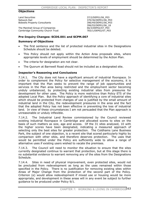## **Objections**

Land Securities 37/2/DEP01/06 P03 Network Rail 370/36/DEP01/06\_P03<br>Bidwells Property Consultants 396/49/DEP01/06\_P03 Bidwells Property Consultants

The Marshall Group of Companies Cambridge Community Church Trust 783/1/DEP02/07\_P03

396/55/DEP01/06\_18<br>66/3/DEP02/07 P03

#### **Pre-Inquiry Changes: SCDS.001 and SCPM.007**

#### **Summary of Objections**

- The first sentence and the list of protected industrial sites in the Designations Schedule should be deleted.
- This Policy should not apply within the Action Area proposals sites, where appropriate levels of employment should be determined by the Action Plan.
- The criteria for designation are not clear.
- The Quorum at Barnwell Road should not be included as a designated site.

## **Inspector's Reasoning and Conclusions**

7.14.1. The City does not have a significant amount of industrial floorspace. In order to complement the Policy for selective management of the economy, it is important that the Plan seeks to prevent the range of job opportunities and services in the Plan area being restricted and the employment sector becoming unduly unbalanced, by protecting existing industrial sites from pressures for development for other uses. The Policy is more restrictive than Policy ET5 of the adopted Local Plan. But the Policy approach of identifying a core of industrial sites which should be protected from changes of use is justified by the small amount of industrial land in the City, the redevelopment pressures in the area and the fact that the adopted Policy has not been effective in preventing the loss of industrial land. In view of these circumstances I am not persuaded that the Plan approach is unreasonable or unduly inflexible.

7.14.2. The Industrial Land Review commissioned by the Council reviewed existing industrial floorspace in Cambridge and allocated scores to sites on the basis of such matters as size, age and access. Of the 31 sites analysed, 10 with the higher scores have been designated, indicating a measured approach of selecting only the best sites for greater protection. The Coldhams Lane Business Park, the subject of one objection, is a recent site that scored particularly highly by comparison with other sites, and therefore deserves protection. The uses that would be permitted under the Policy are sufficiently wide to allow a range of alternative uses if existing users wished to vacate the premises.

7.14.3. The Council will need to monitor the situation to ensure that the sites currently designated continue to warrant that protection, but at this stage there is no substantial evidence to warrant removing any of the sites from the Designations Schedule.

7.14.4. Sites in need of physical improvement, even protected sites, would not be precluded from redevelopment as long as the uses remained within those specified in the Policy. There is no justification for removing existing sites within Areas of Major Change from the protection of the second part of the Policy. Criterion (e) would allow redevelopment if mixed use or housing would be more appropriate, and development in these areas will in any event be subject to further guidance to be produced under Policy 9/1.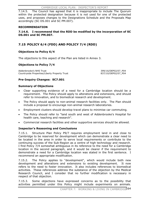7.14.5. The Council has agreed that it is inappropriate to include The Quorum within the protected designation because it is not used for one of the protected uses, and proposes changes to the Designations Schedule and the Proposals Map accordingly (SC DS.001 and SC PM.007).

## **RECOMMENDATION**

## **7.14.6. I recommend that the RDD be modified by the incorporation of SC DS.001 and SC PM.007.**

# **7.15 POLICY 6/4 (FDD) AND POLICY 7/4 (RDD)**

# **Objections to Policy 6/4**

The objections to this aspect of the Plan are listed in Annex 3.

## **Objections to Policy 7/4**

Addenbrooke's NHS Trust 399/16/DEP02/07\_P04<br>Countryside Properties/Liberty Property Trust 337/10/DEP02/07 P04 Countryside Properties/Liberty Property Trust

## **Pre-Inquiry Changes: SC7.001**

## **Summary of Objections**

- Clear supporting evidence of a need for a Cambridge location should be a requirement. The Policy should apply to alterations and extensions, and should refer to innovation, and to biomedical research and development.
- The Policy should apply to non-animal research facilities only. The Plan should include a proposal to encourage non-animal research laboratories.
- Employment clusters should develop travel plans to minimise car commuting.
- The Policy should refer to "land south and west of Addenbrooke's Hospital for health care, teaching and research".
- x Commercial research facilities and other supportive services should be allowed.

## **Inspector's Reasoning and Conclusions**

7.15.1. Structure Plan Policy P9/7 requires employment land in and close to Cambridge to be reserved for development which can demonstrate a clear need to be located in the area in order to serve local requirements or contribute to the continuing success of the Sub-Region as a centre of high technology and research. I find Policy 7/4 somewhat ambiguous in its reference to the need for a Cambridge location in the second paragraph, and it would be clearer if the requirement to demonstrate a need for a Cambridge location was stated in the first sentence. Irecommend an appropriate modification.

7.15.2. The Policy applies to "development", which would include both new development and alterations and extensions to existing development. It now refers to the need to foster innovation. It also includes references to biomedical activities. These references address the substance of the objection by the Medical Research Council, and I consider that no further modification is necessary in respect of that objection.

7.15.3. Some objections have expressed concerns as to the possibility that activities permitted under this Policy might include experiments on animals.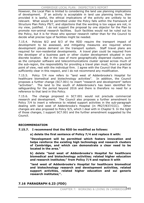However, the Local Plan is limited to considering the land use planning implications of development. If an activity is acceptable in land use planning terms, then provided it is lawful, the ethical implications of the activity are unlikely to be relevant. What would be permitted under the Policy falls within the framework of Structure Plan Policy P9/7, and objections that the wording is too vague are not, in my view, justified. I do not support the proposal by one objector for the Plan to promote non-animal research facilities. Such facilities would not be ruled out by the Policy, but it is for those who sponsor research rather than for the Council to decide what precise type of facilities might be needed.

7.15.4. Policies 8/2 and 8/3 of the RDD require the transport impact of development to be assessed, and mitigating measures are required where development places demand on the transport system. Staff travel plans are required for non-residential developments. A travel plan could be required from the developer of a business park or other cluster development situated in one discrete location. But in the case of more geographically dispersed clusters, such as the computer software and telecommunications cluster spread across much of the sub-region, the responsibility for providing a travel plan must, from a practical point of view, rest with the individual firm. I agree with the Council that the Plan is sufficiently clear in this respect, and I do not recommend any modification.

7.15.5. Policy 7/4 now refers to "land west of Addenbrooke's Hospital for healthcare biomedical and biotechnology activities". In addition, the Council proposes a further change (SC7.001) to insert "research and development" before "activities". The land to the south of Addenbrooke's has been identified for safeguarding for the period beyond 2016 and there is therefore no need for a reference to that land in this Policy.

7.15.6. The change proposed in SC7.001 would not preclude commercial research and development. The Council also proposes a further amendment to Policy 7/4 to insert a reference to related support activities in the sub-paragraph dealing with land west of Addenbrooke's Hospital (in PR27/837/CCC). Other changes are also proposed to Policy 9/5, which I deal with in Chapter 9. In the light of those changes, I support SC7.001 and the further amendment suggested by the Council.

## **RECOMMENDATION**

- **7.15.7. I recommend that the RDD be modified as follows:** 
	- **a) delete the first sentence of Policy 7/4 and replace it with:**

**"Development will be permitted which fosters innovation and helps reinforce the existing high technology and research clusters of Cambridge, and which can demonstrate a clear need to be located in the area."** 

**b) delete "land west of Addenbrooke's Hospital for healthcare biomedical and biotechnology activities; related higher education and research institutes;" from Policy 7/4 and replace it with** 

**"land west of Addenbrooke's Hospital for healthcare biomedical and biotechnology research and development activities, related support activities, related higher education and sui generis research institutes;".** 

# **7.16 PARAGRAPH 6.23 (FDD)**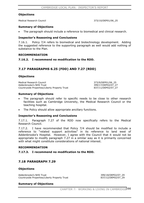#### **Objections**

Medical Research Council 373/10/DEP01/06\_25

#### **Summary of Objections**

The paragraph should include a reference to biomedical and clinical research.

#### **Inspector's Reasoning and Conclusions**

7.16.1. Policy 7/4 refers to biomedical and biotechnology development. Adding the suggested reference to the supporting paragraph as well would add nothing of substance to the Plan.

#### **RECOMMENDATION**

#### **7.16.2. I recommend no modification to the RDD.**

# **7.17 PARAGRAPHS 6.25 (FDD) AND 7.27 (RDD)**

#### **Objections**

Medical Research Council 373/9/DEP01/06\_25 Addenbrooke's NHS Trust 399/17/DEP02/07\_27 Countryside Properties/Liberty Property Trust 837/11/DEP02/07\_27

#### **Summary of Objections**

- The paragraph should refer to specific needs to be close to other research facilities such as Cambridge University, the Medical Research Council or the teaching hospital.
- The Policy should allow appropriate ancillary functions.

#### **Inspector's Reasoning and Conclusions**

7.17.1. Paragraph 7.27 of the RDD now specifically refers to the Medical Research Council.

7.17.2. I have recommended that Policy 7/4 should be modified to include a reference to "related support activities" in its reference to land west of Addenbrooke's Hospital. However, I agree with the Council that it would not be appropriate to modify paragraph 7.27 in a similar way as it is primarily concerned with what might constitute considerations of national interest.

#### **RECOMMENDATION**

#### **7.17.3. I recommend no modification to the RDD.**

## **7.18 PARAGRAPH 7.29**

#### **Objections**

Addenbrooke's NHS Trust 399/18/DEP02/07\_29 Countryside Properties/Liberty Property Trust 837/12/DEP02/07\_29

#### **Summary of Objections**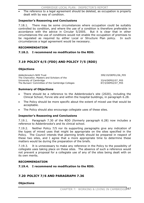The reference to a legal agreement should be deleted, as occupation is properly dealt with by way of condition.

## **Inspector's Reasoning and Conclusions**

7.18.1. There may be some circumstances where occupation could be suitably controlled by condition, and where the use of a condition is therefore preferable in accordance with the advice in Circular 5/2005. But it is clear that in other circumstances the use of conditions would not enable the occupation of premises to be regulated as required by either Local or Structure Plan policy. In such circumstances a legal agreement would be necessary.

#### **RECOMMENDATION**

## **7.18.2. I recommend no modification to the RDD.**

# **7.19 POLICY 6/5 (FDD) AND POLICY 7/5 (RDD)**

## **Objections**

| Addenbrooke's NHS Trust<br>The Chancellor, Masters and Scholars of the | 399/19/DEP01/06 P05 |
|------------------------------------------------------------------------|---------------------|
| University of Cambridge                                                | 33/4/DEP02/07 P05   |
| The Bursars' Committee of the Cambridge Colleges                       | 87/3/DEP02/07 P05   |

#### **Summary of Objections**

- There should be a reference to the Addenbrooke's site (2020), including the Clinical School, Forvie site and within the hospital buildings, in paragraph 6.28.
- The Policy should be more specific about the extent of mixed use that would be acceptable.
- The Policy should also encourage collegiate uses of these sites.

## **Inspector's Reasoning and Conclusions**

7.19.1. Paragraph 7.30 of the RDD (formerly paragraph 6.28) now includes a reference to Addenbrooke's and its clinical school.

7.19.2. Neither Policy 7/5 nor its supporting paragraphs give any indication of the types of mixed uses that might be appropriate on the sites specified in the Policy. The Council intends that planning briefs should be prepared in respect of these two sites, and I agree that a more appropriate time to determine these matters would be during the preparation of the briefs.

7.19.3. It is unnecessary to make any reference in the Policy to the possibility of collegiate uses taking place on these sites. The absence of such a reference would not prevent a proposal for a collegiate use of any of the sites being dealt with on its own merits.

#### **RECOMMENDATION**

## **7.19.4. I recommend no modification to the RDD.**

# **7.20 POLICY 7/6 AND PARAGRAPH 7.36**

## **Objections**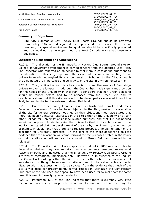North Newnham Residents Association 678/3/DEP02/07 36 678/4/DEP02/07\_P06 Clerk Maxwell Road Residents Association 795/1/DEP02/07\_P06 795/7/DEP02/07\_36 Bulstrode Gardens Residents Association 796/2/DEP02/07\_P06 796/3/DEP02/07\_36 Mrs Penny Heath 832/2/DEP02/07\_P06

## **Summary of Objections**

Site 7.07 (Emmanuel/City Hockey Club Sports Ground) should be removed from Policy 7.07 and designated as a protected open space. If it is not removed, its special environmental qualities should be specifically protected and it should not be developed until the West Cambridge site has been fully developed.

## **Inspector's Reasoning and Conclusions**

7.20.1. The allocation of the Emanuel/City Hockey Club Sports Ground site for College or University development is carried forward from the adopted Local Plan. The Inspector who reported on objections to that Plan, in considering objections to the allocation of this site, expressed the view that its value in meeting future University needs outweighed its environmental contribution to the City, although she also noted the importance and sensitivity of the site in environmental terms.

7.20.2. The justification for this allocation is to meet the needs of Cambridge University over the long-term. Although the Council has made significant provision for the needs of the University in this Plan, it considers that non-Green Belt land should be reused before land to be released from the Green Belt, and its calculations show that if this site were not to be developed as allocated it would be likely to lead to the further release of Green Belt land.

7.20.3. On the other hand, Emanuel, Corpus Christi and Gonville and Caius Colleges, the owners of the site, have objected to the Plan, seeking the allocation of the site for general-purpose housing. In their objections they have stated that there has been no interest expressed in the site either by the University or by any other College for University or College-related purposes, and that it is not needed for either purpose. In similar vein, the University itself in its submissions to the inquiry has stated that the development of the site by the University would not be economically viable, and that there is no realistic prospect of implementation of the allocation for University purposes. In the light of this there appears to be little evidence that the allocation will come forward for the purposes stated in the Policy or that its allocation will reduce the amount of Green Belt land needed to be released.

7.20.4. The Council's review of open spaces carried out in 2000 assessed sites to determine whether they are important for environmental reasons, recreational reasons or both, and indicated that the Emanuel/City Hockey Club Sports Ground site was of recreational importance only. However, in its evidence to this inquiry the Council acknowledges that the site also meets the criteria for environmental importance. Nothing I have seen on site or read in the evidence leads me to disagree with that assessment. It is also clear from the evidence that much of the site is well used for predominantly formal recreation. Although the City Hockey Club part of the site does not appear to have been used for formal sport for some time, it is used informally by local residents.

7.20.5. Paragraph 4.10 of the Plan indicates that there is currently very little recreational open space surplus to requirements, and notes that the majority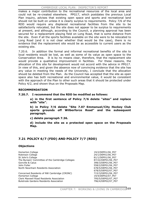makes a major contribution to the recreational resources of the local area and could not be re-created elsewhere. PPG17, which postdates the previous Local Plan inquiry, advises that existing open space and sports and recreational land should not be built on unless it is clearly surplus to requirements. Policy 7/6 of the RDD would require any displaced recreational facilities from the site to be satisfactorily relocated, but the site does not appear to be surplus to requirements at present, and although, according to the Council, a planning approval has been secured for a replacement playing field on Long Road, that is some distance from the site. Even if all the sports facilities available on the site were to be relocated to Long Road (and it is not clear whether that would be the case), there is no evidence that the replacement site would be as accessible to current users as the existing site.

7.20.6. In addition the formal and informal recreational benefits of the site to local residents would be lost, as well as some of its value as open space to the Conservation Area. It is by no means clear, therefore, that the replacement site would provide a qualitative improvement in facilities. For these reasons, the allocation of this site for development would not accord with the advice in PPG17. In view of this, and given the absence now of convincing evidence that the site has any value in meeting the needs of the University, I conclude that the allocation should be deleted from the Plan. As the Council has accepted that the site as open space also has both recreational and environmental value, it would be consistent with the approach of the Plan to other such areas that it should be protected under Policy 4/2, and shown thus on the Proposals Map.

## **RECOMMENDATION**

**7.20.7. I recommend that the RDD be modified as follows:** 

**a) in the first sentence of Policy 7/6 delete "sites" and replace with "site".** 

**b) in Policy 7/6 delete "Site 7.07 Emmanuel/City Hockey Club sports grounds off Wilberforce Road" and the subsequent paragraph.**

**c) delete paragraph 7.36.** 

**d) include the site as a protected open space on the Proposals Map.**

# **7.21 POLICY 6/7 (FDD) AND POLICY 7/7 (RDD)**

## **Objections**

Homerton College 19/2/DEP01/06 P07 Robinson College 24/1/DEP01/06\_P07 St John's College 81/1/DEP01/06 P07 The Bursars' Committee of the Cambridge Colleges 87/22/DEP01/06\_P07 Gonville & Caius 398/3/DEP01/06\_P07<br>398/3/DEP01/06\_P07<br>398/2/DEP01/06\_P07 North Newnham Residents Association 678/5/DEP01/06 P07

Concerned Residents of NW Cambridge (CRONC) 715/3/DEP01/06\_P07 Homerton College 19/4/DEP02/07\_P07 Clerk Maxwell Road Residents Association 795/5/DEP02/07\_P07 Bulstrode Gardens Residents Association 1996/4/DEP02/07 P07

558/2/DEP01/06 P07 678/5/DEP02/07\_P07

CHAPTER 7: WORKING & LIVING IN CAMBRIDGE 169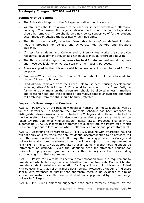## **Pre-Inquiry Changes: SC7.002 and FPC1**

#### **Summary of Objections**

- The Policy should apply to the Colleges as well as the University.
- x Windfall sites should be allowed to be used for student hostels and affordable housing. The presumption against development other than on college sites should be removed. There should be a new policy supportive of further student accommodation outside the specifically identified sites.
- The Plan should clarify whether "affordable housing" as defined includes housing provided for College and University key workers and graduate students.
- If sites for students and College and University key workers also provide residential development they should not have to include "affordable housing".
- The Plan should distinguish between sites held for student residential purposes and those available for University staff or other housing purposes.
- x Areas occupied by the University which become vacant should be used for City purposes.
- x Emmanuel/City Hockey Club Sports Ground should not be allocated for student/University housing.
- Land already removed from the Green Belt for student housing development including sites 6.8, 6.11 and 6.12, should be returned to the Green Belt; no further encroachment on the Green Belt should be allowed unless immediate and pressing need and the absence of alternative sites is shown; the approach to Cambridge from the NW should be fully protected.

## **Inspector's Reasoning and Conclusions**

7.21.1. Policy 7/7 of the RDD now refers to housing for the Colleges as well as for the University. In addition, the Proposals Schedule has been amended to distinguish between uses on sites controlled by Colleges and on those controlled by the University. Paragraph 7.42 also now states that a positive attitude will be taken towards additional windfall student hostel sites. Proposed change FPC1, superseding SC7.002, inserts this statement of support into the Policy itself, which is a more appropriate location for what is effectively an additional policy statement.

7.21.2. According to Paragraph 5.12, Policy 5/5 dealing with affordable housing will not apply on sites where the only residential accommodation to be provided will be in the form of a student hostel. But any other housing provided for College and University workers and graduate students will be subject to the requirement in Policy 5/5 (or Policy 9/7 as appropriate) that an element of that housing should be "affordable" as defined. Given the identified need for affordable housing for University employees and graduate students, there is no justification for excluding such housing from that requirement.

7.21.3. Policy 7/9 exempts residential accommodation from the requirement to provide affordable housing on sites identified in the Proposals Map which also provides student hostel accommodation for Anglia Polytechnic University. I deal with objections to that Policy in more detail below. However, although I find there special circumstances to justify that approach, there is no evidence of similar special circumstances in the case of student housing provided by the Cambridge University Colleges.

7.21.4. Mr Fuller's objection suggested that areas formerly occupied by the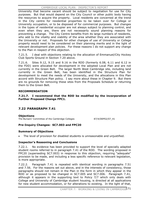University that become vacant should be subject to negotiation for use for City purposes. But that would depend on the City Council or other public body having the resources to acquire the property. Local residents are concerned at the trend in the City centre for residential properties to be taken over for College or University occupation, or to be disposed of for commercial purposes. But changes in the types of residential occupier are not always subject to planning control, and even when they are, there are not necessarily sound planning reasons for preventing a change. The City Centre benefits from its large numbers of residents, who add to the vitality and viability of the area whether they are associated with the University or not. Proposals for other changes of use of University or College property would need to be considered on their planning merits and in the light of relevant development plan policies. For these reasons I do not support any change to the Plan in respect of this objection.

7.21.5. I deal with objections relating to the allocation of Emmanuel/City Hockey Club Sports Ground in Section 7.20 above.

7.21.6. Sites 9.12, 9.15 and 9.16 in the RDD (formerly 6.08, 6.11 and 6.12 in the FDD) were allocated for development in the adopted Local Plan and are not currently in the Green Belt. The larger North West Cambridge site, including land currently in the Green Belt, has been identified in the Structure Plan for development to meet the needs of the University, and the allocations in this Plan accord with Structure Plan policy. I say more about these in Chapter 9. But there are no grounds for removing these sites from the Proposals Schedule or returning them to the Green Belt.

## **RECOMMENDATION**

**7.21.7. I recommend that the RDD be modified by the incorporation of Further Proposed Change FPC1.** 

# **7.22 PARAGRAPH 7.41**

**Objections**

The Bursars' Committee of the Cambridge Colleges 87/4/DEP02/07\_41

# **Pre-Inquiry Changes: SC7.003 and FPC20**

## **Summary of Objections**

The level of provision for disabled students is unreasonable and unjustified.

## **Inspector's Reasoning and Conclusions**

7.22.1. No evidence has been provided to support the level of specially adapted student rooms referred to in paragraph 7.41 of the RDD. The wording proposed in FPC20 (superseding SC7.003) in response to this objection, requiring "adequate" provision to be made, and including a less specific reference to relevant legislation, is more appropriate.

7.22.2. Paragraph 7.41 is repeated with identical wording in paragraphs 7.51 and 7.56. For the reasons set out above, and in the interests of consistency, those paragraphs should not remain in the Plan in the form in which they appear in the RDD or as proposed to be changed in SC7.005 and SC7.006. Paragraph 7.41, although it appears in the supporting text to Policy 7/7 which only deals with College and University of Cambridge student housing, is directed at all applications for new student accommodation, or for alterations to existing. In the light of that,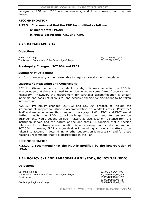paragraphs 7.51 and 7.56 are unnecessary, and I recommend that they are deleted.

## **RECOMMENDATION**

## **7.22.3. I recommend that the RDD be modified as follows:**

- **a) incorporate FPC20;**
- **b) delete paragraphs 7.51 and 7.56.**

# **7.23 PARAGRAPH 7.42**

## **Objections**

Robinson College 24/1/DEP02/07 42 The Bursars' Committee of the Cambridge Colleges 87/2/DEP02/07 42

#### **Pre-Inquiry Changes: SC7.004 and FPC2**

#### **Summary of Objections**

It is unnecessary and unreasonable to require caretaker accommodation.

#### **Inspector's Reasoning and Conclusions**

7.23.1. Given the nature of student hostels, it is reasonable for the RDD to acknowledge that there is a need to consider whether some form of supervision is necessary. However, the requirement for caretaker accommodation is unduly inflexible and does not allow site- and occupier-specific considerations to be taken into account.

7.23.2. Pre-inquiry changes SC7.002 and SC7.004 propose to include the statement of support for student accommodation on windfall sites in Policy 7/7 itself and make consequential changes to paragraph 7.42. FPC1 and FPC2 would further modify the RDD to acknowledge that the need for supervision arrangements would depend on such matters as size, location, distance from the institution served and the nature of the occupants. I consider that a specific reference to caretaker accommodation is unnecessary and so do not support SC7.004. However, FPC2 is more flexible in requiring all relevant matters to be taken into account in determining whether supervision is necessary, and for these reasons I recommend that it is incorporated in the Plan.

#### **RECOMMENDATION**

**7.23.3. I recommend that the RDD is modified by the incorporation of FPC2.**

## **7.24 POLICY 6/9 AND PARAGRAPH 6.51 (FDD), POLICY 7/9 (RDD)**

## **Objections**

St John's College 81/3/DEP01/06\_P09 The Bursars' Committee of the Cambridge Colleges 687/23/DEP01/06 P09 C. Nicholson 318/6/DEP01/06\_P09

Cambridge Regional College 698/1/DEP02/07\_P09

318/9/DEP01/06\_51

CHAPTER 7: WORKING & LIVING IN CAMBRIDGE 172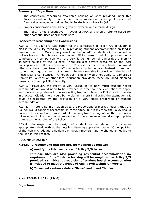#### **Summary of Objections**

- The concession concerning affordable housing on sites provided under this Policy should apply to all student accommodation including University of Cambridge colleges as well as Anglia Polytechnic University (APU).
- Proper consideration should be given to external and internal design.
- The Policy is too prescriptive in favour of APU, and should refer to scope for other potential uses of proposals sites.

#### **Inspector's Reasoning and Conclusions**

7.24.1. The Council's justification for the concession in Policy 7/9 in favour of APU is the difficulty faced by APU in providing student accommodation on land it does not control. Only a very small number of APU students will be housed in University-controlled hostels even when APU's current building programme is completed, by comparison with the very large number of Cambridge University students housed by the Colleges. There are also severe pressures on the local housing market. If the intention of the Policy is for the cross subsidy that would otherwise have gone towards affordable housing to be used instead to support student housing, this does not appear to be unreasonable in principle in the light of these local circumstances. Although such a policy would not apply to Cambridge University Colleges or other local education providers, these are good planning reasons for treating APU differently.

7.24.2. However, the Policy is very vague as to how much student hostel accommodation would need to be provided in order for the exemption to apply, and there is no guidance in the supporting text as to how the Policy would operate in practice. Clearly there would be no planning merit in allowing the exemption if it could be triggered by the provision of a very small proportion of student accommodation.

7.24.3. There is no information as to the proportions of market housing that the Council would consider acceptable on these sites. But in my view the Policy should prevent the exemption from affordable housing from arising where there is only a token amount of student accommodation. I therefore recommend an appropriate change to the wording of the Policy.

7.24.4. In respect of the design of student accommodation, this is more appropriately dealt with at the detailed planning application stage. Other policies of the Plan give adequate guidance on design matters, and no change is needed to the Plan in this respect.

#### **RECOMMENDATION**

#### **7.24.5. I recommend that the RDD be modified as follows:**

**a) modify the third sentence of Policy 7/9 to read:** 

**If these sites are also providing residential accommodation no requirement for affordable housing will be sought under Policy 5/5 provided a significant proportion of student hostel accommodation is included to meet the needs of Anglia Polytechnic University.** 

**b) In second sentence delete "firms" and insert "bodies".** 

## **7.25 POLICY 6/10 (FDD)**

**Objections**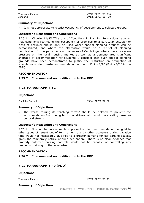Turnstone Estates and the states and the states and the 47/19/DEP01/06 P10 Januarys 691/5/DEP01/06 P10

#### **Summary of Objections**

It is not appropriate to restrict occupancy of development to selected groups.

#### **Inspector's Reasoning and Conclusions**

7.25.1. Circular 11/95 "The Use of Conditions in Planning Permissions" advises that conditions restricting the occupancy of premises to a particular occupier or class of occupier should only be used where special planning grounds can be demonstrated, and where the alternative would be a refusal of planning permission. In the particular circumstances of Cambridge, where there is severe pressure on the local housing market as well as a demonstrated significant shortage of accommodation for students, I consider that such special planning grounds have been demonstrated to justify the restriction on occupation of speculative student hostel accommodation set out in Policy 7/10 (Policy 6/10 in the FDD).

#### **RECOMMENDATION**

#### **7.25.2. I recommend no modification to the RDD.**

## **7.26 PARAGRAPH 7.52**

#### **Objections**

Cllr John Durrant 838/4/DEP02/07\_52

#### **Summary of Objections**

The words "during its teaching terms" should be deleted to prevent the accommodation from being let to car drivers who would be creating pressure on local streets.

#### **Inspector's Reasoning and Conclusions**

7.26.1. It would be unreasonable to prevent student accommodation being let to other types of tenant out of term time. Use by other occupiers during vacation time would not necessarily give rise to a greater demand for car parking spaces, given the temporary nature of such occupation. There is no clear evidence that properly enforced parking controls would not be capable of controlling any problems that might otherwise arise.

#### **RECOMMENDATION**

#### **7.26.2. I recommend no modification to the RDD.**

## **7.27 PARAGRAPH 6.49 (FDD)**

#### **Objections**

Turnstone Estates **1998** and 1999 and 1999 and 1999 and 1999 and 1999 and 1999 and 1999 and 1999 and 1999 and 19

#### **Summary of Objections**

CHAPTER 7: WORKING & LIVING IN CAMBRIDGE 174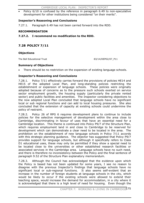Policy  $6/10$  is confused by the reference in paragraph  $6.49$  to non-speculative development for other institutions being considered "on their merits".

## **Inspector's Reasoning and Conclusions**

7.27.1. Paragraph 6.49 has not been carried forward into the RDD.

## **RECOMMENDATION**

**7.27.2. I recommend no modification to the RDD.** 

# **7.28 POLICY 7/11**

## **Objections**

The Bell Educational Trust **83/14/DEP02/07\_P11** 

## **Summary of Objections**

There should be no restriction on the expansion of existing language schools.

## **Inspector's Reasoning and Conclusions**

7.28.1. Policy 7/11 effectively carries forward the provisions of policies HE14 and HE15 of the adopted Local Plan, and long-standing policies restricting the establishment or expansion of language schools. These policies were originally adopted because of concerns as to the pressure such schools exerted on service sector employment growth, the housing supply (particularly the private rented sector) and public facilities and amenities. The Inspector considering objections to the now adopted Local Plan concluded that language schools have no significant local or sub regional functions and can add to local housing pressures. She also concluded that the extension of capacity at existing schools could undermine the policy of restraint.

7.28.2. Policy 26 of RPG 6 requires development plans to continue to include policies for the selective management of development within the area close to Cambridge, discriminating in favour of uses that have an essential need for a Cambridge location. This theme is continued into Policy P9/7 of the Structure Plan, which requires employment land in and close to Cambridge to be reserved for development which can demonstrate a clear need to be located in the area. The prohibition on the establishment of new language schools in Policy 7/11 accords with this strategic planning guidance. The objector has suggested that Policy P9/7 provides support for language schools, but although it specifically refers to Class D1 educational uses, these may only be permitted if they show a special need to be located close to the universities or other established research facilities or associated services in the Cambridge area. Language schools have no such need, and there is therefore no inconsistency between the Policy and the final sentence of paragraph 9.52 of the Structure Plan explanatory memorandum.

7.28.3. Although the Council has acknowledged that the evidence upon which the Policy is based has not been updated for some years, I see no reason to disagree with the previous Inspector's findings that language schools have no significant local or sub-regional functions. It also seems self-evident that an increase in the number of foreign students at language schools in the city, which would be likely to occur if the existing schools were allowed to extend their teaching space, would increase the demand for accommodation, in a city where it is acknowledged that there is a high level of need for housing. Even though the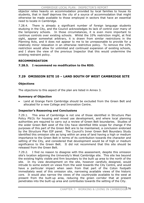objector relies heavily on accommodation provided by local families to house its students, that in itself deprives the city of a source of accommodation that might otherwise be made available to those employed in sectors that have an essential need to locate in Cambridge.

7.28.4. There is already a significant number of foreign language students studying in the City, and the Council acknowledges its lack of control over many of the temporary schools. In those circumstances, it is even more important to continue controls over existing schools. Whilst the 10% restriction might, at first sight, appear somewhat arbitrary, it is drawn from similar restrictions in the Planning Acts, and it does not appear to me to be unreasonable to provide for a relatively minor relaxation in an otherwise restrictive policy. To remove the 10% restriction would allow for unlimited and continued expansion of existing schools, and I share the view of the previous Inspector that this would undermine the existing restraint policy.

## **RECOMMENDATION**

**7.28.5. I recommend no modification to the RDD.** 

# **7.29 OMISSION SITE 10 – LAND SOUTH OF WEST CAMBRIDGE SITE**

## **Objections**

The objections to this aspect of the plan are listed in Annex 3.

## **Summary of Objection**

Land at Grange Farm Cambridge should be excluded from the Green Belt and allocated for a new College and Innovation Centre.

## **Inspector's Reasoning and Conclusions**

7.29.1. This area of Cambridge is not one of those identified in Structure Plan Policy P9/2c for housing and mixed use development, and where local planning authorities are required to carry out a review of Green Belt boundaries. Studies of the wider Green Belt west of the City have identified little scope for change if the purposes of this part of the Green Belt are to be maintained, a conclusion endorsed by the Structure Plan EIP panel. The Council's Inner Green Belt Boundary Study identified this omission site as lying within an area of land having a high or medium importance to the Green Belt in terms of its contribution towards the character and setting of the City, and considered that development would be of high or medium significance to the Green Belt. It did not recommend that this site should be released from the Green Belt.

7.29.2. I find no reason to disagree with this assessment, despite this omission site's location adjoining the University's West Cambridge site. This site lies beyond the existing highly visible and firm boundary to the built up area to the north of the site. In my view development on the site, however carefully designed, would intrude to some extent on views from the west towards the City Centre, and would have a particular impact when seen from that part of the Coton footpath immediately west of this omission site, narrowing available views of the historic core. It would also narrow the views of the countryside available to the west at present from the built-up area, reducing the green corridor that at present penetrates into the built-up area and contributes towards the setting of the City.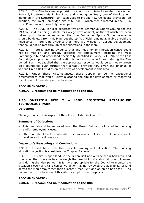7.29.3. The Plan has made provision for land for University related uses under Policy 9/7 between Madingley Road and Huntingdon Road, one of the locations identified in the Structure Plan, such uses to include new Collegiate provision. In addition, the West Cambridge site (site 7.06), which was allocated in the 1996 Local Plan, has not been fully developed.

7.29.4. The 1996 Plan also allocated two sites, Emmanuel Sports Ground and the 19 Acre Field, as being suitable for College development, neither of which has been taken up. I have recommended that the Emmanuel Sports Ground allocation should be deleted from this Plan, but the 19 Acre Field remains available should the need arise. There is no evidence that there is any need for College development that could not be met through other allocations in the Plan.

7.29.5. There is also no evidence that any need for an innovation centre could not be met on land already allocated for employment, including the West Cambridge site and other land specifically identified in Policy 7/4. Whilst the East Cambridge employment land allocation is unlikely to come forward during the Plan period, I am not satisfied that the appropriate response would be to modify Green Belt boundaries even further than already provided for, given the findings of various Green Belt studies on the effect of development in this area.

7.29.6. Under these circumstances, there appear to be no exceptional circumstances that would justify allocating the site for development or modifying the Green Belt boundary in this location.

## **RECOMMENDATION**

**7.29.7. I recommend no modification to the RDD.** 

# **7.30 OMISSION SITE 7 – LAND ADJOINING PETERHOUSE TECHNOLOGY PARK**

## **Objections**

The objections to this aspect of the plan are listed in Annex 3.

# **Summary of Objections**

- This land should be removed from the Green Belt and allocated for housing and/or employment uses.
- The land should not be allocated for environmental, Green Belt, recreational, wildlife and traffic reasons.

## **Inspector's Reasoning and Conclusions**

7.30.1. I deal here with the possible employment allocation. The housing allocation objection is considered in Chapter 5 above.

7.30.2. This site is open land, in the Green Belt and outside the urban area, and I consider that these factors outweigh the possibility of a shortfall in employment land during the Plan period. It is more appropriate for the Council to monitor the situation closely and take corrective action having reviewed the availability of land across the Plan area, rather than allocate Green Belt land on an ad hoc basis. I do not support the allocation of this site for employment purposes.

## **RECOMMENDATION**

## **7.30.3. I recommend no modification to the RDD.**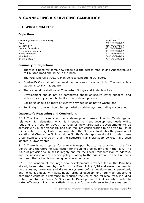# **8 CONNECTING & SERVICING CAMBRIDGE**

# **8.1 WHOLE CHAPTER**

## **Objections**

Cambridge Preservation Society 26/6/DEP01/07 Owen 252/1/DEP01/07 C. Nicholson 318/7/DEP01/07 Keymer Cavendish 431/2/DEP01/07 Environment Agency 434/6/DEP01/07 Elaine Wheatley 727/1/DEP02/08 Nick Jackson 749/1/DEP02/09 Kristine Vaaler 767/1/DEP02/08

## **Summary of Objections**

- There is a need for some new roads but the access road linking Addenbrooke's to Hauxton Road should be in a tunnel.
- The FDD ignores Structure Plan policies concerning transport.
- Bradwell's Court should be developed as a new transport hub. The central bus station is totally inadequate.
- There should be stations at Chesterton Sidings and Addenbrooke's.
- Development should not be committed ahead of secure water supplies, and water efficiency should be built into new developments.
- Car parks should be more efficiently provided so as not to waste land.
- Public rights of way should be upgraded to bridleways, and riding encouraged.

# **Inspector's Reasoning and Conclusions**

8.1.1. The Plan concentrates major development areas close to Cambridge at relatively high densities, which is intended to meet development needs whilst reducing the need to travel. It requires new large-scale developments to be accessible by public transport, and also requires consideration to be given to use of rail or water for freight where appropriate. The Plan also facilitates the provision of a station at Chesterton Sidings within South Cambridgeshire district. Under these circumstances the criticism that the Structure Plan's transport policies have been ignored is unwarranted.

8.1.2. There is no proposal for a new transport hub to be provided in the City Centre, and therefore no justification for including a policy for one in the Plan. The issue of provision for buses is largely one for the Local Transport Plan to address, and the absence of any specific policy relating to the bus station in the Plan does not mean that action is not being considered or taken.

8.1.3. The location of the large new developments provided for in the Plan has already been determined by the Structure Plan. Policy 8/18 addresses the need to secure water, sewerage and drainage systems before development is permitted, and Policy 3/1 deals with sustainable forms of development. Its main supporting paragraph contains a reference to reducing the use of natural resources, including water, and to the Council's Sustainable Development Guidelines which refer to water efficiency. I am not satisfied that any further reference to these matters is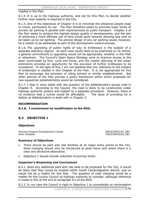needed in the Plan.

8.1.4. It is up to the highway authority, and not for this Plan, to decide whether further road capacity is required in the City.

8.1.5. One of the objectives of Chapter 8 is to minimise the distances people need to travel, particularly by car. The Plan therefore seeks to promote lower levels of private car parking in parallel with improvements to public transport. Chapter 3 of the Plan seeks to achieve the highest design quality in developments, and the aim of achieving a more efficient use of land would point towards allowing less land to be taken up by car parking. The precise design of any car parking would, however, be a matter to be addressed as part of the development control process.

8.1.6. The upgrading of public rights of way to bridleways is the subject of a separate statutory regime. As each case would need to be examined on its merits, a general commitment to upgrading would not be appropriate, whether in this Plan or elsewhere. The Council's Open Space Strategy aims to improve access to the open countryside by foot, cycle and horse, and the master planning of the urban extensions provides an opportunity for the provision of further bridleways to be considered. In the light of this, I am not satisfied that any reference to the subject of bridleways is needed in this Chapter of the Plan. It is not appropriate for this Plan to encourage the provision of riding schools or similar establishments. But other policies of the Plan provide a policy framework within which proposals for new equestrian establishments would be considered.

8.1.7. I deal in more detail with the question of the Addenbrooke's access road in Chapter 9. According to the Council, the road is likely to be constructed under highway authority powers and subject to a separate procedure. However, there is no evidence that a tunnel would be affordable. The issue of providing for a station at Addenbrooke's is dealt with in Chapter 2.

## **RECOMMENDATION**

## **8.1.8. I recommend no modification to the RDD.**

# **8.2 OBJECTIVE 1**

## **Objections**

Ventress Property Developments Limited 690/4/DEP01/07\_OB1 Anne Campbell 768/5/DEP02/08\_OB1

## **Summary of Objections**

- There should be park and ride facilities at all major entry points to the City. Road charging should only be introduced at peak hours and where there is a clear and attractive alternative.
- Objective 1 should include reduction of journey times.

#### **Inspector's Reasoning and Conclusions**

8.2.1. Were any additional park and ride sites to be proposed for the City, it would be likely that they would be located within South Cambridgeshire district, and so would not be a matter for this Plan. The question of road charging would be a matter for the County Council as highway authority to consider, although reference is made to this at the end of paragraph 8.3 of the RDD.

8.2.2. In my view the Council is right in Objective 1 to concentrate on minimisation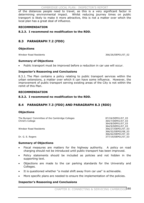of the distances people need to travel, as this is a very significant factor in determining environmental impact. Whilst reducing journey times on public transport is likely to make it more attractive, this is not a matter over which the local plan has a great deal of influence.

## **RECOMMENDATION**

## **8.2.3. I recommend no modification to the RDD.**

# **8.3 PARAGRAPH 7.2 (FDD)**

#### **Objections**

Windsor Road Residents 366/26/DEP01/07\_02

#### **Summary of Objections**

Public transport must be improved before a reduction in car use will occur.

## **Inspector's Reasoning and Conclusions**

8.3.1. The Plan contains a policy relating to public transport services within the urban extensions, a matter over which it can have some influence. However, the improvement of public transport serving existing areas of the City is not within the remit of this Plan.

#### **RECOMMENDATION**

#### **8.3.2. I recommend no modification to the RDD.**

# **8.4 PARAGRAPH 7.3 (FDD) AND PARAGRAPH 8.3 (RDD)**

## **Objections**

The Bursars' Committee of the Cambridge Colleges 87/24/DEP01/07\_03 Christ's College 364/7/DEP01/07\_03

 364/8/DEP01/07\_03 364/9/DEP01/07\_03<br>'0 / 366/27/DEP01/07\_03 للمستخدم المستخدم المستخدم المستخدم المستخدم المستخدم المستخدم المستخدم المستخدم المستخدم 366/27/DEP01/07\_03 366/52/DEP02/08\_03 366/62/DEP01/07\_03 Dr. G. E. Rogers 377/19/DEP01/07\_03

#### **Summary of Objections**

- Fiscal measures are matters for the highway authority. A policy on road charging should not be introduced until public transport has been improved.
- Policy statements should be included as policies and not hidden in the supporting text.
- Objections are made to the car parking standards for the University and Colleges.
- It is questioned whether "a modal shift away from car use" is achievable.
- More specific plans are needed to ensure the implementation of the policies.

## **Inspector's Reasoning and Conclusions**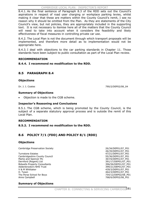8.4.1. As the final sentence of Paragraph 8.3 of the RDD sets out the Council's aspirations in respect of road user charging or workplace parking levies, whilst making it clear that these are matters within the County Council's remit, I see no reason why it should be omitted from the Plan. As they are statements of the City Council's view, but not policies, they are appropriately included in the supporting text. It is not necessary to itemise here all of the matters that the County Council will need to take into account when it considers the feasibility and likely effectiveness of fiscal measures in controlling private car use.

8.4.2. The Local Plan is not the document through which transport proposals will be implemented, and therefore more detail as to implementation would not be appropriate here.

8.4.3. I deal with objections to the car parking standards in Chapter 11. Those standards have been subject to public consultation as part of the Local Plan review.

## **RECOMMENDATION**

## **8.4.4. I recommend no modification to the RDD.**

# **8.5 PARAGRAPH 8.4**

#### **Objections**

Dr. J. I. Coates 790/2/DEP02/08\_04

# **Summary of Objections**

Objection is made to the CGB scheme.

## **Inspector's Reasoning and Conclusions**

8.5.1. The CGB scheme, which is being promoted by the County Council, is the subject of a separate statutory approval process and is outside the remit of this Local Plan.

#### **RECOMMENDATION**

## **8.5.2. I recommend no modification to the RDD.**

# **8.6 POLICY 7/1 (FDD) AND POLICY 8/1 (RDD)**

#### **Objections**

Cambridge Preservation Society 26/34/DEP01/07\_P01

Turnstone Estates **47/21/DEP01/07\_P01** Cambridgeshire County Council **1996** Cambridgeshire County Council **55/36/DEP01/07** Marks and Spencer Plc 367/6/DEP01/07\_P01 Dernford (Regent) Ltd 391/17/DEP01/07\_P01 Bidwells Property Consultants **396/56/DEP01/07\_P01** Addenbrooke's NHS Trust 399/21/DEP01/07\_P01 V & M Whittaker 2008 2009 2012 2020 2030 20439/3/DEP01/07\_P01 H. Tyson 462/3/DEP01/07\_P01 The Perse School for Boys 754/12/DEP02/08\_P01 Anne Campbell 2008 and 2008 and 2008 and 2008 and 2008 and 2008 and 2008 and 2008 and 2008 and 2008 and 2008 and 2008 and 2008 and 2008 and 2008 and 2008 and 2008 and 2008 and 2008 and 2008 and 2008 and 2008 and 2008 and 2

26/35/DEP01/07\_P01

## **Summary of Objections**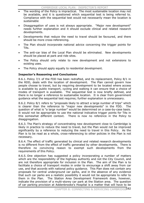- The wording of the Policy is impractical. The most sustainable location may not be available, and it is questioned which sequential test is being referred to. Compliance with the sequential test would not necessarily mean the location is sustainable
- Disaggregation of uses is not always appropriate. "Major new development" needs further explanation and it should exclude clinical and related research developments.
- Developments that reduce the need to travel should be favoured, and there should be more cross-referencing.
- The Plan should incorporate national advice concerning the trigger points for TAs.
- The anti-car bias of the Local Plan should be eliminated. New developments should be placed at park and ride sites.
- The Policy should only relate to new development and not extensions to existing uses.
- The Policy should apply equally to residential development.

## **Inspector's Reasoning and Conclusions**

8.6.1. Policy 7/1 of the FDD has been redrafted, and its replacement, Policy 8/1 in the RDD, deals with the location of development. The Plan cannot govern how people choose to travel, but by requiring development to be located where access is available by public transport, cycling and walking it can ensure that a choice of modes of transport is available. The sequential test is now briefly defined, and there is no longer a reference to sustainable location. It is clear from government guidance what the sequential test requires; further explanation is unnecessary.

8.6.2. Policy 8/1 refers to "proposals likely to attract a large number of trips" which is clearer than the reference to "major new developments" in the FDD. The question of what is "a large number" would be determined on a case-by-case basis. It would not be appropriate to use the national indicative trigger points for TAs in this somewhat different context. There is now no reference in the Policy to disaggregation.

8.6.3. The Plan's strategy of concentrating new development close to Cambridge is likely in practice to reduce the need to travel, but the Plan would not be improved significantly by a reference to reducing the need to travel in this Policy. As the Plan is to be read as a whole, cross-referencing to other policies in the Plan is not necessary.

8.6.4. The effect of traffic generated by clinical and related research developments is no different from the effect of traffic generated by other developments. There is therefore no convincing reason to exempt such developments from the requirements of this Policy.

8.6.5. One objection has suggested a policy incorporating a number of matters which are the responsibility of the highway authority and not the City Council, and are not therefore appropriate for inclusion in the Plan. The aim of the Plan is to facilitate a choice of transport modes in order to encourage a shift away from car use, and that accords with national policy guidance. This Plan does not contain any proposals for central underground car parks, and in the absence of any evidence that such car parks are a realistic possibility it would not be appropriate to refer to them in the Plan. The Station Area Development Framework does, however, indicate the provision of a multi-storey car park at the Station area. The question of car parking provision at Addenbrooke's Hospital is a matter that will have to be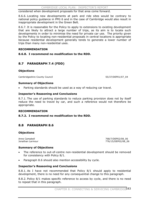considered when development proposals for that area come forward.

8.6.6. Locating new developments at park and ride sites would be contrary to national policy guidance in PPG 6 and in the case of Cambridge would also result in inappropriate development in the Green Belt.

8.6.7. It is reasonable for the Policy to apply to extensions to existing development that are likely to attract a large number of trips, as its aim is to locate such developments in order to minimise the need for private car use. The priority given by the Policy to locating non-residential proposals in central locations is appropriate because residential development generally tends to generate a lower number of trips than many non-residential uses.

## **RECOMMENDATION**

#### **8.6.8. I recommend no modification to the RDD.**

# **8.7 PARAGRAPH 7.4 (FDD)**

#### **Objections**

Cambridgeshire County Council 55/37/DEP01/07\_04

#### **Summary of Objections**

Parking standards should be used as a way of reducing car travel.

## **Inspector's Reasoning and Conclusions**

8.7.1. The use of parking standards to reduce parking provision does not by itself reduce the need to travel by car, and such a reference would not therefore be appropriate.

#### **RECOMMENDATION**

## **8.7.2. I recommend no modification to the RDD.**

# **8.8 PARAGRAPH 8.6**

## **Objections**

Anne Campbell 768/7/DEP02/08\_06 Jonathan Larmour 776/15/DEP02/08\_06

#### **Summary of Objections**

- The reference to out-of-centre non-residential development should be removed for consistency with Policy 8/1.
- Paragraph 8.6 should also mention accessibility by cycle.

## **Inspector's Reasoning and Conclusions**

8.8.1. As I have not recommended that Policy 8/1 should apply to residential development, there is no need for any consequential change to this paragraph.

8.8.2. Policy 8/1 makes specific reference to access by cycle, and there is no need to repeat that in this paragraph.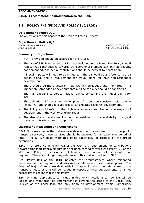#### **RECOMMENDATION**

#### **8.8.3. I recommend no modification to the RDD.**

# **8.9 POLICY 7/2 (FDD) AND POLICY 8/2 (RDD)**

#### **Objections to Policy 7/2**

The objections to this aspect of the Plan are listed in Annex 3.

#### **Objections to Policy 8/2**

Windsor Road Residents 366/53/DEP02/08 P02 Anne Campbell 768/8/DEP02/08\_P02

#### **Summary of Objections**

- HQPT provision should be assured for the future.
- The use of SPD is objected to if it is not included in the Plan. The Policy should reflect that contributions towards transport improvement can only be sought, not demanded, and actual contributions should be subject to negotiation.
- All local impacts will need to be mitigated. There should be a reference to area action plans, and a requirement for travel plans for new non-residential development.
- There should be more detail on how TAs will be judged and monitored. The impact on Cambridge of developments outside the City should be considered.
- The Plan should incorporate national advice concerning the trigger points for TAs.
- The definition of "major new developments" should be consistent with that in Policy 7/1, and should exclude clinical and related research development.
- The Policy should refer to the Highways Agency's requirements in respect of development in the vicinity of trunk roads.
- The size of any development should be restricted to the availability of a good transport infrastructure to support it.

#### **Inspector's Reasoning and Conclusions**

8.9.1. It is reasonable that where new development is required to provide public transport services, those services should be secured for a reasonable period of time. Policy 8/7 deals with this point specifically in respect of the urban extensions.

8.9.2. The reference in Policy 7/2 of the FDD to a requirement for contributions towards transport improvements has not been carried forward into Policy 8/2 of the RDD, and Policy 8/3 indicates that financial contributions will be sought, not required. There is no longer any reference in this part of the Plan to SPD.

8.9.3. Policy 8/3 of the RDD indicates the circumstances where mitigating measures will be required, and also makes reference to staff travel plans. The Areas of Major Change are dealt with in Chapter 9, which identifies some of the transport measures that will be needed in respect of these developments. It is not necessary to repeat that in this Policy.

8.9.4. It is not appropriate to include in this Policy details as to how TAs will be judged and monitored, as enforcement is beyond the scope of the Local Plan. Policies of the Local Plan can only apply to development within Cambridge,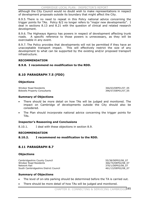although the City Council would no doubt wish to make representations in respect of development proposals outside its boundary that might affect the City.

8.9.5. There is no need to repeat in this Policy national advice concerning the trigger points for TAs. Policy 8/2 no longer refers to "major new developments". I deal in sections 8.13 and 8.21 with the question of clinical and related research development.

8.9.6. The Highways Agency has powers in respect of development affecting trunk roads. A specific reference to those powers is unnecessary, as they will be exercisable in any event.

8.9.7. The Policy provides that developments will not be permitted if they have an unacceptable transport impact. This will effectively restrict the size of any development to what can be supported by the existing and/or proposed transport infrastructure.

## **RECOMMENDATION**

## **8.9.8. I recommend no modification to the RDD.**

# **8.10 PARAGRAPH 7.5 (FDD)**

## **Objections**

Windsor Road Residents 366/63/DEP01/07\_05 Bidwells Property Consultants 396/57/DEP01/07\_05

#### **Summary of Objections**

- There should be more detail on how TAs will be judged and monitored. The impact on Cambridge of developments outside the City should also be considered.
- The Plan should incorporate national advice concerning the trigger points for TAs.

## **Inspector's Reasoning and Conclusions**

8.10.1. I deal with these objections in section 8.9.

## **RECOMMENDATION**

## **8.10.2. I recommend no modification to the RDD.**

# **8.11 PARAGRAPH 8.7**

## **Objections**

Cambridgeshire County Council 55/38/DEP02/08\_07 Windsor Road Residents 366/74/DEP02/08\_07 Network Rail 370/1/DEP02/08\_07 South Cambridgeshire District Council 461/13/DEP02/08\_07

## **Summary of Objections**

- The level of on-site parking should be determined before the TA is carried out.
- There should be more detail of how TAs will be judged and monitored.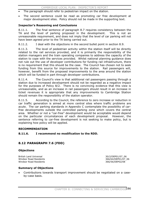- The paragraph should refer to pedestrian impact on the station.
- The second sentence could be read as promoting car free development at major development sites. Policy should not be made in the supporting text.

## **Inspector's Reasoning and Conclusions**

8.11.1. The final sentence of paragraph 8.7 requires consistency between the TA and the level of parking proposed in the development. This is not an unreasonable requirement, and does not imply that the level of car parking will not have been agreed prior to the TA being carried out.

8.11.2. I deal with the objections in the second bullet point in section 8.9.

8.11.3. The level of pedestrian activity within the station itself will be directly related to the rail services provided, and it is primarily the responsibility of the station managers and the train operating companies to address the capacity of the station to cope with the services provided. Whilst national planning guidance does not rule out the use of developer contributions for funding rail infrastructure, there is no requirement that this should be the case. The Council has chosen not to seek funding from this source for improvements to the station. Rail passengers will, however, benefit from the proposed improvements to the area around the station which will be funded in part through developer contributions.

8.11.4. The Council's view is that additional rail passengers passing through a station due to increased development should not be regarded as a negative impact for the purposes of Policy 8/2. There is no convincing evidence that this view is unreasonable, and as an increase in rail passengers should result in an increase in ticket revenues it is appropriate that any improvements to Cambridge Station should remain the responsibility of the station operator.

8.11.5. According to the Council, the reference to zero increase or reduction in car traffic generation is aimed at more central sites where traffic problems are acute. The car parking standards in Appendix C contemplate the possibility of carfree developments outside the controlled parking zone which covers the central area. Whether or not a "car-free" development would be acceptable would depend on the particular circumstances of each development proposal. However, the sentence referring to car-free development is not seeking to make policy, but is explaining how policy will be applied.

#### **RECOMMENDATION**

#### **8.11.6. I recommend no modification to the RDD.**

# **8.12 PARAGRAPH 7.6 (FDD)**

#### **Objections**

British Land Universal 30/2/DEP01/07\_06 Windsor Road Residents 366/64/DEP01/07\_06 Windsor Road Residents 366/56/DEP02/08

## **Summary of Objections**

Contributions towards transport improvement should be negotiated on a caseby-case basis.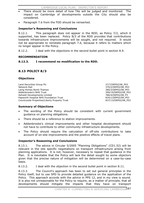- There should be more detail of how TAs will be judged and monitored. The impact on Cambridge of developments outside the City should also be considered.
- Paragraph 7.6 from the FDD should be reinserted.

## **Inspector's Reasoning and Conclusions**

8.12.1. This paragraph does not appear in the RDD, as Policy 7/2, which it supported, has been replaced. Policy 8/3 of the RDD provides that contributions towards infrastructure improvements will be sought, and not required. It would not be appropriate to reinstate paragraph 7.6, because it refers to matters which no longer appear in the Policy.

8.12.2. I deal with the objections in the second bullet point in section 8.9.

## **RECOMMENDATION**

## **8.12.3. I recommend no modification to the RDD.**

# **8.13 POLICY 8/3**

## **Objections**

Land Securities Group Plc 37/7/DEP02/08 P03 Network Rail 370/2/DEP02/08\_P03 Laing Homes North Thames 380/3/DEP02/08 P03 Addenbrooke's NHS Trust 399/19/DEP02/08\_P03<br>Ashwell Developments Limited 399/19/DEP02/08\_P3 Ashwell Developments Limited Papworth Hospital NHS Foundation Trust **834/1/DEP02/08\_P03** Countryside Properties/Liberty Property Trust 837/13/DEP02/08 P03

## **Summary of Objections**

- The wording of the Policy should be consistent with current government guidance on planning obligations.
- There should be a reference to station improvements.
- x Addenbrooke's clinical improvements and other hospital development should not have to contribute to other community infrastructure developments.
- The Policy should require the calculation of off-site contributions to take account of on-site improvements and the positive effects of travel plans.

## **Inspector's Reasoning and Conclusions**

8.13.1. The advice in Circular 5/2005 "Planning Obligations" (CD1.52) will be relevant in the site specific negotiations on transport infrastructure arising from planning applications. It is not, however, necessary to repeat that guidance in the Plan. It is inevitable that the Policy will lack the detail sought by some objectors given that the precise nature of mitigation will be determined on a case-by-case basis.

8.13.2. I deal with the objection in the second bullet point in section 8.11.

8.13.3. The Council's approach has been to set out general principles in the Policy itself, but to use SPD to provide detailed guidance on the application of the Policy. This approach accords with the advice in PPS 12, and in my view is sound. It is also not unreasonable for the Policy to require, as a matter of principle, that all developments should mitigate the impacts that they have on transport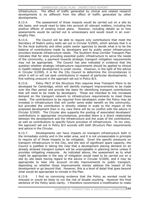infrastructure. The effect of traffic generated by clinical and related research developments is no different from the effect of traffic generated by other developments.

8.13.4. The assessment of those impacts would be carried out on a site by site basis, and would need to take into account all relevant matters, including the positive effects of existing travel plans. However, including details as to how assessments would be carried out is unnecessary and would result in an overlengthy Plan.

8.13.5. The Council will be able to require only contributions that meet the Secretary of State's policy tests set out in Circular 5/2005, which advises that it is for the local authority and other public sector agencies to decide what is to be the balance of contributions made by developers and by public sector infrastructure providers towards infrastructure needs. The Southern Area Corridor Transport Plan indicates that for sites providing essential public infrastructure to serve the needs of the community, a payment towards strategic transport mitigation requirements may not be appropriate. The Council has also indicated in evidence that the question whether strategic infrastructure requirements should be applied to clinical or health-related development is under review. However, in the light of the advice in Circular 5/2005, it is for the City Council to determine the circumstances in which it will or will not seek contributions in respect of particular developments. I find nothing unsound in the approach set out in Policy 8/3.

8.13.6. Policy P8/3 of the Structure Plan requires Area Transport Plans to be developed for Cambridge, which will identify transport improvements to be made over the Plan period and provide the basis for identifying transport contributions that will need to be made by developers. These are intended to link increased demand on the transport network to infrastructure requirements to meet those needs. The contributions to be required from developers under the Policy may be invested in infrastructure that will confer some wider benefit on the community, but provided the contribution is directly related in scale to the impact of the proposed development then in my view there will be no conflict with the advice in Circular 5/2005. The Circular also supports the pooling of associated developers' contributions in appropriate circumstances, provided there is a direct relationship between the development and the infrastructure and the scale of the contribution, as well as contributions to specific future provision of infrastructure. In my view, the approach set out in Policy 8/3 accords with both Structure Plan requirements and advice in the Circular.

8.13.7. Developments can have impacts on transport infrastructure both in the immediate vicinity and in the wider area, and it is not unreasonable in principle to require all of those impacts to be mitigated. Given the specific pressures on transport infrastructure in the City, and the lack of significant spare capacity, the Council is justified in taking the view that a development placing demand on an already strained transport system will be unacceptable in planning terms unless it provides mitigating measures. As indicated above, the assessment as to what might be appropriate in the way of mitigation would need to be carried out on a site by site basis having regard to the advice in Circular 5/2005, and it may be appropriate to take into account on-site improvements to public transport, depending on whether those improvements merely address the impact of the development or go beyond that. However, this is a level of detail that goes beyond what would be appropriate to include in the Plan.

8.13.8. I find no convincing evidence that the Policy as worded could be misused or would be likely to run the risk of double counting. However the final sentence of the Policy lacks clarity. I therefore recommend a modification to make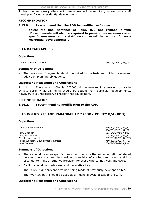it clear that necessary site specific measures will be required, as well as a staff travel plan for non-residential developments.

#### **RECOMMENDATION**

**8.13.9. I recommend that the RDD be modified as follows:**

**delete the final sentence of Policy 8/3 and replace it with "Developments will also be required to provide any necessary sitespecific measures, and a staff travel plan will be required for nonresidential developments".** 

# **8.14 PARAGRAPH 8.9**

## **Objections**

The Perse School for Boys 754/13/DEP02/08\_09

#### **Summary of Objections**

The provision of payments should be linked to the tests set out in government advice on planning obligations.

## **Inspector's Reasoning and Conclusions**

8.14.1. The advice in Circular 5/2005 will be relevant in assessing, on a site by site basis, what payments should be sought from particular developments. However, it is unnecessary to repeat that advice here.

#### **RECOMMENDATION**

## **8.14.2. I recommend no modification to the RDD.**

# **8.15 POLICY 7/3 AND PARAGRAPH 7.7 (FDD), POLICY 8/4 (RDD)**

## **Objections**

Windsor Road Residents 366/30/DEP01/07\_P03

Terry Spencer and the set of the set of the set of the set of the set of the set of the set of the set of the set of the set of the set of the set of the set of the set of the set of the set of the set of the set of the se Wrenbridge Land Ltd<br>Taylor Woodrow Developments Limited Taylor 2009/33/DEP01/07\_P03 Taylor Woodrow Developments Limited Peter Convey **266/8/DEP02/08\_P04** 

 366/65/DEP01/07\_07 708/33/DEP01/07\_P03

## **Summary of Objections**

- There should be more specific measures to ensure the implementation of stated policies, there is a need to consider potential conflicts between users, and it is essential to make alternative provision for those who cannot walk and cycle.
- Cycling should be made safer and more attractive.
- The Policy might prevent best use being made of previously developed sites.
- The river tow path should be used as a means of cycle access to the City.

## **Inspector's Reasoning and Conclusions**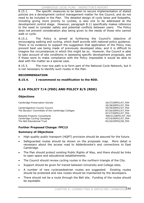8.15.1. The specific measures to be taken to secure implementation of stated policies are a development control management matter for the Council, and do not need to be included in the Plan. The detailed design of cycle lanes and footpaths, including giving more priority to cyclists, is also one to be addressed at the development control stage. However, paragraph 8.11 specifically makes reference to the need to consider safety and potential conflicts between users. The Policy does not prevent consideration also being given to the needs of those who cannot walk or cycle.

8.15.2. The Policy is aimed at furthering the Council's objective of encouraging walking and cycling, which itself accords with national policy guidance. There is no evidence to support the suggestion that application of the Policy may prevent best use being made of previously developed sites, and it is difficult to imagine the circumstances in which this might be so. However, the Council is able to take account of site conditions in assessing specific development proposals, and if these were to make compliance with the Policy impossible it would be able to deal with the matter as a special case.

8.15.3. The river tow path is to form part of the National Cycle Network, but it is not necessary to identify such routes in the Plan.

# **RECOMMENDATION**

# **8.15.4. I recommend no modification to the RDD.**

# **8.16 POLICY 7/4 (FDD) AND POLICY 8/5 (RDD)**

# **Objections**

Cambridge Preservation Society 26/37/DEP01/07\_P04

Cambridgeshire County Council 655/39/DEP01/07\_P04 The Bursars' Committee of the Cambridge Colleges 87/26/DEP01/07\_P04

Bidwells Property Consultants 2006 100 and 2006 100 and 396/51/DEP01/07\_P04 Cambridge Cycling Campaign 437/6/DEP01/07\_P04 The Bell Educational Trust 83/20/DEP02/08\_P05

 26/38/DEP01/07\_P04 87/27/DEP01/07\_P04

# **Further Proposed Change: FPC13**

# **Summary of Objections**

- High quality public transport (HQPT) provision should be assured for the future.
- Safeguarded routes should be shown on the proposals map. More detail is necessary about the access road to Addenbrooke's and connections to East Cambridge.
- The Plan should protect existing Public Rights of Way, and there should be links to open space and educational establishments.
- The Council should review cycling routes in the northern triangle of the City.
- Support should be given for transit between University and College sites.
- x A number of new cycle/pedestrian routes are suggested. Existing routes should be protected and new routes should be maintained by the developers.
- There should not be a route through the Bell site. Funding of the routes should be equitable.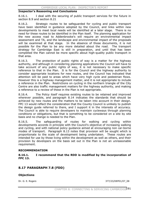#### **Inspector's Reasoning and Conclusions**

8.16.1. I deal with the securing of public transport services for the future in section 8.9 and section 8.21

8.16.2. Strategic routes to be safeguarded for cycling and public transport have been identified in guidance adopted by the Council, and links within new developments to meet local needs will be identified at a later stage. There is no need for these routes to be identified in the Plan itself. The planning application for the new access road to Addenbrooke's will require an environmental impact assessment and TA, and the landscape and environmental impact of the proposals will be examined at that stage. In the absence of those documents, it is not possible for the Plan to be any more detailed about the road. The transport strategy for Cambridge East is still in preparation, and until that has been completed the Plan cannot be more specific about high-quality public transport in that area.

8.16.3. The protection of public rights of way is a matter for the highway authority, and although in considering planning applications the Council will have to take account of any public rights of way, it is not necessary to make specific reference to that in the Plan. It is for the Council and the highway authority to consider appropriate locations for new routes, and the Council has indicated that attention will be paid to areas which have very high cycle and pedestrian flows. However this is a highway management matter, and it is not appropriate to include a reference in the Plan. Restrictions on cycling in the northern triangle of the City Centre are also traffic management matters for the highway authority, and making a reference to a review of these in the Plan is not appropriate.

8.16.4. The Policy itself requires existing routes to be retained and improved wherever possible, and paragraph 8.14 indicates the standards that should be achieved by new routes and the matters to be taken into account in their design. FPC 13 would reflect the consideration that the County Council is unlikely to publish the design guide referred to there, and I support it in the interests of accuracy. The Council is able to require developers to maintain cycleways through planning conditions or obligations, but that is something to be considered on a site by site basis and no change is needed to the Plan.

8.16.5. The safeguarding of routes for walking and cycling within developments accords in principle with the Council's objective of increasing walking and cycling, and with national policy guidance aimed at encouraging non car-borne modes of transport. Paragraph 8.13 notes that provision will be sought which is proportionate to the scale of development being undertaken. These routes are intended for use by those living within the development as well as others, and their provision by developers on the basis set out in the Plan is not an unreasonable requirement.

#### **RECOMMENDATION**

**8.16.1. I recommend that the RDD is modified by the incorporation of FPC 13.** 

# **8.17 PARAGRAPH 7.8 (FDD)**

#### **Objections**

Dr. G. E. Rogers 377/23/DEP01/07\_08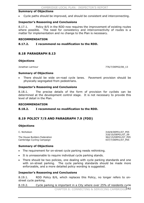#### **Summary of Objections**

Cycle paths should be improved, and should be consistent and interconnecting.

#### **Inspector's Reasoning and Conclusions**

8.17.1. Policy 8/5 in the RDD now requires the improvement of existing routes where possible. The need for consistency and interconnectivity of routes is a matter for implementation and no change to the Plan is necessary.

#### **RECOMMENDATION**

#### **8.17.2. I recommend no modification to the RDD.**

# **8.18 PARAGRAPH 8.13**

#### **Objections**

Jonathan Larmour 776/7/DEP02/08\_13

#### **Summary of Objections**

There should be wide on-road cycle lanes. Pavement provision should be physically segregated from pedestrians.

#### **Inspector's Reasoning and Conclusions**

8.18.1. The precise details of the form of provision for cyclists can be determined at the development control stage. It is not necessary to provide this level of detail in the Plan.

#### **RECOMMENDATION**

## **8.18.2. I recommend no modification to the RDD.**

# **8.19 POLICY 7/5 AND PARAGRAPH 7.9 (FDD)**

#### **Objections**

The House Builders Federation 362/15/DEP01/07\_P05 Cambridge Cycling Campaign 437/7/DEP01/07\_P05

#### **Summary of Objections**

- The requirement for on-street cycle parking needs rethinking.
- It is unreasonable to require individual cycle parking stands.
- There should be two policies, one dealing with cycle parking standards and one with on-street parking. The cycle parking standards should be made more enforceable, and a more detailed policy wording is suggested.

#### **Inspector's Reasoning and Conclusions**

8.19.1. RDD Policy 8/6, which replaces this Policy, no longer refers to onstreet cycle parking.

8.19.2. Cycle parking is important in a City where over 25% of residents cycle CHAPTER 8: CONNECTING & SERVICING CAMBRIDGE192

C. Nicholson 318/8/DEP01/07\_P05 318/10/DEP01/07\_09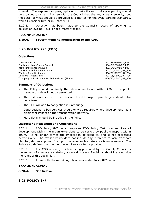to work. The explanatory paragraphs now make it clear that cycle parking should be provided on site. I agree with the Council that the key issue is security, but the detail of what should be provided is a matter for the cycle parking standards, which I consider further in Chapter 11.

8.19.3. Objection has been made to the Council's record of applying its policies on cycling. This is not a matter for me.

#### **RECOMMENDATION**

## **8.19.4. I recommend no modification to the RDD.**

# **8.20 POLICY 7/6 (FDD)**

## **Objections**

Turnstone Estates 47/22/DEP01/07\_P06<br>
Cambridgeshire County Council and the county of the county of the county of the county of the county of the county of the county of the county of the county of the county of the county Cambridgeshire County Council Railfuture/Transport 2000 282/1/DEP01/07\_P06 The House Builders Federation and the South 362/16/DEP01/07\_P06<br>
Windsor Road Residents 366/31/DEP01/07 P06 Dernford (Regent) Ltd 391/18/DEP01/07\_P06 Trumpington Environmental Action Group (TEAG) 460/20/DEP01/07\_P06

366/31/DEP01/07\_P06

#### **Summary of Objections**

- The Policy should not imply that developments not within 400m of a public transport node will not be permitted.
- The first sentence is too permissive. Local transport plan targets should also be referred to.
- The CGB will add to congestion in Cambridge.
- Contributions to bus services should only be required where development has a significant impact on the transportation network.
- More detail should be included in the Policy.

## **Inspector's Reasoning and Conclusions**

8.20.1. RDD Policy 8/7, which replaces FDD Policy 7/6, now requires all development within the urban extensions to be served by public transport within 400m. It no longer carries the implication objected to, and is not expressed permissively. The revised Policy does not include any reference to local transport plan targets, an approach I support because such a reference is unnecessary. The Policy also defines the minimum level of service to be provided.

8.20.2. The CGB scheme, which is being promoted by the County Council, is the subject of a separate statutory approval process. Decisions about it are outside the remit of this Local Plan.

8.20.3. I deal with the remaining objections under Policy 8/7 below.

## **RECOMMENDATION**

## **8.20.4. See below.**

# **8.21 POLICY 8/7**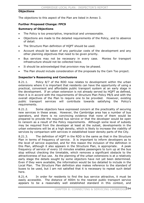#### **Objections**

The objections to this aspect of the Plan are listed in Annex 3.

#### **Further Proposed Change: FPC9**

#### **Summary of Objections**

- The Policy is too prescriptive, impractical and unreasonable.
- Objections are made to the detailed requirements of the Policy, and to absence of detail.
- The Structure Plan definition of HQPT should be used.
- Account should be taken of any particular costs of the development and any other planning objectives that need to be given priority.
- Bus services may not be necessary in every case. Monies for transport infrastructure should not be collected twice.
- It should be acknowledged that provision may be phased.
- The Plan should include consideration of the proposals by the Cam Too project.

#### **Inspector's Reasoning and Conclusions**

8.21.1. Policy 8/7 of the RDD now relates to development within the urban extensions where it is important that residents can have the opportunity of using a practical, convenient and affordable public transport system at an early stage in the development. If an urban extension is not already served by HQPT as defined, then it is in accord with the requirements of Structure Plan Policy P8/6 and with the overall objectives of the Plan to require one to be provided. However, existing public transport services will contribute towards satisfying the Policy's requirements.

8.21.2. Some objectors have expressed concern at the practicality of securing new services in these areas. However, the Cambridge area has a number of bus operators, and there is no convincing evidence that none of them would be prepared to provide the required bus service or that the developer would be open to ransom as a result of the Policy requirements. Although some level of subsidy may be required from the developer at least at the outset, developments in the urban extensions will be at a high density, which is likely to increase the viability of services by comparison with services in established lower density parts of the City.

8.21.3. The definition of HQPT in the RDD is the same as that in the Structure Plan in terms of frequency of service. It is important to inform developers as to the level of service expected, and for this reason the inclusion of the definition in this Plan, although it also appears in the Structure Plan, is appropriate. A peak frequency of service of every 10 minutes enables passengers to turn up at the bus stop without checking the timetable, which removes a significant obstacle to the attractiveness of bus use. As the planning of the urban extensions is at a relatively early stage the details sought by some objectors have not yet been determined. Even if they were available, the information would be too detailed to include in the Local Plan. The Structure Plan definition also makes reference to the standard of buses to be used, but I am not satisfied that it is necessary to repeat such detail here.

8.21.4. In order for residents to find the bus service attractive, it must be easily accessible. The distance of 400m to the nearest public transport service appears to be a reasonably well established standard in this context, and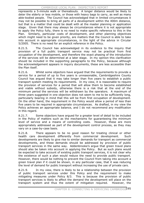represents a 5-minute walk or thereabouts. A longer distance would be likely to deter the elderly or less mobile, or those with heavy bags to carry, as well as many able-bodied people. The Council has acknowledged that in limited circumstances it may not be possible to bring all parts of a development within the 400m distance, but that is a matter that could be dealt with at the master planning or application stage. Given that there may always be circumstances where it is not appropriate to apply the Policy fully, there is no need to make specific reference to this in the Plan. Similarly, particular costs of development, and other planning objectives which might need to be given priority, are matters that the Council is able to take into account in appropriate circumstances, in the light of the advice in Circular 5/2005. There is no need for an explicit reference in the Policy.

8.21.5. The Council has acknowledged in its evidence to the inquiry that provision of a full public transport service may not be practical from first occupation of the development, and therefore the exact phasing of the introduction of the services will be determined at a later stage. In my opinion this clarification should be included in the supporting paragraphs to the Policy, because although the acknowledgement appears in inquiry documents, these are less accessible than the Plan itself.

8.21.6. Whilst some objectors have argued that the requirements to provide a service for a period of up to five years is unreasonable, Cambridgeshire County Council has argued that it may take longer than five years to establish a public transport system meeting its requirements. In my view, it is reasonable to require the provision of services for a period that will allow them to become established and viable without subsidy, otherwise there is a risk that at the end of the minimum period the services will be withdrawn by the operators. A maximum of three years suggested in one objection does not seem to me to be sufficiently long, particularly bearing in mind that this will be from first occupation of development. On the other hand, the requirement in the Policy would allow a period of less than five years to be required in appropriate circumstances. As drafted, in my view the Policy achieves an appropriate balance, and I do not recommend any modification in this regard.

8.21.7. Some objectors have argued for a greater level of detail to be included in the Policy of matters such as the mechanisms for guaranteeing the minimum level of service and a means of controlling costs. However, these are more appropriately addressed as part of the development control process, as they may vary on a case-by-case basis.

8.21.8. There appears to be no good reason for treating clinical or other health care development differently from commercial development. Such developments are likely to give rise to similar demands for transport as commercial developments, and these demands should be addressed by provision of public transport services in the same way. Addenbrooke's argue that green travel plans should also be taken into account in applying the Policy. But as such plans would be expected to take account of existing public transport services, it is not clear why the existence of such a plan would reduce the need to provide public transport. However, there would be nothing to prevent the Council from taking into account a green travel plan if it could be shown, in any particular case, that it was reducing the level of demand for public transport without increasing the use of private cars.

8.21.9. In my view, there is likely to be a relationship between the provision of public transport services under this Policy and the requirement to make mitigating measures under Policy 8/3. This is because the provision of public transport services is likely to affect the demand the development will place on the transport system and thus the extent of mitigation required. However, the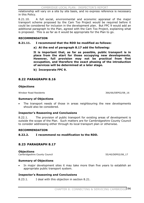relationship will vary on a site by site basis, and no express reference is necessary in this Policy.

8.21.10. A full social, environmental and economic appraisal of the major transport scheme proposed by the Cam Too Project would be required before it could be considered for inclusion in the development plan. But FPC 9 would add an additional paragraph to the Plan, agreed with the Cam Too Project, explaining what is proposed. This is as far as it would be appropriate for the Plan to go.

#### **RECOMMENDATION**

#### **8.21.11. I recommend that the RDD be modified as follows:**

**a) At the end of paragraph 8.17 add the following:** 

**It is important that, as far as possible, public transport is in place from the start for those occupying new developments. However, full provision may not be practical from first occupation, and therefore the exact phasing of the introduction of services will be determined at a later stage.**

**b) Incorporate FPC 9.** 

# **8.22 PARAGRAPH 8.16**

#### **Objections**

Windsor Road Residents 366/66/DEP02/08\_16

#### **Summary of Objections**

The transport needs of those in areas neighbouring the new developments should also be considered.

## **Inspector's Reasoning and Conclusions**

8.22.1. The provision of public transport for existing areas of development is outside the scope of the Plan. Such matters are for Cambridgeshire County Council to consider addressing either through its local transport plan or otherwise.

#### **RECOMMENDATION**

## **8.22.2. I recommend no modification to the RDD.**

# **8.23 PARAGRAPH 8.17**

**Objections** Cambridgeshire County Council 55/40/DEP02/08\_17

#### **Summary of Objections**

In major development sites it may take more than five years to establish an appropriate public transport system.

## **Inspector's Reasoning and Conclusions**

8.23.1. I deal with this objection in section 8.21.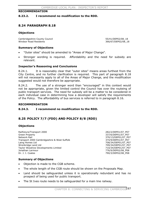#### **RECOMMENDATION**

#### **8.23.2. I recommend no modification to the RDD.**

# **8.24 PARAGRAPH 8.18**

#### **Objections**

Cambridgeshire County Council and Council the State of the State of State of the State of State of Tennis (SS/41/DEP02/08\_18<br>
State State Residents (SS/47/DEP02/08\_18, SS/41/DEP02/08\_18, SS/41/DEP02/08\_19, SS/41/DEP02/08\_1

366/67/DEP02/08\_18

#### **Summary of Objections**

- "Outer sites" should be amended to "Areas of Major Change".
- Stronger wording is required. Affordability and the need for subsidy are relevant.

#### **Inspector's Reasoning and Conclusions**

8.24.1. It is reasonably clear that "outer sites" means areas furthest from the City Centre, and no further clarification is required. This part of paragraph 8.18 will not necessarily apply to all of the Areas of Major Change, and the modification suggested would not therefore be appropriate.

8.24.2. The use of a stronger word than "encouraged" in this context would not be appropriate, given the limited control the Council has over the routeing of public transport services. The need for subsidy will be a matter to be considered in each individual case in determining how a developer will satisfy the requirements of the Policy. The affordability of bus services is referred to in paragraph 8.16.

#### **RECOMMENDATION**

## **8.24.3. I recommend no modification to the RDD.**

# **8.25 POLICY 7/7 (FDD) AND POLICY 8/8 (RDD)**

#### **Objections**

Railfuture/Transport 2000 282/2/DEP01/07\_P07 Green Property **337/6/DEP01/07\_P07** Network Rail 370/13/DEP01/07\_P07 Transport 2000 Cambridgeshire & West Suffolk 374/9/DEP01/07\_P07 Laing Homes Ltd **2006** 2007 2007 2008/34/DEP01/07 207 Wrenbridge Land Ltd 709/34/DEP01/07\_P07 Taylor Woodrow Developments Limited 710/34/DEP01/07\_P07 Jonathan Larmour 776/9/DEP02/08 P08 Dr. J. I. Coates 790/3/DEP02/08\_P08

## **Summary of Objections**

- Objection is made to the CGB scheme.
- The whole length of the CGB route should be shown on the Proposals Map.
- Land should be safeguarded unless it is operationally redundant and has no prospect of being used for public transport.
- The St Ives route needs to be safeguarded for a main line railway.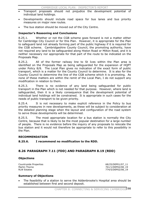- x Transport proposals should not prejudice the development potential of individual land holdings.
- Developments should include road space for bus lanes and bus priority measures on major new routes.
- The bus station should be moved out of the City Centre.

## **Inspector's Reasoning and Conclusions**

8.25.1. Whether or not the CGB scheme goes forward is not a matter either for Cambridge City Council or for this Plan. However, it is appropriate for the Plan to safeguard land not already forming part of the public highway if it is required for the CGB scheme. Cambridgeshire County Council, the promoting authority, have not required any land to be safeguarded along Histon Road or Milton Road, and it is neither necessary nor appropriate for that part of the route to be indicated on the Proposals Map.

8.25.2. All of the former railway line to St Ives within the Plan area is identified on the Proposals Map as being safeguarded for the expansion of HQPT under Policy 8/8. The Local Plan gives no indication of the exact form of public transport, which is a matter for the County Council to determine. It is also for the County Council to determine the line of the CGB scheme which it is promoting. As none of these matters are within the remit of the Local Plan, I do not support any modification in relation to them.

8.25.3. There is no evidence of any land being safeguarded for public transport in the Plan which is not needed for that purpose. However, where land is safeguarded, then it is a likely consequence that the development potential of individual land holdings will be constrained. It is appropriate in such cases for the needs of public transport to be given priority.

8.25.4. It is not necessary to make explicit reference in the Policy to bus priority measures in new developments, as these will be subject to consideration at the detailed planning stage when the layout and configuration of the road system to serve those developments will be determined.

8.25.5. The most appropriate location for a bus station is normally the City Centre, because that is likely to be the most popular destination for a large number of people. There is no evidence before the inquiry of any proposals to relocate the bus station and it would not therefore be appropriate to refer to this possibility in the Plan.

## **RECOMMENDATION**

**8.25.6. I recommend no modification to the RDD.** 

# **8.26 PARAGRAPH 7.11 (FDD) AND PARAGRAPH 8.19 (RDD)**

## **Objections**

Countryside Properties **68/25/DEP01/07\_11** Martin Thorne 761/1/DEP02/08\_19 RLW Estates **774/5/DEP02/08\_19** 

## **Summary of Objections**

The feasibility of a station to serve the Addenbrooke's Hospital area should be established between first and second deposit.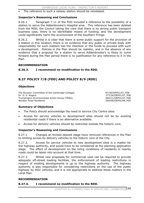The reference to such a railway station should be reinstated.

#### **Inspector's Reasoning and Conclusions**

8.26.1. Paragraph 7.11 of the FDD included a reference to the possibility of a station to serve the Addenbrooke's Hospital area. This reference has been deleted from the RDD, the Council taking the view that there is no strong public transport business case, there is no identifiable means of funding, and the development could significantly harm the environment of the Southern Fringe.

8.26.2. Whilst it is clear that there is some public support for the provision of a station in this location, there is no evidence that any public or private body with responsibility for such matters has the intention or the funds to proceed with such a development. Policies in the Plan should be realistic, and in the absence of any evidence that a proposal for a station to serve Addenbrooke's is likely to come forward during the Plan period there is no justification for any reference to it in the Plan.

#### **RECOMMENDATION**

**8.26.3. I recommend no modification to the RDD.** 

# **8.27 POLICY 7/8 (FDD) AND POLICY 8/9 (RDD)**

#### **Objections**

The Bursars' Committee of the Cambridge Colleges 87/30/DEP01/07 P08 Dr. G. E. Rogers 377/26/DEP01/07\_P08 Trumpington Environmental Action Group (TEAG) 460/21/DEP01/07\_P08 Windsor Road Residents 366/68/DEP02/08\_P09

#### **Summary of Objections**

- The Policy should acknowledge the need to service City Centre sites.
- Access for service vehicles to development sites should not be by existing residential roads if there is an alternative available.
- Access for delivery vehicles should be restricted outside the historic core.

## **Inspector's Reasoning and Conclusions**

8.27.1. Changes at revised deposit stage have removed references in the Plan to limiting access by delivery vehicles to the historic core of the City.

8.27.2. Access for service vehicles to new development sites is a matter for the highway authority, and would have to be considered at the planning application stage. The effect of development on the living conditions of residents in nearby roads could be taken into account at that time.

8.27.3. Whilst new proposals for commercial uses can be required to provide adequate off-street loading facilities, the enforcement of loading restrictions in respect of existing developments is up to the highway authority. The highway authority is also responsible for considering restrictions on the use of the public highway by HGV vehicles, and it is not appropriate to address these matters in the Local Plan.

#### **RECOMMENDATION**

#### **8.27.4. I recommend no modification to the RDD.**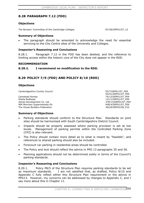# **8.28 PARAGRAPH 7.12 (FDD)**

#### **Objections**

The Bursars' Committee of the Cambridge Colleges 87/36/DEP01/07\_12

#### **Summary of Objections**

The paragraph should be amended to acknowledge the need for essential servicing to the City Centre sites of the University and Colleges.

#### **Inspector's Reasoning and Conclusions**

8.28.1. Paragraph 7.12 in the FDD has been deleted, and the reference to limiting access within the historic core of the City does not appear in the RDD.

#### **RECOMMENDATION**

#### **8.28.2. I recommend no modification to the RDD.**

# **8.29 POLICY 7/9 (FDD) AND POLICY 8/10 (RDD)**

#### **Objections**

Cambridgeshire County Council 655/7/DEP01/07 P09

Camstead Homes 24/13/DEP01/07\_P09 Shelia Redhead 131/1/DEP01/07\_P09 James Development Co. Ltd 378/13/DEP01/07\_P09 WM Morrison Supermarkets Plc 406/4/DEP01/07\_P09<br>The House Builders Federation 406/4/DEP02/08 P10 The House Builders Federation

55/41/DEP01/07\_P09

#### **Summary of Objections**

- Parking standards should conform to the Structure Plan. Standards on joint sites should be harmonised with South Cambridgeshire District Council.
- Impacts should be properly assessed where parking provision is set at low levels. Management of parking permits within the Controlled Parking Zone (CPZ) is also relevant.
- The Policy should contain more detail as to what is meant by "feasible", and references to shared parking should also be included.
- Forecourt car parking in residential areas should be controlled.
- The Policy and text should reflect the advice in PPG 13 paragraphs 35 and 56.
- Planning applications should not be determined solely in terms of the Council's parking standards.

#### **Inspector's Reasoning and Conclusions**

8.29.1. Policy P8/5 of the Structure Plan requires parking standards to be set as maximum standards. I am not satisfied that, as drafted, Policy 8/10 and Appendix C fully reflect either this Structure Plan requirement or the advice in PPG13. However, my concerns can be addressed by changes to Appendix C, and I say more about this in Chapter 11.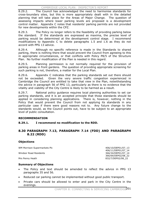8.29.2. The Council has acknowledged the need to harmonise standards for cross-boundary sites, but this is more appropriately dealt with in the detailed planning that will take place for the Areas of Major Change. The question of assessing impacts where lower parking levels are proposed is a development control matter. Appendix C notes that residents' parking permits are not provided for new developments within the CPZ.

8.29.3. The Policy no longer refers to the feasibility of providing parking below the standard. If the standards are expressed as maxima, the precise level of parking would be determined at the development control stage. I recommend modifications to Appendix C to delete paragraphs 1.5 and 1.6 as they do not accord with PPG 13 advice.

8.29.4. Although no specific reference is made in the Standards to shared parking, there is nothing there that would prevent the Council from agreeing to this in appropriate circumstances, or that conflicts with Policy P8/5 of the Structure Plan. No further modification of the Plan is needed in this regard.

8.29.5. Planning permission is not normally required for the provision of parking areas in front gardens. The question of providing appropriate screening for such parking is not, therefore, a matter for the Local Plan.

8.29.6. Appendix C indicates that the parking standards set out there should not be exceeded. Given the very severe traffic congestion experienced in Cambridge the Council are entitled to take that view in the Plan, notwithstanding the advice in paragraph 56 of PPG 13, particularly as there is no evidence that the vitality and viability of the City Centre is likely to be harmed as a result.

8.29.7. National policy guidance requires local planning authorities to set car parking standards, and it is an accepted principle that those standards should be applied in considering planning applications. There is, however, nothing in the Policy that would prevent the Council from not applying its standards in any particular case if there were good reasons not to. Any future change to the standards would, as the Council points out, have to be subject to an appropriate level of public consultation.

# **RECOMMENDATION**

**8.29.1. I recommend no modification to the RDD.** 

# **8.30 PARAGRAPH 7.13, PARAGRAPH 7.14 (FDD) AND PARAGRAPH 8.22 (RDD)**

## **Objections**

WM Morrison Supermarkets Plc 406/10/DEP01/07\_13

Windsor Road Residents 366/34/DEP01/07\_14

Mrs Penny Heath 832/7/DEP02/08\_22

## **Summary of Objections**

- The Policy and text should be amended to reflect the advice in PPG 13 paragraphs 35 and 56.
- Reduced car parking cannot be implemented without good public transport.
- Private cars should be allowed to enter and park in the City Centre in the evenings.

406/11/DEP01/07\_14

366/69/DEP02/08\_22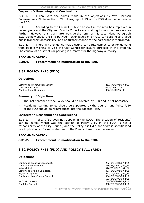#### **Inspector's Reasoning and Conclusions**

8.30.1. I deal with the points made in the objections by Wm Morrison Supermarkets Plc in section 8.29. Paragraph 7.13 of the FDD does not appear in the RDD.

8.30.2. According to the Council, public transport in the area has improved in recent years and the City and County Councils are working to improve bus services further. However this is a matter outside the remit of this Local Plan. Paragraph 8.22 acknowledges the link between lower levels of private car parking and good public transport accessibility, and no further change to the paragraph is warranted.

8.30.3. There is no evidence that existing car parks cannot cater for demand from people wishing to visit the City Centre for leisure purposes in the evening. The control of on-street car parking is a matter for the highway authority.

#### **RECOMMENDATION**

## **8.30.4. I recommend no modification to the RDD.**

# **8.31 POLICY 7/10 (FDD)**

#### **Objections**

Cambridge Preservation Society 26/39/DEP01/07\_P10 Turnstone Estates 47/5/DEP02/08 Windsor Road Residents 366/60/DEP02/08

#### **Summary of Objections**

- The last sentence of the Policy should be covered by SPD and is not necessary.
- x Residents' parking zones should be supported by the Council, and Policy 7/10 of the FDD should be reintroduced into the adopted Plan.

## **Inspector's Reasoning and Conclusions**

8.31.1. Policy 7/10 does not appear in the RDD. The creation of residents' parking zones, which was the subject of Policy 7/10 in the FDD, is not a responsibility of the City Council, and the Policy itself did not address specific land use implications. Its reinstatement in the Plan is therefore unnecessary.

## **RECOMMENDATION**

**8.31.2. I recommend no modification to the RDD.** 

# **8.32 POLICY 7/11 (FDD) AND POLICY 8/11 (RDD)**

#### **Objections**

Cambridge Preservation Society 26/40/DEP01/07\_P11 Windsor Road Residents 366/36/DEP01/07\_P11 Network Rail 370/38/DEP01/07\_P11 Cambridge Cycling Campaign and Campaign and Campaign and Campaign and Campaign and A37/8/DEP01/07 P11 Highways Agency **697/11/DEP01/07\_P11**<br>Cambridgeshire County Council **697/11/DEP01/07\_P11** Cambridgeshire County Council

55/43/DEP02/08\_P11<br>Mr N. G. Jackson 249/2/DEP02/08\_P11 749/2/DEP02/08\_P11 Cllr John Durrant 2008 2009 2009 2012 2012 2020 2038/7/DEP02/08 P11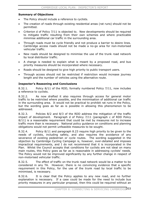## **Summary of Objections**

- The Policy should include a reference to cyclists.
- The creation of roads through existing residential areas (rat runs) should not be permitted.
- Criterion d of Policy 7/11 is objected to. New developments should be required to mitigate traffic resulting from their own schemes and where practicable minimise additional car traffic in the surrounding area.
- Through roads must be cycle friendly and not produce a barrier to desire lines. Cambridge access roads should not be made a no-go area for non-motorised vehicular traffic.
- New roads should be designed to minimise the use of the trunk road network by local distributor traffic.
- A change is needed to explain what is meant by a proposed road, and bus priority measures should be incorporated where necessary.
- Roads should be designed to give high priority to public transport users.
- x Through access should not be restricted if restriction would increase journey length and the number of vehicles using the alternative route.

## **Inspector's Reasoning and Conclusions**

8.32.1. Policy 8/11 of the RDD, formally numbered Policy 7/11, now includes a reference to cyclists.

8.32.2. As now drafted it also requires through access for general motor traffic to be restricted where possible, and the minimisation of additional car traffic in the surrounding area. It would not be practical to prohibit rat runs in the Policy, but the wording goes as far as is possible in allowing this phenomenon to be addressed.

8.32.3. Policies 8/2 and 8/3 of the RDD address the mitigation of the traffic impact of development. Paragraph d of Policy 7/11 (paragraph c of RDD Policy 8/11) is a reasonable requirement that could be met by measures not to increase traffic more than is necessary. National policy guidance on conditions and planning obligations would not permit unfeasible measures to be sought.

8.32.4. Policy 8/11 and paragraph 8.23 require high priority to be given to the needs of cyclists, including safety, and also requires the avoidance of any severance of existing pedestrian or cycle routes. The wording suggested in the objection by Cambridge Cycling Campaign is, however, over-detailed and imposes impractical requirements, and I do not recommend that it is incorporated in the Plan. Whilst the Council accepts that conditions for cyclists are not ideal on many main routes, this Policy goes as far as is reasonable in addressing cyclists' needs. The Policy would not be improved significantly by any further change in respect of non-motorised vehicular traffic.

8.32.5. The effect of traffic on the trunk road network would be a matter to be considered in any TA. However, there is no convincing evidence that a specific requirement in this Policy, for the use of the trunk road by local traffic to be minimised, is necessary.

8.32.6. It is clear that the Policy applies to any new road, and no further explanation is necessary. If a case could be made for the need to include bus priority measures in any particular proposal, then this could be required without an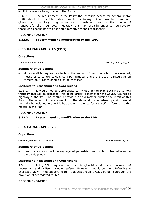explicit reference being made in the Policy.

8.32.7. The requirement in the Policy that through access for general motor traffic should be restricted where possible is, in my opinion, worthy of support, given that it is likely to go some way towards encouraging other modes of transport for short journeys. Inevitably, this may result in longer car journeys for those who choose not to adopt an alternative means of transport.

#### **RECOMMENDATION**

**8.32.8. I recommend no modification to the RDD.** 

# **8.33 PARAGRAPH 7.16 (FDD)**

#### **Objections**

Windsor Road Residents 366/37/DEP01/07\_16

#### **Summary of Objections**

More detail is required as to how the impact of new roads is to be assessed, measures to control taxis should be included, and the effect of parked cars on "access only" roads should also be assessed.

## **Inspector's Reasoning and Conclusions**

8.33.1. It would not be appropriate to include in the Plan details as to how traffic impact will be assessed, this being largely a matter for the County Council as highway authority. The control of taxis is also a matter outside the remit of this Plan. The effect of development on the demand for on-street parking would normally be included in any TA, but there is no need for a specific reference to this matter in the Plan.

## **RECOMMENDATION**

## **8.33.2. I recommend no modification to the RDD.**

# **8.34 PARAGRAPH 8.23**

#### **Objections**

Cambridgeshire County Council 655/44/DEP02/08\_23

#### **Summary of Objections**

x New roads should include segregated pedestrian and cycle routes adjacent to the carriageway.

#### **Inspector's Reasoning and Conclusions**

8.34.1. Policy 8/11 requires new roads to give high priority to the needs of pedestrians and cyclists, including safety. However it would be overly inflexible to express a view in the supporting text that this should always be done through the provision of segregated routes.

#### **RECOMMENDATION**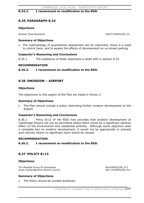## **8.34.2. I recommend no modification to the RDD.**

# **8.35 PARAGRAPH 8.24**

#### **Objections**

Windsor Road Residents 24 and 2008 24 and 366/41/DEP02/08

#### **Summary of Objections**

The methodology of quantitative assessment will be important; there is a need to control taxis, and to assess the effects of development on on-street parking.

#### **Inspector's Reasoning and Conclusions**

8.35.1. The substance of these objections is dealt with in section 8.33.

#### **RECOMMENDATION**

#### **8.35.2. I recommend no modification to the RDD.**

# **8.36 OMISSION – AIRPORT**

#### **Objections**

The objections to this aspect of the Plan are listed in Annex 3.

#### **Summary of Objections**

The Plan should include a policy restricting further aviation development at the Airport.

## **Inspector's Reasoning and Conclusions**

8.36.1. Policy 8/12 of the RDD now provides that aviation development at Cambridge Airport will not be permitted where there would be a significant adverse effect on the environment and residential amenity. Although some objectors seek a complete ban on aviation development, it would not be appropriate to prevent such activity where no significant harm would be caused.

#### **RECOMMENDATION**

## **8.36.2. I recommend no modification to the RDD.**

# **8.37 POLICY 8/12**

#### **Objections**

The Marshall Group Of Companies 66/4/DEP02/08 P12 South Cambridgeshire District Council 461/14/DEP02/08\_P12

## **Summary of Objections**

The Policy should be worded positively.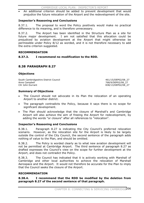An additional criterion should be added to prevent development that would prejudice the future relocation of the Airport and the redevelopment of the site.

## **Inspector's Reasoning and Conclusions**

8.37.1. The proposal to word the Policy positively would make no practical difference to its meaning, and is therefore unnecessary.

8.37.2. The Airport has been identified in the Structure Plan as a site for future major development. I am not satisfied that this allocation could be prejudiced by aviation development at the Airport that might otherwise be permissible under Policy 8/12 as worded, and it is not therefore necessary to add the extra criterion suggested.

#### **RECOMMENDATION**

## **8.37.3. I recommend no modification to the RDD.**

# **8.38 PARAGRAPH 8.27**

## **Objections**

South Cambridgeshire District Council 461/15/DEP02/08 27 Anne Campbell 768/9/DEP02/08\_27

838/13/DEP02/08 27

## **Summary of Objections**

- The Council should not advocate in its Plan the relocation of an operating Airport to another district.
- The paragraph contradicts the Policy, because it says there is no scope for significant development.
- The Plan should acknowledge that the closure of Marshall's and Cambridge Airport will also achieve the aim of freeing the Airport for redevelopment, by adding the words "or closure" after all references to "relocation".

## **Inspector's Reasoning and Conclusions**

8.38.1. Paragraph 8.27 is indicating the City Council's preferred relocation scenario. However, as the relocation site for the Airport is likely to be largely outside the control of the City Council, the second sentence of the paragraph adds nothing of value to the Plan, and should be omitted.

8.38.2. The Policy is worded clearly as to what new aviation development will not be permitted at Cambridge Airport. The third sentence of paragraph 8.27 as drafted expresses the Council's view on the scope for further development at the Airport, and does not contradict the Policy.

8.38.3. The Council has indicated that it is actively working with Marshall of Cambridge and other local authorities to achieve the relocation of Marshall Aerospace and the Airport. It would not therefore be accurate for the Plan to imply that the Council seeks the closure of the Airport.

#### **RECOMMENDATION**

**8.38.4. I recommend that the RDD be modified by the deletion from paragraph 8.27 of the second sentence of that paragraph.**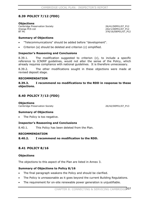# **8.39 POLICY 7/12 (FDD)**

#### **Objections**

Cambridge Preservation Society 26/41/DEP01/07\_P12 Orange PCS Ltd 242/1/DEP01/07\_P12<br>BT Plc 25 AT 242/1/DEP01/07\_P12

376/16/DEP01/07 P12

#### **Summary of Objections**

- x "Telecommunications" should be added before "development".
- Criterion (a) should be deleted and criterion (c) simplified.

## **Inspector's Reasoning and Conclusions**

8.39.1. The modification suggested to criterion (c), to include a specific reference to ICNIRP guidelines, would not alter the sense of the Policy, which already requires compliance with national guidelines. It is therefore unnecessary.

8.39.2. The other modifications sought in these objections were made at revised deposit stage.

#### **RECOMMENDATION**

## **8.39.3. I recommend no modifications to the RDD in response to these objections.**

# **8.40 POLICY 7/13 (FDD)**

#### **Objections**

Cambridge Preservation Society 26/42/DEP01/07\_P13

## **Summary of Objections**

The Policy is too negative.

## **Inspector's Reasoning and Conclusions**

8.40.1. This Policy has been deleted from the Plan.

#### **RECOMMENDATION**

**8.40.2. I recommend no modification to the RDD.** 

# **8.41 POLICY 8/16**

#### **Objections**

The objections to this aspect of the Plan are listed in Annex 3.

## **Summary of Objections to Policy 8/16**

- The final paragraph weakens the Policy and should be clarified.
- The Policy is unreasonable as it goes beyond the current Building Regulations.
- The requirement for on-site renewable power generation is unjustifiable.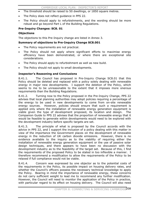- The threshold should be raised to 50 dwellings, or 1850 square metres.
- The Policy does not reflect quidance in PPS 22.
- The Policy should apply to refurbishments, and the wording should be more robust and go beyond Part L of the Building Regulations.

#### **Pre-Inquiry Changes: SC8. 01**

#### **Objections**

The objections to this Pre-Inquiry change are listed in Annex 3.

#### **Summary of objections to Pre-Inquiry Change SC8.001**

- The Policy requirements are not practical.
- The Policy should not apply where significant efforts to maximise energy efficiency have been demonstrated, or where there are exceptional site considerations.
- The Policy should apply to refurbishment as well as new build.
- The Policy should not apply to small developments.

#### **Inspector's Reasoning and Conclusions**

8.41.1. The Council has proposed in Pre-Inquiry Change SC8.01 that this Policy should be deleted and replaced with a policy solely dealing with renewable energy in major new developments. I support the deletion of the Policy, which seems to me to be unreasonable to the extent that it imposes more onerous requirements than the Building Regulations.

8.41.2. Turning now to the Policy proposed in the Pre-Inquiry Change, PPS 22 advises that local planning authorities may adopt policies requiring a percentage of the energy to be used in new developments to come from on-site renewable energy sources. However, policies should ensure that such a requirement is applied only where the installation of renewable energy generation equipment is viable given the type of development proposed, its location and design. The Companion Guide to PPS 22 advises that the proportion of renewable energy that it would be feasible to generate within developments would need to be explored with the development industry before specific targets are set.

8.41.3. The principle of what is proposed by the Council accords with the advice in PPS 22, and I support the inclusion of a policy dealing with this matter in view of the importance the Government places on the development of renewable energy in the reduction of UK carbon dioxide emissions. However, there is no evidence available to the inquiry as to the viability of requiring either the installation of renewable energy generation equipment or the use of passive solar design techniques, and there appears to have been no discussion with the development industry as to the feasibility of the target set. Because of this, I find the requirements of the proposed Policy to be stated in too inflexible a manner. I therefore recommend a modification to allow the requirements of the Policy to be relaxed if full compliance would not be viable.

8.41.4. Concern was expressed by one objector as to the potential costs of the requirements in the Policy, its possible impact on housing delivery rates, and whether the Council's officers possess the necessary technical knowledge to apply the Policy. Bearing in mind the importance of renewable energy, these concerns do not carry sufficient weight to lead me to recommend any further modification. However, the Council will need to monitor the application of the Policy in practice, with particular regard to its effect on housing delivery. The Council will also need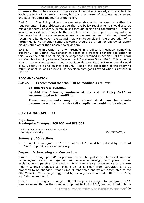to ensure that it has access to the relevant technical knowledge to enable it to apply the Policy in a timely manner, but this is a matter of resource management and does not affect the merits of the Policy.

8.41.5. The Policy allows passive solar design to be used to satisfy its requirements. Some objectors argue that the Policy requirements should also be relaxed if energy efficiency is maximised through design and construction. There is insufficient evidence to indicate the extent to which this might be comparable to the provision of on-site renewable energy generation, and I do not therefore recommend it. However, the Council may wish to consider in the preparation of its further guidance whether some allowance should be given for energy efficiency maximisation other than passive solar design.

8.41.6. The imposition of any threshold in a policy is inevitably somewhat arbitrary. The Council have chosen to adopt as a threshold for the application of this Policy the definition of major development contained in Article 8 of the Town and Country Planning (General Development Procedure) Order 1995. This is, in my view, a reasonable approach, and in addition the modification I recommend would allow viability to be taken into account. Finally, the application of the Policy to refurbishment as well as new build developments goes beyond what is advised in PPS 22.

## **RECOMMENDATION**

## **8.41.7. I recommend that the RDD be modified as follows:**

**a) Incorporate SC8.001.** 

**b) Add the following sentence at the end of Policy 8/16 as recommended to be modified:** 

**These requirements may be relaxed if it can be clearly demonstrated that to require full compliance would not be viable.** 

# **8.42 PARAGRAPH 8.41**

#### **Objections Pre-Inquiry Changes: SC8.002 and SC8.003**

The Chancellor, Masters and Scholars of the University of Cambridge 33/9/DEP04/08\_41

## **Summary of Objections**

In line 1 of paragraph 8.41 the word "could" should be replaced by the word "can", to provide greater certainty.

## **Inspector's Reasoning and Conclusions**

8.42.1. Paragraph 8.41 as proposed to be changed in SC8.002 explains what technologies would be regarded as renewable energy, and gives further explanation on passive solar design. It is a necessary consequence of the Pre-Inquiry Change proposed to Policy 8/16. It is clear, from paragraph 8.41 as proposed to be changed, what forms of renewable energy are acceptable to the City Council. The change suggested by the objector would add little to the Plan, and I do not support it.

8.42.2. Pre-Inquiry Change SC8.003 proposes changes to paragraph 8.42, also consequential on the changes proposed to Policy 8/16, and would add clarity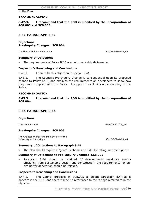to the Plan.

#### **RECOMMENDATION**

**8.42.3. I recommend that the RDD is modified by the incorporation of SC8.002 and SC8.003.** 

# **8.43 PARAGRAPH 8.43**

## **Objections Pre-Inquiry Changes: SC8.004**

The House Builders Federation 362/5/DEP04/08 43

#### **Summary of Objections**

The requirements of Policy 8/16 are not practicably deliverable.

#### **Inspector's Reasoning and Conclusions**

8.43.1. I deal with this objection in section 8.41.

8.43.2. The Council's Pre-Inquiry Change is consequential upon its proposed change to Policy 8/16, and explains the requirements on developers to show how they have complied with the Policy. I support it as it aids understanding of the Policy.

#### **RECOMMENDATION**

**8.43.3. I recommend that the RDD is modified by the incorporation of SC8.004.**

## **8.44 PARAGRAPH 8.44**

#### **Objections**

Turnstone Estates **47/6/DEP02/08** 44

#### **Pre-Inquiry Changes: SC8.005**

The Chancellor, Masters and Scholars of the University of Cambridge 33/10/DEP04/08 44

## **Summary of Objections to Paragraph 8.44**

The Plan should require a "good" Ecohomes or BREEAM rating, not the highest.

#### **Summary of Objections to Pre-Inquiry Changes SC8.005**

Paragraph 8.44 should be retained. If developments maximise energy efficiency from sustainable design and construction, the requirements for onsite power generation should be relaxed.

#### **Inspector's Reasoning and Conclusions**

8.44.1. The Council proposes in SC8.005 to delete paragraph 8.44 as it appears in the RDD, and there will be no references to the ratings referred to in the objection.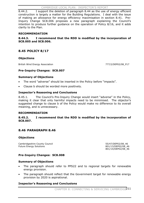8.44.2. I support the deletion of paragraph 8.44 as the use of energy efficient construction is largely a matter for the Building Regulations. I deal with the issue of making an allowance for energy efficiency maximisation in section 8.41. Pre-Inquiry Change SC8.006 proposes a new paragraph explaining the Council's intention to produce further guidance on the operation of Policy 8/16, and it adds clarity to the Plan.

## **RECOMMENDATION**

**8.44.3. I recommend that the RDD is modified by the incorporation of SC8.005 and SC8.006.** 

# **8.45 POLICY 8/17**

## **Objections**

British Wind Energy Association 777/2/DEP02/08\_P17

## **Pre-Inquiry Changes: SC8.007**

## **Summary of Objections**

- The word "adverse" should be inserted in the Policy before "impacts".
- x Clause b should be worded more positively.

## **Inspector's Reasoning and Conclusions**

8.45.1. The Council's Pre-Inquiry Change would insert "adverse" in the Policy, making it clear that only harmful impacts need to be minimised. The objector's suggested change to clause b of the Policy would make no difference to its overall meaning, and is unnecessary.

## **RECOMMENDATION**

## **8.45.2. I recommend that the RDD is modified by the incorporation of SC8.007.**

# **8.46 PARAGRAPH 8.46**

## **Objections**

Cambridgeshire County Council and Council and County Council 55/47/DEP02/08\_46<br>
Future Energy Solutions and Council and Council and Council and Council and Council and Council and Council an<br>
Sol/13/DEP02/08\_46 Future Energy Solutions

801/14/DEP02/08\_46

# **Pre-Inquiry Changes: SC8.008**

## **Summary of Objections**

- The paragraph should refer to PPS22 and to regional targets for renewable energy provision.
- The paragraph should reflect that the Government target for renewable energy provision by 2020 is aspirational.

## **Inspector's Reasoning and Conclusions**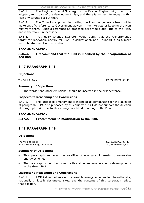CAMBRIDGE LOCAL PLAN: INSPECTOR'S REPORT

8.46.1. The Regional Spatial Strategy for the East of England will, when it is adopted, form part of the development plan, and there is no need to repeat in this Plan any targets set out there.

8.46.2. The Council's approach in drafting the Plan has generally been not to make specific reference to Government advice in the interests of keeping the Plan relatively short. Such a reference as proposed here would add little to the Plan, and is therefore unnecessary.

8.46.3. Pre-Inquiry Change SC8.008 would clarify that the Government's target for renewable energy for 2020 is aspirational, and I support it as a more accurate statement of the position.

## **RECOMMENDATION**

**8.46.4. I recommend that the RDD is modified by the incorporation of SC8.008.**

# **8.47 PARAGRAPH 8.48**

## **Objections**

The Wildlife Trust 382/22/DEP02/08\_48

#### **Summary of Objections**

The words "and other emissions" should be inserted in the first sentence.

#### **Inspector's Reasoning and Conclusions**

8.47.1. This proposed amendment is intended to compensate for the deletion of paragraph 8.49, also proposed by this objector. As I do not support the deletion of paragraph 8.49, this further change would add nothing to the Plan.

#### **RECOMMENDATION**

## **8.47.2. I recommend no modification to the RDD.**

# **8.48 PARAGRAPH 8.49**

#### **Objections**

The Wildlife Trust 382/23/DEP02/08 49 British Wind Energy Association **1990** and 1990 and 1990 and 1990 and 1990 and 1990 and 1990 and 1990 and 1990 and 1990 and 1990 and 1990 and 1990 and 1990 and 1990 and 1990 and 1990 and 1990 and 1990 and 1990 and 1990 and

## **Summary of Objections**

- This paragraph endorses the sacrifice of ecological interests to renewable energy schemes.
- The paragraph should be more positive about renewable energy developments in the Green Belt.

#### **Inspector's Reasoning and Conclusions**

8.48.1. PPS22 does not rule out renewable energy schemes in internationally, nationally or locally designated sites, and the contents of this paragraph reflect that position.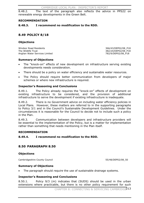8.48.2. The text of the paragraph also reflects the advice in PPS22 on renewable energy developments in the Green Belt.

### **RECOMMENDATION**

**8.48.3. I recommend no modification to the RDD.** 

### **8.49 POLICY 8/18**

### **Objections**

Windsor Road Residents 366/43/DEP02/08\_P18 The Wildlife Trust 382/24/DEP02/08\_P18 Anglian Water Services Limited **782/9/DEP02/08\_P18** 

### **Summary of Objections**

- x The "knock-on" effects of new development on infrastructure serving existing developments needs consideration.
- There should be a policy on water efficiency and sustainable water resources.
- The Policy should require better communication from developers of major schemes or where new infrastructure is required.

### **Inspector's Reasoning and Conclusions**

8.49.1. The Policy already requires the "knock-on" effects of development on existing infrastructure to be considered, and the provision of additional infrastructure to serve the development if existing infrastructure is inadequate.

8.49.2. There is no Government advice on including water efficiency policies in Local Plans. However, these matters are referred to in the supporting paragraphs to Policy 3/1 and in the Council's Sustainable Development Guidelines. Under the circumstances it is reasonable for the Council to decide not to include such a policy in the Plan.

8.49.3. Communication between developers and infrastructure providers will be essential to the implementation of the Policy, but is a matter for implementation rather than something that needs mentioning in the Plan itself.

### **RECOMMENDATION**

### **8.49.4. I recommend no modification to the RDD.**

### **8.50 PARAGRAPH 8.50**

### **Objections**

Cambridgeshire County Council 655/48/DEP02/08\_50

### **Summary of Objections**

The paragraph should *require* the use of sustainable drainage systems.

### **Inspector's Reasoning and Conclusions**

8.50.1. Policy 9/3 (m) indicates that (SUDS) should be used in the urban extensions where practicable, but there is no other policy requirement for such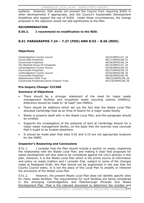systems. However, that would not prevent the Council from requiring SUDS in other developments if appropriate, and the Council's Sustainable Development Guidelines also support the use of SUDS. Under these circumstances, the change proposed in the objection would not add significantly to the Plan.

### **RECOMMENDATION**

# **8.50.2. I recommend no modification to the RDD.**

# **8.51 PARAGRAPHS 7.24 – 7.27 (FDD) AND 8.53 – 8.56 (RDD)**

# **Objections**

Cambridgeshire County Council and Council 55/42/DEP01/07\_24<br>
Countryside Properties 68/11/DEP02/08 53 Countryside Properties Countryside Properties 68/26/DEP02/08\_54 The Marshall Group Of Companies 66/14/DEP01/07\_26 Cambridgeshire County Council 55/49/DEP02/08\_55 Countryside Properties 68/27/DEP02/08\_55 Cambridgeshire County Council 55/50/DEP02/08\_56 Countryside Properties **68/28/DEP02/08\_56** Addenbrooke's NHS Trust 399/22/DEP02/08\_56 Countryside Properties/Liberty Property Trust 837/16/DEP02/08\_56

### **Pre-Inquiry Change: CCC306**

### **Summary of Objections**

- There should be a stronger statement of the need for major waste management facilities and household waste recycling centres (HWRCs). Reference should be made to "at least" two HWRCs.
- There should be additions which set out the fact that the Waste Local Plan allocates Cambridge East as an Area of Search for a major waste facility
- Waste is properly dealt with in the Waste Local Plan, and this paragraph should be omitted.
- Supports the investigation of the potential of land at Cambridge Airport for a major waste management facility, on the basis that the exercise may conclude that it ought to be located elsewhere.
- It should be made plain that sites 9.02 and 9.10 are not appropriate locations for the HWRC

# **Inspector's Reasoning and Conclusions**

8.51.1. I consider that the Plan should include a section on waste, explaining the relationship with the Waste Local Plan, and making it clear that proposals for waste development will also need to be considered against the City's policies in this plan. However, it is the Waste Local Plan which is the prime source of information and policy on waste matters and I consider that, subject to some of the changes made at Redeposit Draft, this Plan should not be augmented in the way that the County Council seeks. It is not the place of this Local Plan to amplify or interpret the provisions of the Waste Local Plan

8.51.2. However, the present Waste Local Plan does not identify specific sites for many waste facilities. The requirements for such facilities are being considered in the emerging Cambridgeshire and Peterborough Minerals and Waste Development Plan. That is the relevant document to determine the number and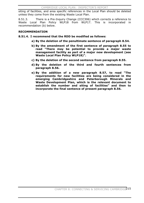siting of facilities, and area specific references in the Local Plan should be deleted unless they come from the existing Waste Local Plan.

8.51.3. There is a Pre-Inquiry Change (CCC306) which corrects a reference to Waste Local Plan Policy WLP18 from WLP17. This is incorporated in recommendation (b) below.

### **RECOMMENDATION**

**8.51.4. I recommend that the RDD be modified as follows:** 

- **a) By the deletion of the penultimate sentence of paragraph 8.54.**
- **b) By the amendment of the first sentence of paragraph 8.55 to read "There may be potential to provide a major waste management facility as part of a major new development (see Waste Local Plan Policy WLP18)".**
- **c) By the deletion of the second sentence from paragraph 8.55.**
- **d) By the deletion of the third and fourth sentences from paragraph 8.56.**
- **e) By the addition of a new paragraph 8.57, to read "The requirements for new facilities are being considered in the emerging Cambridgeshire and Peterborough Minerals and Waste Development Plan, which is the relevant document to establish the number and siting of facilities" and then to incorporate the final sentence of present paragraph 8.56.**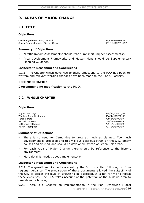# **9. AREAS OF MAJOR CHANGE**

# **9.1 TITLE**

### **Objections**

Cambridgeshire County Council 55/45/DEP01/AAP South Cambridgeshire District Council 461/14/DEP01/AAP

### **Summary of Objections**

- x "Traffic Impact Assessments" should read "Transport Impact Assessments".
- x Area Development Frameworks and Master Plans should be Supplementary Planning Guidance.

### **Inspector's Reasoning and Conclusions**

9.1.1. The Chapter which gave rise to these objections to the FDD has been rewritten, and relevant wording changes have been made to the Plan's Glossary.

### **RECOMMENDATION**

### **I recommend no modification to the RDD.**

### **9.2 WHOLE CHAPTER**

### **Objections**

English Heritage 338/25/DEP02/09 Windsor Road Residents 2008 and 2009 and 2008 and 2009 and 366/44/DEP02/09 Teresa Brett 729/2/DEP02/09 Mr Nick Jackson 749/1/DEP02/09 Catherine Millhouse 779/1/DEP02/09 Martin Thompson 297/1/DEP02/09

### **Summary of Objections**

- There is no need for Cambridge to grow as much as planned. Too much development is proposed and this will put a serious strain on the City. Empty houses and disused land should be developed instead of Green Belt areas.
- For each Area of Major Change there should be reference to the historic environment.
- More detail is needed about implementation.

### **Inspector's Reasoning and Conclusions**

9.2.1 The growth requirements are set by the Structure Plan following on from regional guidance. The preparation of these documents allowed the suitability of the City to accept the level of growth to be assessed. It is not for me to repeat these exercises. The UCS takes account of the potential of the built-up area to provide more housing.

9.2.2 There is a Chapter on implementation in the Plan. Otherwise I deal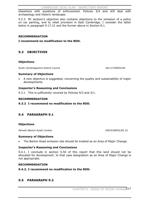elsewhere with questions of enforcement. Policies 3/4 and 4/8 deal with archaeology and historic landscape.

9.2.3 Mr Jackson's objection also contains objections to the omission of a policy on car parking, and to retail provision in East Cambridge. I consider the latter below in paragraph 9.17.21 and the former above in Section 8.1.

### **RECOMMENDATION**

**I recommend no modification to the RDD.** 

# **9.3 OBJECTIVES**

### **Objections**

South Cambridgeshire District Council 461/17/DEP02/09

### **Summary of Objections**

A new objective is suggested, concerning the quality and sustainability of major developments.

### **Inspector's Reasoning and Conclusions**

9.3.1 This is sufficiently covered by Policies 9/3 and 3/1.

### **RECOMMENDATION**

**9.3.2 I recommend no modification to the RDD.** 

# **9.4 PARAGRAPH 9.1**

### **Objections**

Ashwell (Barton Road) Limited 659/5/DEP02/09\_01

### **Summary of Objections**

The Barton Road omission site should be treated as an Area of Major Change.

### **Inspector's Reasoning and Conclusions**

9.4.1. I conclude in section 5.50 of this report that this land should not be allocated for development. In that case designation as an Area of Major Change is not appropriate.

### **RECOMMENDATION**

### **9.4.2. I recommend no modification to the RDD.**

# **9.5 PARAGRAPH 9.2**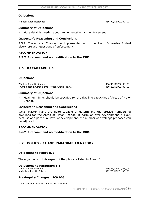### **Objections**

Windsor Road Residents 366/72/DEP02/09\_02

### **Summary of Objections**

More detail is needed about implementation and enforcement.

### **Inspector's Reasoning and Conclusions**

9.5.1 There is a Chapter on implementation in the Plan. Otherwise I deal elsewhere with questions of enforcement.

### **RECOMMENDATION**

### **9.5.2 I recommend no modification to the RDD.**

### **9.6 PARAGRAPH 9.3**

### **Objections**

Windsor Road Residents 366/45/DEP02/09\_03 Trumpington Environmental Action Group (TEAG) 460/22/DEP02/09\_03

#### **Summary of Objections**

Maximum limits should be specified for the dwelling capacities of Areas of Major Change.

### **Inspector's Reasoning and Conclusions**

9.6.1 Master Plans are quite capable of determining the precise numbers of dwellings for the Areas of Major Change. If harm or over-development is likely because of a particular level of development, the number of dwellings proposed can be adjusted.

#### **RECOMMENDATION**

**9.6.2 I recommend no modification to the RDD.** 

### **9.7 POLICY 8/1 AND PARAGRAPH 8.6 (FDD)**

### **Objections to Policy 8/1**

The objections to this aspect of the plan are listed in Annex 3.

# **Objections to Paragraph 8.6**<br>Windsor Road Residents

Addenbrooke's NHS Trust 399/25/DEP01/08\_06

366/66/DEP01/08\_06

### **Pre-Inquiry Changes: SC9.005**

The Chancellor, Masters and Scholars of the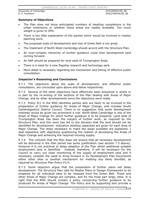#### CAMBRIDGE LOCAL PLAN: INSPECTOR'S REPORT

University of Cambridge 33/6/DEP04/09\_08 E. P. Southern 540/2/DEP04/09\_08

### **Summary of Objections**

- The Plan does not show anticipated numbers of dwelling completions in the urban extensions or whether these areas are readily available. Too much weight is given to SPG.
- There is too little explanation of the parties which would be involved in master planning work.
- The proposed scale of development and loss of Green Belt is too great.
- The treatment of North-West Cambridge should accord with the Structure Plan.
- An over-complex hierarchy of further guidance could slow development land coming forward.
- An AAP should be prepared for land west of Trumpington Road.
- There is a need for a new flagship research and technology park.
- More detail is necessary regarding the mechanism and timing of effective public consultation.

### **Inspector's Reasoning and Conclusions**

9.7.1 The objections about the scale of development, and effective public consultation, are concluded upon above and below respectively.

9.7.2 Several of the other objections have effectively been answered in whole or in part by the re-writing of the sections of the Plan dealing with Areas of Major Change, and by other developments since the objections were made.

9.7.3 Policy 9/1 in the RDD identifies parties who are likely to be involved in the preparation of further guidance for Areas of Major Change, and includes South Cambridgeshire District Council. There is no suggestion that some development interests would be given too prominent a role. North-West Cambridge is one of the Areas of Major Change for which further guidance is to be prepared. Land west of Trumpington Road has been the subject of further work, as required by the Structure Plan, and this work has led to the decision that the land should not be identified for development. Indicative dwelling capacities are given for each Area of Major Change. The steps necessary to make the areas available are explained. I deal elsewhere with objections questioning the realism of developing the Areas of Major Change and achieving the required housing supply.

9.7.4 The criticism that the Plan does not ensure that all necessary development will be delivered in the Plan period has some justification (see section 7.5 above). However it is not practical to delay adoption of the Plan whilst additional suitable employment land is identified. Instead, therefore, it will be necessary for the Council to carry out close monitoring of the supply of employment land and if necessary consider the need to bring forward in its Development Plan Documents either other sites or another mechanism for meeting any likely shortfall, as required by Structure Plan Policy P1/4.

9.7.5 Some objectors argue that the preparation of further plans will delay development. The Structure Plan calls for Master Plans or Design Frameworks to be prepared for all individual sites to be released from the Green Belt. These and other Areas of Major Change are complex, and for the most part large, sites. It is right that the RDD should contain a policy concerning further guidance to be produced for Areas of Major Change. The Policy and its supporting text provide a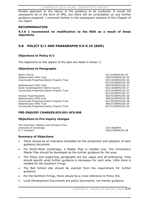flexible approach to the nature of the guidance to be produced. It would not necessarily be in the form of SPD, but there will be consultation on any further guidance prepared. I comment further in the subsequent sections of this Chapter of my report.

### **RECOMMENDATION**

**9.7.6 I recommend no modification to the RDD as a result of these objections.**

# **9.8 POLICY 9/1 AND PARAGRAPHS 9.5-9.10 (RDD)**

### **Objections to Policy 9/1**

The objections to this aspect of the plan are listed in Annex 3.

### **Objections to Paragraphs**

Martin Thorne 761/2/DEP02/09\_05 Addenbrooke's NHS Trust 399/24/DEP02/09\_06 Countryside Properties/Liberty Property Trust 837/18/DEP02/09\_06

Addenbrooke's NHS Trust 399/25/DEP02/09\_07 South Cambridgeshire District Council 461/18/DEP02/09\_07 Countryside Properties/Liberty Property Trust 837/19/DEP02/09\_07

Windsor Road Residents 366/73/DEP02/09\_08 Addenbrooke's NHS trust 399/26/DEP02/09\_08 Countryside Properties/Liberty Property Trust 837/20/DEP02/09\_08 Addenbrooke's NHS Trust 399/27/DEP02/09\_09 Countryside Properties/Liberty Property Trust 837/21/DEP02/09\_09

**PRE-INQUIRY CHANGES:SC9.001-SC9.008** 

### **Objections to Pre-inquiry changes**

The Chancellor, Masters and Scholars of the University of Cambridge 33/4-8/DEP04 E. P. Southern 540/2/DEP04/09\_08

837/23/DEP02/09\_06

837/22/DEP02/09\_07

### **Summary of Objections**

- There should be an indicative timetable for the production and adoption of each guidance document.
- x For North-West Cambridge, a Master Plan is needed now. The University's Master Plan should be developed as the further guidance for the area.
- The Policy and supporting paragraphs are too vague and all-embracing. They should specify what further guidance is necessary for each area. Little more is needed for the Southern Fringe.
- The Bell School site should be exempt from the requirement for further guidance.
- For the Northern Fringe, there should be a cross-reference to Policy 9/6.
- Local Development Documents are policy documents, not merely guidance.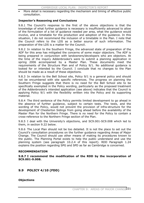More detail is necessary regarding the mechanism and timing of effective public consultation.

### **Inspector's Reasoning and Conclusions**

9.8.1 The Council's response to the first of the above objections is that the knowledge of what further guidance is necessary is insufficiently advanced to allow of the formulation of a list of guidance needed per area, what the guidance would involve, and a timetable for the production and adoption of the guidance. In this situation, I do not recommend the inclusion of a timetable in the Plan. I note that the Council refers to the LDS as a better source of such information. The preparation of the LDS is a matter for the Council.

9.8.2 In relation to the Southern Fringe, the advanced state of preparation of the ADF for this area has mitigated the concerns of some major objectors. The ADF is being prepared in conjunction with landowners/developers who are objectors. At the time of the inquiry Addenbrooke's were to submit a planning application in spring 2006 accompanied by a Master Plan. These documents meet the requirements of the Structure Plan and of Policy 9/1. No additional guidance is looked for or intended by the Council. I conclude that no changes to the Plan should be made as a result of these objections.

9.8.3 In relation to the Bell School site, Policy 9/1 is a general policy and should not be encumbered with site specific references. The progress on planning the Southern Fringe suggests that there is no need for the Bell School site to be specifically exempted in the Policy wording, particularly as the proposed treatment of the Addenbrooke's intended application (see above) indicates that the Council is applying Policy 9/1 with the flexibility written into the Policy and its supporting material.

9.8.4 The third sentence of the Policy permits limited development to go ahead in the absence of further guidance, subject to certain tests. The tests, and the wording of the Policy, would not prevent the provision of infra-structure for the development of Chesterton Sidings from going ahead before the availability of the Master Plan for the Northern Fringe. There is no need for the Policy to contain a cross-reference to the Northern Fringe section of the Plan.

9.8.5 I deal with the University's objections, and SC9.001-SC9.008 which led to them, in section 9.22 below.

9.8.6 The Local Plan should not be too detailed. It is not the place to set out the Council's consultation procedures on the further guidance regarding Areas of Major Change. The Council should use other means of making its procedures known to the public. The Planning Portal exists to help the public understand and use the planning system (see paragraph 10.2.4 of this report). RDD Paragraph 1.24 explains the position regarding SPG and SPD as far as Cambridge is concerned.

### **RECOMMENDATION**

**9.8.7 I recommend the modification of the RDD by the incorporation of SC9.001-9.008.**

### **9.9 POLICY 4/10 (FDD)**

**Objections**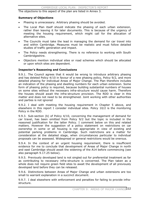The objections to this aspect of the plan are listed in Annex 3.

#### **Summary of Objections**

- Phasing is unnecessary. Arbitrary phasing should be avoided.
- The Local Plan itself should indicate the phasing of each urban extension, rather than leaving it for later documents. This is because of the urgency of meeting the housing requirement, which might call for the allocation of alternative sites.
- The Councils must take the lead in managing the demand for car travel into and within Cambridge. Measures must be realistic and must follow detailed studies of traffic generation and impact.
- The Policy needs strengthening. There is no reference to working with South Cambridgeshire.
- x Objectors mention individual sites or road schemes which should be allocated or upon which sites are dependent.

#### **Inspector's Reasoning and Conclusions**

9.9.1. The Council agrees that it would be wrong to introduce arbitrary phasing and has deleted Policy 4/10 in favour of a new phasing policy, Policy 9/2, and more detailed phasing for individual Areas of Major Change. The Plan therefore includes an indication of the phasing and dwelling numbers for each urban extension. Some form of phasing policy is required, because building substantial numbers of houses on some sites without the necessary infra-structure would cause harm. Therefore the houses should await the infra-structure provision. The RDD is clear in this matter and does not need to be strengthened. Joint working with other authorities and parties is not ignored

9.9.2. I deal with meeting the housing requirement in Chapter 5 above, and elsewhere in this report I consider individual sites. Policy 10/2 is the monitoring Policy in the RDD.

9.9.3. Sub-section (b) of Policy 4/10, concerning the management of demand for car travel, has been omitted from Policy 9/2 but the topic is included in the reasoned justification for the latter Policy. I comment below on this and related matters. However the suggestion of a policy statement on restrictions on car ownership in some or all housing is not appropriate in view of existing and potential parking problems in Cambridge. Such restrictions are a matter for consideration at the detailed stage, when circumstances particular to individual proposals can be assessed. Widespread or general restrictions would be onerous.

9.9.4. In the context of an urgent housing requirement, there is insufficient evidence for me to conclude that development of Areas of Major Change in north and east Cambridge should await the widening of the A14 before commencing (see also paragraph 9.17.25 below).

9.9.5. Previously developed land is not singled out for preferential treatment as far as contributing to necessary infra-structure is concerned. The Plan taken as a whole does not require green field sites to await the development of all previously developed land before they can be released.

9.9.6. Distinctions between Areas of Major Change and urban extensions are too small to warrant explanation in a succinct document.

9.9.7. I deal elsewhere with enforcement and penalties for failing to provide infrastructure.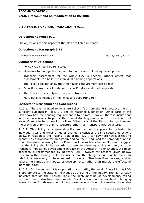### **RECOMMENDATION**

**9.9.8. I recommend no modification to the RDD.** 

### **9.10 POLICY 9/2 AND PARAGRAPH 9.11**

### **Objections to Policy 9/2**

The objections to this aspect of the plan are listed in Annex 3.

### **Objections to Paragraph 9.11**

The House Builders Federation 362/16/DEP02/09\_11

**Summary of Objections** 

- Policy 4/10 should be reinstated.
- x Measures to manage the demand for car travel could delay development.
- Transport assessment for the whole City is needed. Others object that assessments can be left to individual planning applications.
- The Policy does not show that the housing requirement can be met.
- Objections are made in relation to specific sites and road proposals.
- The Policy focuses only on transport infra-structure.
- More detail is needed in the Policy and supporting text.

### **Inspector's Reasoning and Conclusions**

9.10.1. There is no need to reinstate Policy 4/10 from the FDD because there is sufficient guidance in Policy 9/2 and its reasoned justification. Other parts of the Plan show how the housing requirement is to be met. However there is insufficient information available to permit the annual dwelling production from each Area of Major Change to be shown in the Plan. Other parts of the Plan contain policies for the provision of forms of infra-structure other than transport infra-structure.

9.10.2. This Policy is a general policy and is not the place for referring to individual sites and Areas of Major Change. I consider the site specific objections below, in relation to the Phasing Table of the RDD. I can say here however that no agency has a proposal for an eastern and southern ring road for Cambridge, and it would therefore be wrong for the Plan to include such a scheme. Monsanto suggest that the Policy should be reworded to refer to planning applications for, and the transport impacts of, development in each of the Areas of Major Change. A similar approach is recommended by Network Rail. However for reasons given below, concerning the Phasing Table, I consider that the change should not be made. In brief, it is necessary to have regard to relevant Structure Plan policies, and to assess the cumulative impacts of developments rather than merely the effects of individual sites.

9.10.3. On the subject of transportation and traffic, the level of detail in the RDD is appropriate to the state of knowledge at the time of the inquiry. The Plan already indicates through the Phasing Table the likely phasing of development, taking account of infra-structure requirements. Developers and others involved in bringing forward sites for development in my view have sufficient information to enable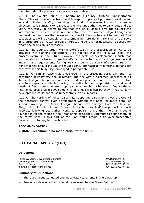them to undertake preparatory work to avoid delays.

9.10.4. The County Council is undertaking a County Strategic Transportation Study. This will assess the traffic and transport impacts of proposed development in and outside the City, providing the kind of assessment sought by some objectors. It is sufficient to leave it to the relevant authorities to carry out, and act upon, the study. It seems to me that this study should give the Council the information it needs to assess in more detail when the Areas of Major Change can be developed and how the necessary transport infra-structure will be secured. Site capacities too will be capable of assessment in more detail. Provision of transport infra-structure is a matter of public interest and so it is not necessary to specify for whom the provision is necessary.

9.10.5. The County's study will therefore assist in the preparation of TAs to be provided with planning applications. I do not see that the Policy will delay the process overall in the future. However the scale of development is such that account should be taken of possible effects both in terms of traffic generation and impacts, and requirements for highway and public transport infra-structure. It is right that this should include the multi-agency approach to minimising demand for car travel in this busy City, envisaged in paragraph 9.12.

9.10.6. For similar reasons as those given in the preceding paragraph, the first paragraph of Policy 9/2 should remain. The risk with a piecemeal approach to all Areas of Major Change is that the early developments would take up the infrastructure capacity available, placing the entire burden of provision of additional needed infra-structure on later proposals, which might not be able to finance them. The Policy does enable development to go ahead if it can be shown that its early development would not cause unacceptable traffic impacts.

9.10.7. The wording of Policy 9/2 and its supporting paragraphs gives the Council the necessary control over development without the need for more detail or stronger wording. The Areas of Major Change have emerged from the Structure Plan, which did not put them forward lightly but was itself the product of much analysis, following yet earlier work. It appears to me that there is a sound foundation for the choice of the Areas of Major Change. Attempts to define many of the terms used in this part of the Plan would result in an over-prescriptive document containing too much detail.

### **RECOMMENDATION**

**9.10.8. I recommend no modification to the RDD.** 

# **9.11 PARAGRAPH 4.20 (FDD)**

### **Objections**

Taylor Woodrow Developments Limited 2/4/DEP01/04\_20 Cambridge Preservation Society 26/26/DEP01/04\_20 Dr. G. E. Rogers 377/16/DEP01/04\_20 Bidwells Property Consultants 396/29/DEP01/04\_20

### **Summary of Objections**

- There are unsubstantiated and inaccurate statements in the paragraph.
- Previously developed land should be released before Green Belt land.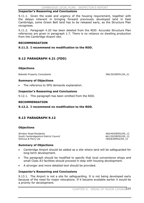### **Inspector's Reasoning and Conclusions**

9.11.1. Given the scale and urgency of the housing requirement, together with the delays inherent in bringing forward previously developed land in East Cambridge, some Green Belt land has to be released early, as the Structure Plan recognises.

9.11.2. Paragraph 4.20 has been deleted from the RDD. Accurate Structure Plan references are given in paragraph 1.7. There is no reliance on dwelling production from the Cambridge Airport site.

### **RECOMMENDATION**

**9.11.3. I recommend no modification to the RDD.** 

# **9.12 PARAGRAPH 4.21 (FDD)**

### **Objections**

Bidwells Property Consultants **396/30/DEP01/04** 21

### **Summary of Objections**

The reference to SPG demands explanation.

#### **Inspector's Reasoning and Conclusions**

9.12.1. This paragraph has been omitted from the RDD.

#### **RECOMMENDATION**

### **9.12.2. I recommend no modification to the RDD.**

### **9.13 PARAGRAPH 9.12**

### **Objections**

Windsor Road Residents<br>
South Cambridgeshire District Council<br>
366/49/DEP02/09\_12<br>
461/20/DEP02/09\_12 South Cambridgeshire District Council<br>50hnius & Perry Ltd

784/8/DEP02/09\_12

### **Summary of Objections**

- Cambridge Airport should be added as a site where land will be safeguarded for long-term development.
- The paragraph should be modified to specify that local convenience shops and small Class A3 facilities should proceed in step with housing development.
- A stronger and more detailed text should be provided.

### **Inspector's Reasoning and Conclusions**

9.13.1. The Airport is not a site for safeguarding. It is not being developed early because of the need for major relocations. If it became available earlier it would be a priority for development.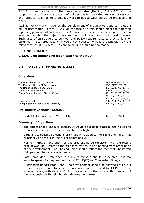9.13.2. I deal above with the question of strengthening Policy 9/2 and its supporting text. There is a battery of policies dealing with the provision of services and facilities. It is for more detailed work to decide what should be provided and where.

9.13.3. Policy 9/3 (j) requires the development of urban extensions to include a mix of uses within Classes A1-A3. On the face of it this should meet the objection regarding provision of such uses. The Council sees these facilities being provided in local centres, but the objector wishes them to locate throughout housing areas. Such uses often struggle to survive, and policy requirements to provide land or buildings in scattered locations would not necessarily secure occupation by the relevant types of business. The change sought should not be made.

### **RECOMMENDATION**

### **9.13.4. I recommend no modification to the RDD.**

# **9.14 TABLE 9.1 (PHASING TABLE)**

### **Objections**

Cambridgeshire County Council 55/53/DEP02/09\_T01 The Marshall Group Of Companies 66/7/DEP02/09 F01 The House Builders Federation 362/17/DEP02/09 T01 Windsor Road Residents 366/50/DEP02/09 T01 South Cambridgeshire District Council **1600 Council 1600 Council** 461/21/DEP02/09\_T01

Anne Campbell 2008/11/DEP02/09\_F01 Trumpington Meadows Land Company 798/26/DEP02/09\_F01

### **Pre-Inquiry Changes: SC9.009**

Transport 2000 Cambridgeshire & West Suffolk 374/5/DEP04/09

### **Summary of Objections**

- The object of the Table is unclear. It would be a good place to show dwelling capacities. Infra-structure costs will be very high.
- Various site specific objections are made in relation to the Table and Policy 9/2, principally as set out in the bullet points below.
- Northern Fringe the entry for this area should be consistent with the results of joint working. Access to the proposed station will be needed from other parts of the development. The Phasing Table should reflect the fact that Chesterton Sidings could be redeveloped early.
- East Cambridge reference to a link to the A14 should be deleted. It is too early to speak of a requirement for HQPT (HQPT) for Chesterton Sidings.
- Huntingdon Road/Histon Road no development should be allowed until a full traffic/transportation study has been carried out. The need for HQPT must be included, along with details of joint working with other local authorities and of the relationship with neighbouring development areas.

 461/22/DEP02/09\_F01 461/23/DEP02/09\_F01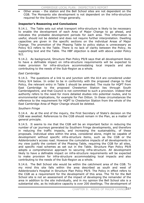Other areas – the station and the Bell School sites are not dependent on the CGB. The Monsanto site development is not dependent on the infra-structure required for the Southern Fringe generally.

### **Inspector's Reasoning and Conclusions**

9.14.1. The Table sets out what transport infra-structure is likely to be necessary to enable the development of each Area of Major Change to go ahead, and indicates the probable development periods for each area. This information is useful, should not be deleted and does not require further interpretation. Dwelling capacities are given in the specific sections on the individual Areas of Major Change. The promotion of the Phasing Table to policy status is unnecessary as Policy 9/2 refers to the Table. There is no lack of clarity between the Policy, its supporting text and the Table. The HBF objection is dealt with above under Policy 9/2.

9.14.2. As background, Structure Plan Policy P9/8 says that all development likely to have a definable impact on infra-structure requirements will be expected to make provision for infra-structure accommodating local impacts and also contributing to the needs of the Sub-Region as a whole.

### *East Cambridge*

9.14.3. The questions of a link to and junction with the A14 are considered under Policy 9/4 below. In order to be in conformity with the proposed change to that Policy, the relevant entry in Table 1 should be amended. The route for HQPT from East Cambridge to the proposed Chesterton Station lies through South Cambridgeshire, and that Council is not committed to such a provision. Indeed that authority refers to the need for more detailed studies into potential routes, and to environmental implications, for example for Fen Ditton. In these circumstances the reference to the requirement for HQPT to Chesterton Station from the whole of the East Cambridge Area of Major Change should be deleted.

### *Southern Fringe*

9.14.4. As at the end of the inquiry, the First Secretary of State's decision on the CGB was awaited. References to the CGB should remain in the Plan, as a matter of general principle.

9.14.5. It seems to me that the CGB will be an important factor in reducing the number of car journeys generated by Southern Fringe developments, and therefore in reducing the traffic impacts, and increasing the sustainability, of these proposals. Individual sites within the area, considered alone, might be capable of development without specific infra-structure items, such as the CGB or the Addenbrooke's access road. However the cumulative impacts of all developments in my view justify the content of the Phasing Table, requiring the CGB for all sites, and specific road schemes as set out in the Table. Structure Plan Policy P9/8 adopts a comprehensive approach to securing infra-structure. All development likely to have a definable impact on infra-structure requirements will be expected to make provision for infra-structure accommodating local impacts and also contributing to the needs of the Sub-Region as a whole.

9.14.6. The Bell School site would be within the catchment area of the CGB. To my mind this site falls within the area described as south and west of Addenbrooke's Hospital in Structure Plan Policy P9/9. The Policy in effect refers to the CGB as a requirement for the development of this area. The TA for the Bell School site is not an assessment of the impact of developing the remainder of the area in addition to the site individually, and in my opinion the Bell School site is a substantial site, as its indicative capacity is over 200 dwellings. The development of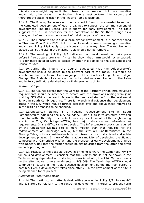this site alone might require limited infra-structure provision, but the cumulative impact with other areas in the Southern Fringe must be taken into account, and therefore the site's inclusion in the Phasing Table is justified.

9.14.7. The Phasing Table sets out the transport infra-structure needed to support the completed development of each area, not to support the commencement of development. The Bell School site is shown for early development. The Table suggests the CGB is necessary for the completion of the Southern Fringe as a whole, not before the commencement of individual parts of the area.

9.14.8. The Monsanto site is also a large site for development. It is not mentioned in Structure Plan Policy P9/9, but the points made above concerning cumulative impact and Policy P9/8 apply to the Monsanto site in my view. The requirements placed against the site in the Phasing Table should not be removed.

9.14.9. The wording of Policy 9/2 indicates that development can take place before infra-structure provision if it can be shown that harm would not be caused. It is for more detailed work to assess whether this applies to the Bell School and Monsanto sites.

9.14.10. During the inquiry the Council suggested that the Addenbrooke's development should be added to the relevant part of the Table. This would be sensible as that development is a major part of the Southern Fringe Area of Major Change. The Addenbrooke's access road is included as a requirement in the Table and in Policy 9/5. More detailed work will determine its timing.

### *Northern Fringe*

9.14.11. The Council agrees that the wording of the Northern Fringe infra-structure requirements should be amended to accord with the provisions arising from joint working. SC9.009 is the result. Access to the proposed station from the east would lie within South Cambridgeshire. There is no technical evidence that development areas in the City would require further accesses over and above those referred to in the RDD as proposed to be changed.

9.14.12. Chesterton Sidings is a housing redevelopment site in South Cambridgeshire adjoining the City boundary. Some if its infra-structure provision would fall within the City. It is available for early development but the neighbouring site in the City, Cambridge WWTW, has major relocation and infra-structure requirements. It is a difficult site to develop. The infra-structure provision required by the Chesterton Sidings site is more modest than that required for the redevelopment of Cambridge WWTW, but the sites are undifferentiated in the Phasing Table, with a considerable body of infra-structure works listed and a late development phasing. In view of the relative simplicity of developing the Sidings compared with Cambridge WWTW, and the prospect of early development, I agree with Network Rail that the former should be distinguished from the latter and given an early phasing in the Table.

9.14.13. Because of the possible delays in bringing forward the Cambridge WWTW for housing development, I consider that the Sidings should not be shown in the Table as being dependent on works to, or associated with, the A14. My conclusions on this site involve some amendments to SC9.009. The Cambridge WWTW should continue to feature in the Table because development during the Plan period is possible. Even if development takes place after 2016 the development of the site is being planned for at present.

### *Huntingdon Road/Histon Road*

9.14.14. The traffic study matter is dealt with above under Policy 9/2. Policies 8/2 and 8/3 are also relevant to the control of development in order to prevent harm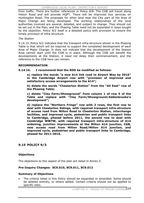from traffic. There are further references in Policy 9/8. The CGB will travel along Histon Road and will provide HQPT. There will be improved bus services on Huntingdon Road. The proposals for other land near the City part of the Area of Major Change are being developed. The working relationships of the local authorities involved are several, detailed, and subject to change. They should not be set out in the Plan, and the Phasing Table need not be expanded in ways sought by the objection. Policy 9/2 itself is a detailed policy with provision to ensure the timely provision of infra-structure.

### *The Station*

9.14.15. Policy 9/2 indicates that the transport infra-structure shown in the Phasing Table is that which will be required to support the completed development of each Area of Major Change. It does not indicate that the development of the Station Area cannot start until the CGB is in place. Although the CGB will benefit the developments at the Station, it need not delay their commencement, and the reference to the CGB here can remain.

### **RECOMMENDATION**

### **9.14.16. I recommend that the RDD be modified as follows:**

**a) replace the words "a new A14 link road to Airport Way by 2016" in the Cambridge Airport row with "provision of improved and satisfactory access arrangements to the A14";** 

**b) delete the words "Chesterton Station" from the "All East" row of the Phasing Table;** 

**c) delete "Clay Farm/Showground" from column 1 of row 5 of the Table and replace with "Clay Farm/Showground/Addenbrooke's development";**

**d) replace the "Northern Fringe" row with 2 rows, the first row to deal with Chesterton Sidings, with required transport infra-structure of access road from Milton Road to Chesterton Station, interchange facilities, and improved cycle, pedestrian and public transport links to Cambridge, phased before 2011, the second row to deal with Cambridge WWTW, with required transport infra-structure of A14 widening, junction improvements at the Milton A14 junction, CGB, new access road from Milton Road/Milton A14 junction, and improved cycle, pedestrian and public transport links to Cambridge, phased for 2011-2016.** 

# **9.15 POLICY 9/3**

### **Objections**

The objections to this aspect of the plan are listed in Annex 3.

### **Pre-Inquiry Changes: SC9.010, SC9.011, SC9.012**

### **Summary of Objections**

The criteria listed in this Policy should be expanded or amended. Some should be deleted entirely, or others added. Certain criteria should not be applied to specific sites.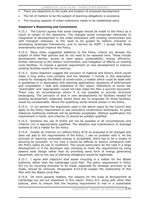- There are objections to the scale and location of proposed development.
- The list of matters to be the subject of planning obligations is excessive.
- The housing capacity of urban extensions needs to be established early.

### **Inspector's Reasoning and Conclusions**

9.15.1. The Council agrees that some changes should be made to the Policy as a result of certain of the objections. The changes would incorporate references to integration of development in the urban extensions with existing communities and with transport networks, to the need to be guided by historic character in developing landscape frameworks, and to service by HQPT. I accept that these amendments would improve the Policy.

9.15.2. Many other suggested additions to the Policy criteria are already the subject of other Plan policies and do not need to be repeated here. These include development density, access to open space, sustainability, energy efficiency, further references to the historic environment, and mitigation of effects on existing cycle facilities. To impose a general requirement on new development to improve existing facilities would be too onerous.

9.15.3. Some objectors suggest the inclusion of material and factors which would make a long policy over-complex and too detailed. I include in this description criteria for managing the effects of construction, a matter which could be dealt with in guidelines or in association with planning applications. Questions of enforcement and consultation I deal with elsewhere in this report. Definitions of words like "practicable" and "appropriate" would not help make the Plan a succinct document. There may be circumstances where it is not possible to provide structural landscaping. The provision of land in new developments for facilities needed for existing development, especially where there are no proposals for those facilities, would be unreasonable. Hence the qualifying words should remain in the Policy.

9.15.4. In my opinion the arguments used in the above cases by the Council also apply to the Policy requirement to use innovative construction techniques. In some instances traditional methods will be perfectly acceptable. Without qualification the requirement is harsh, and criterion (l) should be suitably qualified.

9.15.5. Similarly the use of SUDS will not be possible in all circumstances and criterion (m) is appropriately qualified. The adoption and maintenance of drainage systems is not a matter for the Policy.

9.15.6. Insofar as criterion (n) reflects Policy 8/16 as proposed to be changed and does not add to the requirements of the Policy, I see no problem with it. As the principle of requiring renewable energy is acceptable, there has to be a means of securing its provision. In my view it would be difficult to ensure compliance with the Policy solely by use of conditions. This would particularly be the case in a large development or if the developer was choosing to meet the requirement by using passive solar design rather than by providing some form of energy generating equipment, and so the use of planning obligations would be legitimate.

9.15.7. I agree with objectors that waste recycling is a matter for the Waste Authority rather than the Cambridge Local Plan. The policy requirement in Policy 9/3 (o) for recycling provision to be made, especially for strategic provision to be made, should be removed. Paragraphs 8.53-8.56 explain the relationship of this Plan with the Waste Local Plan.

9.15.8. On more general matters, the reasons for the scale of development at Cambridge are set out elsewhere in this report. Policy 9/3, along with other Plan policies, aims to ensure that the housing requirement is met in a sustainable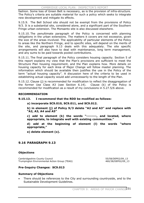fashion. Some loss of Green Belt is necessary, as is the provision of infra-structure. The Policy's criteria are suitable material for such a policy which seeks to integrate new development and mitigate its effects.

9.15.9. The Bell School site should not be exempt from the provisions of Policy 9/3. It is a substantial site, considered alone, and a significant part of the Southern Fringe urban extension. The Monsanto site is also discussed elsewhere.

9.15.10. The penultimate paragraph of the Policy is concerned with planning obligations in the urban extensions. The matters it covers are not excessive, given the size of the areas involved. The applicability of particular elements of the Policy to areas like the Northern Fringe, and to specific sites, will depend on the merits of the site, and paragraph 9.13 deals with this adequately. The site specific arrangements will also have to deal with maintenance, long term management, and any sums to be paid towards pooled contributions.

9.15.11. The final paragraph of the Policy considers housing capacity. Section 5 of this report explains my view that the Plan's provisions are sufficient to meet the Structure Plan housing requirement, and the Plan explains how. More details on housing capacity for each Area of Major Change will follow master planning. The information which should be available then justifies the use in the Policy of the term "actual housing capacity". A discussion here of the criteria to be used in establishing actual capacity would add unnecessarily to the length of the Plan.

9.15.12. Clause (j) is recommended for modification to reflect the disaggregation of the former Use Class A3 (see Section 6.14). Clause (k) of the Policy is recommended for modification as a result of my conclusions in 5.27.5/6 above.

### **RECOMMENDATION**

### **9.15.13. I recommend that the RDD be modified as follows:**

**a) incorporate SC9.010, SC9.011, and SC9.012.** 

**b) in element (j) of Policy 9/3 delete "A2 and A3" and replace with "A2, A3, A4 and A5"** 

**c) add to element (k) the words "--------, and located, where appropriate, to integrate well with existing communities."** 

**d) add at the beginning of element (l) the words "where appropriate,"**

**e) delete element (o).**

### **9.16 PARAGRAPH 9.13**

### **Objections**

Cambridgeshire County Council 655/58/DEP02/09\_13 Trumpington Environmental Action Group (TEAG) 460/38/DEP02/09\_13

### **Pre-Inquiry Changes: SC9.013**

### **Summary of Objections**

There should be references to the City and surrounding countryside, and to the Sustainable Development Guidelines.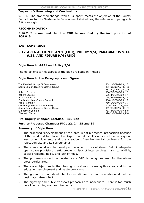### **Inspector's Reasoning and Conclusions**

9.16.1. The proposed change, which I support, meets the objection of the County Council. As for the Sustainable Development Guidelines, the reference in paragraph 3.6 is enough.

### **RECOMMENDATION**

**9.16.2. I recommend that the RDD be modified by the incorporation of SC9.013.**

### **EAST CAMBRIDGE**

### **9.17 AREA ACTION PLAN 1 (FDD), POLICY 9/4, PARAGRAPHS 9.14- 9.21, AND FIGURE 9/4 (RDD)**

### **Objections to AAP1 and Policy 9/4**

The objections to this aspect of the plan are listed in Annex 3.

### **Objections to the Paragraphs and Figure**

The Marshall Group Of Companies 66/11/DEP02/09 16 South Cambridgeshire District Council and the state of the 461/36/DEP02/09\_16

Robert Cassels 666/3/DEP02/09\_16 Robert Cassels **666/4/DEP02/09\_17** Stuart Anderson 738/2/DEP02/09\_17 Cambridgeshire County Council 65/61/DEP02/09 19 Mrs E. Connolly 2009 19 Cambridge Preservation Society 26/9/DEP02/09\_F04 South Cambridgeshire District Council **Accord 2010** 461/38/DEP02/09\_F04 Cllr James Quinlan 751/3/DEP02/09\_F04 Elizabeth Turner 826/1/DEP02/09\_F04

461/37/DEP02/09\_16

### **Pre-Inquiry Changes: SC9.014 - SC9.022**

### **Further Proposed Changes: FPCs 22, 24, 25 and 39**

### **Summary of Objections**

- The proposed redevelopment of this area is not a practical proposition because of the need first to relocate the Airport and Marshall's works, with a consequent loss of employment, and the creation of environmental problems for the relocation site and its surroundings.
- The area should not be developed because of loss of Green Belt, inadequate open space provision, traffic problems, lack of local services, harm to wildlife, social problems, noise, and lack of need.
- The proposals should be deleted as a DPD is being prepared for the whole cross-border area.
- There are objections to the phasing provisions concerning this area, and to the education, employment and waste provisions.
- The green corridor should be located differently, and should/should not be designated Green Belt.
- The highway and public transport proposals are inadequate. There is too much detail concerning road requirements.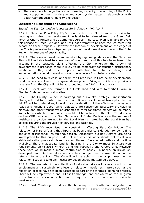There are detailed objections about dwelling capacity, the wording of the Policy and supporting text, landscape and countryside matters, relationships with South Cambridgeshire, density and design.

### **Inspector's Reasoning and Conclusions**

### *Should the East Cambridge Proposals Be Included in This Plan?*

9.17.1. Structure Plan Policy P9/2c requires the Local Plan to make provision for housing and mixed use development on land to be released from the Green Belt north of Cherry Hinton and at Cambridge Airport. The Local Plan is unable to avoid this release of Green Belt land, and I will not attempt to re-open the Structure Plan debate on these proposals. However the location of development on the edges of the City is preferable to a dispersed pattern of development elsewhere in the Sub-Region, for reasons of sustainability.

9.17.2. The scale of development required by regional guidance and the Structure Plan will inevitably lead to some loss of open land, and this has been taken into account in the strategic plans affecting the City. Wherever the growth of development is proposed there is likely to be temporary construction disturbance, additional traffic, and other impacts. Attention to detail in design and implementation should prevent untoward noise levels from being created.

9.17.3. The need to release land from the Green Belt will not delay development. Land owners are keen to progress development. Villages which are physically separate from the City will not be absorbed into the City's built-up area.

9.17.4. I deal with the former Blue Circle land and with Netherhall Farm in Chapter 5 above, as omission sites.

9.17.5. The County Council is carrying out a County Strategic Transportation Study, referred to elsewhere in this report. Before development takes place here a full TA will be undertaken, involving a consideration of the effects on the various roads and junctions about which objectors are concerned. Necessary provision of highway and other transportation schemes to cater for traffic impacts will be made. Rail schemes which are unrealistic should not be included in the Plan. The decision on the CGB rests with the First Secretary of State. Decisions on the nature of healthcare provision are not for the Local Plan to make, but the Local Plan has policies requiring the provision of services and facilities.

9.17.6. The RDD recognises the constraints affecting East Cambridge. The relocation of Marshall's and the Airport has been under consideration for some time and sites at Mildenhall, Wyton and, possibly, Alconbury (but not Duxford) are being investigated for this purpose. I do not see why this work should not result in a viable relocation proposal, given the commitment of interested parties and the time available. There is adequate land for housing in the City to meet Structure Plan requirements up to 2016 without using the Marshall's and Airport land. However these sites would make a major contribution to post-2016 needs, on previously developed land. As the relocation site has not yet been chosen it cannot be referred to in the Plan. The Council will be able to monitor progress on the relocation issue and take any necessary action should matters be delayed.

9.17.7. The analysis of the suitability of relocation sites will take account of the employment and sustainability effects of relocation, insofar as matters such as the relocation of jobs have not been assessed as part of the strategic planning process. There will be employment land in East Cambridge, and consideration can be given to the traffic effects of relocation and to any need for transportation provision to meet needs.

9.17.8. East Cambridge straddles the boundary with South Cambridgeshire. A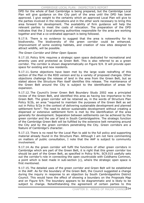DPD for the whole of East Cambridge is being prepared, but the Cambridge Local Plan will give guidance on the City part of the area until the DPD has been approved. I give weight to the certainty which an approved Local Plan will give to the parties involved in the relocations and in the other work necessary to bring this area forward for development. The availability of firm guidance will help the relevant parties to meet the costs of relocation. The preparation of the DPD indicates that the 2 local planning authorities responsible for the area are working together and that a co-ordinated approach is being followed.

9.17.9. There is no evidence to suggest that the area is noteworthy for its biodiversity. The biodiversity of the green corridor could be enhanced. Improvement of some existing habitats, and creation of new sites designed to attract wildlife, will be possible.

*The Green Corridor and Other Open Spaces* 

9.17.10. Policy 9/4c requires a strategic open space dedicated for recreational and amenity uses and protected as Green Belt. This is also referred to as a green corridor. The corridor is shown diagrammatically on Figure 9/4. It will provide open space for existing and new residents.

9.17.11. Some objections have been met by the large scale redrafting of this section of the Plan in the RDD version and by a variety of proposed changes. Other objections challenge the release of land in the area from the Green Belt, but as stated above the Structure Plan itself identifies this release. The maintenance of the Green Belt around the City is subject to the identification of areas for expansion.

9.17.12. The Council's Inner Green Belt Boundary Study 2002 was a principled review of the Green Belt, and identified this area as having low importance to the Green Belt. The green corridor will be retained as, in the words of Structure Plan Policy 9/2b, an area "required to maintain the purposes of the Green Belt as set out in Policy 9/2a in the context of delivering sustainable development and planned settlement form". The need to deliver sustainable development without creating a dispersed or extensive settlement form is met by the identification of the area generally for development. Separation between settlements can be achieved by the green corridor and the use of land in South Cambridgeshire. The strategic function of the Cambridge Green Belt will be fulfilled by the extensive belt remaining around the City and by the green corridors penetrating the City. Green corridors are a feature of Cambridge's character.

9.17.13. There is no need for the Local Plan to add to the full policy and supporting material already found in the Structure Plan. Although I am not here commenting on matters of public consultation, I note that the AAP is subject to community involvement.

9.17.14. As the green corridor will fulfil the functions of other green corridors in Cambridge which are part of the Green Belt, it is right that this green corridor too should be part of the Green Belt, as specified in Policy 9/4c. SC9.015 usefully sets out the corridor's role in connecting the open countryside with Coldhams Common, a point which is best made in sub-section (c), where the strategic open space is first mentioned.

9.17.15. The detailed uses of the green corridor and Green Belt will be established in the AAP. As for the boundary of the Green Belt, the Council suggested a change during the inquiry in response to an objection by South Cambridgeshire District Council. This would have the effect of showing a boundary on the Proposals Map and on Figure 9/4. The boundary appears to be diagrammatic and is likely to be subject to change. Notwithstanding the agreement of certain parties to this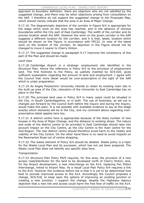approach to boundary definition, there are objectors who are not satisfied by the suggested change, and there may be other objections arising from consultation on the AAP. I therefore do not support the suggested change to the Proposals Map, which should merely indicate that the area is an Area of Major Change.

9.17.16. The diagrammatic depiction of the corridor in Figure 9/4 is appropriate for the stage which work on the area has reached, and in the absence of obvious boundaries within the City part of East Cambridge. The width of the corridor and its precise location await the AAP. However the work on the green corridor in the AAP suggests a different location for the corridor, and it is that, latest, location which should be shown on the Figure, in accordance with FPC22. In view of the latest work on the location of the corridor, its depiction in the Figure should not be changed to move it nearer to Cherry Hinton.

9.17.17. The suggested change to paragraph 9.17 improves the consistency of this part of the Plan and should be made.

### *Land Uses*

9.17.18. Cambridge Airport is a strategic employment site identified in the Structure Plan. Hence the reference in Policy 9/4 to the provision of employment land. The first footnote to the Policy, as usefully inserted by SC9.020, gives sufficient explanation regarding the amount of land and employment. I agree with the Council that more detail would be over-prescriptive in the light of the AAP which is under preparation.

9.17.19. As Anglia Polytechnic University intends to retain its existing main site in the built-up area of the City, relocation of the University to East Cambridge has no place in the Plan.

9.17.20. The principal land uses in Policy 9/4 in many cases could be situated in the City, in South Cambridgeshire, or in both. The use of footnotes, as set out in changes put forward by the Council both before the inquiry and during the inquiry, would make this plain. It is not possible with available evidence to say at this stage exactly which elements will be in the City, and my comment above regarding overprescriptive detail applies here too.

9.17.21. A district centre here is appropriate because of the likely number of new houses in the Area of Major Change, and the distance to existing shops. The nature and scale of the district centre to be provided in East Cambridge should take into account impact on the City Centre, as the City Centre is the main centre for the Sub-Region. The new district centre should therefore avoid harm to the vitality and viability of the City Centre. On the other hand there is no need to avoid impacts on the Newmarket Road out of centre shopping.

9.17.22. The waste element of Policy 9/4 should be deleted. Waste policy is a topic for the Waste Local Plan and its successor, which has not yet been prepared. The Waste Local Plan does not identify any specific sites here.

### *Transportation*

9.17.23. Structure Plan Policy P9/9 requires, for this area, the provision of a new access road/distributor for the land to be developed north of Cherry Hinton, and, for the Airport development, a new interchange on the A14, replacing Fen Ditton interchange, linked to Airport Way. As a result Local Plan Policy 9/4 requires a link to the A14. However the evidence before me is that it is yet to be determined how best to provide improved access to the A14. Accordingly the Council proposes a change, SC9.018, to keep open the options of improving an existing junction or creating a new junction. I support the change, despite the Highways Agency objection that a new link and access could harm the free flow of traffic on the A14.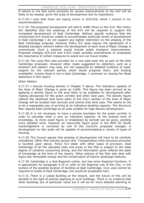It seems to me that some provision for access improvements to the A14 will be likely to be needed, given the scale of development and its importance.

9.17.24. I note that there are typing errors in SC9.018, which I correct in my recommendations.

9.17.25. The proposed development will add to traffic flows on the A14. Plan Policy 9/2 identifies that the widening of the A14 will be required to support the completed development of East Cambridge. Without specific evidence that the unimproved A14 would be unable to accommodate particular levels of development in East Cambridge I do not support any tighter restriction on the phasing of the East Cambridge proposal. However Policy 9/2 does require the agreement of a detailed transport network before the development of each Area of Major Change is commenced. Such a network would include public transport improvements. Proposed changes SC9.019 and 9.022 make sensible amendments to emphasise the importance of certain measures to assist non-car travel modes.

9.17.26. The Local Plan also provides for a new east-west link as part of the East Cambridge proposals. However other roads suggested by objectors, such as a southern and eastern ring road, are not supported by detailed evidence of need, support by the relevant parties which would progress them, and funding availability. Cowley Road is not in East Cambridge. I comment on closing Fen Road elsewhere in this report.

### *Other Matters*

9.17.27. I discuss housing density in Chapter 5 above. The indicative capacity of the Area of Major Change is given as 4,660. This figure has been arrived at by applying a density figure to the area likely to be available for development after making allowances for the green corridor and other land uses. The density figure reflects the likelihood that some parts of the City's section of the Area of Major Change will be located near services and central area land uses. This seems to me to be a reasonable way of arriving at an indicative dwelling capacity. The Structure Plan regards East Cambridge as an area suitable for high density development.

9.17.28. It is not necessary to have a precise boundary for the green corridor in order to calculate what is only an indicative capacity. At the present level of knowledge, no more exact figure or breakdown by periods can be given, pending more detailed work. However an inaccurate figure given in the RDD for South Cambridgeshire is corrected by one of the Council's proposed changes. A development on this scale will be capable of accommodating a variety of types of housing.

9.17.29. The Council agrees that phasing of development will have to be carefully considered. Other Plan policies govern this. Transportation infra-structure provision is touched upon above. Policy 9/3 deals with other types of provision. East Cambridge of all the allocated sites and areas in the Plan is subject to the least degree of certainty concerning timing, and the information given reflects the state of knowledge at the time of the inquiry. Other policies of the Plan also deal with topics like renewable energy and the conservation of historic landscape features.

9.17.30. Cambridge is a Sub-Regional centre, but has some Regional functions. It is appropriate for paragraph 9.16 to refer to the Regional role of the City, in the context of the possible location of facilities at East Cambridge. Civic uses cannot be required to locate at East Cambridge, but would be acceptable here.

9.17.31. There is a Listed Building at the Airport, and the future of this will be decided in the light of policies applying to such buildings. There is no evidence that other buildings are of particular value but it will be for more detailed planning to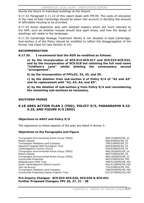decide the future of individual buildings at the Airport.

9.17.32. Paragraph 5.11.22 of this report deals with FPC39. The costs of relocation in the case of East Cambridge should be taken into account in deciding the amount of affordable housing to be provided.

9.17.33. Some objections deal with detailed matters which are more relevant to the AAP, such as whether houses should face open areas, and how the design of dwellings will relate to the landscape.

9.17.34. Cambridge Sewage Treatment Works is not situated in East Cambridge. Sub-section d of the Policy should be modified to reflect the disaggregation of the former Use Class A3 (see Section 6.14).

### **RECOMMENDATION**

**9.17.35. I recommend that the RDD be modified as follows:**

**a) by the incorporation of SC9.014-SC9.017 and SC9.019-SC9.022, and by the incorporation of SC9.018 but retaining the full road name "Coldham's Lane" whilst deleting the unnecessary second "arrangement".**

**b) by the incorporation of FPCs22, 24, 25, and 39.** 

**c) by the deletion from sub-section d of Policy 9/4 of "A2 and A3" and its replacement with "A2, A3, A4, and A5".** 

**d) by the deletion of sub-section g from Policy 9/4 and renumbering the remaining sub-sections as necessary.** 

### **SOUTHERN FRINGE**

### **9.18 AREA ACTION PLAN 2 (FDD), POLICY 9/5, PARAGRAPHS 9.22- 9.25, AND FIGURE 9/5 (RDD)**

### **Objections to AAP2 and Policy 9/5**

The objections to these aspects of the plan are listed in Annex 3.

### **Objections to the Paragraphs and Figure**

Trumpington Environmental Action Group (TEAG)  $460/15/DEP02/09\_22$ <br>Robert Cassels 666/6/DEP02/09 22 Trumpington Meadows Land Company 198/2/DEP02/09 23 Papworth Hospital NHS Foundation Trust 834/5/DEP02/09 23 Cambridgeshire County Council 655/63/DEP02/09\_24 Trumpington Environmental Action Group (TEAG) 460/16/DEP02/09\_24 Robert Cassels 666/7/DEP02/09\_24 Trumpington Environmental Action Group (TEAG) 460/18/DEP02/09\_25 Countryside Properties 68/21/DEP02/09\_F05 Addenbrooke's NHS Trust South Cambridgeshire District Council 461/41/DEP02/09\_F05 John de Bruyne 770/3/DEP02/09\_F05 Trumpington Meadows Land Company The Company 198/29/DEP02/09 F05 Countryside Properties/Liberty Property Trust 837/27/DEP02/09\_F05

666/6/DEP02/09 22

### **Pre-Inquiry Changes: SC9.023-SC9.026, SC9.030 & SC9.031 Further Proposed Changes: FPC 26, 27, 31 - 38**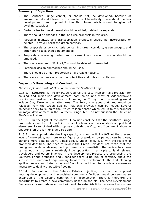### **Summary of Objections**

- The Southern Fringe cannot, or should not, be developed, because of environmental and infra-structure problems. Alternatively, there should be less development than proposed in the Plan. More details should be given of dwelling capacities.
- Certain sites for development should be added, deleted, or expanded.
- There should be changes in the land use proposals in this area.
- Particular highway and transportation proposals should be incorporated or deleted. They will harm the green corridor.
- The proposals or policy criteria concerning green corridors, green wedges, and other open space should be amended.
- Proposals concerning pedestrian movement and cycle provision should be amended.
- The waste element of Policy 9/5 should be deleted or amended.
- Particular design approaches should be used.
- There should be a high proportion of affordable housing.
- There are comments on community facilities and public consultation.

### **Inspector's Reasoning and Conclusions**

### *The Principle and Scale of Development in the Southern Fringe*

9.18.1. Structure Plan Policy P9/2c requires this Local Plan to make provision for housing and mixed-use development both south and west of Addenbrooke's Hospital and east and south-east of Trumpington. To my mind the wording would include Clay Farm in the latter area. The Policy envisages that land would be released from the Green Belt so that this provision can be made. Several objections seek to re-ignite the Structure Plan debate which led up to this proposal for major development in the Southern Fringe, but I do not question the Structure Plan's conclusions.

9.18.2. In the light of the above, I do not conclude that the Southern Fringe proposals should be held back in favour of schemes on previously developed land elsewhere. I cannot deal with proposals outside the City, and I comment above in Chapter 5 on the former Blue Circle site.

9.18.3. An approximate dwelling capacity is given in Policy 9/5. At the present level of knowledge, no more exact figure or breakdown by periods can be given, pending more detailed work. I deal above, under Policy 5/1, with the realism of proposed densities. The need to review the Green Belt does not mean that the timing and scale of development proposed are unrealistic: the review has been carried out, and there is relatively little opposition in principle to land release. Developers and others involved in the development process are progressing the Southern Fringe proposals and I consider there is no lack of certainty about the sites in the Southern Fringe coming forward for development. The first planning applications are anticitated soon, and I would expect them to include any measures necessary to deal with possible flooding.

9.18.4. In relation to the Defence Estates objection, much of the proposed housing development, and associated community facilities, could be seen as an expansion of the existing community of Trumpington. There is therefore the opportunity to create a new community based on the old. The Area Development Framework is well advanced and will seek to establish links between the eastern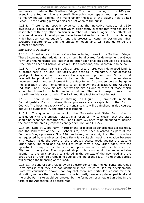and western parts of the Southern Fringe. The risk of flooding from a 100 year event in the Southern Fringe is small. New public open space, and improvements to nearby football pitches, will make up for the loss of the playing field at Bell School. These existing playing fields are not open to the public.

9.18.5. There is no specific evidence that the indicative capacity of 3320 dwellings will cause a level of harm which significantly exceeds that which might be associated with any other particular number of houses. Again, the effects of substantial levels of development have been taken into account in the planning which has been carried out so far, and this process can continue. Design and infrastructure requirements, and the effects on open land, will continue to be the subject of analysis.

### *Site Specific Objections*

9.18.6. I deal above with omission sites including those in the Southern Fringe. There I conclude that additional land should be allocated for development at Glebe Farm and the Monsanto site, but that no other additional sites should be allocated. Other sites as set out below, which are Plan allocations, should continue to be so.

9.18.7. The Monsanto site includes a large area of previously developed land. It is located near a Park and Ride facility and close to Trumpington. It has access to good public transport and to services. Housing is an appropriate use. Some mixed uses will be provided. In view of the identified need to correct the imbalance between housing and employment in the Sub-Region I do not support a change in the allocation of the Monsanto site to an employment allocation. The Council's Industrial Land Review did not identify this site as one of those of those which should be chosen for protection as industrial land. The public transport links to the site will provide access to jobs. The Park and Ride facility will not be lost.

9.18.8. There is no harm in showing, on Figure 9/5, proposals in South Cambridgeshire District, where those proposals are acceptable to the District Council. The housing capacity of the Monsanto site will be finalised in due course, but will be subject to TA and other assessments.

9.18.9. The question of expanding the Monsanto and Glebe Farm sites is considered with the omission sites. As a result of my conclusion that the sites should be expanded paragraph 9.23 and Figure 9/5 need to be amended to include the correct site areas (proposed changes SC9.026 and FPC27).

9.18.10. Land at Glebe Farm, north of the proposed Addenbrooke's access road, and the land west of the Bell School site, have been allocated as part of the Southern Fringe proposals. Site 9.02 has been given a straight southern boundary as requested by one objector. Glebe Farm is a suitable housing allocation because it is located inside the curve of the proposed access road, against the existing urban edge. The road and housing site would form a new urban edge, with the opportunity to improve the character and appearance of this interface between the City and countryside. The proposed strip of housing would be an acceptable addition to the built-up area considered in the context of the new road and the large area of Green Belt remaining outside the line of the road. The relevant parties will arrange the financing of the road.

9.18.11. A general point raised by an objector concerning the Monsanto and Glebe Farm sites is that they are not identified in the Structure Plan for development. From my conclusions above I can say that there are particular reasons for their allocation, namely that the Monsanto site is mostly previously developed land and the Glebe Farm site would be 'created' by the formation of a new urban edge in the form of the Addenbrooke's access road.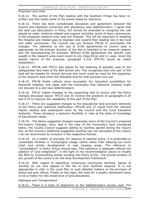### *Proposed Land Uses*

9.18.12. The section of the Plan dealing with the Southern Fringe has been rewritten and this meets some of the points raised by objectors.

9.18.13. There has been considerable discussion and agreement between the Council and objectors concerned with allocations near Addenbrooke's. I agree that the land use descriptions in Policy 9/5 should be amended to recognise the role played by wider medicine-related and support activities, some of them commercial, in the proposed research area near the Hospital. This will be important in enabling the Hospital and related uses to maintain and expand their leading role in the local and wider economies. The Council has put forward FPC38 to encompass the changes. The reference to the use of S106 agreements to control uses is appropriate as the primary function of the site is intended to be research related, and not manufacturing for example. Without S106 agreements the specific uses sought in the research area could revert to any Class B1(a) and (c) uses. Given the special nature of the proposal, paragraph 9.23a (FPC33) would be useful explanation.

9.18.14. FPC38 with FPC31 also allows for the widening of possible uses on the safeguarded land west of the Bell School site. This recognises that only part of the land will be needed for clinical services and much could be used for the expansion of the research area when the allocated land for that purpose runs out.

9.18.15. FPC38 finally reflects more accurately the relocation possibilities for Papworth Hospital, and copes with the eventuality that Papworth Hospital might not relocate to a site near Addenbrooke's.

9.18.16. FPC32 makes changes to the supporting text to accord with the Policy changes discussed above. FPC34 and 35 reverse the positions of paragraphs 9.24 and 9.25 to improve the readability of this part of the Plan.

9.18.17. There are suggested changes to the educational land provision elements of the Policy and reasoned justification. FPCs36 and 37 result from the relevant inquiry session and subsequent work by the Council and the Local Education Authority. These introduce a welcome flexibility in view of the state of knowledge of educational needs.

9.18.18. The above suggested changes supersede some of the Council's proposed Pre-Inquiry Changes. Here, and in the case of the University's land considered below, the County Council suggests adding to wording agreed during the inquiry but, as the County's additional suggested wording was not discussed at the inquiry I do not recommend its inclusion in the respective Policies.

9.18.19. As a matter of principle, for reasons of national policy, it is preferable to consolidate facilities in Trumpington village centre rather than allowing too much retail and similar development in new housing areas. The reference to "consolidation" in Policy 9/5(g) should stay. This reference is adequate without the addition of "and integration", in the light of my recommendation above to modify the RDD by incorporating similar wording into Policy 9/3(k). The precise location of any growth of the centre is for the Area Development Framework.

9.18.20. With regard to objections concerning community facilities, places of worship do not now appear in the list of such facilities required. It is not appropriate to refer in the Local Plan to such detailed matters as the provision of banks and post offices. Finally on this topic, the need for a quality retirement home is not a matter for this broad level of land allocations.

*Highways and Transportation* 

9.18.21. There is a body of objections to the Addenbrooke's access road. The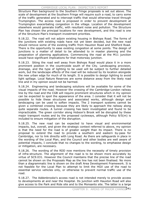#### CAMBRIDGE LOCAL PLAN: INSPECTOR'S REPORT

Structure Plan background to the Southern Fringe proposals is set out above. The scale of development at the Southern Fringe will require such a road, to carry some of the traffic generated and to intercept traffic that would otherwise travel through Trumpington. The access road is proposed in order to prevent development at Trumpington exacerbating congestion in the village. Location of the development elsewhere would generate traffic, with resultant noise and pollution. The Structure Plan has chosen the principal locations for new development, and this road is one of the Structure Plan's transport investment priorities.

9.18.22. The road will not adjoin existing housing in Bishops Road. The forms of the junctions with existing roads have not yet been decided, but the new road should remove some of the existing traffic from Hauxton Road and Shelford Road. There is the opportunity to ease existing congestion at some points. The design of junctions is a matter of detail to be attended to in master planning and the preparation of planning applications. Commencing the road at the M11 junction would have significant implications for that motorway junction.

9.18.23. Siting the road well away from Bishops Road would place it in a more prominent position in the countryside south of the City. Landscaping provision, drainage, and the type of lighting to be used will be subject to further detailed work, but the landscape effects of the road will be reduced by its location alongside the new urban edge for much of its length. It is possible to design lighting to avoid light spillage. Local Nature Reserves are some distance away from the likely road line and in my opinion would not be harmed.

9.18.24. Engineering and landscaping solutions will be available for some of the visual impacts of the road. However the crossing of the Cambridge-London railway line by the road and the CGB will require prominent structures which in my opinion can be expected to spoil the appearance of the area. I consider that it will not be possible to hide these structures and associated works, although design and landscaping can be used to soften impacts. The 2 transport systems cannot be given a combined crossing because they are likely to approach the railway along quite separate routes. A tunnel crossing has been investigated and found to be impracticable. The green corridor along Hobson's Brook will be disrupted by these major transport routes and by the proposed cycleways, although Policy 9/5(m) is included to ensure mitigation of the disruption.

9.18.25. The new road can be expected to have visual and environmental impacts, but, overall, and given the strategic context referred to above, my opinion is that the need for the road is of greater weight than its impact. There is no proposal to extend the road to provide a southern and eastern by-pass for Cambridge, nor to link directly with Long Road. As there are safeguards in place in the wording of the Local Plan, and the Council and other bodies are well aware of potential impacts, I conclude that no changes to the wording, to emphasise design or mitigation, are necessary.

9.18.26. The wording of the RDD now mentions the necessity of timely provision of infra-structure. The alignment of the road is to be shown more accurately by virtue of SC9.031. However the Council maintains that the precise line of the road cannot be shown on the Proposals Map as the line has not been finalised. No more than a diagrammatic line is shown on the draft Area Development Framework. It is not feasible for the Local Plan to attempt to limit the HGV use of the road to essential service vehicles only, or otherwise to prevent normal traffic use of the road.

9.18.27. The Addenbrooke's access road is not intended merely to provide access to developments at and near the Hospital. Its junction with Hauxton Road will also give access to the Park and Ride site and to the Monsanto site. The latter is a large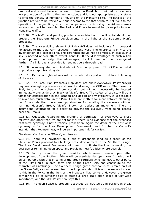proposal and should have an access to Hauxton Road, but it will add a relatively low proportion of traffic to the new junction, and it is not appropriate at this stage to limit the density or number of housing on the Monsanto site. The details of the junction are yet to be worked out but it seems to me that technical solutions to the operation of the junction, which do not penalise traffic using the Addenbrooke's access road, will be possible. The Park and Ride site would be given priority over Monsanto traffic.

9.18.28. The traffic and parking problems associated with the Hospital should not prevent the Southern Fringe development, in the light of the Structure Plan's proposals.

9.18.29. The accessibility element of Policy 9/5 does not include a firm proposal for access to the Clay Farm allocation from the west. The reference is only to the investigation of a possible link. This reference should not be omitted, in case such a link is needed and/or offers overall benefits. If the disadvantages of such a link should prove to outweigh the advantages, the link need not be investigated further. If a link road is provided it need not be a through road.

9.18.30. A railway station at Addenbrooke's is not proposed. The CGB is intended to provide a rapid transit system.

9.18.31. Definitive rights of way will be considered as part of the detailed planning of the area.

9.18.32. The Local Plan Proposals Map does not show cycleways. Policy 9/5(q) requires strategic cycle routes northward and along the CGB route. The former is likely to use the Hobson's Brook corridor but will not necessarily be located immediately alongside that Brook or Vicar's Brook. The safety of cyclists will be a factor for consideration in the location and design of any cycleway. It is desirable to avoid too much detail in the Plan. These are matters for more detailed planning, but I conclude that there are opportunities for locating the cycleway without harming Hobson's Brook, Vicar's Brook, or pedestrian movement. There is insufficient justification for a policy to prevent the cycleway from being located near the Brooks.

9.18.33. Questions regarding the granting of permission for cycleways to cross railways and other features are not for me: there is no evidence that the proposed east-west cycleway is not a feasible proposition. Again the detail of the east-west cycleway is for the Area Development Framework, and I note the Council's intention that Robinson Way will be an important link for cyclists.

*The Green Corridor and Other Open Spaces* 

9.18.34. There will inevitably be a loss of greenfield land as a result of the Structure Plan's proposal to site large scale development in the Southern Fringe. The Area Development Framework will need to mitigate the loss by making the best use of remaining open space and providing new facilities where possible.

9.18.35. In my view the green corridor which would remain open after development of the Southern Fringe will be a substantial open area. Its width will be comparable with that of some of the green corridors which penetrate other parts of the City's built-up area, form part of the Green Belt, and contribute to the character of Cambridge. The Southern Fringe green corridor is to remain part of the Green Belt, as can be seen from the Proposals Map: it is not necessary to refer to this in the Policy in the light of the Proposals Map content. However the green corridor will be of sufficient size to create a large scale open space of City-wide importance, and the RDD Policy now says this.

9.18.36. The open space is properly described as "strategic", in paragraph 9.22,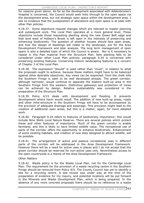for reasons given above. As far as the development associated with Addenbrooke's Hospital is concerned, the Council would seek links through to the open space via the development area, but not strategic open space within the development area. I see no evidence that the juxtaposition of allocations and open space is at odds with other Plan policies.

9.18.37. Some objections request changes which are relevant to master planning and subsequent work. The Local Plan operates at a more general level. These objections include those requesting planting along the new Green Belt edge and that land west of Hobson's Brook is left open in the interests of preserving and enhancing biodiversity. The question of whether houses should face open areas, and how the design of dwellings will relate to the landscape, are for the Area Development Framework and later analysis. The long term management of open space is also a detailed topic of which the Council is aware. Nor is it necessary to repeat in this Plan material from the Structure Plan. New planting falls to be considered under other Local Plan policies: paragraph 9.24 is concerned with preserving existing features. Conserving historic landscaping features is a concern of Chapter 3 of the Local Plan.

9.18.38. The expression "should" is used rather than "must", in relation to what the proposals ought to achieve, because these matters might have to be balanced against other desirable objectives. Key views can be respected: from the chalk hills the Southern Fringe is seen to be well developed already. The green corridor, although narrower, would continue to separate the eastern built-up area in the Southern Fringe from the western. Distinctive gateways and protection of views can be achieved by design. Relative sustainability was considered in the preparation of the Structure Plan.

9.18.39. Policy 4/15 deals with development and flooding. It prevents development where harm would result. The addition of new built-up areas, roads and other infra-structure in the Southern Fringe will have to be accompanied by the provision of adequate drainage and sewerage. This provision might lead to the creation of additional open areas, but this is a matter, again, for more detailed work.

9.18.40. Paragraph 9.24 refers to features of biodiversity importance: this would include Nine Wells Local Nature Reserve. There are several policies which protect these and other features of importance. Much of the green corridor is arable farmland, and this is likely to have limited wildlife value. The recreational use of parts of the corridor offers the opportunity to enhance biodiversity. Enhancement of some existing habitats, and creation of new sites designed to attract wildlife, will be possible.

9.18.41. The arrangement of active and passive recreational uses in different parts of the corridor will be addressed in the Area Development Framework. However there will be a need for active uses in places and I do not accept that the green corridor should be reserved for non-active uses only. Nevertheless access to the open countryside is a theme of the Area Development Framework.

### *Other Matters*

9.18.42. Waste policy is for the Waste Local Plan, not for the Cambridge Local Plan. The requirement for the provision of a waste recycling centre in the Southern Fringe should be removed from Policy 9/5. The County Council has yet to identify a site for a recycling centre. A site review was under way at the time of the preparation of evidence for my inquiry, and potential locations will be put forward in the Minerals and Waste Development Plan, which is being prepared. In the absence of any more concrete proposals there should be no reference to a waste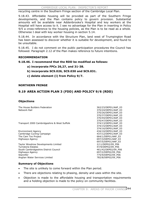recycling centre in the Southern Fringe section of the Cambridge Local Plan.

9.18.43. Affordable housing will be provided as part of the Southern Fringe developments, and the Plan contains policy to govern provision. Substantial amounts will be available near Addenbrooke's Hospital and key workers at the Hospital will have access to it. I see no advantage for the Plan in inserting in Policy 9/5 a cross-reference to the housing policies, as the Plan is to be read as a whole. Otherwise I deal with key worker housing in section 5.14.

9.18.44. In accordance with the Structure Plan, land west of Trumpington Road has been assessed to discover whether it is suitable for development, and found to be unsuitable.

9.18.45. I do not comment on the public participation procedures the Council has followed. Paragraph 2.12 of the Plan makes reference to future intentions.

### **RECOMMENDATION**

### **9.18.46. I recommend that the RDD be modified as follows:**

- **a) incorporate FPCs 26,27, and 31-38.**
- **b) incorporate SC9.026, SC9.030 and SC9.031.**
- **c) delete element (i) from Policy 9/7.**

### **NORTHERN FRINGE**

### **9.19 AREA ACTION PLAN 3 (FDD) AND POLICY 9/6 (RDD)**

### **Objections**

The House Builders Federation 362/23/DEP01/AAP\_03<br>Network Rail 370/24/DEP01/AAP\_03

Transport 2000 Cambridgeshire & West Suffolk 374/13/DEP01/AAP\_03

Environment Agency **Accord 2018** 2019 12:00:00 12:00 434/10/DEP01/AAP\_03 Cambridge Cycling Campaign 437/12/DEP01/AAP\_03 The Cam Too Project **664/1/DEP01/AAP\_03** Highways Agency **697/3/DEP01/AAP\_03** 

Taylor Woodrow Developments Limited 2/11/DEP02/09\_P06 Turnstone Estates **47/9/DEP02/09\_P06** South Cambridgeshire District Council 461/42/DEP02/09\_P06 Highways Agency **697/2/DEP02/09** P06 Stannifer 775/9/DEP02/09\_P06 Anglian Water Services Limited **782/8/DEP02/09\_P06** 

370/24/DEP01/AAP\_03 370/26/DEP01/AAP\_03 370/37/DEP01/AAP\_03 370/44/DEP01/AAP\_03 370/47/DEP01/AAP\_03 374/15/DEP01/AAP\_03 374/16/DEP01/AAP\_03 697/5/DEP01/AAP\_03

### **Summary of Objections**

- The site is unlikely to come forward within the Plan period.
- There are objections relating to phasing, density and uses within the site.
- x Objection is made to the affordable housing and transportation requirements and a holding objection is made to the policy on community facilities.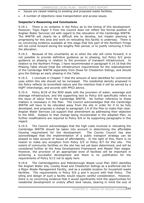- x Issues are raised relating to existing and proposed waste facilities.
- A number of objections raise transportation and access issues.

### **Inspector's Reasoning and Conclusions**

9.19.1. There is no certainty in the Policy as to the timing of this development. However, Topic Paper 4 from the Council does not reflect the formal position of Anglian Water Services Ltd with regard to the relocation of the Cambridge WWTW. The WWTW will clearly be a difficult site to develop, but master planning is progressing for this area and work on relocating this facility is underway. There is no convincing evidence available at this stage that this part of the Northern Fringe will not come forward during the lengthy Plan period, or to justify removing it from the allocation.

9.19.2. Because of the uncertainty as to when the site will come forward, it is not possible to provide definitive guidance as to phasing, but Policy 9/2 gives guidance on phasing in relation to the provision of transport infrastructure. In relation to the Northern Fringe, I have recommended in paragraph 9.14.16 that the Phasing Table should treat the infrastructure requirements for the redevelopment of the Cambridge WWTW separately from those for Chesterton Sidings, and should give the Sidings an early phasing in the Table.

9.19.3. I conclude in Chapter 7 that the amount of land identified for commercial uses within this site should not be increased. The residential density proposed in the Policy reflects its brownfield nature and the intention that it will be served by a HQPT interchange, and accords with PPG3 advice.

9.19.4. Policy 8/18 of the RDD deals with the provision of water, sewerage and drainage infrastructure, and the supporting text to Policy 9/6 specifically refers to the issue of odour from the Cambridge WWTW. No further reference to these matters is necessary in the Plan. The Council acknowledges that the Cambridge WWTW will have to be relocated away from the site in order for it to be fully developed, and proposes a change to paragraph 2.6 of the Plan to make that clear. Anglian Water Services Ltd support that amendment as addressing their objection to the RDD. Subject to that change being incorporated in the adopted Plan, no further modifications are required to Policy 9/6 or its supporting paragraphs in this regard.

9.19.5. The Council acknowledges that the high costs involved in relocating the Cambridge WWTW should be taken into account in determining the affordable housing requirement for the development. The County Council has also acknowledged that the implementation of a public transport strategy can be phased to take account of issues of affordability. In the light of this, there is no reason to make any exception from Policy 5/5 or Policy 8/7 for this site. The extent of community facilities on the site has not yet been determined, and will be considered further at the Area Development Framework and Master Plan stages. However, the provision of an appropriate level of facilities will be important in achieving a successful development and there is no justification for the requirements of Policy 5/13 not to apply here.

9.19.6. The Cambridgeshire and Peterborough Waste Local Plan 2003 identifies the Anglian Water site, Cowley Road and Chesterton Sidings as a preferred site for a Major Waste Management Facility, and as a suitable location for household waste facilities. The requirements in Policy 9/6 g and h accord with that Policy. The siting and design of such a facility would require careful consideration. However, there is no convincing evidence that it would significantly limit the opportunities for residential development or unduly affect land values, bearing in mind the size of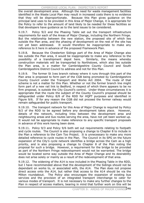#### CAMBRIDGE LOCAL PLAN: INSPECTOR'S REPORT

the overall development area. Although the need for waste management facilities identified in the Waste Local Plan may result in increased costs there is no evidence that they will be disproportionate. Because this Plan gives guidance on the principal land uses to be provided in this Area of Major Change, it is appropriate for the Policy to refer to the amount of land likely to be needed for these facilities so that developers have guidance as to the land issues to be considered.

9.19.7. Policy 9/2 and the Phasing Table set out the transport infrastructure requirements for each of the Areas of Major Change, including the Northern Fringe. But the relationship between the new station, the proposed site of which lies outside the Plan area, and the phasing of development on the rest of the site has not yet been addressed. It would therefore be inappropriate to make any reference to it here in advance of the proposed Framework Plan.

9.19.8. Because the Chesterton Sidings part of the Area of Major Change also lies outside the Plan area, it would be inappropriate to make any reference to the possibility of a transhipment depot here. Similarly, the means whereby construction materials will be transported to Northstowe, which also lies outside the Plan area, is a matter for Cambridgeshire County Council and South Cambridgeshire District Council to address and not for this Plan.

9.19.9. The former St Ives branch railway where it runs through this part of the Plan area is proposed to form part of the CGB being promoted by Cambridgeshire County Council under the Transport and Works Act 2004. The route of that scheme is not a matter for this Plan. Whether or not the former branch line might form part of a new rail link to Bedford, in respect of which there appears to be no firm proposal, is outside the City Council's control. Under these circumstances it is appropriate that the route the subject of the County Council's proposal should be safeguarded under Policy 8/8 of the RDD for HQPT purposes and identified in Figure 9/6. If for any reason the CGB did not proceed the former railway would remain safeguarded for public transport.

9.19.10. The transport network for this Area of Major Change is required by Policy 9/2 of the RDD to be agreed before any development takes place. However, details of the network, including links between the development area and neighbouring areas and bus routes serving the area, have not yet been worked up. It would not be appropriate to make reference to any specific transport proposals in advance of this work having been done.

9.19.11. Policy 9/3 and Policy 9/6 both set out requirements relating to footpath and cycle routes. The Council is also proposing a change to Chapter 8 to include in the Plan a reference to the Cam Too Project. It is unnecessary to make any more detailed reference to cycle routes in the Plan. The Council in its SPG on the future expansion of the City's cycle network identifies a bridge across the Cam as a high priority, and is also proposing a change to Chapter 8 of the Plan noting the proposal for such a bridge. However, a requirement for the bridge to be provided as part of the Northern Fringe redevelopment would not be warranted. The bridge would be located some way outside the Area of Major Change and its desirability does not arise solely or mainly as a result of the redevelopment of that area.

9.19.12. The widening of the A14 is now included in the Phasing Table in the RDD, but I have recommended above that the development of the Sidings should not be dependant on works to, or associated with, the A14. The Plan does not propose direct access onto the A14, but rather that access to the A14 should be via the Milton roundabout. The Policy also encourages the expansion of existing bus services and the provision of an integrated transport interchange to cater for various modes of transport. It is not necessary to make any further changes to the Plan in respect of access matters, bearing in mind that further work on this will be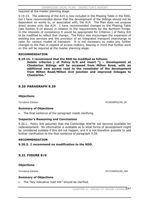required at the master planning stage.

9.19.13. The widening of the A14 is now included in the Phasing Table in the RDD, but I have recommended above that the development of the Sidings should not be dependent on works to, or associated with, the A14. The Plan does not propose direct access onto the A14. I have recommended changes to the Phasing Table (see Section 9.14 above) in relation to the requirements for the Northern Fringe. In the interests of consistency it would be appropriate for Criterion j of Policy 9/6 to be modified to reflect that change. The Policy also encourages the expansion of existing bus services and the provision of an integrated transport interchange to cater for various modes of transport. It is not necessary to make any further changes to the Plan in respect of access matters, bearing in mind that further work on this will be required at the master planning stage.

### **RECOMMENDATION**

### **9.19.14. I recommend that the RDD be modified as follows:**

**Delete criterion j of Policy 9/6 and insert "j – Development at Chesterton Sidings will be accessed from Milton Road, with an additional new access road to the remainder of the development from Milton Road/Milton A14 junction and improved linkages to Chesterton."**

### **9.20 PARAGRAPH 9.29**

### **Objections**

Turnstone Estates 47/8/DEP02/09\_29

### **Summary of Objections**

The final sentence of the paragraph needs clarifying.

### **Inspector's Reasoning and Conclusions**

9.20.1. Policy 9/6 assumes that the Cambridge WWTW will become available for redevelopment. No information is available as to what forms of development might be considered suitable if this did not happen, and it is not therefore possible to add further clarification to the final sentence of paragraph 9.29.

### **RECOMMENDATION**

**9.20.2. I recommend no modification to the RDD.** 

### **9.21 FIGURE 9/6**

### **Objections**

Turnstone Estates **47/7/DEP02/09\_F06** 

### **Summary of Objections**

The "key indicative road link" should be clarified.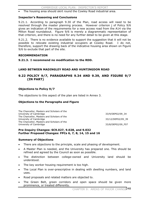The housing area should skirt round the Cowley Road industrial area.

### **Inspector's Reasoning and Conclusions**

9.21.1. According to paragraph 9.30 of the Plan, road access will need to be resolved through the master planning process. However criterion j of Policy 9/6 gives an indication of the requirements for a new access road from the A14 via the Milton Road roundabout. Figure 9/6 is merely a diagrammatic representation of that criterion, and there is no need for any further detail to be given at this stage.

9.21.2. There is no evidence available to support the suggestion that it will not be possible to relocate existing industrial occupiers at Cowley Road. I do not, therefore, support the drawing back of the indicative housing area shown on Figure 9/6 to exclude that part of the site.

### **RECOMMENDATION**

**9.21.3. I recommend no modification to the RDD.** 

### **LAND BETWEEN MADINGLEY ROAD AND HUNTINGDON ROAD**

### **9.22 POLICY 9/7, PARAGRAPHS 9.34 AND 9.39, AND FIGURE 9/7 (IN PART)**

### **Objections to Policy 9/7**

The objections to this aspect of the plan are listed in Annex 3.

### **Objections to the Paragraphs and Figure**

| 33/9/DEP02/09 34  |
|-------------------|
|                   |
| 33/12/DEP02/09 39 |
|                   |
| 33/8/DEP02/09 F07 |
|                   |

### **Pre-Inquiry Changes: SC9.027, 9.028, and 9.032 Further Proposed Changes: FPCs 6, 7, 8, 14, 15 and 16**

### **Summary of Objections**

- There are objections to the principle, scale and phasing of development.
- x A Master Plan is needed, and the University has prepared one. This should be refined and agreed by the Council as soon as possible.
- x The distinction between college-owned and University land should be understood.
- The key worker housing requirement is too high.
- The Local Plan is over-prescriptive in dealing with dwelling numbers, and land uses.
- Road proposals and related matters are objected to.
- The Green Belt, green corridors and open space should be given more prominence, or treated differently.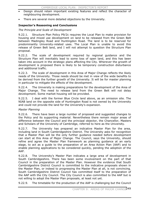- Design should retain important existing features and reflect the character of neighbouring development.
- There are several more detailed objections by the University.

# **Inspector's Reasoning and Conclusions**

### *The Principle and Scale of Development*

9.22.1. Structure Plan Policy P9/2c requires the Local Plan to make provision for housing and mixed use development on land to be released from the Green Belt between Madingley Road and Huntingdon Road. The land is to be reserved for predominantly University-related uses. The Local Plan is unable to avoid this release of Green Belt land, and I will not attempt to question the Structure Plan proposal.

9.22.2. The scale of development required by regional guidance and the Structure Plan will inevitably lead to some loss of open land, and this has been taken into account in the strategic plans affecting the City. Wherever the growth of development is proposed there is likely to be temporary construction disturbance and additional traffic.

9.22.3. The scale of development in this Area of Major Change reflects the likely needs of the University. Those needs should be met in view of the wide benefits to be derived from the further growth of the University. It will be for master planning in particular to mitigate the effects of the development.

9.22.4. The University is making preparations for the development of the Area of Major Change. The need to release land from the Green Belt will not delay development. Some market housing will be provided.

9.22.5. I deal with the former Blue Circle land above, as an omission site. The NIAB land on the opposite side of Huntingdon Road is not owned by the University and could not provide the land for the University's expansion.

#### *Master Planning*

9.22.6. There have been a large number of proposed and suggested changes to the Policy and its supporting material. Nevertheless there remain major areas of difference between the Council and the principal objector, the Chancellor, Masters and Scholars of the University of Cambridge, referred to here as the University.

9.22.7. The University has prepared an indicative Master Plan for the area, including land in South Cambridgeshire District. The University asks for recognition that a Master Plan will be the only further guidance needed before development can start at this Area of Major Change. The Council, says the University, should refine and agree the Master Plan framework as planning guidance at an early stage, to act as a guide to the preparation of an Area Action Plan (AAP) and to enable planning applications to be considered quickly, pending the adoption of the AAP.

9.22.8. The University's Master Plan indicates a large area of development in South Cambridgeshire. There has been some involvement on the part of that Council in the preparation of the Master Plan. However the evidence that South Cambridgeshire District Council is committed to the indicative proposals shown in the Master Plan, or indeed to progressing the Master Plan at all, is not convincing. South Cambridgeshire District Council has committed itself to the preparation of the AAP with the City Council. The City Council is also committed to the AAP but is not willing to adopt the Master Plan proposals, at least not yet.

9.22.9. The timetable for the production of the AAP is challenging but the Council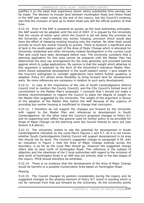justifies it on the basis that experience shows where substantial time savings can be made. The decision to include land between Huntingdon Road and Histon Road in the AAP was under review at the end of the inquiry, but the Council's evidence was that the inclusion of land up to Histon Road was still the official position at that time.

9.22.10. Even if the AAP is prepared as quickly as the local authorities anticipate, the AAP would not be adopted until the end of 2007. It is argued by the University that the course of action upon which the Council is set will delay the provision by the University of much-needed key worker housing, provision which would also have the effect of releasing existing housing onto the market. No other body would provide so much key worker housing so quickly. There is however a significant area of land in the south-eastern part of the Area of Major Change which is allocated for University residential and other University-related development in the current Local Plan and could have been developed before now. The University considers that a planning application for this area cannot be prepared until the Master Plan has determined the land use arrangement for the area generally and provided policies against which to judge applications. My opinion is that the weight which attaches to this argument is lessened by the form of the University's indicative Master Plan, which shows substantial development in the south-eastern sector. I give weight to the Council's willingness to consider applications here before further guidance is adopted. Policy 9/1 allows some flexibility to bring forward land for development early. No more references are necessary in relation to such early development.

9.22.11. In view of the importance of the role of South Cambridgeshire District Council (not to mention the County Council), and the City Council's limited level of commitment to the Master Plan's proposals, I conclude that I should not make a binding recommendation to require the Council to place the degree of weight on the Master Plan suggested by the University. The weight of the argument in favour of the adoption of the Master Plan before the AAP because of the urgency of providing key worker housing is insufficient to change that conclusion.

9.22.12. I therefore do not support the changes put forward by the University with regard to the Master Plan and references to development in South Cambridgeshire. On the other hand the Council's proposed changes to Policy 9/1 and its supporting text reflect the general need for further policy to be provided for Areas of Major Change via the planning work the Council intends to carry out (see Section 9.8 above).

9.22.13. The University wishes to see the potential for development in South Cambridgeshire indicated on the Local Plan's Figures 1 and 9.7. As it is not known whether South Cambridgeshire District Council will support development in its area this should not be done. The Council's suggested change to paragraph 9.39, with an indication in Figure 1 that the Area of Major Change extends across the boundary, is as far as the Local Plan should go. However the suggested change refers also to land north of Huntingdon Road. This reference is the subject of objection and the intentions of the 2 local authorities with regard to the inclusion of land north of Huntingdon Road in an AAP was not entirely clear in the late stages of the inquiry. FPC8 should therefore be amended.

9.22.14. There is no evidence that the development of the Area of Major Change would be harmful to a possible Conservation Area based on Huntingdon Road.

# *Phasing*

9.22.15. The Council changed its position considerably during the inquiry and its suggested changes to the phasing element of Policy 9/7 result in wording which is not far removed from that put forward by the University. As the University points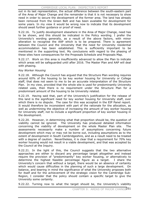out in its last representation, the actual difference between the south-eastern part of the Area of Major Change and the remainder is that it is not necessary to show need in order to secure the development of the former area. The land has already been removed from the Green Belt and has been available for development for some years. In my view it would be wrong now to indicate that its development should await further guidance or proof of need.

9.22.16. To justify development elsewhere in the Area of Major Change, need has to be shown, and this should be indicated in the Policy wording. I prefer the University's wording generally, as a result of the above factors, with minor alteration to recognise the AAP which is to be prepared. There is agreement between the Council and the University that the need for University residential accommodation has been established. This is sufficiently important to be mentioned in the supporting text. My conclusions with regard to the phasing of these sites have consequences for the Proposals Schedule and Proposals Map.

9.22.17. Work on this area is insufficiently advanced to allow the Plan to indicate which areas will be safeguarded until after 2016. The Master Plan and AAP will deal with phasing.

### *Key Worker Housing*

9.22.18. Although the Council has argued that the Structure Plan wording requires around 60% of the housing to be key worker housing for University or College staff, that does not seem to me to be an accurate interpretation of the Structure Plan. In my view, provided that the whole site is used for predominantly University related uses, then there is no requirement under the Structure Plan for a predominant amount of the housing to be University related.

9.22.19. Having said that, part of the University's justification for the release of this land is the significant need for key worker housing for University staff, over which there is no dispute. The case for this was accepted in the EIP Panel report. It would therefore be inconsistent with part of the rationale for the allocation, as well as undermining the objective of increasing the amount of key worker housing for University staff, not to include a significant proportion of key worker housing in the development.

9.22.20. However, in determining what that proportion should be, the question of viability cannot be ignored. The University has produced detailed information concerning the viability of development on the whole Master Plan site. The assessments necessarily make a number of assumptions concerning future development which may or may not be borne out, including assumptions as to the extent of development in South Cambridgeshire, and as a result need to be treated with a degree of caution. Nevertheless, it is clear that a requirement for 70% key worker housing would not result in a viable development, and that was accepted by the Council at the Inquiry.

9.22.21. In the light of this, the Council suggests that the two alternative approaches are either to discard any percentage target altogether and instead require the provision of "predominantly" key worker housing, or alternatively to determine the highest feasible percentage figure as a target. I share the University's concern that without a target, there would be an absence of certainty which would cause difficulties in the planning of such a large development. On balance, and bearing in mind the significance of what the University proposes both for itself and for the achievement of the strategic vision for the Cambridge Sub-Region, I consider that the policy should contain a specific target to give the University some certainty.

9.22.22. Turning now to what the target should be, the University's viability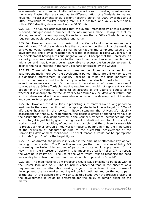assessments use a number of alternative scenarios as to dwelling numbers over the whole Master Plan area and as to different ratios of affordable to market housing. The assessments show a slight negative deficit for 2000 dwellings and a 50:50 affordable to market housing mix, but a positive land value, albeit small, with a 2500 dwelling development and a 50:50 mix.

9.22.23. The Council acknowledges that the overall methodology of this exercise is sound, but questions a number of the assumptions made. It argues that by altering some of the assumptions, it can be shown that a 60% affordable housing requirement would produce a positive land value.

9.22.24. However, even on the basis that the Council's alternative assumptions are valid (and I find the evidence less than convincing on this point), the resulting land value would represent only a small percentage of the completed value of the development, and a small reduction in receipts or increase in costs would result in the development having a residual negative value. I accept that the University, as a charity, is more constrained as to the risks it can take than a commercial body might be, and that it would be unreasonable to expect the University to commit itself to the risks inherent in the 60:40 scenario envisaged by the Council.

9.22.25. There will be fluctuations in market conditions and changes in the assumptions made here over the development period. These are unlikely to lead to a significant improvement in viability, bearing in mind the risks inherent in construction projects and the tendency of actual construction costs to overrun, even if values may also rise. On the basis of the evidence before me, therefore, I conclude that a 60% affordable housing requirement would not represent a viable option for the University. I have taken account of the Council's doubts as to whether it is appropriate for the University to assume a 20% developer return, but such a return would not be unreasonable or unusual in a development of the size and complexity proposed here.

9.22.26. However, the difficulties in predicting such matters over a long period do lead me to the view that it would be appropriate to include a target of 50% of affordable housing in the policy. Notwithstanding the University's viability assessment for that 50% requirement, the possible effect of changing various of the assumptions used, demonstrated in the Council's evidence, persuades me that such a target is justifiable, given the high level of identified need for University key worker housing. In addition, of course, it is possible that the University may wish to provide a higher portion of key worker housing, bearing in mind the importance of the provision of adequate housing to the successful achievement of the University's development aspirations. For that reason it would not be appropriate to include "up to" before the target figure.

9.22.27. As drafted, the policy is inflexible in the amount of affordable key worker housing to be provided. The Council acknowledges that the provisions of Policy 5/5 concerning the taking into account of particular costs would apply here. In my view, it is in the interests of clarity in this important area for Policy 9/7 to repeat the wording in Policy 5/5. The use of the word "must" fails to recognise the need for viability to be taken into account, and should be replaced by "should".

9.22.28. The modifications I am proposing would leave phasing to be dealt with in the Master Plan and AAP. The Council is concerned that in the absence of a requirement for the affordable housing target to be achieved in each phase of development, the key worker housing will be left until last and on the worst parts of the site. In the absence of any clarity at this stage over the precise phasing of the development, it would be preferable for the policy to remain silent on the matter.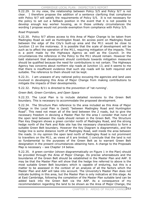#### CAMBRIDGE LOCAL PLAN: INSPECTOR'S REPORT

9.22.29. In my view, the relationship between Policy 5/5 and Policy 9/7 is not clear. I therefore propose the addition of a sentence clarifying that compliance with Policy 9/7 will satisfy the requirements of Policy 5/5. It is not necessary for the policy to set out a fallback position in the event that it is not possible to develop enough key worker housing, as in those unlikely circumstances the wording I propose would not provide exemption from compliance with Policy 5/5.

### *Road Proposals*

9.22.30. Policy 9/7 allows access to this Area of Major Change to be taken from Madingley Road as well as Huntingdon Road. An access point on Madingley Road between the edge of the City's built-up area and the M11 would be close to Junction 13 on the motorway. It is possible that the scale of development will be such as to affect the operation of the M11, requiring mitigation of the impacts. This is a point made by the Highways Agency as well as the Council. In the circumstances the reference in the Policy to the M11 should remain. However the bald statement that development should contribute towards mitigation measures should be qualified because the need for contributions is not certain. The Highways Agency has concerns about northern slip roads at Junction 13, and it seems to me that there is insufficient evidence that such slip roads will be both required and suitable. The reference to them should not be kept.

9.22.31. I am unaware of any national policy excusing the agencies and land uses involved in developing this Area of Major Change from making contributions to mitigate the impacts of their developments.

9.22.32. Policy 8/11 is directed to the prevention of 'rat-running'.

*Green Belt, Green Corridors, and Open Space* 

9.22.33. The Local Plan is to include detailed revisions to the Green Belt boundary. This is necessary to accommodate the proposed development.

9.22.34. The Structure Plan reference to the area included as this Area of Major Change in the Local Plan is (land) "between Madingley Road and Huntingdon Road". This need not mean all of the land between the 2 roads, but to give the necessary freedom in devising a Master Plan for the area I consider that none of the open land between the roads should remain in the Green Belt. The Structure Plan Key Diagram shows a green corridor north of Madingley Road, and the strong hedge north of the Park and Ride site has the necessary characteristics to form a suitable Green Belt boundary. However the Key Diagram is diagrammatic, and the hedge line is some distance north of Madingley Road, well inside the area between the roads. In my opinion the open land north of Madingley Road is not prominent to travellers on the M11, as views of it are limited. I conclude that the land is not so fundamental to the purposes of the Green Belt as to warrant Green Belt designation in the present circumstances obtaining here. A change to the Proposals Map is necessary – see Chapter 14 below.

9.22.35. A green corridor (shown diagrammatically on Figure 1 in the Plan) should be provided through the Area of Major Change. Its precise whereabouts and the boundaries of the Green Belt should be established in the Master Plan and AAP. It may be that the Master Plan will show that the hedge line referred to above is the most suitable Green Belt boundary which is capable of enduring, but this is a matter to be assessed in the context of an analysis of all the factors which the Master Plan and AAP will take into account. The University's Master Plan does not indicate building in this area, but the Master Plan is only indicative at this stage. As at East Cambridge, following the completion of the Master Plan suitable land can be added back into the Green Belt via the AAP. As a consequence of my recommendation regarding the land to be shown as the Area of Major Change, the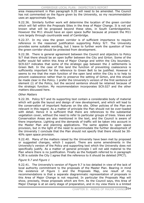area measurement in Plan paragraph 9.35 will need to be amended. The Council has not commented on the figure given by the University, so my recommendation uses an approximate figure.

9.22.36. Similarly further work will determine the location of the green corridor which will fall within the Proposals Sites in the Area of Major Change. It is not yet known what will be proposed beyond these sites, in South Cambridgeshire. However the M11 should have an open space buffer because at present the M11 runs largely through countryside west of Cambridge.

9.22.37. In my view the green corridor is of sufficient importance to require reference in the reasoned justification supporting Policy 9/7. The University provides some suitable wording, but I leave to further work the question of how the green corridor should be protected from development.

9.22.38. There is general agreement between the Council and objectors to Policy 9/7 that there should be an open buffer between the City and Girton. Some of the buffer would fall within this Area of Major Change and within the City boundary. SC9.027 indicates that some of the strategic gap between the 2 settlements is Green Belt. In the case of this land the function of preventing coalescence is sufficiently important for the reference to Green Belt to be justified. However it seems to me that the main function of the open land within the City is to help to prevent coalescence rather than to preserve the setting of Girton, and this should be made clear in the Policy. I prefer the University's version of the first sentence of element (i) of the Policy, but the second sentence should be retained because of the strategic function. My recommendation incorporates SC9.027 and the other matters discussed here.

### *Other Matters*

9.22.39. Policy 9/7 and its supporting text contain a considerable body of material which will guide the layout and design of new development, and which will lead to the conservation of important features on the site. Other policies of the Plan are relevant in this regard. As a matter of principle the Plan should not be over-loaded with detail. Hence it is sufficient that there are references to the substantial vegetation cover, without the need to refer to particular groups of trees. Views and Conservation Areas are also mentioned in the text, and the Council is aware of there importance. Lighting and the demands of traffic will be taken into account in the Master Plan and planning applications. The same applies to open space provision, but in the light of the need to accommodate the further development of the University I conclude that the Plan should not specify that there should be 30- 40% open space provision.

9.22.40. Many of the matters raised by the University have been met by proposed or suggested changes, which I support. There are some amendments in the University's version of the Policy and supporting text which the University does not specifically justify. As a matter of general principle I will not add material to the Plan where there is no justification. Finally as the footpath referred to in paragraph 9.38 is outside the City I agree that the reference to it should be deleted (FPC7).

#### *Figure 9.7 and Figure 1*

9.22.41. The University's version of Figure 9.7 is too detailed in view of the lack of local authority commitment to the proposals of the Master Plan. Bearing in mind the existence of Figure 1 and the Proposals Map, one result of my recommendations is that a separate diagrammatic representation of proposals in this Area of Major Change is not required. In particular the Proposals Map will show, precisely, those proposals which are firm. As the Council says, this Area of Major Change is at an early stage of preparation, and in my view there is a limited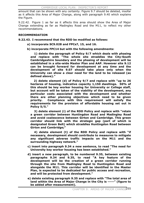amount that can be shown with any certainty. Figure 9.7 should be deleted, insofar as it affects this Area of Major Change, along with paragraph 9.40 which explains the Figure.

9.22.42. Figure 1 as far as it affects this area should show the Area of Major Change extending as far as Madingley Road and the M11, to reflect my other recommendations.

#### **RECOMMENDATION**

**9.22.43. I recommend that the RDD be modified as follows:** 

- **a) incorporate SC9.028 and FPCs7, 15, and 16.**
- **b) incorporate FPC14 but with the following amendments:**

 **1) delete the paragraph of Policy 9/7 which deals with phasing and replace with "The whole site straddles the City-South Cambridgeshire boundary and the phasing of development will be established in a site-wide Master Plan and AAP. However site 9.12 can be brought forward for development at any time and the development of site 9.07 should take place only when the University can show a clear need for the land to be released (as defined above)."** 

**2) delete element (d) of Policy 9/7 and replace with "up to 26 hectares of housing, indicative capacity 1,150 dwellings. 50% of this should be key worker housing for University or College staff, but account will be taken of the viability of the development, any particular costs associated with the development and whether there are other planning objectives which need to be given priority. Compliance with this requirement will satisfy the requirements for the provision of affordable housing set out in Policy 5/5."** 

 **3) delete element (i) of the RDD Policy and replace with "retain a green corridor between Huntingdon Road and Madingley Road and avoid coalescence between Girton and Cambridge. This green corridor should link with the strategic gap (part of which is designated Green Belt) which straddles Huntingdon Road between Girton and Cambridge;"** 

 **4) delete element (t) of the RDD Policy and replace with "if necessary, development should contribute to measures to mitigate any significant adverse traffic impacts on the M11 and the surrounding highway network."** 

- **c) insert into paragraph 9.34 a new sentence, to read "The need for University key worker housing has been established."**
- **d) insert a new paragraph, to be numbered 9.35, between existing paragraphs 9.34 and 9.35, to read "A key feature of the development will be the creation of a green corridor running through the site from Madingley Road to Huntingdon Road and alongside the M11. This corridor will be identified in the Master Plan, is expected to be dedicated for public access and recreation, and will be protected from development."**
- **e) delete existing paragraph 9.35 and replace with "The total area of land within the Area of Major Change in the City is -----" (figure to be added after measurement).**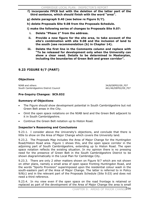**f) incorporate FPC8 but with the deletion of the latter part of the third sentence, which should finish with the word "area".** 

**g) delete paragraph 9.40 (see below re Figure 9/7).** 

**h) delete Proposals Site 9.08 from the Proposals Schedule.** 

**i) make the following series of changes to Proposals Site 9.07:** 

- **i. Delete "Phase 2" from the address.**
- **ii. Provide a new figure for the site area, to take account of the site's combination with site 9.08 and the inclusion of land to the south (see recommendation (b) in Chapter 14).**
- **iii. Delete the first line in the Comments column and replace with "To be released for development only when the University can show a clear need. Details to be determined in Masterplan, including the boundaries of Green Belt and green corridor".**

# **9.23 FIGURE 9/7 (PART)**

# **Objections**

NIAB and others <br>South Cambridgeshire District Council South Cambridgeshire District Council South Cambridgeshire District Council

### **Pre-Inquiry Changes: SC9.032**

#### **Summary of Objections**

- The Figure should show development potential in South Cambridgeshire but not Green Belt areas in the City.
- x Omit the open space notations on the NIAB land and the Green Belt adjacent to it in South Cambridgeshire.
- Continue the Green Belt notation up to Histon Road.

# **Inspector's Reasoning and Conclusions**

9.23.1. I consider above the University's objections, and conclude that there is little to show on the Area of Major Change which covers the University land.

9.23.2. The Proposals Map includes the Area of Major Change for the Huntingdon Road/Histon Road area. Figure 1 shows this, and the open space corridor in the adjoining part of South Cambridgeshire, extending up to Histon Road. The open space notation reflects the existing situation. In my opinion there is no pressing need for the presence of Green Belt in the South Cambridgeshire District to be shown diagrammatically in the Local Plan for Cambridge City.

9.23.3. There are only 2 other matters shown on Figure 9/7 which are not shown on other plans, namely a small area of open space fronting Huntingdon Road, and the words "Sports Provision" superimposed upon the residential colour wash in the south-eastern part of the Area of Major Change. The latter is referred to in Policy 9/8(c) and in the relevant part of the Proposals Schedule (Site 9.03) and does not need a third reference.

9.23.4. In my view even if the open space on the road frontage is retained or replaced as part of the development of the Area of Major Change the area is small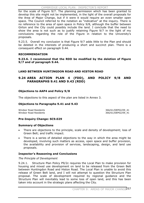#### CAMBRIDGE LOCAL PLAN: INSPECTOR'S REPORT

for the scale of Figure 9/7. The planning permission which has been granted to develop this site might not be implemented, in the light of the overall proposals for the Area of Major Change, but if it were it would require an even smaller open space. The Council referred to the notation as "indicative" at the inquiry. There is no reference to the area of open space in Policy 9/8, although the buffer between Girton and the City could possibly include the land. I conclude that the need to show the area is not such as to justify retaining Figure 9/7 in the light of my conclusions regarding the role of the Figure in relation to the University's proposals.

9.23.5. Overall my conclusion is that Figure 9/7 adds little to the Plan and should be deleted in the interests of producing a short and succinct plan. There is a consequent effect on paragraph 9.44.

# **RECOMMENDATION**

# **9.23.6. I recommend that the RDD be modified by the deletion of Figure 9/7 and of paragraph 9.44.**

# **LAND BETWEEN HUNTINGDON ROAD AND HISTON ROAD**

# **9.24 AREA ACTION PLAN 4 (FDD), AND POLICY 9/8 AND PARAGRAPHS 9.41 AND 9.43 (RDD)**

# **Objections to AAP4 and Policy 9/8**

The objections to this aspect of the plan are listed in Annex 3.

# **Objections to Paragraphs 9.41 and 9.43**

Windsor Road Residents<br>
Windsor Road Residents<br>
366/61/DEP02/09\_41<br>
366/61/DEP02/09\_41

366/61/DEP02/09\_41

# **Pre-Inquiry Change: SC9.029**

# **Summary of Objections**

- There are objections to the principle, scale and density of development; loss of Green Belt; and traffic impact.
- There is a series of detailed objections to the way in which the area might be developed, involving such matters as access, open space and buffer provision, the availability and provision of services, landscaping, design, and land use proposals.

# **Inspector's Reasoning and Conclusions**

#### *The Principle of Development*

9.24.1. Structure Plan Policy P9/2c requires the Local Plan to make provision for housing and mixed use development on land to be released from the Green Belt between Huntingdon Road and Histon Road. The Local Plan is unable to avoid this release of Green Belt land, and I will not attempt to question the Structure Plan proposal. The scale of development required by regional guidance and the Structure Plan will inevitably lead to some loss of open land, and this has been taken into account in the strategic plans affecting the City.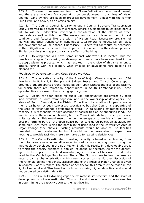9.24.2. The need to release land from the Green Belt will not delay development, and there are relatively few constraints on development in this Area of Major Change. Land owners are keen to progress development. I deal with the former Blue Circle land above, as an omission site.

9.24.3. The County Council is carrying out a County Strategic Transportation Study, referred to elsewhere in this report. Before development takes place here a full TA will be undertaken, involving a consideration of the effects of other proposals as well as this one. The assessment can also take account of local conditions and features like the width of Histon Road. Necessary provision of highway and other transportation schemes to cater for traffic impacts will be made, and development will be phased if necessary. Builders will contribute as necessary to the mitigation of traffic and other impacts which arise from their developments. Similar considerations apply to drainage effects of building.

9.24.4. Development will have some impact wherever it is located, but the possible strategies for catering for development needs have been examined in the strategic planning process, which has resulted in the choice of this site amongst others. Further work will identify what impacts of developing here need to be planned for.

# *The Scale of Development, and Open Space Provision*

9.24.5. The indicative capacity of the Area of Major Change is given as 1,780 dwellings, in Policy 9/8. The present Sidney Sussex and Christ's College sports ground, a private sports ground, could be built upon without the loss of the facility, for which there are relocation opportunities in South Cambridgeshire. These opportunities are close to the existing sports ground.

9.24.6. Again, for open space for public use, opportunities are offered by open land available in South Cambridgeshire and in the ownership of developers. The views of South Cambridgeshire District Council on the location of open space in their area have not been canvassed specifically, but that Council is supportive of the Area of Major Change development overall. In calculating estimated dwelling capacity it is reasonable to take account of possibilities on neighbouring land. The area is near to the open countryside, but the Council intends to provide open space to its standards. This would result in enough open space to provide a 'green lung', possibly forming part of the open space buffer considered below. In addition, for some built uses there is also the possibility of using land in the University's Area of Major Change (see above). Existing residents would be able to use facilities provided in new developments, but it would not be reasonable to expect new housing to provide facilities merely to make up for existing deficiencies.

9.24.7. The Council's estimate of dwelling capacity is based on subtracting from the total area available an allowance for various non-housing uses. Using the methodology developed in the Sub-Region Study this results in a developable area, to which the density estimate is applied, of about 40 hectares. As for the density figure to be applied to the land available, again the Council has used the density used in the Cambridge Sub-Region Study. The Study characterises the area as outer urban, a characterisation which seems correct to me. Further discussion of the rationale behind the density assessments of the Areas of Major Change is given in Chapter 5 of this report. The choice of density for this area must be made in the light of national and Structure Plan policies favouring higher densities, and should not be based on existing densities.

9.24.8. The Council's dwelling capacity estimate is satisfactory, and the scale of development is not over-estimated. This is not and does not have to be an exercise in determining the capacity down to the last dwelling.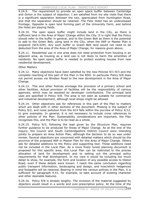9.24.9. The requirement to provide an open space buffer between Cambridge and Girton is the subject of objection. I am satisfied from my site visits that there is a significant separation between the two, appreciated from Huntingdon Road, and that the separation should be retained. The Felix Hotel has an undeveloped frontage. Opposite is open land forming part of the University Farm, and behind the Hotel are playing fields.

9.24.10. The open space buffer might include land in the City, as there is sufficient land in the Area of Major Change within the City. It is right that the Policy should refer to the buffer in general, and to the Green Belt as there is the potential to add to the Green Belt, using land in the City, when the AAP or Master Plan is prepared (SC9.029). Any such buffer or Green Belt land would not need to be deducted from the area of the Area of Major Change, for reasons given above.

9.24.11. Residential use in one area does not need protection from housing in an adjacent area, as housing as a land use is not likely to harm the amenities of residents. No open space buffer is needed to protect existing houses from new residential development.

### *Other Matters*

9.24.12. Many objections have been satisfied by the new Policies 9/1-9/3 and the complete rewriting of this part of the Plan in the RDD. In particular Policy 9/8 does not permit access via Windsor Road to the new development in the Area of Major Change.

9.24.13. This and other Policies envisage the provision of a primary school and other facilities. Actual provision of facilities will be the responsibility of various agencies, which may be assisted by developer contributions. The principal land uses are specified in Policy 9/8. The area is not seen as suitable for commercial and industrial development, although local shops might be allowed.

9.24.14. Other objections ask for references in this part of the Plan to matters which are dealt with in other sections of the document. Phasing is the subject of Policy 9/2, and noise pollution from the A14 falls within the purview of Policy 4/12, to give examples. In general, it is not necessary to include cross references to other policies of the Plan. Sustainability considerations are important, the Plan recognises this, and the Plan is to be read as a whole.

9.24.15. Policy 9/3, following the lead given by the Structure Plan, requires further guidance to be produced for Areas of Major Change. As at the end of the inquiry, the Council and South Cambridgeshire District Council were intending jointly to prepare an Area Action Plan, although the decision to do so was under review. Several objections are concerned with detailed matters which should be the province of the proposed AAP or Master Plan for this Area of Major Change. Others ask for detailed additions to the Policy and supporting text. These additions need not be included in the Local Plan. As a more finely tuned planning document is proposed for this specific area, this Local Plan can be restricted to the precise allocation of land for development and to setting out the principal policy requirements for that development. In my view it would be including too much detail to show, for example, the form and location of any possible access to Histon Road, even if these details were known. I reach the same conclusion regarding public transport information, landscaping and design, and how/which hedgerows and footpaths will be retained. Bearing in mind the various policies in the Plan, it is sufficient for paragraph 9.41, for example, to take account of existing character and other desirable features.

9.24.16. Policy 9/8 is already lengthy. The inclusion of the material suggested by objectors would result in a wordy and over-prescriptive policy. At the time of the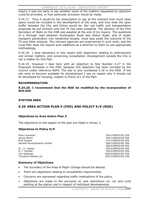inquiry it was too early to say whether some of the matters requested by objectors could be provided, or how particular provision would be made.

9.24.17. Thus it would be too prescriptive to say at the moment how much open space would be included in the development of the area, and how wide the open buffer between the City and Girton would be. Nor can traffic and transportation proposals be put forward until the TA has been prepared. The decision of the First Secretary of State on the CGB was awaited at the end of my inquiry. The questions of a through road between Huntingdon Road and Histon Road, and of public transport penetration into residential streets, must also await the outcome of the TA and other analysis. The relevant agencies are experienced in such work, and the Local Plan does not require such additions as a direction to them to use appropriate methodology.

9.24.18. I deal elsewhere in this report with objections relating to enforcement and similar matters, and concerning consultation. Development outside the City is not a matter for this Plan.

9.24.19. However I deal here with an objection to Site Number 4.27 in the Proposals Schedule in the FDD, because this objection has been included by the Council under reference AAP4. The site is now numbered 5.18 in the RDD. If the site were to become available for development I see no reason why it should not be developed for housing, subject to Policy 6/1 of the Plan.

# **RECOMMENDATION**

**9.24.20. I recommend that the RDD be modified by the incorporation of SC9.029.**

### **STATION AREA**

# **9.25 AREA ACTION PLAN 5 (FDD) AND POLICY 9/9 (RDD)**

# **Objections to Area Action Plan 5**

The objections to this aspect of the plan are listed in Annex 3.

# **Objections to Policy 9/9**

Rose Lockwood **756/1/DEP02/09\_P09** James Martin 2008 and 2009 and 2009 and 2009 and 259/1/DEP02/09 P09 RLW Estates **774/1/DEP02/09\_P09** Ashwell Developments Limited **786/1/DEP02/09\_P09** 386/1/DEP02/09\_P09

 786/5/DEP02/09\_P09 Dr. J.I. Coates 790/4/DEP02/09\_P09 R. T. Sinfield 793/2/DEP02/09\_P09 Ceri Galloway 805/3/DEP02/09\_P09 Turnstone Estates Ltd 833/1/DEP02/09\_P09

# **Summary of Objections**

- The boundary of the Area of Major Change should be altered.
- There are objections relating to accessibility requirements.
- Concerns are expressed regarding traffic implications of the policy.
- Objections are made to the provision of, and restrictions on, car and cycle parking at the station and in respect of individual developments.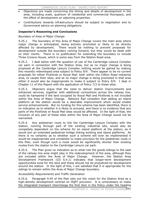- x Objections are made concerning the timing and details of development in the area, including scale, quantum of residential and commercial floorspace, and the effect of development on adjoining properties.
- Contributions towards infrastructure should be subject to negotiation and to Government advice on planning obligations.

# **Inspector's Reasoning and Conclusions**

# *Boundary of Area of Major Change*

9.25.1. The boundary of this Area of Major Change covers the main area where major change is anticipated, being actively promoted or likely to be directly affected by development. There would be nothing to prevent proposals for development outside the boundary coming forward, but they would be dealt with on their merits. There is no justification for extending the boundary to include Three Crowns House, which is some way from the Station Road area.

9.25.2. I deal below with the question of use of the Cambridge Leisure Complex car park in connection with the Station Area, but as no major change is being proposed at the Cambridge Leisure Complex nothing would be gained by making this recently redeveloped area subject to Policy 9/9. There appear to be no current proposals for either Pickfords or Royal Mail, both within the Clifton Road industrial area, to vacate their sites, and as no major change is being promoted in that area either it would also be inappropriate to make it subject to Policy 9/9. I deal in Chapter 11 of this Report with the application of Policy 7/3 to these sites.

9.25.3. Objectors argue that the need to deliver station improvements and enhanced services, together with additional connections across the railway line, could be hampered if the land occupied by Royal Mail and Pickfords is not included within the Area of Major Change. Network Rail considers that adding an island platform at the station would be a desirable improvement which would enable service enhancements. But no funding for this scheme has been identified, there is no indication as to whether it is likely to proceed, and there is no evidence that any parts of the Pickfords or Royal Mail sites would be affected. In the light of that, the inclusion of any part of these sites within the Area of Major Change would not be warranted.

9.25.4. Any pedestrian route to link the Cambridge Leisure Complex with the station, running through part of the existing industrial site, would also be completely dependent on the scheme for an island platform at the station, as it would join an extended pedestrian bridge linking existing and island platforms. As there is no certainty as to whether such a scheme will ever be implemented it would be inappropriate and unrealistic to make provision for the pedestrian route in this Plan, even though such a route would be significantly shorter than existing routes from the station to the Cambridge Leisure car park.

9.25.5. The Plan gives no indication as to what role the goods sidings to the east of the railway line area might play in the redevelopment of the area, although they are included within the Area of Major Change. However, the Station Area Development Framework (CD 6.4.1) indicates that longer-term development opportunities exist for the land and these should not be prejudiced by development around the station. In the light of this, I am satisfied that it is appropriate for the sidings to remain within the Area of Major Change boundary.

# *Accessibility Requirements and Traffic Generation*

9.25.6. Paragraph 9.45 of the Plan sets out the vision for the Station Area as a high-density development centred on HQPT provision. It is unnecessary to make the integrated transport interchange the first item in the Policy under the heading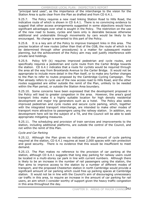"principal land uses", as the importance of the interchange to the vision for the Station Area is quite clear from the Plan as drafted and from CD 6.4.1.

9.25.7. The Policy requires a new road linking Station Road to Hills Road, the indicative route of which is shown in CD 6.4.1. There is no convincing evidence to suggest that other access arrangements suggested in some objections would have significant advantages over what is sought in the Policy. The restriction on the use of the new road to buses, cycles and taxis only is desirable because otherwise additional and undesirable through movements by cars would be likely to be encouraged. No change is warranted to this part of the Policy.

9.25.8. It is a key aim of the Policy to improve transport links in this area. The precise location of new routes (other than that of the CGB, the route of which is to be determined through other procedures) is a matter for subsequent master planning, but the achievement of the Policy aim may well justify interference with private land holdings.

9.25.9. Policy 9/9 (k) requires improved pedestrian and cycle routes, and specifically requires a pedestrian and cycle route from the Carter Bridge towards the station. CD 6.4.1 indicates that a route for cyclists would be required through the area all the way from Brooklands Avenue to the Carter Bridge. It would not be appropriate to include more detail in the Plan itself, or to make any further changes to the Plan to refer to routes proposed by the Cambridge Cycling Campaign. The Plan already refers to cycle use of the new access road to Hills Road, and the other routes suggested are either outside the remit of the Plan, unlikely to be needed within the Plan period, or outside the Station Area boundary.

9.25.10. Some concerns have been expressed that the development proposed in the Policy will lead to greater congestion in the area. However, the area's good transport links make it a highly suitable location for high density residential development and major trip generators such as a hotel. The Policy also seeks improved pedestrian and cycle routes and secure cycle parking, which, together with the integrated transport interchange, are intended to make other modes of transport more attractive to passengers using the railway station. In addition, any development here will be the subject of a TA, and the Council will be able to seek appropriate mitigating measures.

9.25.11. The scheduling and provision of train services and improvements to the station, including additional platforms, are outside the control of the Council, and not within the remit of this Plan.

# *Cycle and Car Parking*

9.25.12. Although the Plan gives no indication of the amount of cycle parking required at the station, CD 6.4.1 requires at least 2,000 spaces with rain protection and good security. There is no evidence that this would be insufficient to meet demand.

9.25.13. The Plan makes no reference to the provision of car parking at the station, although CD 6.4.1 suggests that long stay parking for railway users could be located in a multi-storey car park in line with current numbers. Although there is likely to be an increase in the number of rail passengers using the station, the Plan aims to improve access to the station by a number of different modes of transport, and the proposed Chesterton station in north Cambridge would provide a significant amount of car parking which could free up parking spaces at Cambridge station. It would not be in line with the Council's aim of discouraging unnecessary car traffic in this area, to require an increase in the amount of car parking for rail users, an aim which I consider worthy of support given the heavy traffic congestion in this area throughout the day.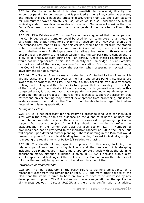9.25.14. On the other hand, it is also unrealistic to reduce significantly the amount of parking for commuters that is provided at the railway station at present, and indeed this could have the effect of discouraging train use and push existing rail commuters towards private car use, which would also undermine the aim of achieving a shift towards other modes of transport. On balance I consider that the Council's approach is sound, and that no change should be made to the Plan in this regard.

9.25.15. RLW Estates and Turnstone Estates have suggested that the car park at the Cambridge Leisure Complex could be used by rail commuters, thus releasing land within the Station Area for other forms of development. However, even using the proposed new road to Hills Road this car park would be too far from the station to be convenient for commuters. As I have indicated above, there is no indication as to whether a new footbridge across the railway line linking both existing and possible island platforms, and which would make the car park more convenient, is likely to go ahead, at least during the Plan period. Under these circumstances, it would not be appropriate in this Plan to identify the Cambridge Leisure Complex car park as part of the parking provision for the station. If circumstances change, the Council will be able to review the position when preparing or reviewing its development plan documents.

9.25.16. The Station Area is already located in the Controlled Parking Zone, which already exists and is not a proposal of the Plan, and where parking standards are lower than elsewhere in the city. The area is highly accessible by public transport, walking and cycling, and the Plan seeks to improve that accessibility. In the light of that, and given the undesirability of increasing traffic generation unduly in this congested area, it is appropriate that car parking to serve individual developments should be limited as proposed. There is no evidence to support the assertion that restrictions on car parking may prevent development from proceeding, but if any evidence were to be produced the Council would be able to have regard to it when determining planning applications.

# *Timing and Details*

9.25.17. It is not necessary for the Policy to prescribe land uses for individual sites within the area, or to give guidance on the quantum of particular uses that would be appropriate, because these can be assessed at planning application stage. But sub-section (c) of the Policy should be modified to reflect the disaggregation of the former Use Class A3 (see Section 6.14). Numbers of dwellings need not be restricted to the indicative capacity of 650 in the Policy, but will depend upon detailed master planning. There is nothing in the Plan that would prevent proposals for each land holding from coming forward individually, subject to meeting the requirements of Policy 9/1 relating to phasing.

9.25.18. The details of any specific proposals for this area, including the relationships of new and existing buildings and the provision of landscaping including tree planting, are matters more appropriately dealt with at the planning application stage, although guidance is given in CD 6.4.1 seeking high-quality streets, spaces and buildings. Other policies in the Plan will allow the interests of third parties and adjoining residents to be taken into account then.

# *Infrastructure Requirements*

9.25.19. The final paragraph of the Policy refers to planning obligations. It is reasonably clear from the remainder of Policy 9/9, and from other policies of the Plan, that the items referred to here are likely to have to be addressed by any development proposal. The Policy does not preclude negotiation or the application of the tests set out in Circular 5/2005, and there is no conflict with that advice.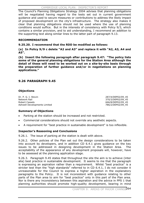The Council's Planning Obligations Strategy 2004 advises that planning obligations will be negotiated having regard to the tests set out in current government guidance and used to secure measures or contributions to address the likely impact of proposed development on the city's infrastructure. The strategy also makes it clear that planning obligations should not be used where the use of planning conditions would suffice. But in the interests of consistency with Policy 9/3, which contains a similar provision, and to aid understanding, I recommend an addition to the supporting text along similar lines to the latter part of paragraph 9.13.

# **RECOMMENDATION**

**9.25.20. I recommend that the RDD be modified as follows:** 

**(a) In Policy 9/9 c delete "A2 and A3" and replace it with "A2, A3, A4 and A5".**

**(b) Insert the following paragraph after paragraph 9.47: "The policy lists some of the general planning obligations for the Station Area although the detail of these will need to be worked out on a site-by-site basis through the preparation of further guidance and/or in negotiations on planning applications."**

# **9.26 PARAGRAPH 9.45**

# **Objections**

Dr. P. G. I. Stovin 287/4/DEP02/09\_45 Network Rail 370/3/DEP02/09\_45 Robert Cassels 666/8/DEP02/09 45 Ashwell Developments Limited and Communications of the 786/2/DEP02/09 45

# **Summary of Objections**

- Parking at the station should be increased and not restricted.
- Commercial considerations should not override any aesthetic aspects.
- A requirement for "best practice in sustainable development" is too inflexible.

# **Inspector's Reasoning and Conclusions**

9.26.1. The issue of parking at the station is dealt with above.

9.26.2. Other policies of the Plan set out the design considerations to be taken into account by developers, and in addition CD 6.4.1 gives guidance on the key issues to be addressed in designing development in the Station Area. The acceptability of the appearance of any development proposals will, however, have to be assessed at the planning application stage.

9.26.3. Paragraph 9.45 states that throughout the site the aim is to achieve (inter alia) best practice in sustainable development. It seems to me that the paragraph is expressing an aspiration rather than a requirement. Whilst "best practice" is a stricter test than the "high standards" referred to in CD 6.4.1, I do not consider it unreasonable for the Council to express a higher aspiration in the explanatory paragraphs to the Policy. It is not inconsistent with guidance relating to other parts of the Plan area to aim for "best practice" only in this part of the Plan area. Nor is there any inconsistency between this aspiration and the advice in PPS 1 that planning authorities should promote high-quality development, bearing in mind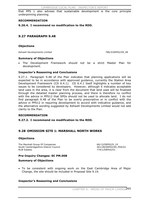that PPS 1 also advises that sustainable development is the core principle underpinning planning.

### **RECOMMENDATION**

**9.26.4. I recommend no modification to the RDD.** 

# **9.27 PARAGRAPH 9.48**

### **Objections**

Ashwell Developments Limited and Communication of the 1986/3/DEP02/09\_48

#### **Summary of Objections**

x The Development Framework should not be a strict Master Plan for development.

### **Inspector's Reasoning and Conclusions**

9.27.1. Paragraph 9.48 of the Plan indicates that planning applications will be expected to be in accordance with approved guidance, currently the Station Area Development Framework (CD 6.4.1). CD 6.4.1 itself highlights a number of key issues to be considered by developers. However, although it indicates acceptable land uses in the area, it is clear from the document that land uses will be finalised through the detailed master planning process, and there is therefore no conflict with the advice in PPS12 that SPDs should not be used to allocate land. I do not find paragraph 9.48 of the Plan to be overly prescriptive or in conflict with the advice in PPS12 in requiring development to accord with indicative guidance, and the alternative wording suggested by Ashwell Developments Limited would not add clarity to the Plan.

#### **RECOMMENDATION**

#### **9.27.2. I recommend no modification to the RDD.**

# **9.28 OMISSION SITE 1: MARSHALL NORTH WORKS**

#### **Objections**

The Marshall Group Of Companies 66/13/DEP02/9\_19 South Cambridgeshire District Council **Accord 2018** 461/28/DEP02/09\_P04/O1 RLW Estates **774/1/DEP03/O1** 

# **Pre-Inquiry Changes: SC PM.008**

#### **Summary of Objections**

• To be consistent with ongoing work on the East Cambridge Area of Major Change, the site should be included in Proposal Site 9.19.

# **Inspector's Reasoning and Conclusions**

CHAPTER 9: AREAS OF MAJOR CHANGE265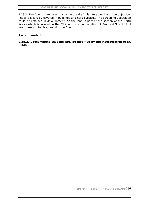9.28.1. The Council proposes to change the draft plan to accord with the objection. The site is largely covered in buildings and hard surfaces. The screening vegetation could be retained in development. As the land is part of the section of the North Works which is located in the City, and is a continuation of Proposal Site 9.19, I see no reason to disagree with the Council.

# **Recommendation**

### **9.28.2. I recommend that the RDD be modified by the incorporation of SC PM.008.**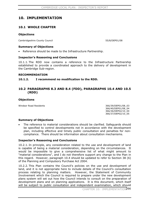# **10. IMPLEMENTATION**

# **10.1 WHOLE CHAPTER**

# **Objections**

Cambridgeshire County Council 55/8/DEP01/08

# **Summary of Objections**

Reference should be made to the Infrastructure Partnership.

# **Inspector's Reasoning and Conclusions**

10.1.1. The RDD now contains a reference to the Infrastructure Partnership established to provide a coordinated approach to the delivery of development in the Cambridge Sub-region.

### **RECOMMENDATION**

# **10.1.2. I recommend no modification to the RDD.**

# **10.2 PARAGRAPHS 8.3 AND 8.4 (FDD), PARAGRAPHS 10.4 AND 10.5 (RDD)**

# **Objections**

Windsor Road Residents 366/39/DEP01/08\_03

 366/40/DEP01/08\_04 366/36/DEP02/10\_04 366/37/DEP02/10\_05

# **Summary of Objections**

The reference to material considerations should be clarified. Safeguards should be specified to control developments not in accordance with the development plan, including effective and timely public consultation and penalties for noncompliance. There should be information about consultation mechanisms.

# **Inspector's Reasoning and Conclusions**

10.2.1. In principle, any consideration related to the use and development of land is capable of being a material consideration, depending on the circumstances. It would be impossible to give a comprehensive list of what might amount to "material considerations", and I do not therefore support any change to the Plan in this regard. However, paragraph 10.4 should be updated to refer to Section 38 (6) of the Planning and Compulsory Purchase Act 2004.

10.2.2. This Plan contains the Council's policies on the use and development of land, and it is not appropriate here to include details of the Council's consultation process relating to planning matters. However, the Statement of Community Involvement which the Council is required to prepare under the new development plans system will set out how the Council intends to consult on the preparation of development plans and on planning applications. It is this document, which itself will be subject to public consultation and independent examination, which should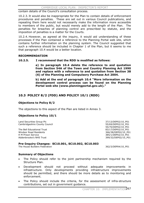contain details of the Council's consultation process.

10.2.3. It would also be inappropriate for the Plan to contain details of enforcement procedures and penalties. These are set out in various Council publications, and repeating them here would not necessarily make the information more accessible to members of the public, but would merely add to the length of the Plan. The penalties for breaches of planning control are prescribed by statute, and the imposition of penalties is a matter for the Courts.

10.2.4. However, as agreed at the inquiry, it would aid understanding of these processes if the Plan contained a reference to the Planning Portal web site, which contains further information on the planning system. The Council suggested that such a reference should be included in Chapter 1 of the Plan, but it seems to me that paragraph 10.4 would be a better location.

#### **RECOMMENDATION**

#### **10.2.5. I recommend that the RDD is modified as follows:**

**a) In paragraph 10.4 delete the reference to and quotation from Section 54A of the Town and Country Planning Act 1990 and replace with a reference to and quotation from Section 38 (6) of the Planning and Compulsory Purchase Act 2004.**

**b) Add at the end of paragraph 10.4 "More information on the development control process can be found on the Planning Portal web site (www.planningportal.gov.uk)."** 

# **10.3 POLICY 8/2 (FDD) AND POLICY 10/1 (RDD)**

#### **Objections to Policy 8/2**

The objections to this aspect of the Plan are listed in Annex 3.

#### **Objections to Policy 10/1**

Land Securities Group Plc 37/13/DEP02/10\_P01 Cambridgeshire County Council and Council and Council 55/69/DEP02/10 P01

The Bell Educational Trust 83/17/DEP02/10\_P01 Windsor Road Residents 366/38/DEP02/10\_P01 H M Prison Service<br>Addenbrooke's NHS Trust and the state of the state of the state 385/1/DEP02/10\_P01<br>399/32/DEP02/10\_P0

 55/70/DEP02/10\_P01 399/32/DEP02/10\_P01

#### **Pre-Inquiry Changes: SC10.001, SC10.002, SC10.003**

The House Builders Federation 362/3/DEP04/10\_P01

#### **Summary of Objections**

- The Policy should refer to the joint partnership mechanism required by the Structure Plan.
- Development should not proceed without adequate improvements in infrastructure. Only developments providing infrastructure improvements should be permitted, and there should be more details as to monitoring and enforcement.
- The Policy should include the criteria, for the assessment of infra-structure contributions, set out in government guidance.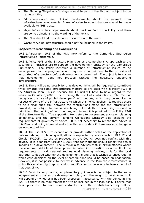- The Planning Obligations Strategy should be part of the Plan and subject to the same scrutiny.
- Education-related and clinical developments should be exempt from infrastructure requirements. Some infrastructure contributions should be made available to NHS trusts.
- Major infrastructure requirements should be identified in the Policy, and there are some objections to the wording of the Policy.
- The Plan should address the need for a prison in the area.
- Waste recycling infrastructure should not be included in the Policy.

### **Inspector's Reasoning and Conclusions**

10.3.1. Paragraph 10.6 of the RDD now refers to the Cambridge Sub-region Infrastructure Partnership.

10.3.2. Policy P9/8 of the Structure Plan requires a comprehensive approach to the securing of infrastructure to support the development strategy for the Cambridge Sub-region. The Policy identifies a number of infrastructure issues to be encompassed by the programme and requires a commitment to the provision of associated infrastructure before development is permitted. The object is to ensure that development does not proceed without the necessary supporting infrastructure.

10.3.3. There will be no possibility that developments will be required to contribute twice towards the same infrastructure matters as are dealt with in Policy P9/8 of the Structure Plan. This is because the Council will have to have regard to the advice in Circular 5/2005 in determining the level of contributions. The Circular recognises the use of pooled developers' contributions, which may be required in respect of some of the infrastructure to which this Policy applies. It requires there to be a clear audit trail between the contributions made and the infrastructure provided, but subject to that advice being followed, there is nothing unsound in principle in the pooling of contributions, and indeed it is provided for in Policy P9/8 of the Structure Plan. The supporting text refers to government advice on planning obligations, and the current Planning Obligations Strategy also explains the requirements of government advice. It is not necessary to repeat that advice in this Plan, and doing so would make the Plan out of date if there was any change in government advice.

10.3.4. The use of SPD to expand on or provide further detail on the application of policies relating to planning obligations is supported by advice in both PPS 12 and Circular 5/2005. Its use as proposed by the Council does not conflict with this advice. It is clear from Circular 5/2005 that contributions should reflect the actual impacts of a development. The Circular also advises that, in circumstances where the economic viability of development is called into question as a result of the requirements in local, regional and national planning policies, it is for the local authority to decide whether the development is one that it wishes to encourage, in which case decisions on the level of contributions should be based on negotiation. However, it is not possible to identify in advance in the Plan the circumstances in which this advice might apply, and no modification is necessary to take account of that possibility.

10.3.5. From its very nature, supplementary guidance is not subject to the same independent scrutiny as the development plan, and the weight to be attached to it will depend on whether it has been prepared in accordance with the advice in PPS 12. But there is no requirement for it to be included in the Plan itself. I agree that developers need to have some certainty as to the contributions they will be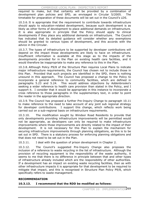required to make, but that certainty will be provided by a combination of development plan policies and SPD, as envisaged in Circular 5/2005. The timetable for preparation of these documents will be set out in the Council's LDS.

10.3.6. It is appropriate that the requirement to contribute towards infrastructure should apply to education-related development, because such development is as likely as other forms of development to place additional demands on infrastructure. It is also appropriate in principle that the Policy should apply to clinical developments if they place any additional demands on infrastructure. The Council has indicated that its detailed guidance will consider whether any exemptions should be granted to various types of development, and this accords with the advice in the Circular.

10.3.7. The types of infrastructure to be supported by developer contributions will depend on the impact those developments are likely to have on infrastructure. Insufficient information is available at this stage as to the impacts of the developments provided for in the Plan on existing health care facilities, and it would therefore be inappropriate to make any reference to this in the Plan.

10.3.8. Although Policy P9/8 of the Structure Plan requires Local Plans to indicate major infrastructure requirements, the Council has chosen not to include those in this Plan. Provided that such projects are identified in the SPD, there is nothing unsound in this approach. The Council has proposed a change to the Policy to incorporate a general reference to community facilities, which are defined in paragraphs 5.23 and 5.24. This would address objections by Addenbrooke's seeking a wider reference to health care provision than stated in the Policy, and I support it. I consider that it would be appropriate in this instance to incorporate a cross reference to those paragraphs in the supplementary text, in order to point the reader in the appropriate direction.

10.3.9. The Council has proposed a further Pre-Inquiry Change to paragraph 10.11 to make reference to the need to take account of any joint sub regional strategy for developer contributions. I support this change, which reflects work being carried out on a sub-regional basis on infrastructure requirements.

10.3.10. The modification sought by Windsor Road Residents to provide that only developments providing infrastructure improvements will be permitted would not be appropriate, as developers can only be required to make infrastructure improvements where those improvements are directly related to the impact of their development. It is not necessary for this Plan to explain the mechanism for securing infrastructure improvements through planning obligations, as this is to be set out in SPD. There is a statutory process for enforcing planning obligations and that does not need to be set out in the Plan.

10.3.11. I deal with the question of prison development in Chapter 2.

10.3.12. The Council's suggested Pre-Inquiry Change also proposes the inclusion of a reference to waste recycling in the list of infrastructure. Although the provision of recycling equipment is the responsibility of the waste authority, it seems to me that there is no difference in principle between that and other types of infrastructure already included which are the responsibility of other authorities. If a development has an impact on existing waste recycling facilities, then as with other infrastructure impacts it is appropriate for that development to be required to mitigate that impact, and this is recognised in Structure Plan Policy P9/8, which specifically refers to waste management.

# **RECOMMENDATION**

# **10.3.13. I recommend that the RDD be modified as follows:**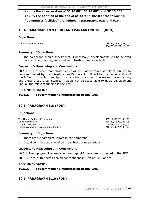- **(a) by the incorporation of SC 10.001, SC 10.002, and SC 10.003.**
- **(b) by the addition at the end of paragraph 10.10 of the following:**

**"Community facilities" are defined in paragraphs 5.23 and 5.24.** 

# **10.4 PARAGRAPH 8.9 (FDD) AND PARAGRAPH 10.6 (RDD)**

# **Objections**

Windsor Road Residents 366/44/DEP01/08\_09

366/39/DEP02/10\_06

# **Summary of Objections**

The paragraph should specify that, if necessary, developments will be delayed until sufficient funding for excellent infrastructure is available.

# **Inspector's Reasoning and Conclusions**

10.4.1. It is intended that infrastructure will be funded from a variety of sources, to be co-ordinated by the Infrastructure Partnership. It will be the responsibility of the Infrastructure Partnership to manage the provision of necessary infrastructure, and under these circumstances it would not be reasonable to delay development until all the relevant funding is secured.

# **RECOMMENDATION**

# **10.4.2. I recommend no modification to the RDD.**

# **10.5 PARAGRAPH 8.8 (FDD)**

# **Objections**

The House Builders Federation 362/17/DEP01/08\_08 Laing Homes Ltd 708/39/DEP01/08\_08 Wrenbridge Land Ltd 709/39/DEP01/08\_08 Taylor Woodrow Developments Limited 710/39/DEP01/08\_08

# **Summary of Objections**

- There are typographical errors in the paragraph.
- Actual contributions should be the subject of negotiations.

# **Inspector's Reasoning and Conclusions**

10.5.1. The typographical errors in paragraph 8.8 have been corrected in the RDD.

10.5.2. I deal with negotiation on contributions in Section 10.3 above.

# **RECOMMENDATION**

**10.5.3. I recommend no modification to the RDD.** 

# **10.6 PARAGRAPH 8.10 (FDD)**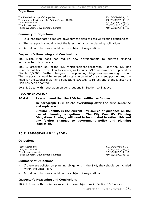#### **Objections**

The Marshall Group of Companies 66/16/DEP01/08 10 Trumpington Environmental Action Group (TEAG) 460/23/DEP01/08\_10 Laing Homes Ltd **208/50/DEP01/08\_10** Wrenbridge Land Ltd 709/50/DEP01/08\_10 Taylor Woodrow Developments Limited 710/50/DEP01/08\_10

### **Summary of Objections**

- It is inappropriate to require development sites to resolve existing deficiencies.
- The paragraph should reflect the latest guidance on planning obligations.
- Actual contributions should be the subject of negotiations.

#### **Inspector's Reasoning and Conclusions**

10.6.1. The Plan does not require new developments to address existing infrastructure deficiencies.

10.6.2. Paragraph 10.8 of the RDD, which replaces paragraph 8.10 of the FDD, has to an extent been overtaken by events, as Circular 1/97 has now been replaced by Circular 5/2005. Further changes to the planning obligations system might occur. The paragraph should be amended to take account of the current position and the need for the Council's planning obligations strategy to reflect any changes after the Plan has been adopted.

10.6.3. I deal with negotiation on contributions in Section 10.3 above.

#### **RECOMMENDATION**

#### **10.6.4. I recommend that the RDD be modified as follows:**

**In paragraph 10.8 delete everything after the first sentence and replace with:** 

**Circular 5/2005 is the current key source of guidance on the use of planning obligations. The City Council's Planning Obligations Strategy will need to be updated to reflect this and any further changes to government policy and planning legislation.**

# **10.7 PARAGRAPH 8.11 (FDD)**

#### **Objections**

Tesco Stores Ltd 372/5/DEP01/08\_11 Laing Homes Ltd 708/51/DEP01/08\_11 Wrenbridge Land Ltd 709/51/DEP01/08\_11 Taylor Woodrow Developments Limited  $710/51/DEF01/08$  11

#### **Summary of Objections**

- If there are policies on planning obligations in the SPG, they should be included within the Local Plan.
- Actual contributions should be the subject of negotiations.

#### **Inspector's Reasoning and Conclusions**

10.7.1. I deal with the issues raised in these objections in Section 10.3 above.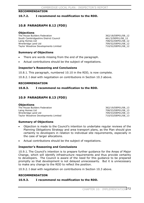### **RECOMMENDATION**

### **10.7.2. I recommend no modification to the RDD.**

# **10.8 PARAGRAPH 8.12 (FDD)**

#### **Objections**

The House Builders Federation 362/18/DEP01/08\_12 South Cambridgeshire District Council 461/3/DEP01/08\_12 Laing Homes Ltd 708/52/DEP01/08\_12 Wrenbridge Land Ltd<br>
Taylor Woodrow Developments Limited<br>
710/52/DEP01/08\_12 Taylor Woodrow Developments Limited

### **Summary of Objections**

- There are words missing from the end of the paragraph.
- Actual contributions should be the subject of negotiations.

### **Inspector's Reasoning and Conclusions**

10.8.1. This paragraph, numbered 10.10 in the RDD, is now complete.

10.8.2. I deal with negotiation on contributions in Section 10.3 above.

#### **RECOMMENDATION**

# **10.8.3. I recommend no modification to the RDD.**

# **10.9 PARAGRAPH 8.13 (FDD)**

#### **Objections**

The House Builders Federation 362/19/DEP01/08\_13 Laing Homes Ltd 708/53/DEP01/08\_13 Wrenbridge Land Ltd 709/53/DEP01/08 13 Taylor Woodrow Developments Limited  $710/53/DE$ PDFP01/08 13

#### **Summary of Objections**

- x Objection is made to the Council's intention to undertake regular reviews of the Planning Obligations Strategy and area transport plans, as the Plan should give certainty to developers in relation to individual site requirements, especially in the case of larger allocations.
- Actual contributions should be the subject of negotiations.

#### **Inspector's Reasoning and Conclusions**

10.9.1. The Council's intention is to prepare further guidance for the Areas of Major Change, which will identify infrastructure requirements and thus provide certainty to developers. The Council is aware of the need for this guidance to be prepared promptly so that development is not delayed unnecessarily. But it is unnecessary to make any change to the RDD to reflect the position.

10.9.2. I deal with negotiation on contributions in Section 10.3 above.

#### **RECOMMENDATION**

#### **10.9.3. I recommend no modification to the RDD.**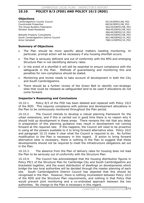# **10.10 POLICY 8/3 (FDD) AND POLICY 10/2 (RDD)**

### **Objections**

Cambridgeshire County Council 55/19/DEP01/08\_P03 Countryside Properties **68/26/DEP01/08\_P03** The House Builders Federation 362/20/DEP01/08\_P03 Windsor Road Residents 366/45/DEP01/08\_P03

Bidwells Property Consultants 396/54/DEP01/08 P03 South Cambridgeshire District Council 461/48/DEP02/10\_P02 Anne Campbell 2008/12/DEP02/10\_P02

366/40/DEP02/10\_P02

### **Summary of Objections**

- The Plan should be more specific about matters needing monitoring. In particular, prompt action will be necessary if any housing shortfall occurs.
- The Plan is seriously deficient and out of conformity with the RPG and emerging Structure Plan in not identifying delivery rates.
- In the event of a shortfall it will still be essential to ensure compliance with the safeguards in the Plan. Methods of guaranteeing and monitoring this and penalties for non-compliance should be stated.
- x Monitoring and review needs to take account of development in both the City and South Cambridgeshire.
- There should be a further review of the Green Belt to identify non-strategic sites that could be released as safeguarded land to be used if allocations do not come forward.

### **Inspector's Reasoning and Conclusions**

10.10.1. Policy 8/3 of the FDD has been deleted and replaced with Policy 10/2 of the RDD. This requires compliance with policies and development allocations in the Plan to be continuously monitored throughout the Plan period.

10.10.2. The Council intends to develop a robust planning framework for the urban extensions, and if this is carried out in good time there is no reason why it should hold up development in these areas. There remains the risk that any delay in preparation of this planning guidance may result in development not coming forward at the required rate. If this happens, the Council will need to be proactive in using all the powers available to it to bring forward alternative sites. Policy 10/2 and paragraph 10.15 make it clear what the Council is required to do. No further modification to the Plan is necessary in this regard. If action to bring forward alternative sites is necessary, there is nothing in the Plan to suggest that these developments should not be required to meet the infrastructure obligations set out in the Plan.

10.10.3. The absence from the Plan of delivery rates for housing does not lead the Plan to be seriously out of conformity with the Structure Plan.

10.10.4. The Council has acknowledged that the housing distribution figures in Policy P9/1 of the Structure Plan for Cambridge City and South Cambridgeshire are bracketed together, and the exact distribution of dwellings on developments which bridge the two local authorities will be decided through the master planning of each site. South Cambridgeshire District Council has objected that this should be recognised in the Plan. However, there is nothing inconsistent between Policy 10/2 of the RDD and the Structure Plan requirements, and nothing in that Policy that would prevent joint monitoring and a co-ordinated approach between the two authorities. No change to the Plan is necessary in this regard.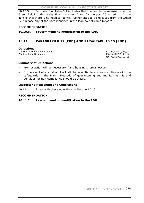CAMBRIDGE LOCAL PLAN: INSPECTOR'S REPORT

10.10.5. Footnote 3 of Table 5.1 indicates that the land to be released from the Green Belt includes a significant reserve of land for the post 2016 period. In the light of this there is no need to identify further sites to be released from the Green Belt in case any of the sites identified in the Plan do not come forward.

# **RECOMMENDATION**

# **10.10.6. I recommend no modification to the RDD.**

# **10.11 PARAGRAPH 8.17 (FDD) AND PARAGRAPH 10.15 (RDD)**

### **Objections**

The House Builders Federation 362/41/DEP01/08 17 Windsor Road Residents 366/67/DEP01/08\_17

366/71/DEP02/10\_15

# **Summary of Objections**

- Prompt action will be necessary if any housing shortfall occurs.
- In the event of a shortfall it will still be essential to ensure compliance with the safeguards in the Plan. Methods of guaranteeing and monitoring this and penalties for non-compliance should be stated.

# **Inspector's Reasoning and Conclusions**

10.11.1. I deal with these objections in Section 10.10.

### **RECOMMENDATION**

# **10.11.2. I recommend no modification to the RDD.**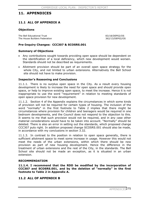# **11. APPENDICES**

# **11.1 ALL OF APPENDIX A**

#### **Objections**

The Bell Educational Trust 83/18/DEP02/OS The House Builders Federation 362/13/DEP02/OS

### **Pre-Inquiry Changes: CCC307 & SCOSRS.001**

#### **Summary of Objections**

- Any contributions sought towards providing open space should be dependent on the identification of a local deficiency, which new development would worsen. Standards should not be described as requirements.
- x Allotment provision should be part of an overall open space strategy for the whole City, and not limited to urban extensions. Alternatively the Bell School site should not have to make provision.

#### **Inspector's Reasoning and Conclusions**

11.1.1. There is no surplus open space in the City. As a result every housing development is likely to increase the need for open space and should provide open space, or help to improve existing open space, to meet the increase. Hence it is not inappropriate to use the word "requirement" in relation to meeting standards of open space provision for new development.

11.1.2. Section 4 of the Appendix explains the circumstances in which some kinds of provision will not be required for certain types of housing. The inclusion of the word "normally" in the first footnote to Table 2 implies that there might be circumstances where provision for children and teenagers would be required in one bedroom developments, and the Council does not respond to the objection to this. It seems to me that such provision would not be required, and in any case other material considerations would have to be taken into account. "Normally" should be deleted. There is also an error in setting out the standards, which proposed change CCC307 puts right. In addition proposed change SCOSRS.001 should also be made, in accordance with my conclusions in section 3.32.

11.1.3. In contrast to the position in relation to open space generally, there is sufficient allotment space to meet some increase in usage. However this would not meet the needs of the urban extensions, within which there should be new provision as part of new housing development. Hence the difference in the treatment of urban extensions and the rest of the City, in the standards. The Bell School site should not be made an exception, as it is situated in an urban extension.

#### **RECOMMENDATION**

**11.1.4. I recommend that the RDD be modified by the incorporation of CCC307 and SCOSRS.001, and by the deletion of "normally" in the first footnote to Table 2 in Appendix A.** 

# **11.2 ALL OF APPENDIX B**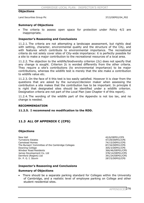#### **Objections**

Land Securities Group Plc 37/2/DEP02/04 P02

### **Summary of Objections**

The criteria to assess open space for protection under Policy 4/2 are inappropriate.

### **Inspector's Reasoning and Conclusions**

11.2.1. The criteria are not attempting a landscape assessment, but rightly deal with setting, character, environmental quality and the structure of the City, and with features which contribute to environmental importance. The recreational criteria do not solely cover sites of City-wide importance: it is perfectly possible for a site to make a major contribution to the recreational resources of a local area.

11.2.2. The objection to the wildlife/biodiversity criterion (2c) does not specify that any change is sought. Criterion 2c is worded differently from the other criteria. They require a site's contributions (to environmental importance) to be major contributions, whereas the wildlife test is merely that the site make a contribution to wildlife value etc.

11.2.3. On the face of it this test is too easily satisfied. However it is clear from the questions that are asked by the surveyor/decision maker when assessing the contribution a site makes that the contribution has to be important. In principle it is right that designated sites should be identified under a wildlife criterion. Designation criteria are not part of the Local Plan (see Chapter 4 of this report).

11.2.4. The wording of the wildlife part of the Appendix is not too lax, and no change is needed.

#### **RECOMMENDATION**

**11.2.5. I recommend no modification to the RDD.** 

# **11.3 ALL OF APPENDIX C (CPS)**

#### **Objections**

New Hall 42/6/DEP01/CPS Turnstone Estates **47/29/DEP01/CPS** Camstead Homes 74/15/DEP01/CPS The Bursars' Committee of the Cambridge Colleges 87/34/DEP01/CPS Downing College 305/3/DEP01/CPS Windsor Road Residents<br>
366/46/DEP01/CPS (378/14/DEP01/CPS) 378/14/DEP01/CPS James Development Co. Ltd Dernford (Regent) Ltd 391/24/DEP01/CPS Dr. P. G. I. Stovin 287/5/DEP02/CPS

# **Inspector's Reasoning and Conclusions**

#### **Summary of Objections**

There should be a separate parking standard for Colleges within the University of Cambridge, and a realistic level of employee parking on College and other student residential sites.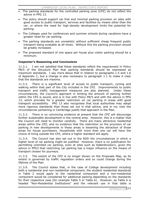- The parking standards for the controlled parking zone (CPZ) do not reflect the advice in PPG 13.
- The policy should support car free and minimal parking provision on sites with good access to public transport, services and facilities by means other than the car, or where the need for high-density development limits the potential for parking.
- The Colleges used for conferences and summer schools during vacations have a greater need for car parking.
- The parking standards are unrealistic without sufficient cheap frequent public transport being available at all times. Without this the parking provision should be greatly increased.
- The proposed standard of one space per house plus visitor parking should be a minimum.

# **Inspector's Reasoning and Conclusions**

11.3.1. I am not satisfied that these standards reflect the requirement in Policy P8/5 of the Structure Plan that parking standards should be expressed as maximum standards. I say more about that in relation to paragraphs 1.5 and 1.6 of Appendix C, but a change is also necessary to paragraph 1.1 to make it clear that the standards are maxima.

11.3.2. There is a significant level of access to public transport, cycling and walking within that part of the City included in the CPZ. Improvements to public transport and traffic management measures are also planned. Under these circumstances, the Council's approach in limiting the amount of parking further within the CPZ is sound, and is in line with Policy P8/5 and with the advice in PPG 13, which provides for a greater restriction on car parking in areas with good transport accessibility. PPG 13 also recognises that local authorities may adopt more rigorous standards than those set out in that advice, and in my view the circumstances pertaining in Cambridge justify that approach in the Plan.

11.3.3. There is no convincing evidence at present that the CPZ will discourage further sustainable development in the central area. However, this is a matter that the Council will need to monitor carefully. There are many attractive residential areas within the CPZ, and no evidence that the restriction on the provision of car parking in new developments in these areas is lessening the attraction of those areas for house purchasers. Households with more than one car will have the choice of living outside the CPZ, where a higher standard will apply.

11.3.4. The Council has also set out in the RDD the circumstances in which a higher level of car parking might be justified. However, there is no justification for permitting unlimited car parking, even at sites such as Addenbrooke's, given the advice in PPG3 that restricting car parking has a major influence on the means of transport chosen for journeys.

11.3.5. The extent of the CPZ is no longer shown on the Proposals Map, as its extent is governed by traffic regulation orders and so could change during the lifetime of the Plan.

11.3.6. The Council states that, in the case of College development including both a residential and non-residential component, the student residential standards in Table 2 would apply to the residential component and a non-residential component would be considered for additional parking depending on the standards for their respective uses (for example Table 5 or Table 6). However, as Table 6 is headed "Non-Residential Institutions" and the relevant use in that table is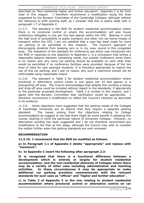described as "Non-residential higher and further education", Appendix C is far from clear in this respect. I therefore recommend a modification along the lines suggested by the Bursars' Committee of the Cambridge Colleges, although without the reference to shift working staff, as I consider that this is clearly dealt with in paragraph 1.7 of Appendix C.

11.3.7. The standard in the RDD for student residential accommodation where there is no proctorial control or where the accommodation will also house conference delegates is one per five bed spaces within the CPZ. Bearing in mind the high level of accessibility to public transport and other non car-borne modes of transport within the CPZ, I am not satisfied that a case has been made for more car parking to be permitted in this instance. The Council's approach of discouraging students from keeping cars is, in my view, sound in this congested area. The relaxation of the standard for conference use which was introduced into the RDD in response to one objection to Appendix C, is a concession that strikes a reasonable balance between competing needs, but outside conference times there is no reason why any more car parking should be available on such sites than would be permitted if no conference facilities were provided, because of the low level of need for cars amongst students. It is therefore appropriate to restrict the use of this car parking, and I see no reason why such a restriction should not be enforceable using reasonable means.

11.3.8. The standard in Table 2 for student residential accommodation where proctorial or alternative control exists is one space per 10 bed spaces or a pickup/drop-off area. The Council acknowledges that despite this wording a pickup and drop-off area could be included without regard to the standards, if appropriate to the particular proposed development. Table 2 is unclear in this respect, and I agree with the Bursars' Committee that clarification would be appropriate. therefore recommend a modification to reflect the Council's intention as described in its evidence. I

11.3.9. Some objections have suggested that the parking needs of the Colleges of Cambridge University are so distinct that they require a separate parking standard. The issues arising from the objections relating to College accommodation do suggest to me that there might be some benefit in adopting this course, bearing in mind the particular nature of University Colleges. However, no alternative wording has been suggested and I do not therefore recommend any modification to the Plan at this stage, although the Council may wish to consider the matter further when the parking standards are next reviewed.

# **RECOMMENDATION**

# **11.3.10. I recommend that the RDD be modified as follows:**

**a) In Paragraph 1.1 of Appendix C delete "appropriate" and replace with "maximum".** 

**b) In Appendix C insert the following after paragraph 2.3:** 

**It is recognised that there is a functional difference between a development which is entirely or largely for student residential accommodation, and the non-residential elements of Colleges where there may be a variety of other uses including administrative and teaching activities. In these circumstances it may be appropriate to make additional car parking provision commensurate with the relevant standards for such uses as "offices" and "higher and further education".** 

**c) in Table 2 of Appendix C in the row relating to student residential accommodation where proctorial control or alternative control on car**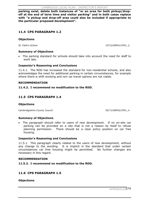**parking exist, delete both instances of "or an area for both pickup/dropoff at the end of term time and visitor parking" and in both cases replace with "a pickup and drop-off area could also be included if appropriate to the particular proposed development".** 

# **11.4 CPS PARAGRAPH 1.2**

#### **Objections**

St. Faith's School 2007 and 2007 and 2007 and 2007 and 2007 and 2007 and 2007 and 2007 and 2007 and 2007 and 20

#### **Summary of Objections**

• The parking standard for schools should take into account the need for staff to work late.

#### **Inspector's Reasoning and Conclusions**

11.4.1. The RDD has increased the standard for non-residential schools, and also acknowledges the need for additional parking in certain circumstances, for example where there is shift working and non car travel options are not viable.

#### **RECOMMENDATION**

#### **11.4.2. I recommend no modification to the RDD.**

# **11.5 CPS PARAGRAPH 1.4**

#### **Objections**

Cambridgeshire County Council 55/71/DEP02/CPS1\_4

#### **Summary of Objections**

The paragraph should refer to users of new development. If no on-site car parking can be provided on a site that is not a reason by itself to refuse planning permission. There should be a clear policy position on car free housing.

#### **Inspector's Reasoning and Conclusions**

11.5.1. This paragraph clearly relates to the users of new development, without any change to the wording. It is implicit in the standard that under certain circumstances car free housing might be permitted. No further changes are necessary in this regard.

#### **RECOMMENDATION**

**11.5.2. I recommend no modification to the RDD.** 

# **11.6 CPS PARAGRAPH 1.5**

**Objections**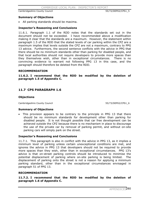Cambridgeshire County Council 55/72/DEP02/CPS1\_5

#### **Summary of Objections**

• All parking standards should be maxima.

#### **Inspector's Reasoning and Conclusions**

11.6.1. Paragraph 1.1 of the RDD notes that the standards set out in the document should not be exceeded. I have recommended above a modification making it clear that the standards are a maximum. However, the statement within paragraph 1.5 of the RDD that the stated levels of car parking within the CPZ are a maximum implies that levels outside the CPZ are not a maximum, contrary to PPG 13 advice. Furthermore, the second sentence conflicts with the advice in PPG that there should be no minimum standards other than parking for disabled people, and that local authorities should not require developers to provide more spaces than they themselves wish, other than in exceptional circumstances. There is no convincing evidence to warrant not following PPG 13 in this case, and the paragraph should therefore be deleted from the RDD.

#### **RECOMMENDATION**

**11.6.2. I recommend that the RDD be modified by the deletion of paragraph 1.5 of Appendix C.** 

# **11.7 CPS PARAGRAPH 1.6**

#### **Objections**

Cambridgeshire County Council 55/73/DEP02/CPS1\_6

#### **Summary of Objections**

This provision appears to be contrary to the principle in PPG 13 that there should be no minimum standards for development other than parking for disabled people. It is not thought possible that car free development can be achieved outside the CPZ because there is no mechanism in place to discourage the use of the private car by removal of parking permit, and without on-site parking cars will simply park on the street.

#### **Inspector's Reasoning and Conclusions**

11.7.1. This paragraph is also in conflict with the advice in PPG 13, as it implies a minimum level of parking unless certain unexceptional conditions are met, and ignores the advice in PPG 13 that developers should not be required to provide more spaces than they wish, other than in exceptional circumstances. PPG 13's advice is that on-street parking controls should be introduced to minimise the potential displacement of parking where on-site parking is being limited. The displacement of parking onto the street is not a reason for applying a minimum parking standard, other than in the exceptional circumstances envisaged in paragraph 51 of PPG 13.

#### **RECOMMENDATION**

**11.7.2. I recommend that the RDD be modified by the deletion of paragraph 1.6 of Appendix C.**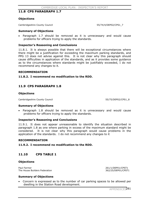# **11.8 CPS PARAGRAPH 1.7**

### **Objections**

Cambridgeshire County Council 55/74/4/DEP02/CPS1\_7

#### **Summary of Objections**

Paragraph 1.7 should be removed as it is unnecessary and would cause problems for officers trying to apply the standards.

### **Inspector's Reasoning and Conclusions**

11.8.1. It is always possible that there will be exceptional circumstances where there might be a justification for exceeding the maximum parking standards, and PPG 13 does not advise against this. It is not clear why this paragraph should cause difficulties in application of the standards, and as it provides some guidance as to the circumstances where standards might be justifiably exceeded, I do not recommend any changes to it.

#### **RECOMMENDATION**

**11.8.2. I recommend no modification to the RDD.** 

# **11.9 CPS PARAGRAPH 1.8**

### **Objections**

Cambridgeshire County Council 55/75/DEP02/CPS1\_8

#### **Summary of Objections**

Paragraph 1.8 should be removed as it is unnecessary and would cause problems for officers trying to apply the standards.

# **Inspector's Reasoning and Conclusions**

11.9.1. It does not appear unreasonable to identify the situation described in paragraph 1.8 as one where parking in excess of the maximum standard might be considered. It is not clear why this paragraph would cause problems in the application of the standards. I do not recommend any changes to it

#### **RECOMMENDATION**

#### **11.9.2. I recommend no modification to the RDD.**

# **11.10 CPS TABLE 1**

#### **Objections**

Paul Farmer 261/1/DEP01/CPST1 The House Builders Federation 362/25/DEP01/CPST1

# **Summary of Objections**

x Concern is expressed as to the number of car parking spaces to be allowed per dwelling in the Station Road development.

APPENDICE<sub>281</sub>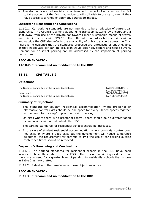The standards are not realistic or achievable in respect of all sites, as they fail to take account of the fact that residents will still wish to use cars, even if they have access to a range of alternative transport modes.

# **Inspector's Reasoning and Conclusions**

11.10.1. Car parking standards are not intended to be a reflection of current car ownership. The Council is aiming at changing transport patterns by encouraging a shift away from use of the private car towards more sustainable means of travel, and this aim accords with PPG 13. The different standard as between sites within and outside the CPZ also reflects the availability of public transport across the City. There is no evidence that the standards proposed are unrealistic or unachievable, or that inadequate car parking provision would deter developers and house buyers. Demand for on-street parking can be addressed by the imposition of parking restrictions.

# **RECOMMENDATION**

# **11.10.2. I recommend no modification to the RDD.**

# **11.11 CPS TABLE 2**

### **Objections**

The Bursars' Committee of the Cambridge Colleges 87/31/DEP01/CPST2

Peter Luard 724/4/DEP01/CPST2 The Bursars' Committee of the Cambridge Colleges 87/7/DEP02/CPST2

87/33/DEP01/CPST2

### **Summary of Objections**

- The standard for student residential accommodation where proctorial or alternative control exists should be one space for every 10 bed spaces together with an area for pick-up/drop-off and visitor parking.
- On sites where there is no proctorial control, there should be no differentiation between sites within and outside the SPZ.
- The parking standards for residential schools should be increased.
- In the case of student residential accommodation where proctorial control does not exist or where it does exist but the development will house conference delegates, the requirement for controls to limit the use of car parking outside conference times should be removed.

# **Inspector's Reasoning and Conclusions**

11.11.1. The parking standards for residential schools in the RDD have been increased above those shown in the FDD. There is no convincing evidence that there is any need for a greater level of parking for residential schools than shown in Table 2 as now drafted.

11.11.2. I deal with the remainder of these objections above.

#### **RECOMMENDATION**

11.11.3. **I recommend no modification to the RDD.**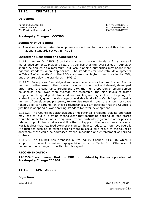# **11.12 CPS TABLE 3**

### **Objections**

Marks and Spencer Plc 367/7/DEP01/CPST3 Tesco Stores Ltd<br>
WM Morrison Supermarkets Plc<br>
272/1/DEP01/CPST3<br>
372/1/DEP01/CPST3 WM Morrison Supermarkets Plc

# **Pre-Inquiry Changes: CCC308**

#### **Summary of Objections**

The standards for retail developments should not be more restrictive than the national standards set out in PPG 13.

### **Inspector's Reasoning and Conclusions**

11.12.1. Annex D of PPG 13 contains maximum parking standards for a range of major developments, including retail. It advises that the level set out in Annex D should be applied as a maximum, but local planning authorities may adopt more rigorous standards where appropriate. The standards for food retail developments in Table 3 of Appendix C to the RDD are somewhat higher than those in the FDD, but they are below the standards in PPG 13.

11.12.2. In my view Cambridge does have characteristics that set it apart from a number of other areas in the country, including its compact and densely developed urban area, the constraints around the City, the high proportion of single person households, the lower than average car ownership, the high levels of traffic congestion, the good public transport accessibility, and higher levels of cycling. It is also important, given the shortage of available land within Cambridge to meet a number of development pressures, to exercise restraint over the amount of space taken up by car parking. In these circumstances, I am satisfied that the Council is justified in adopting a lower parking standard for retail development.

11.12.3. The Council has acknowledged the potential problems that its approach may lead to, but it is by no means clear that restricting parking at food stores would be ineffective in influencing travel by car, particularly given the other policies relating to public transport accessibility that will apply in the new urban extensions. Nor is it clear that new food store provision can help to reduce car journeys overall. If difficulties such as on-street parking were to occur as a result of the Council's approach, these could be addressed by the imposition and enforcement of parking controls.

11.12.4. The Council has proposed a Pre-Inquiry Change, CCC308, which I support, to correct a minor typographical error in Table 3. recommend no change to the Plan in this regard. Otherwise, I

#### **RECOMMENDATION**

**11.12.5. I recommend that the RDD be modified by the incorporation of Pre-Inquiry Change CCC308.** 

# **11.13 CPS TABLE 5**

#### **Objections**

Network Rail 370/19/DEP01/CPST5

APPENDICES283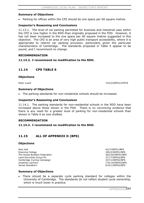#### **Summary of Objections**

Parking for offices within the CPZ should be one space per 60 square metres.

#### **Inspector's Reasoning and Conclusions**

11.13.1. The level of car parking permitted for business and industrial uses within the CPZ is now higher in the RDD than originally proposed in the FDD. However, it has not been increased to the one space per 60 square metres suggested in this objection. The CPZ is an area of very high public transport accessibility, where it is appropriate to restrict car parking provision, particularly given the particular characteristics of Cambridge. The standards proposed in Table 5 appear to be sound, and I recommend no change.

#### **RECOMMENDATION**

#### **11.13.2. I recommend no modification to the RDD.**

### **11.14 CPS TABLE 6**

#### **Objections**

Peter Luard 724/3/DEP01/CPST6

#### **Summary of Objections**

• The parking standards for non-residential schools should be increased.

#### **Inspector's Reasoning and Conclusions**

11.14.1. The parking standards for non-residential schools in the RDD have been increased above those shown in the FDD. There is no convincing evidence that there is any need for a greater level of parking for non-residential schools than shown in Table 6 as now drafted.

#### **RECOMMENDATION**

#### **11.14.2. I recommend no modification to the RDD.**

### **11.15 ALL OF APPENDIX D (BPS)**

#### **Objections**

New Hall 42/7/DEP01/BPS Downing College 305/2/DEP01/BPS The House Builders Federation 362/26/DEP01/BPS Land Securities Group Plc 37/17/DEP02/BPS Cambridge Cycling Campaign 437/1/DEP02/BPS Jonathan Larmour 776/14/DEP02/BPS

819/1/DEP02/BPS

#### **Summary of Objections**

There should be a separate cycle parking standard for colleges within the University of Cambridge. The standards do not reflect student cycle ownership, which is much lower in practice.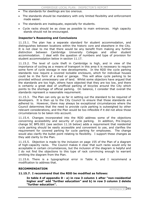- The standards for dwellings are too onerous.
- The standards should be mandatory with only limited flexibility and enforcement made easier.
- The standards are inadequate, especially for students.
- Cycle racks should be as close as possible to main entrances. High capacity stands should not be encouraged.

#### **Inspector's Reasoning and Conclusions**

11.15.1. The plan has a separate standard for student accommodation, and distinguishes between locations within the historic core and elsewhere in the City. It is not clear to me that there would be any benefit from making any further distinction between Cambridge University Colleges and other student accommodation. I deal with the question of numbers and type of provision for student accommodation below in section 11.17.

11.15.2. The level of cycle theft in Cambridge is high, and in view of the importance of cycling as a means of transport in this area it is necessary to require some form of cycle storage in new developments. In the RDD the cycle parking standards now require a covered lockable enclosure, which for individual houses could be in the form of a shed or garage. This will allow cycle parking to be provided without unnecessary use of land. Whilst some objectors have argued that the standards are too high, others have objected that they are too low, and there is certainly a great deal of unofficial parking of bicycles around the City which points to the shortage of official parking. On balance, I consider that overall the standards represent a reasonable requirement.

11.15.3. The Plan can only go so far in setting out the standard to be required of developers. It is then up to the City Council to ensure that those standards are adhered to. However, there may always be exceptional circumstances where the Council determines that the need to provide cycle parking is outweighed by other relevant considerations, and the Plan would be too inflexible if it did not allow those circumstances to be taken into account.

11.15.4. Changes incorporated into the RDD address some of the objections concerning accessibility and security of cycle parking. In addition, Pre-Inquiry change SC BPS.001 (see section 11.16 below) adds a requirement that residential cycle parking should be easily accessible and convenient to use, and clarifies the requirement for covered parking for cycle parking for employees. The change would also clarify the bullet point relating to flexibility. I support these changes as they add clarity to the Plan.

11.15.5. Objection is made to the inclusion on page 155 of the Plan of a diagram of high-capacity racks. The Council makes it clear that such racks would only be acceptable in certain circumstances, but the inclusion of the diagram is helpful and I do not find the objections to this type of rack convincing enough to warrant omitting the diagram from the Plan.

11.15.6. There is a typographical error in Table 4, and I recommend a modification to address that.

#### **RECOMMENDATION**

### **11.15.7. I recommend that the RDD be modified as follows:**

**In table 4 of appendix D - a) in row 3 column 1 after "non-residential higher and" add "further education" and b) in row 3 column 2 delete "further education".**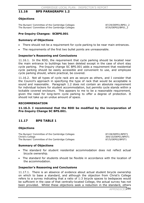### **11.16 BPS PARAGRAPH 1.2**

#### **Objections**

The Bursars' Committee of the Cambridge Colleges 87/29/DEP01/BPS1\_2 The Bursars' Committee of the Cambridge Colleges 87/6/DEP02/BPS1\_2

#### **Pre-Inquiry Changes: SCBPS.001**

#### **Summary of Objections**

- There should not be a requirement for cycle parking to be near main entrances.
- The requirements of the first two bullet points are unreasonable.

#### **Inspector's Reasoning and Conclusions**

11.16.1. In the RDD, the requirement that cycle parking should be located near the main entrance to buildings has been deleted except in the case of short stay cycle parking. Pre-Inquiry change SC BPS.001 adds a requirement that residential cycle parking should be easily accessible and convenient to use, and employee cycle parking should, where practical, be covered.

11.16.2. Not all types of cycle rack are as secure as others, and I consider that the Council's approach in specifying the type of rack that would be acceptable is sound and reasonable. Paragraph 1.2 does not contain an absolute requirement for individual lockers for student accommodation, but permits cycle stands within a lockable covered enclosure. This appears to me to be a reasonable requirement, given the need for long-term cycle parking to offer a degree of protection. It should not take up an undue amount of space.

#### **RECOMMENDATION**

**11.16.3. I recommend that the RDD be modified by the incorporation of Pre-Inquiry Change SC BPS.001.** 

### **11.17 BPS TABLE 1**

#### **Objections**

The Bursars' Committee of the Cambridge Colleges 87/28/DEP01/BPST1 Christ's College 364/10/DEP01/BPST1 The Bursars' Committee of the Cambridge Colleges 87/5/DEP02/BPST1

#### **Summary of Objections**

- The standard for student residential accommodation does not reflect actual bicycle ownership.
- The standard for students should be flexible in accordance with the location of the accommodation.

#### **Inspector's Reasoning and Conclusions**

11.17.1. There is an absence of evidence about actual student bicycle ownership on which to base a standard, and although the objection from Christ's College refers to a survey indicating that a ratio of 1:3 bicycle spaces to bedspaces would be sufficient in the case of that centrally-located College, the actual survey has not been provided. Whilst these objections seek a reduction in the standard, others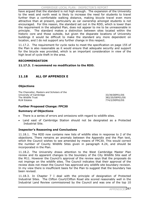have argued that the standard is not high enough. The expansion of the University to the west and north west is likely to increase the need for students to travel further than a comfortable walking distance, making bicycle travel even more attractive than at present, particularly as car ownership amongst students is not encouraged. For this reason, the standard set out in the RDD, which is lower than the requirement in the adopted Plan, does not appear to me to be unreasonable in principle. The standard makes a distinction between sites located within the historic core and those outside, but given the disparate locations of University buildings it would be difficult to make the standard any more dependent on location, and I do not support any further change in this respect.

11.17.2. The requirement for cycle racks to meet the specification on page 155 of the Plan is also reasonable as it would ensure that adequate security and support for the bicycle was provided, which is an important consideration in view of the high level of cycle theft in the area.

### **RECOMMENDATION**

### **11.17.3. I recommend no modification to the RDD.**

### **11.18 ALL OF APPENDIX E**

### **Objections**

The Chancellor, Masters and Scholars of the University of Cambridge 33/39/DEP01/DS<br>The Wildlife Trust 382/20/DEP01/DS RLW Estates 774/2/DEP02/DS

382/20/DEP01/DS

### **Further Proposed Change: FPC30**

### **Summary of Objections**

- There is a series of errors and omissions with regard to wildlife sites.
- Land east of Cambridge Station should not be designated as a Protected Industrial Site.

### **Inspector's Reasoning and Conclusions**

11.18.1. The RDD now contains new lists of wildlife sites in response to 2 of the objections. There remains an anomaly between the Appendix and the Plan text, which the Council wishes to see amended by means of FPC30. This would correct the number of County Wildlife Sites given in paragraph 4.24, and should be incorporated in the Plan.

11.18.2. The University draws attention to the West Cambridge Master Plan review and its apparent changes to the boundary of the City Wildlife Site east of the M11. However the Council's approval of the review says that the proposals do not impinge on the wildlife sites. The Council indicates that their approval of the review does not mean the Council has approved any wildlife site boundary revision. In my view there is insufficient basis for the Plan to suggest that the boundary has been revised.

11.18.3. In Chapter 7 I deal with the principle of designation of Protected Industrial Sites. The Clifton Court/Clifton Road site scored reasonably well in the Industrial Land Review commissioned by the Council and was one of the top 10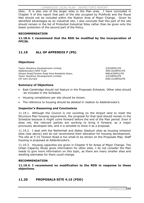sites. It is also one of the larger sites in the Plan area. I have concluded in Chapter 9 of this report that part of the site occupied by Pickfords and the Royal Mail should not be included within the Station Area of Major Change. Given its identified advantages as an industrial site, I also conclude that this part of the site should remain in the list of Protected Industrial Sites rather than be given only the lesser protection of the second part of the Policy.

### **RECOMMENDATION**

**11.18.4. I recommend that the RDD be modified by the incorporation of FPC30.**

## **11.19 ALL OF APPENDIX F (PS)**

### **Objections**

Taylor Woodrow Developments Limited 2/9/DEP01/PS Addenbrooke's NHS Trust 399/16/DEP01/PS Glisson Road/Tenison Road Area Residents Assoc. 688/4/DEP01/PS Taylor Woodrow Developments Limited 2/4/DEP02/PS Cllr John Durrant 838/12/DEP02/PS

### **Summary of Objections**

- x East Cambridge should not feature in the Proposals Schedule. Other sites should be included in the Schedule.
- Housing completions per site should be shown.
- The reference to housing should be deleted in relation to Addenbrooke's.

### **Inspector's Reasoning and Conclusions**

11.19.1. Although the Council is not counting on the Airport land to meet the Structure Plan housing requirement, the proposal for that land should remain in the Schedule because it might come forward before the end of the Plan period. Even it does not, the relevant parties are working to bring it forward, as a major previously developed site, and it is sensible to show it as a proposal.

11.19.2. I deal with the Netherhall and Abbey Stadium sites as housing omission sites (see above) and do not recommend their allocation for housing development. The site at 5-15 Tenison Road is too small to be shown on the Proposals Map. Staff housing is proposed at Addenbrooke's.

11.19.3. Housing capacities are given in Chapter 9 for Areas of Major Change. The Urban Capacity Study gives information for other sites. I do not consider the Plan needs to give more information on this topic, as there are many smaller sites and dwelling estimates for them could change.

### **RECOMMENDATION**

**11.19.4. I recommend no modification to the RDD in response to these objections.**

### **11.20 PROPOSALS SITE 4.15 (FDD)**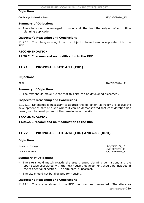#### **Objections**

Cambridge University Press 393/1/DEP01/4 15

#### **Summary of Objections**

• The site should be enlarged to include all the land the subject of an outline planning application.

#### **Inspector's Reasoning and Conclusions**

11.20.1. The changes sought by the objector have been incorporated into the RDD.

#### **RECOMMENDATION**

#### **11.20.2. I recommend no modification to the RDD.**

### **11.21 PROPOSALS SITE 4.11 (FDD)**

#### **Objections**

BT Plc 376/2/DEP01/4\_11

#### **Summary of Objections**

• The text should make it clear that this site can be developed piecemeal.

#### **Inspector's Reasoning and Conclusions**

11.21.1. No change is necessary to address this objection, as Policy 3/6 allows the development of part of a site where it can be demonstrated that consideration has been given to development of the remainder of the site.

#### **RECOMMENDATION**

#### **11.21.2. I recommend no modification to the RDD.**

### **11.22 PROPOSALS SITE 4.13 (FDD) AND 5.05 (RDD)**

#### **Objections**

Homerton College 19/3/DEP01/4 13 19/2/DEP02/5\_05<br>19/2/DEP02/5\_05<br>506/1/DEP01/4\_1

#### **Summary of Objections**

- The site should match exactly the area granted planning permission, and the open space associated with the new housing development should be included in the residential allocation. The site area is incorrect.
- The site should not be allocated for housing.

### **Inspector's Reasoning and Conclusions**

11.22.1. The site as shown in the RDD has now been amended. The site area

506/1/DEP01/4 13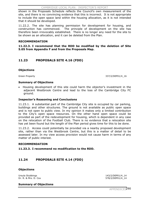shown in the Proposals Schedule reflects the Council's own measurement of the site, and there is no convincing evidence that this is incorrect. It is not appropriate to include the open space land within the housing allocation, as it is not intended that it should be developed.

11.22.2. The site has planning permission for development for housing, and construction has commenced. The principle of development on the site has therefore been irrevocably established. There is no longer any need for the site to be shown as an allocation, and it can be deleted from the Plan.

#### **RECOMMENDATION**

**11.22.3. I recommend that the RDD be modified by the deletion of Site 5.05 from Appendix F and from the Proposals Map.** 

### **11.23 PROPOSALS SITE 4.16 (FDD)**

#### **Objections**

Green Property 337/2/DEP01/4\_16

#### **Summary of Objections**

x Housing development of this site could harm the objector's investment in the adjacent Westbrook Centre and lead to the loss of the Cambridge City FC ground.

#### **Inspector's Reasoning and Conclusions**

11.23.1. A substantial part of the Cambridge City site is occupied by car parking, buildings and other structures. The ground is not available as public open space and is not open to public view. In my opinion it makes only a limited contribution to the City's open space resources. On the other hand open space could be provided as part of the redevelopment for housing, which is dependent in any case on the relocation of the Football Club. There is no evidence that a relocation site has yet been found but the length of the Plan period gives time for this to be done.

11.23.2. Access could potentially be provided via a nearby proposed development site, rather than via the Westbrook Centre, but this is a matter of detail to be assessed later. In my view access provision would not cause harm in terms of any matter of public interest.

#### **RECOMMENDATION**

#### **11.23.3. I recommend no modification to the RDD.**

### **11.24 PROPOSALS SITE 4.14 (FDD)**

#### **Objections**

Ursula Stubbings<br>Dr. R. & Mrs. D. Cox 3. 2008 143/2/DEP01/4\_14<br>
Dr. R. & Mrs. D. Cox 578/2/DEP01/4\_14

#### **Summary of Objections**

APPENDICES290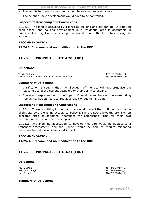- The land is too near houses, and should be retained as open space.
- The height of new development would have to be controlled.

### **Inspector's Reasoning and Conclusions**

11.24.1. The land is occupied by a large BT building and car parking. It is not an open space, and housing development in a residential area is acceptable in principle. The height of new development would be a matter for detailed design to address.

#### **RECOMMENDATION**

#### **11.24.2. I recommend no modification to the RDD.**

### **11.25 PROPOSALS SITE 4.20 (FDD)**

#### **Objections**

Travis Perkins 387/1/DEP01/4\_20 Glisson Road/Tenison Road Area Residents Assoc. 688/3/DEP01/4\_20

#### **Summary of Objections**

- Clarification is sought that the allocation of the site will not prejudice the existing use of the current occupiers or their ability to expand.
- Concern is expressed as to the impact of development here on the surrounding residential streets, particularly as a result of additional traffic.

#### **Inspector's Reasoning and Conclusions**

11.25.1. There is nothing in the plan that would prevent the continued occupation of this site by the existing occupiers. Policy 5/1 in the RDD allows the provision on allocated sites of additional floorspace for established firms for their own occupation and use on their existing site.

11.25.2. Any planning application to develop this site would be subject to a transport assessment, and the Council would be able to require mitigating measures to address any transport impacts.

#### **RECOMMENDATION**

**11.25.3. I recommend no modification to the RDD.** 

### **11.26 PROPOSALS SITE 4.21 (FDD)**

#### **Objections**

Mr. P. Singh 314/4/DEP01/4\_21 Mrs. M. K. Singh 315/2/DEP01/4\_21<br>Mrs. P. Kaur 316/2/DEP01/4\_21 316/2/DEP01/4\_21

#### **Summary of Objections**

APPENDICE<sub>291</sub>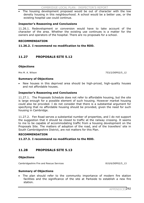The housing development proposed would be out of character with the low density housing in this neighbourhood. A school would be a better use, or the existing hospital use could continue.

#### **Inspector's Reasoning and Conclusions**

11.26.1. Redevelopment or conversion would have to take account of the character of the area. Whether the existing use continues is a matter for the owners and operators of the hospital. There are no proposals for a school.

#### **RECOMMENDATION**

**11.26.2. I recommend no modification to the RDD.** 

### **11.27 PROPOSALS SITE 5.12**

#### **Objections**

Mrs M. A. Wilson 753/2/DEP02/5\_12

#### **Summary of Objections**

New houses in this deprived area should be high-priced, high-quality houses and not affordable houses.

### **Inspector's Reasoning and Conclusions**

11.27.1. The Proposals Schedule does not refer to affordable housing, but the site is large enough for a possible element of such housing. However market housing could also be provided. I do not consider that there is a substantial argument for specifying that no affordable housing should be provided, given the need for such housing in Cambridge.

11.27.2. Fen Road serves a substantial number of properties, and I do not support the suggestion that it should be closed to traffic at the railway crossing. It seems to me to be capable of accommodating traffic from a housing development on the Proposals Site. The matters of adoption of the road, and of the travellers' site in South Cambridgeshire District, are not matters for this Plan.

#### **RECOMMENDATION**

**11.27.3. I recommend no modification to the RDD.** 

### **11.28 PROPOSALS SITE 5.13**

#### **Objections**

Cambridgeshire Fire and Rescue Services 810/6/DEP02/5\_13

### **Summary of Objections**

• The plan should refer to the community importance of modern fire station facilities and the significance of the site at Parkside to establish a new fire station.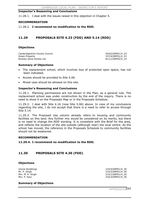#### **Inspector's Reasoning and Conclusions**

11.28.1. I deal with the issues raised in this objection in Chapter 5.

#### **RECOMMENDATION**

11.28.2. **I recommend no modification to the RDD.** 

### **11.29 PROPOSALS SITE 4.23 (FDD) AND 5.14 (RDD)**

#### **Objections**

Cambridgeshire County Council 55/62/DEP01/4\_23 Green Property 23 and 237/4/DEP01/4 23 Rockley Dene Homes Ltd 811/1/DEP02/5 14

#### **Summary of Objections**

- The replacement school, which involves loss of protected open space, has not been indicated.
- Access should be provided to Site 5.06.
- Mixed uses should be allowed on this site.

#### **Inspector's Reasoning and Conclusions**

11.29.1. Planning permissions are not shown in the Plan, as a general rule. The replacement school was under construction by the end of the inquiry. There is no need to show it on the Proposals Map or in the Proposals Schedule.

11.29.2. I deal with Site 4.16 (now Site 5.06) above. In view of my conclusions regarding the site, I do not accept that there is a need to refer to access through Site 5.14.

11.29.3. The Proposed Use column already refers to housing and community facilities on this land. Any further mix would be considered on its merits, but there is no need to change the RDD wording. It is consistent with the Brief for the area, and reflects the location of the site outside (although near) the local centre. As the school has moved, the reference in the Proposals Schedule to community facilities should not be weakened.

#### **RECOMMENDATION**

#### **11.29.4. I recommend no modification to the RDD.**

### **11.30 PROPOSALS SITE 4.30 (FDD)**

#### **Objections**

Ursula Stubbings 143/4/DEP01/4\_30

Mr. P. Singh 30 and 314/3/DEP01/4 30 Mrs. M. K. Singh 315/1/DEP01/4\_30<br>Mrs. P. Kaur 316/3/DEP01/4\_30 316/3/DEP01/4\_30

### **Summary of Objections**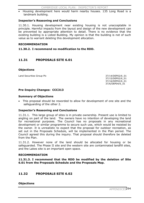x Housing development here would harm nearby houses. 135 Long Road is a landmark building.

#### **Inspector's Reasoning and Conclusions**

11.30.1. Housing development near existing housing is not unacceptable in principle. Harmful impacts from the layout and design of the new development can be prevented by appropriate attention to detail. There is no evidence that the existing building is a Listed Building. My opinion is that the building is not of such value as to warrant deleting this development allocation.

#### **RECOMMENDATION**

#### **11.30.2. I recommend no modification to the RDD.**

### **11.31 PROPOSALS SITE 6.01**

#### **Objections**

Land Securities Group Plc 37/14/DEP02/6 01

 37/15/DEP02/6\_01 37/16/DEP02/6\_01 37/6/DEP04/6\_01

#### **Pre-Inquiry Changes: CCC313**

#### **Summary of Objections**

This proposal should be reworded to allow for development of one site and the safeguarding of the other 2.

#### **Inspector's Reasoning and Conclusions**

11.31.1. This large group of sites is in private ownership. Present use is limited to angling on part of the land. The owners have no intention of developing the land for recreational purposes. The Council has no proposals in any recreational development or similar programme to secure such use, which would be resisted by the owner. It is unrealistic to expect that the proposal for outdoor recreation, as set out in the Proposals Schedule, will be implemented in the Plan period. The Council agreed this during the inquiry. That proposal should therefore be deleted from the Plan.

11.31.2. However none of the land should be allocated for housing or be safeguarded. The Phase II site and the western site are contaminated landfill sites, and the Lakes site is an important open space.

#### **RECOMMENDATION**

**11.31.3. I recommend that the RDD be modified by the deletion of Site 6.01 from the Proposals Schedule and the Proposals Map.** 

### **11.32 PROPOSALS SITE 6.02**

#### **Objections**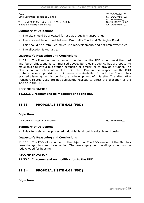Owen 252/2/DEP01/6\_02 Land Securities Properties Limited **371/1/DEP01/6** 02

Transport 2000 Cambridgeshire & West Suffolk 374/17/DEP01/6\_02 Bidwells Property Consultants **396/1/DEP01/6\_02** 

371/2/DEP01/6\_02

#### **Summary of Objections**

- The site should be allocated for use as a public transport hub.
- There should be a tunnel between Bradwell's Court and Madingley Road.
- This should be a retail-led mixed use redevelopment, and not employment led.
- $\bullet$  The allocation is too large.

#### **Inspector's Reasoning and Conclusions**

11.32.1. The Plan has been changed in order that the RDD should meet the third and fourth objections as summarised above. No relevant agency has a proposal to make this site into a bus station extension or similar, or to provide a tunnel. The Plan is not in contravention of the Structure Plan in this respect, as the RDD contains several provisions to increase sustainability. In fact the Council has granted planning permission for the redevelopment of this site. The alternative transport related uses are not sufficiently realistic to affect the allocation of the land as in the RDD.

#### **RECOMMENDATION**

### **11.32.2. I recommend no modification to the RDD.**

### **11.33 PROPOSALS SITE 6.03 (FDD)**

#### **Objections**

The Marshall Group Of Companies 66/13/DEP01/6 03

#### **Summary of Objections**

This site is shown as protected industrial land, but is suitable for housing.

#### **Inspector's Reasoning and Conclusions**

11.33.1. The FDD allocation led to the objection. The RDD version of the Plan has been changed to meet the objection. The new employment buildings should not be redeveloped for housing.

#### **RECOMMENDATION**

#### **11.33.2. I recommend no modification to the RDD.**

### **11.34 PROPOSALS SITE 6.01 (FDD)**

#### **Objections**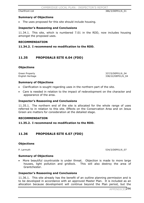Chartfront Ltd 386/3/DEP01/6\_01

#### **Summary of Objections**

• The uses proposed for this site should include housing.

#### **Inspector's Reasoning and Conclusions**

11.34.1. This site, which is numbered 7.01 in the RDD, now includes housing amongst the proposed uses.

#### **RECOMMENDATION**

**11.34.2. I recommend no modification to the RDD.** 

### **11.35 PROPOSALS SITE 6.04 (FDD)**

#### **Objections**

Green Property 337/5/DEP01/6\_04 English Heritage 338/22/DEP01/6\_04

#### **Summary of Objections**

- Clarification is sought regarding uses in the northern part of the site.
- Care is needed in relation to the impact of redevelopment on the character and appearance of the area.

#### **Inspector's Reasoning and Conclusions**

11.35.1. The northern end of the site is allocated for the whole range of uses referred to in relation to this site. Effects on the Conservation Area and on Jesus Green are matters for consideration at the detailed stage.

#### **RECOMMENDATION**

#### **11.35.2. I recommend no modification to the RDD.**

### **11.36 PROPOSALS SITE 6.07 (FDD)**

#### **Objections**

P. Larmuth 534/3/DEP01/6\_07

#### **Summary of Objections**

More beautiful countryside is under threat. Objection is made to more large houses, light pollution and gridlock. This will also destroy the area of Grantchester.

#### **Inspector's Reasoning and Conclusions**

11.36.1. This site already has the benefit of an outline planning permission and is to be developed in accordance with an approved Master Plan. It is included as an allocation because development will continue beyond the Plan period, but the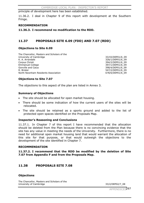principle of development here has been established.

11.36.2. I deal in Chapter 9 of this report with development at the Southern Fringe.

#### **RECOMMENDATION**

#### **11.36.3. I recommend no modification to the RDD.**

### **11.37 PROPOSALS SITE 6.09 (FDD) AND 7.07 (RDD)**

#### **Objections to Site 6.09**

The Chancellor, Masters and Scholars of the University of Cambridge 1990 and the University of Cambridge 1990 and the State 1990 and the State 1990 and S<br>
University of Cambridge 1990 and the State 1990 and State 1990 and State 1990 and State 1990 and State 1990 and Corpus Christi 394/2/DEP01/6\_09 Emmanuel College 397/1/DEP01/6\_09 Gonville and Caius 398/4/DEP01/6 09 R. Brister 547/2/DEP01/6\_09 North Newnham Residents Association 678/6/DEP01/6\_09

328/1/DEP01/6\_09

#### **Objections to Site 7.07**

The objections to this aspect of the plan are listed in Annex 3.

#### **Summary of Objections**

- The site should be allocated for open market housing.
- There should be some indication of how the current users of the sites will be relocated.
- The site should be retained as a sports ground and added to the list of protected open spaces identified on the Proposals Map.

### **Inspector's Reasoning and Conclusions**

11.37.1. In Chapter 7 of this report I have recommended that the allocation should be deleted from the Plan because there is no convincing evidence that the site has any value in meeting the needs of the University. Furthermore, there is no need for additional open market housing land that would warrant the allocation of this site for that purpose, or that would outweigh the objections to the development of the site identified in Chapter 7.

#### **RECOMMENDATION**

**11.37.2. I recommend that the RDD be modified by the deletion of Site 7.07 from Appendix F and from the Proposals Map.** 

### **11.38 PROPOSALS SITE 7.08**

#### **Objections**

The Chancellor, Masters and Scholars of the University of Cambridge 33/2/DEP02/7 08

APPENDICE<sub>297</sub>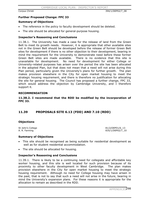Corpus Christi 394/1/DEP02/7\_08

#### **Further Proposed Change: FPC 33**

#### **Summary of Objections**

- The reference in the policy to faculty development should be deleted.
- The site should be allocated for general-purpose housing.

#### **Inspector's Reasoning and Conclusions**

11.38.1. The University has made a case for the release of land from the Green Belt to meet its growth needs. However, it is appropriate that other available sites not in the Green Belt should be developed before the release of former Green Belt sites for development if there is no other objection to their development, bearing in mind the requirement for the University to demonstrate need before these former Green Belt sites are made available. There is no evidence that this site is unavailable for development. No need for development for either College or University-related purposes has arisen over the period the site has been allocated in the adopted Plan, but that does not mean that a need will not arise during this Plan period, particularly given the University's plans for further growth. The plan makes provision elsewhere in the City for open market housing to meet the strategic housing requirement, and there is therefore no justification for allocating the site for general housing. The Council has proposed a further change, FPC 33, which would address the objection by Cambridge University, and I therefore support it.

#### **RECOMMENDATION**

#### **11.38.2. I recommend that the RDD be modified by the incorporation of FPC 33.**

### **11.39 PROPOSALS SITE 6.13 (FDD) AND 7.10 (RDD)**

#### **Objections**

St John's College 81/2/DEP01/6 13 A. R. Farming 835/1/DEP02/7\_10

#### **Summary of Objections**

- This site should be recognised as being suitable for residential development as well as for student residential accommodation.
- The site should be allocated for housing.

#### **Inspector's Reasoning and Conclusions**

11.39.1. There is likely to be a continuing need for collegiate and affordable key worker housing, and this site is well located for such provision because of its proximity to other faculty development in West Cambridge. The plan makes provision elsewhere in the City for open market housing to meet the strategic housing requirement. Although no need for College housing may have arisen in the past, that is not to say that such a need will not arise in the future, bearing in mind the University's expansion plans. For these reasons it is appropriate for the allocation to remain as described in the RDD.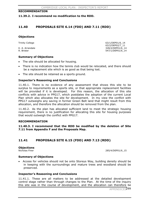#### **RECOMMENDATION**

#### **11.39.2. I recommend no modification to the RDD.**

### **11.40 PROPOSALS SITE 6.14 (FDD) AND 7.11 (RDD)**

#### **Objections**

#### Trinity College 63/1/DEP01/6 14 63/2/DEP02/7\_11 K. A. Arrandale 328/2/DEP01/6 14 R. Brister 547/1/DEP01/6\_14

#### **Summary of Objections**

- The site should be allocated for housing.
- There is no indication how the tennis club would be relocated, and there should be a replacement site which is as good as that being lost.
- The site should be retained as a sports ground.

#### **Inspector's Reasoning and Conclusions**

11.40.1. There is no evidence of any assessment that shows this site to be surplus to requirements as a sports site, or that appropriate replacement facilities will be provided if it is developed. For this reason, the allocation of this site conflicts with advice in PPG17, which postdates the adoption of the current Local Plan which also allocates the site for development. In my view the conflict with PPG17 outweighs any saving in former Green Belt land that might result from this allocation, and therefore the allocation should be removed from the plan.

11.40.2. As the plan has allocated sufficient land to meet the strategic housing requirement, there is no justification for allocating this site for housing purposes that would outweigh the conflict with PPG17.

#### **RECOMMENDATION**

**11.40.3. I recommend that the RDD be modified by the deletion of Site 7.11 from Appendix F and the Proposals Map.** 

### **11.41 PROPOSALS SITE 6.15 (FDD) AND 7.13 (RDD)**

# **Objections**<br>Nicholas Finer

285/4/DEP01/6 15

#### **Summary of Objections**

Access for vehicles should not be onto Storeys Way, building density should be in keeping with the surroundings and mature trees and woodland should be preserved.

#### **Inspector's Reasoning and Conclusions**

11.41.1. These are all matters to be addressed at the detailed development control stage rather than through changes to the Plan. At the time of the inquiry this site was in the course of development, and the allocation can therefore be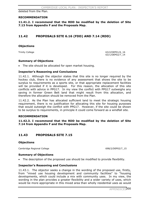deleted from the Plan.

#### **RECOMMENDATION**

**11.41.2. I recommend that the RDD be modified by the deletion of Site 7.13 from Appendix F and the Proposals Map.** 

### **11.42 PROPOSALS SITE 6.16 (FDD) AND 7.14 (RDD)**

#### **Objections**

Trinity College 63/2/DEP01/6 16 63/1/DEP02/7\_14

#### **Summary of Objections**

The site should be allocated for open market housing.

#### **Inspector's Reasoning and Conclusions**

11.42.1. Although the objector states that this site is no longer required by the hockey club, there is no evidence of any assessment that shows the site to be surplus to requirements as a sports site, or that appropriate replacement facilities will be provided if it is developed. For this reason, the allocation of this site conflicts with advice in PPG17. In my view the conflict with PPG17 outweighs any saving in former Green Belt land that might result from this allocation, and therefore the allocation should be removed from the Plan.

11.42.2. As the Plan has allocated sufficient land to meet the strategic housing requirement, there is no justification for allocating this site for housing purposes that would outweigh the conflict with PPG17. However, if the site could be shown to be surplus to requirements, in principle it could come forward as a windfall site.

#### **RECOMMENDATION**

**11.42.3. I recommend that the RDD be modified by the deletion of Site 7.14 from Appendix F and the Proposals Map.** 

### **11.43 PROPOSALS SITE 7.15**

#### **Objections**

Cambridge Regional College 698/2/DEP02/7\_15

#### **Summary of Objections**

• The description of the proposed use should be modified to provide flexibility.

#### **Inspector's Reasoning and Conclusions**

11.43.1. The objector seeks a change in the wording of the proposed use, firstly, from "mixed use housing development and community facilities" to "housing developments, which could include a mix with community uses. In my view, the wording in the plan provides a greater flexibility and a wider variety of uses, which would be more appropriate in this mixed area than wholly residential uses as would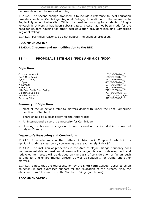be possible under the revised wording.

11.43.2. The second change proposed is to include a reference to local education providers such as Cambridge Regional College, in addition to the reference to Anglia Polytechnic University. Whilst the need for housing for students of Anglia Polytechnic University has been substantiated, a case has not been made for the need for student housing for other local education providers including Cambridge Regional College.

11.43.3. For these reasons, I do not support the changes proposed.

#### **RECOMMENDATION**

**11.43.4. I recommend no modification to the RDD.** 

### **11.44 PROPOSALS SITE 4.01 (FDD) AND 9.01 (RDD)**

#### **Objections**

Cristina Lazzeroni 103/1/DEP01/4\_01 Mr. & Mrs. Deakin 2012 165/1/DEP01/4 01 Sylvia R. Dalby 313/1/DEP01/4\_01 H. Tyson 462/2/DEP01/4\_01 P. Larmuth 534/1/DEP01/4\_01 P. Howsam 683/1/DEP01/4\_01 Hills Road Sixth Form College 712/1/DEP01/4\_01 Cllr James Quinlan 751/2/DEP02/9\_01 Jonathan Larmour 776/10/DEP02/9\_01 Dr Henry Tribe 812/1/DEP02/9\_01

#### **Summary of Objections**

- Most of the objections refer to matters dealt with under the East Cambridge section of Chapter 9.
- There should be a clear policy for the Airport area.
- An international airport is a necessity for Cambridge.
- x Housing estates on the edges of the area should not be included in the Area of Major Change.

#### **Inspector's Reasoning and Conclusions**

11.44.1. I consider most of the matters of objection in Chapter 9, which in my opinion includes a clear policy concerning the area, namely Policy 9/4.

11.44.2. The inclusion of properties in the Area of Major Change boundary does not mean established residential areas will change. Access to development and redevelopment areas will be decided on the basis of consideration of factors such as amenity and environmental effects, as well as suitability for traffic, and other matters.

11.44.3. I note that the representation by the Sixth Form College, classified as an objection, in fact expresses support for the relocation of the Airport. Also, the objection from P Larmuth is to the Southern Fringe (see below).

#### **RECOMMENDATION**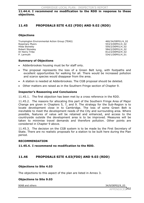**11.44.4. I recommend no modification to the RDD in response to these objections.**

### **11.45 PROPOSALS SITE 4.02 (FDD) AND 9.02 (RDD)**

#### **Objections**

Trumpington Environmental Action Group (TEAG) 460/34/DEP01/4\_02 Rosemary Myers 600 and the control of the control of the control of the control of the control of the control of the control of the control of the control of the control of the control of the control of the control of the Hilda Stoneley 559/2/DEP01/4\_02 Robert Stoneley 684/2/DEP01/4\_02 Dr Henry Tribe 812/2/DEP02/9\_02 P. Larmuth 534/1/DEP01/4\_01

#### **Summary of Objections**

- Addenbrookes housing must be for staff only.
- The proposal represents the loss of a Green Belt lung, with footpaths and excellent opportunities for walking for all. There would be increased pollution and scarce species would disappear from the area.
- A station is needed at Addenbrookes. The CGB proposal should be deleted.
- x Other matters are raised as in the Southern Fringe section of Chapter 9.

#### **Inspector's Reasoning and Conclusions**

11.45.1. The first objection has been met by a cross reference in the RDD.

11.45.2. The reasons for allocating this part of the Southern Fringe Area of Major Change are given in Chapters 5, 7, and 9. The strategy for the Sub-Region is to locate development close in to Cambridge. The loss of some Green Belt is inevitable to meet the development needs of the City and surrounding area. Where possible, features of value will be retained and enhanced, and access to the countryside outside the development area is to be improved. Measures will be taken to minimise travel demands and therefore pollution. Other points are considered in Chapter 9 above.

11.45.3. The decision on the CGB system is to be made by the First Secretary of State. There are no realistic proposals for a station to be built here during the Plan period.

#### **RECOMMENDATION**

**11.45.4. I recommend no modification to the RDD.** 

### **11.46 PROPOSALS SITE 4.03(FDD) AND 9.03 (RDD)**

#### **Objections to Site 4.03**

The objections to this aspect of the plan are listed in Annex 3.

#### **Objections to Site 9.03**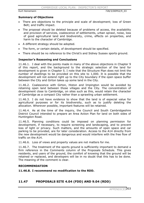#### **Summary of Objections**

- There are objections to the principle and scale of development; loss of Green Belt; and traffic impact.
- The proposal should be deleted because of problems of access, the availability and provision of services, coalescence of settlements, urban sprawl, noise, loss of good agricultural land and biodiversity, crime, effects on properties, and harm to the character of Cambridge.
- A different strategy should be adopted.
- The form, or certain details, of development should be specified.
- There should be no reference to the Christ's and Sidney Sussex sports ground.

#### **Inspector's Reasoning and Conclusions**

11.46.1. I deal with the points made in many of the above objections in Chapter 9 of this report, and the background to the strategic selection of the land for development is given in Chapter 5. I note that the Structure Plan does not limit the number of dwellings to be provided on this site to 1,000. It is possible that the development will not extend right up to the City boundary if the open space buffer between the City and Girton takes up some land in the City.

11.46.2. Coalescence with Girton, Histon and Impington would be avoided by retaining open land between those villages and the City. The concentration of development close to Cambridge, on sites such as this, would retain the character of Cambridge as a compact City rather than a sprawling urban settlement.

11.46.3. I do not have evidence to show that the land is of especial value for agricultural purposes or for its biodiversity, such as to justify deleting the allocation. Wherever possible, important features will be retained.

11.46.4. As at the time of the inquiry, the Council and South Cambridgeshire District Council intended to prepare an Area Action Plan for land on both sides of Huntingdon Road.

11.46.5. Planning conditions could be imposed on planning permission for development, if necessary, to require screening and landscaping, and to prevent loss of light or privacy. Such matters, and the amounts of open space and car parking to be provided, are for later consideration. Access to the A14 directly from the new development would be dangerous and would interfere with the free flow of traffic on the A14.

11.46.6. Loss of views and property values are not matters for me.

11.46.7. The treatment of the sports ground is sufficiently important to demand a firm reference in the Comments column of the Proposals Schedule. This gives residents, and users of the ground, the comfort of knowing that the ground will be retained or replaced, and developers will be in no doubt that this has to be done. The meaning of the comment is clear.

#### **RECOMMENDATION**

**11.46.8. I recommend no modification to the RDD.** 

### **11.47 PROPOSALS SITE 4.04 (FDD) AND 9.04 (RDD)**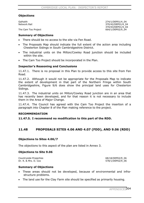#### **Objections**

The Cam Too Project **664/1/DEP02/9\_04** 

Galhaith 274/1/DEP01/4\_04 Network Rail 370/42/DEP01/4\_04 370/43/DEP01/4\_04

#### **Summary of Objections**

- There should be no access to the site via Fen Road.
- The Proposals Map should indicate the full extent of the action area including Chesterton Sidings in South Cambridgeshire District.
- x The industrial units on the Milton/Cowley Road junction should be included within the site.
- The Cam Too Project should be incorporated in the Plan.

#### **Inspector's Reasoning and Conclusions**

11.47.1. There is no proposal in this Plan to provide access to this site from Fen Road.

11.47.2. Although it would not be appropriate for the Proposals Map to indicate the extent of development in that part of the Northern Fringe within South Cambridgeshire, Figure 9/6 does show the principal land uses for Chesterton Sidings.

11.47.3. The industrial units on Milton/Cowley Road junction are in an area that has recently been developed, and for that reason it is not necessary to include them in the Area of Major Change.

11.47.4. The Council has agreed with the Cam Too Project the insertion of a paragraph into Chapter 8 of the Plan making reference to the project.

#### **RECOMMENDATION**

**11.47.5. I recommend no modification to this part of the RDD.** 

### **11.48 PROPOSALS SITES 4.06 AND 4.07 (FDD), AND 9.06 (RDD)**

#### **Objections to Sites 4.06/7**

The objections to this aspect of the plan are listed in Annex 3.

#### **Objections to Site 9.06**

Countryside Properties **68/18/DEP02/9\_06** Dr. R. & Mrs. D. Cox 578/1/DEP02/9\_06

#### **Summary of Objections**

- These areas should not be developed, because of environmental and infrastructure problems.
- The land use for the Clay Farm site should be specified as primarily housing.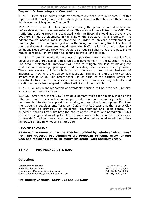#### **Inspector's Reasoning and Conclusions**

11.48.1. Most of the points made by objectors are dealt with in Chapter 9 of this report, and the background to the strategic decision on the choice of these areas for development is given in Chapter 5.

11.48.2. The Local Plan has policies requiring the provision of infra-structure before development in urban extensions. This area will benefit from the CGB. The traffic and parking problems associated with the Hospital should not prevent the Southern Fringe development, in the light of the Structure Plan's proposals. The Addenbrooke's access road is proposed in order to prevent development at Trumpington exacerbating congestion in the village and on Long Road. Location of the development elsewhere would generate traffic, with resultant noise and pollution. Development elsewhere would also require lighting, but it is possible to reduce light pollution by designing lighting to avoid light spillage.

11.48.3. There will inevitably be a loss of open Green Belt land as a result of the Structure Plan's proposal to site large scale development in the Southern Fringe. The Area Development Framework will need to mitigate the loss by making the best use of remaining open space and providing new facilities where possible. There are several policies which protect biodiversity and other features of importance. Much of the green corridor is arable farmland, and this is likely to have limited wildlife value. The recreational use of parts of the corridor offers the opportunity to enhance biodiversity. Enhancement of some existing habitats, and creation of new sites designed to attract wildlife, will be possible.

11.48.4. A significant proportion of affordable housing will be provided. Property values are not matters for me.

11.48.5. Over 70% of the Clay Farm development will be for housing. Much of the other land put to uses such as open space, education and community facilities will be primarily intended to support the housing, and would not be proposed if not for the residential development. Paragraph 9.23 of the RDD says that the uses at Clay Farm would be primarily for residential development and open space. The objector's wording better fits both the nature of the proposal and paragraph 9.23. I adjust the suggested wording to allow for some uses to be included, if necessary, to provide for wider needs, such as recreational or educational needs not solely generated by the new housing on this site.

#### **RECOMMENDATION**

**11.48.6. I recommend that the RDD be modified by deleting "mixed uses" from the Proposed Use column of the Proposals Schedule entry for Site 9.06 and replacing it with "primarily residential with ancillary uses".** 

### **11.49 PROPOSALS SITE 9.09**

#### **Objections**

Countryside Properties 68/22/DEP02/9\_09 Addenbrooke's NHS Trust 399/33/DEP02/9\_09 Trumpington Meadows Land Company 798/20/DEP02/9\_09 Countryside Properties/Liberty Property Trust 837/28/DEP02/9\_09

#### **Pre-Inquiry Changes: SCPM.002 and SCPS.004**

APPENDICE<sub>305</sub>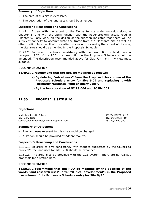#### **Summary of Objections**

- The area of this site is excessive.
- The description of the land uses should be amended.

#### **Inspector's Reasoning and Conclusions**

11.49.1. I deal with the extent of the Monsanto site under omission sites, in Chapter 5, and with the site's junction with the Addenbrooke's access road in Chapter 9. Early work on the design of the junction indicates that there will be sufficient capacity to accommodate the traffic from the Monsanto site as well as other traffic. As a result of my earlier conclusion concerning the extent of the site, the site area should be amended in the Proposals Schedule.

11.49.2. In order to achieve consistency with the description of land uses in paragraph 9.23 of the RDD, the description in the Proposals Schedule should be amended. The description recommended above for Clay Farm is in my view most suitable.

#### **RECOMMENDATION**

#### **11.49.3. I recommend that the RDD be modified as follows:**

- **a) By deleting "mixed uses" from the Proposed Use column of the Proposals Schedule entry for Site 9.09 and replacing it with "primarily residential with ancillary uses".**
- **b) By the incorporation of SC PS.004 and SC PM.002.**

### **11.50 PROPOSALS SITE 9.10**

#### **Objections**

Addenbrooke's NHS Trust 399/34/DEP02/9\_10 Dr. Henry Tribe 812/3/DEP02/9 10 Countryside Properties/Liberty Property Trust 837/29/DEP02/9\_10

#### **Summary of Objections**

- The land uses relevant to this site should be changed.
- A station should be provided at Addenbrooke's.

#### **Inspector's Reasoning and Conclusions**

11.50.1. In order to give consistency with changes suggested by the Council to Policy 9/5 the land uses for site 9/10 should be expanded.

11.50.2. The area is to be provided with the CGB system. There are no realistic proposals for a station here.

#### **RECOMMENDATION**

**11.50.3. I recommend that the RDD be modified by the addition of the words "and research uses", after "Clinical development", in the Proposed Use column of the Proposals Schedule entry for Site 9/10.**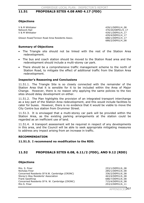### **11.51 PROPOSALS SITES 4.08 AND 4.17 (FDD)**

#### **Objections**

V & M Whittaker 439/1/DEP01/4\_08 Network Rail 370/20/DEP01/4\_17 V & M Whittaker 439/1/DEP01/4 17

Glisson Road/Tenison Road Area Residents Assoc. 688/1/DEP01/4\_17

#### **Summary of Objections**

- The Triangle site should not be linked with the rest of the Station Area redevelopment.
- The bus and coach station should be moved to the Station Road area and the redevelopment should include a multi-storey car park.
- There should be a comprehensive traffic management scheme to the north of Station Road, to mitigate the effect of additional traffic from the Station Area redevelopment.

#### **Inspector's Reasoning and Conclusions**

11.51.1. The Triangle Site is so closely connected with the remainder of the Station Area that it is sensible for it to be included within the Area of Major Change. However, there is no reason why applying the same policies to the two sites should delay development on either.

11.51.2. The Plan highlights the provision of an integrated transport interchange as a key part of the Station Area redevelopment, and this would include facilities to cater for buses. However, there is no evidence that it would be viable to move the City Centre bus station from Drummer Street.

11.51.3. It is envisaged that a multi-storey car park will be provided within the Station Area, as the existing parking arrangements at the station could be regarded as an inefficient use of land.

11.51.4. A transport assessment will be required in respect of any developments in this area, and the Council will be able to seek appropriate mitigating measures to address any impact arising from an increase in traffic.

#### **RECOMMENDATION**

#### **11.51.5. I recommend no modification to the RDD.**

### **11.52 PROPOSALS SITES 6.08, 6.11/2 (FDD), AND 9.12 (RDD)**

#### **Objections**

Mrs. S. Finer 253/1/DEP01/6\_08 Nicholas Finer 285/1/DEP01/6\_08 Concerned Residents Of N.W. Cambridge (CRONC)  $336/2/DEPO1/6_08$ <br>Storey's Way Residents' Association  $463/4/DEPO1/6_08$ Storey's Way Residents' Association Frank Gawthrop 688/7/DEP01/6 08 Concerned Residents Of N. W. Cambridge (CRONC) 715/4/DEP01/6\_08 Mrs S. Finer 253/2/DEP01/6 11

439/4/DEP01/4\_17

688/2/DEP01/4\_08

APPENDICES307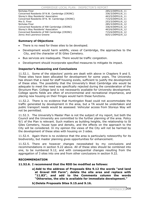Nicholas Finer 285/2/DEP01/6 11 Concerned Residents Of N.W. Cambridge (CRONC) 336/3/DEP01/6\_11<br>Storev's Way Residents' Association 463/5/DEP01/6\_11 Storey's Way Residents' Association<br>
Concerned Residents Of N. W. Cambridge (CRONC)  $\qquad \qquad \qquad \qquad$  715/5/DEP01/6\_11 Concerned Residents Of N. W. Cambridge (CRONC) Mrs S. Finer 253/3/DEP01/6 12 Nicholas Finer 285/3/DEP01/6 12 Concerned Residents of NW Cambridge (CRONC) 336/4/DEP01/6\_12 Storey's Way Residents' Association and the store of the 463/6/DEP01/6 12 Concerned Residents of NW Cambridge (CRONC) 715/6/DEP01/6\_12 Jenny And Lawrence Greene 825/1/DEP02/9\_12

#### **Summary of Objections**

- There is no need for these sites to be developed.
- Development would harm wildlife, views of Cambridge, the approaches to the City, and the character of St Giles Cemetery.
- Bus services are inadequate. There would be traffic congestion.
- Development should incorporate specified measures to mitigate its impact.

#### **Inspector's Reasoning and Conclusions**

11.52.1. Some of the objectors' points are dealt with above in Chapters 9 and 5. These sites have been allocated for development for some years. The University has shown that a need for staff housing exists, sufficient to justify the development of these sites. The possibility that the University's West Cambridge site would be adequate to meet the need was specifically rejected during the consideration of the Structure Plan. College land is not necessarily available for University development. College sports fields are often of environmental and recreational importance, and placing new housing on their fringes would harm these functions.

11.52.2. There is no evidence that Huntingdon Road could not accommodate the traffic generated by development in the area, but a TA would be undertaken and public transport needs would be assessed. Vehicular access from Storeys Way will not be permitted.

11.52.3. The University's Master Plan is not the subject of my report, but both the Council and the University are committed to the further planning of the area. Policy 9/1 of the Plan is relevant. Such matters as building heights, the relationship to St Giles Cemetery, house type and density, and the effects on the approach to the City will be considered. In my opinion the views of the City will not be harmed by the development of these sites with housing on 3 sides.

11.52.4. Again there is no evidence that the area is particularly noteworthy for its biodiversity, but master planning gives opportunities for enhancement.

11.52.5. There are however changes necessitated by my conclusions and recommendations in section 9.22 above. All of these sites should be combined into one, to be numbered 9.12, and with consequential changes resulting from the aggregation of 3 sites into one and from other conclusions in section 9.22.

#### **RECOMMENDATION**

**11.52.6. I recommend that the RDD be modified as follows:** 

- **a) Add to the address of Proposals Site 9.12 the words "and land at Gravel Hill Farm", delete the site area and replace with "11.83", and add to the Comments column the words "Otherwise, the site is available for immediate development."**
- **b) Delete Proposals Sites 9.15.and 9.16.**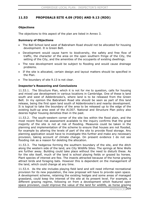### **11.53 PROPOSALS SITE 4.09 (FDD) AND 9.13 (RDD)**

### **Objections**

The objections to this aspect of the plan are listed in Annex 3.

### **Summary of Objections**

- x The Bell School land west of Babraham Road should not be allocated for housing development. It is Green Belt.
- Development would cause harm to biodiversity, the safety and free flow of traffic, the character of the area on the open southern fringe of the City, the setting of the City, and the amenities of the occupants of existing dwellings.
- The new development would be subject to flooding and would cause drainage problems.
- If the site is allocated, certain design and layout matters should be specified in the Plan.
- The boundary of site 9.13 is not clear.

### **Inspector's Reasoning and Conclusions**

11.53.1. The Structure Plan, which it is not for me to question, calls for housing and mixed use development in various locations in Cambridge. One of these is land south and west of Addenbrooke's, where land is to be released from the Green Belt. In my opinion the Babraham Road site should be seen as part of this land release, being the first open land south of Addenbrooke's and nearby development. It is logical to take the boundary of the area to be released up to the edge of the existing built-up area west of the A1307. National and Structure Plan policy also desires higher housing densities than in the past.

11.53.2. The south-western corner of the site lies within the flood plain, and the most recent flood risk assessment available to the inquiry confirms that the great majority of the site is not at risk of flooding. Measures could be taken in the planning and implementation of the scheme to ensure that houses are not flooded, for example by altering the levels of part of the site to provide flood storage. Any planning application would have to investigate this further and make any necessary provision, taking account of climate change. On present evidence I do not see flooding risk as a reason for deleting the allocation.

11.53.3. The hedgerow forming the southern boundary of the site, and the ditch along the western side of the land, are City Wildlife Sites. The springs at Nine Wells are further away. Building could take place without the need to disturb these. As for the site itself, much of the land is school playing fields or grazed by horses. Plant species of interest are few. The insects attracted because of the horse grazing attract birds and foraging bats. However this is dependent on the management of the land, which could change at any time.

11.53.4. As the site includes playing field land and will need informal recreational provision for its new population, the new proposal will have to provide open space. A development scheme, retaining the existing hedges and some areas of managed grassland, could keep the interest of the site at its present level. For example, a different grazing regime, following on from a development which featured open space provision, could improve the value of the land for wildlife, as horse grazing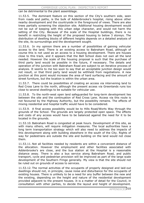can be detrimental to the plant assemblage.

11.53.5. The dominant feature on this section of the City's southern side, seen from roads and paths, is the bulk of Addenbrooke's hospital, rising above other nearby development and the countryside in the foreground of views. There are also trees partially screening the objection site. Additional housing development would not be out of keeping with this urban edge character, and would not harm the setting of the City. Because of the scale of the Hospital buildings, there is no benefit in restricting the height of the proposed housing to below 3 storeys. The distribution of dwelling blocks of different heights depends on a detailed analysis of the site, its surroundings and the development sought.

11.53.6. In my opinion there are a number of possibilities of gaining vehicular access to the land. There is an existing access to Babraham Road, although of course this is not used as an access to a housing development. There are houses close to this track, and it appears that the Bell School does not own all the land needed. However the scale of the housing proposal is such that the purchase of third party land would be possible in the future, if necessary. The details and operation of the junction with Babraham Road are subject to an iterative process of analysis. It seems to me too soon to say that an acceptable junction design would not result, or that third party land would be withheld from negotiations. A new junction at this point would increase the area of hard surfacing and the amount of street furniture, but the location is within the urban area.

11.53.7. There could be possibilities of creating an access via intervening land to Red Cross Lane to the north, although the present access via Greenlands runs too close to several dwellings to be suitable for vehicular use.

11.53.8. To the north-west open land safeguarded for long-term development lies between the site and the continuation of Red Cross Lane. Access via this route is not favoured by the Highway Authority, but the possibility remains. The effects of mixing residential and hospital traffic would have to be considered.

11.53.9. A final access possibility would be to Hills Road/Worts Way through the grounds of the School. The grounds are largely protected open space. The effects and costs of any access would have to be balanced against the need for it to be located in the grounds.

11.53.10. Babraham Road is congested at peak hours. Development of this site, as with many others, will require mitigation measures. The local authorities have a long term transportation strategy which will also need to address the impacts of this development along with building elsewhere in the south of the City. Rights of way for pedestrians are outside the site and building on the land would not close them.

11.53.11. Not all facilities needed by residents are within a convenient distance of the allocation. However the employment and other facilities associated with Addenbrooke's are close, and the bus station at the Hospital is a reasonable distance away. There is also a bus service along Babraham Road, and public transport, cycle and pedestrian provision will be improved as part of the large scale development of the Southern Fringe generally. My view is that the site should not be ruled out on grounds of access to services.

11.53.12. The normal activities of the occupants of properly designed and laid-out dwellings should not, in principle, cause noise and disturbance for the occupants of existing houses. There is unlikely to be a need for any buffer between the new and the existing, depending on the height and nature of the residential development provided adjacent to the present houses. It is a matter of detail for the Council, in consultation with other parties, to decide the layout and height of development.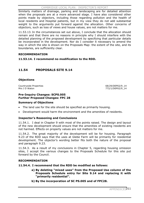Similarly matters of drainage, parking and landscaping are for detailed attention when the proposals are at a more advanced stage. I have also considered other points made by objectors, including those regarding pollution and the health of local residents and Hospital patients, but in my view they do not add substantial weight to the arguments put forward against the allocation. Other concerns of objectors, such as loss of views and house values, are not matters for me.

11.53.13. In the circumstances set out above, I conclude that the allocation should remain and that there are no reasons in principle why I should interfere with the detailed planning of the proposed development by specifying that particular details be incorporated in the development. Nor do I consider it necessary to amend the way in which the site is shown on the Proposals Map: the extent of the site, and its boundaries, are sufficiently clear.

### **RECOMMENDATION**

### **11.53.14. I recommend no modification to the RDD.**

### **11.54 PROPOSALS SITE 9.14**

#### **Objections**

Countryside Properties 68/29/DEP02/9\_14 Mrs J D Waton 2012 2022 12:00 12:00 12:00 12:00 12:00 12:00 12:00 12:00 12:00 12:00 12:00 12:00 12:00 12:00 12:00 12:00 12:00 12:00 12:00 12:00 12:00 12:00 12:00 12:00 12:00 12:00 12:00 12:00 12:00 12:00 12:00 12:00 12:00

### **Pre-Inquiry Changes: SCPS.005 Further Proposed Changes: FPC 28**

#### **Summary of Objections**

- The land use for the site should be specified as primarily housing.
- Development would harm the environment and the amenities of residents.

### **Inspector's Reasoning and Conclusions**

11.54.1. I deal in Chapter 9 with most of the points raised. The design and layout of the new development should ensure that the amenities of existing residents are not harmed. Effects on property values are not matters for me.

11.54.2. The great majority of the development will be for housing. Paragraph 9.23 of the RDD says that the uses at Glebe Farm will be primarily for residential development. The objector's wording better fits both the nature of the proposal and paragraph 9.23.

11.54.3. As a result of my conclusions in Chapter 5, regarding housing omission sites, I accept the various changes to the Proposals Schedule for this site put forward by the Council.

#### **RECOMMENDATION**

**11.54.4. I recommend that the RDD be modified as follows:** 

- **a) By deleting "mixed uses" from the Proposed Use column of the Proposals Schedule entry for Site 9.14 and replacing it with "primarily residential".**
- **b) By the incorporation of SC PS.005 and of FPC28.**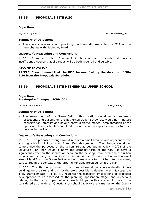### **11.55 PROPOSALS SITE 9.20**

#### **Objections**

Highways Agency **697/4/DEP02/9** 20

#### **Summary of Objections**

• There are concerns about providing northern slip roads to the M11 at the interchange with Madingley Road.

#### **Inspector's Reasoning and Conclusions**

11.55.1. I deal with this in Chapter 9 of this report, and conclude that there is insufficient evidence that slip roads will be both required and suitable.

#### **RECOMMENDATION**

**11.55.2. I recommend that the RDD be modified by the deletion of Site 9.20 from the Proposals Schedule.** 

### **11.56 PROPOSALS SITE NETHERHALL UPPER SCHOOL**

#### **Objections Pre-Inquiry Changes: SCPM.001**

Dr. Anna Maria Bedford 1243/1/DEP04/X

#### **Summary of Objections**

The amendment of the Green Belt in this location would set a dangerous precedent, and building on the Netherhall Upper School site would harm nature conservation interests and have a harmful traffic impact. Amalgamation of the upper and lower schools would lead to a reduction in capacity contrary to other policies in the Plan.

#### **Inspector's Reasoning and Conclusions**

11.56.1. The proposed change would remove a small area of land adjacent to the existing school buildings from Green Belt designation. The change would not compromise the purposes of the Green Belt as set out in Policy P 9/2a of the Structure Plan, nor would it harm the compact form of the City, or have a significant effect on the separation between the existing urban area and the urban expansions or the green corridors or historic views. The removal of such a small area of land from the Green Belt would not create any form of harmful precedent, particularly in the context of the urban extensions provided for in the Plan.

11.56.2. The Plan as proposed to be changed would not contain details of new buildings on the site, and it is not therefore possible to determine at this stage the likely traffic impact. Policy 8/2 requires the transport implications of proposed development to be assessed at the planning application stage, and objections relating to the traffic impact of any new buildings on this site would have to be considered at that time. Questions of school capacity are a matter for the County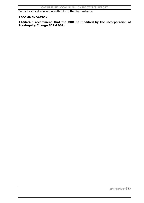Council as local education authority in the first instance.

### **RECOMMENDATION**

**11.56.3. I recommend that the RDD be modified by the incorporation of Pre-Inquiry Change SCPM.001.**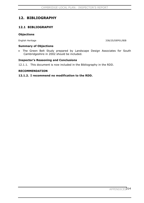# **12. BIBLIOGRAPHY**

### **12.1 BIBLIOGRAPHY**

### **Objections**

English Heritage 338/25/DEP01/BIB

#### **Summary of Objections**

• The Green Belt Study prepared by Landscape Design Associates for South Cambridgeshire in 2002 should be included.

### **Inspector's Reasoning and Conclusions**

12.1.1. This document is now included in the Bibliography in the RDD.

#### **RECOMMENDATION**

### **12.1.2. I recommend no modification to the RDD.**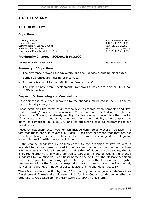# **13. GLOSSARY**

### **13.1 GLOSSARY**

#### **Objections**

Downing College 305/1/DEP01/GLOSS English Heritage 338/24/DEP01/GLOSS Cambridgeshire County Council 655/8/DEP02/GLOSS Addenbrooke's NHS Trust 399/36/DEP02/GLOSS Countryside Properties/Liberty Property Trust 837/31/DEP02/GLOSS

### **Pre-Inquiry Changes: SCG.001 & SCG.002**

The House Builders Federation 362/4/DEP04/GLOS 1

### **Summary of Objections**

- The difference between the University and the Colleges should be highlighted.
- Some references are missing or incorrect.
- A change is sought to the definition of "key workers".
- The role of any Area Development Frameworks which are neither DPDs nor SPDs is unclear.

#### **Inspector's Reasoning and Conclusions**

Most objections have been answered by the changes introduced in the RDD and by the pre-inquiry changes.

Those explaining the terms "high technology", "research establishments" and "key worker housing" have not been resolved. The definition of the first of these terms, given in the Glossary, is already lengthy. Its final section makes plain that the list of activities given is not exhaustive, and gives the flexibility to encompass the activities comprised in Policy 9/5 and its supporting text as recommended for modification.

Research establishments however can include commercial research facilities. The fact that these are also covered by Class B uses does not mean that they are not capable of being research establishments. The proposed change does not go far enough in dealing with these establishments.

If the change suggested by Addenbrooke's to the definition of key workers is intended to include those involved in the care and comfort of the community, then it is unnecessary. If it is intended to confine the definition to such persons, then it is overly restrictive and would contradict paragraph 5.10, as would the change suggested by Countryside Properties/Liberty Property Trust. The glossary definition and the explanation in paragraph 5.10, together with the proposed register mechanism allows the Council to respond to varying needs during the Plan period, as well as to changes in national policy advice, and no change is necessary.

There is a counter-objection by the HBF to the proposed change which defines Area Development Frameworks. However it is for the Council to decide whether to progress its Area Development Frameworks to SPD or DPD status.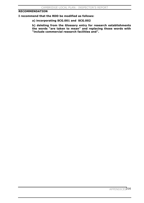### **RECOMMENDATION**

**I recommend that the RDD be modified as follows:** 

**a) incorporating SCG.001 and SCG.002** 

**b) deleting from the Glossary entry for research establishments the words "are taken to mean" and replacing those words with "include commercial research facilities and".**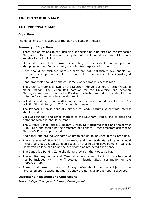# **14. PROPOSALS MAP**

### **14.1 PROPOSALS MAP**

### **Objections**

The objections to this aspect of the plan are listed in Annex 3.

### **Summary of Objections**

- There are objections to the inclusion of specific housing sites on the Proposals Map, and to the exclusion of other potential development sites and of locations suitable for tall buildings.
- Other sites should be shown for retailing, or as protected open space or shopping centres. Some primary shopping frontages are incorrect.
- Sites should be excluded because they are not realistically developable, or because development would be harmful to interests of acknowledged importance.
- Road proposals should be shown, namely Addenbrooke's access road.
- The green corridor is shown for the Southern Fringe, but not for other Areas of Major Change. The Green Belt notation for the University land between Madingley Road and Huntingdon Road needs to be omitted. There should be a notation for cross-boundary development.
- Wildlife corridors, more wildlife sites, and different boundaries for the City Wildlife Site adjoining the M11, should be shown.
- The Proposals Map is generally difficult to read. Features of heritage interest should be shown.
- Various boundary and other changes to the Southern Fringe, and to sites and notations within it, should be made.
- The 2 Perse School sites, 1 Regent Street, St Matthew's Piece and the former Blue Circle land should not be protected open space. Other objectors ask that St Matthew's Piece be protected.
- Additional land around Coldhams Common should be included in the Green Belt.
- The site area of Site 5.05 is incorrect, and the residential allocation should include land designated as open space for that housing development. Land at Homerton College should not be designated as protected open space.
- The Controlled Parking Zone should be shown on the Proposals Map.
- The multi-storey car park at Cambridge Leisure and the Pickfords site should not be included within the "Protected Industrial Sites" designation on the Proposals Map.
- Some small areas of land at Storeys Way should not be subject to the "protected open spaces" notation as they are not available for open space use.

### **Inspector's Reasoning and Conclusions**

*Areas of Major Change and Housing Development*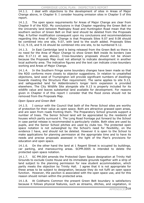14.1.1. I deal with objections to the development of sites in Areas of Major Change above, in Chapter 9. I consider housing omission sites in Chapter 5 of this report.

14.1.2. The open space requirements for Areas of Major Change are clear from Chapter 9 of the RDD. My conclusions in that Chapter regarding the Green Belt on the University land between Madingley Road and Huntingdon Road mean that the southern section of Green Belt on that land should be deleted from the Proposals Map. A further modification consequent upon my conclusions and recommendations regarding this Area of Major Change is that Proposals Sites 9.07 and 9.08 should be combined into one site, 9.07, with land to the south added. Proposals Sites 9.12, 9.15, and 9.16 should be combined into one site, to be numbered 9.12.

14.1.3. In East Cambridge land is being released from the Green Belt so there is no need for the Area of Major Change to show Green Belt inside its borders (see also 9.17.11 et seq above). Cross-boundary proposals should not be shown because the Proposals Map must not attempt to indicate development in another local authority area. The indicative figures and the text can indicate cross-boundary working and Areas of Major Change.

14.1.4. In the Southern Fringe some boundary changes have been made so that the RDD conforms more closely to objector suggestions. In relation to unsatisfied objections, land west of Trumpington will provide significant numbers of dwellings towards meeting the Structure Plan requirement. The same applies to site 9.13, and safeguarded land for Addenbrooke's longer term expansion is provided elsewhere. The City Wildlife Site alongside site 9.13 is properly included for its wildlife value and leaves substantial land available for development. For reasons given in Chapter 4 of this report I consider that the flood zones should not be removed from the Proposals Map.

### *Open Space and Green Belt*

14.1.5. I concur with the Council that both of the Perse School sites are worthy of protection for their value as open space. Both are attractive grassed open areas, and are seen from roads fronting them. The Preparatory School grounds support a number of trees. The Senior School land will be appreciated by the residents of houses which partly surround it. The Long Road frontage put forward by the School in case partial release is recommended is particularly visible. Both sites are used by pupils, and the Senior School pitches are used by clubs too. The protected open space notation is not outweighed by the School's need for flexibility, on the evidence I have, and should not be deleted. However it is open to the School to make applications for planning permission at the appropriate time and to have its needs and precise proposals assessed in the light of the Plan's provisions for education and open space.

14.1.6. On the other hand the land at 1 Regent Street is occupied by buildings, car parking, and manoeuvring areas. SCPM.0005 is intended to delete the protected open space notation.

14.1.7. SC PM.004 amends the Protected Open Space designation at Trinity Hall Grounds to exclude Coote House and its immediate grounds together with a strip of land subject to the planning permission for new student accommodation, which partly meets the objection by Trinity Hall. I agree that it is not appropriate for these areas to be subject to designation, because they do not fulfil an open space function. However, the pavilion is associated with the open space use, and for this reason should remain within the protected area.

14.1.8. At Coldhams Common the present Green Belt boundary is satisfactory because it follows physical features, such as streams, ditches, and vegetation, in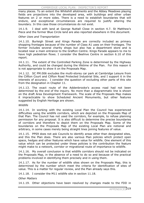many places. To an extent the Whitehill allotments and the Abbey Meadows playing fields are projections into the developed area, with buildings and other urban features on 2 or more sides. There is a need to establish boundaries that will endure, and exceptional circumstances are required to justify altering the boundary. In this case those circumstances do not exist.

14.1.9. I deal with land at George Nuttall Close in section 4.7. St Matthew's Piece and the former Blue Circle land are also reported elsewhere in this document.

### *Other Uses and Transportation*

14.1.10. Burleigh Street and Kings Parade are correctly included as primary shopping frontages because of the number of Class A1 uses on their frontages. The former includes several charity shops but also has a department store and is located near a main entrance to the Grafton Centre. Kings Parade appears to me to have high pedestrian flows. I consider the Beehive Centre in section 6.10 of this report.

14.1.11. The extent of the Controlled Parking Zone is determined by the Highway Authority, and could be changed during the lifetime of the Plan. For this reason it is not appropriate to show it on the Proposals Map.

14.1.12. SC PM.006 excludes the multi-storey car park at Cambridge Leisure from the Clifton Court and Clifton Road Protected Industrial Site, and I support it in the interests of accuracy. I consider the question of excluding other parts of this site from the designation in Chapter 11.

14.1.13. The exact route of the Addenbrooke's access road had not been determined by the end of the inquiry. No more than a diagrammatic line is shown on the draft Area Development Framework. The scale of the Proposals Map makes it impracticable to show Scheduled Ancient Monuments, but other features suggested by English Heritage are shown.

#### *Wildlife*

14.1.14. In working with the existing Local Plan the Council has experienced difficulties using the wildlife corridors, which are depicted on the Proposals Map of that Plan. The Council has not used the corridors, for example, to refuse planning permission for any proposal. It is also difficult to determine the precise boundaries of corridors and therefore to depict them on the Proposals Map. Some of the boundaries on the Proposals Map of the existing Local Plan are notional and arbitrary, in some cases merely being straight lines joining features of value.

14.1.15. PPS9 does not ask Councils to identify areas other than designated sites, and this the Plan does. There are also various Plan policies which protect open space, hedges and other features which have value for wildlife. One element of this value which can be protected under these policies is the contribution the feature might make to a network, corridor or migrational route of importance to wildlife.

14.1.16. My overall conclusion is that wildlife corridors should not be indicated on the Proposals Map, in the absence of a need to do so and because of the practical problems involved in identifying them precisely and in using them.

14.1.17. As for the number of wildlife sites shown on the Proposals Map, this is determined by the number which meet the criteria for identification of sites of value. This is a matter for regular review, and the Plan already says this.

14.1.18. I consider the M11 wildlife site in section 11.18.

*Other Matters* 

14.1.19. Other objections have been resolved by changes made to the FDD in